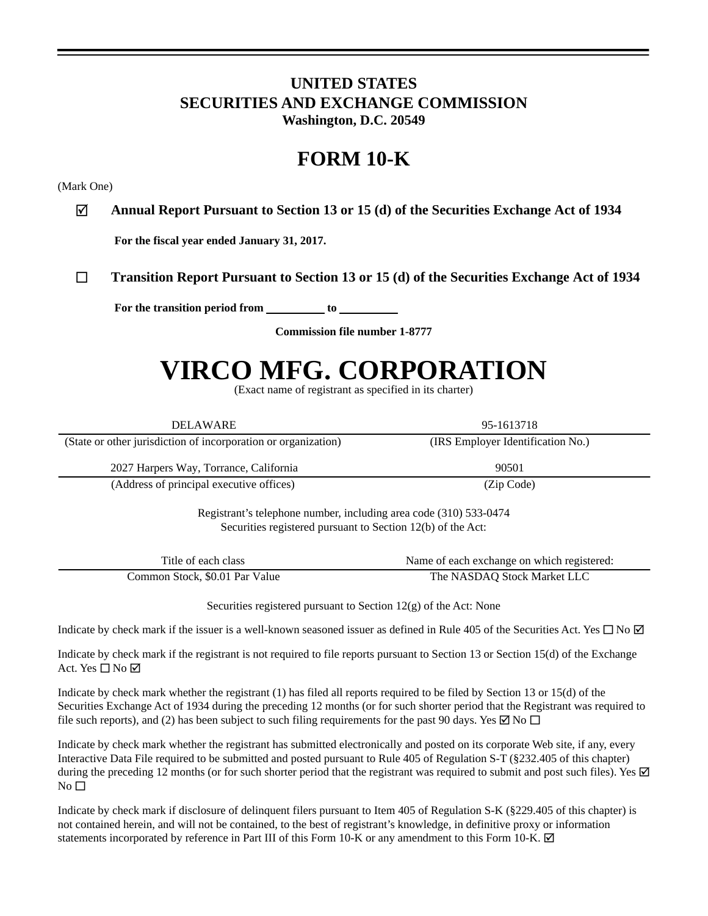# **UNITED STATES SECURITIES AND EXCHANGE COMMISSION Washington, D.C. 20549**

# **FORM 10-K**

#### (Mark One)

 **Annual Report Pursuant to Section 13 or 15 (d) of the Securities Exchange Act of 1934**

**For the fiscal year ended January 31, 2017.**

 **Transition Report Pursuant to Section 13 or 15 (d) of the Securities Exchange Act of 1934**

For the transition period from to be to **the transition period from** to **to** 

**Commission file number 1-8777**

# **VIRCO MFG. CORPORATION**

(Exact name of registrant as specified in its charter)

| <b>DELAWARE</b>                                                                                                                         | 95-1613718                                 |  |  |  |  |  |  |
|-----------------------------------------------------------------------------------------------------------------------------------------|--------------------------------------------|--|--|--|--|--|--|
| (State or other jurisdiction of incorporation or organization)                                                                          | (IRS Employer Identification No.)          |  |  |  |  |  |  |
|                                                                                                                                         |                                            |  |  |  |  |  |  |
| 2027 Harpers Way, Torrance, California                                                                                                  | 90501                                      |  |  |  |  |  |  |
| (Address of principal executive offices)                                                                                                | (Zip Code)                                 |  |  |  |  |  |  |
|                                                                                                                                         |                                            |  |  |  |  |  |  |
| Registrant's telephone number, including area code (310) 533-0474                                                                       |                                            |  |  |  |  |  |  |
| Securities registered pursuant to Section 12(b) of the Act:                                                                             |                                            |  |  |  |  |  |  |
|                                                                                                                                         |                                            |  |  |  |  |  |  |
| Title of each class                                                                                                                     | Name of each exchange on which registered: |  |  |  |  |  |  |
| Common Stock, \$0.01 Par Value                                                                                                          | The NASDAQ Stock Market LLC                |  |  |  |  |  |  |
| Securities registered pursuant to Section $12(g)$ of the Act: None                                                                      |                                            |  |  |  |  |  |  |
|                                                                                                                                         |                                            |  |  |  |  |  |  |
| Indicate by check mark if the issuer is a well-known seasoned issuer as defined in Rule 405 of the Securities Act. Yes $\Box$ No $\Box$ |                                            |  |  |  |  |  |  |
|                                                                                                                                         |                                            |  |  |  |  |  |  |

Indicate by check mark if the registrant is not required to file reports pursuant to Section 13 or Section 15(d) of the Exchange Act. Yes  $\square$  No  $\square$ 

Indicate by check mark whether the registrant (1) has filed all reports required to be filed by Section 13 or 15(d) of the Securities Exchange Act of 1934 during the preceding 12 months (or for such shorter period that the Registrant was required to file such reports), and (2) has been subject to such filing requirements for the past 90 days. Yes  $\boxtimes$  No  $\Box$ 

Indicate by check mark whether the registrant has submitted electronically and posted on its corporate Web site, if any, every Interactive Data File required to be submitted and posted pursuant to Rule 405 of Regulation S-T (§232.405 of this chapter) during the preceding 12 months (or for such shorter period that the registrant was required to submit and post such files). Yes  $\boxtimes$ No  $\square$ 

Indicate by check mark if disclosure of delinquent filers pursuant to Item 405 of Regulation S-K (§229.405 of this chapter) is not contained herein, and will not be contained, to the best of registrant's knowledge, in definitive proxy or information statements incorporated by reference in Part III of this Form 10-K or any amendment to this Form 10-K.  $\Box$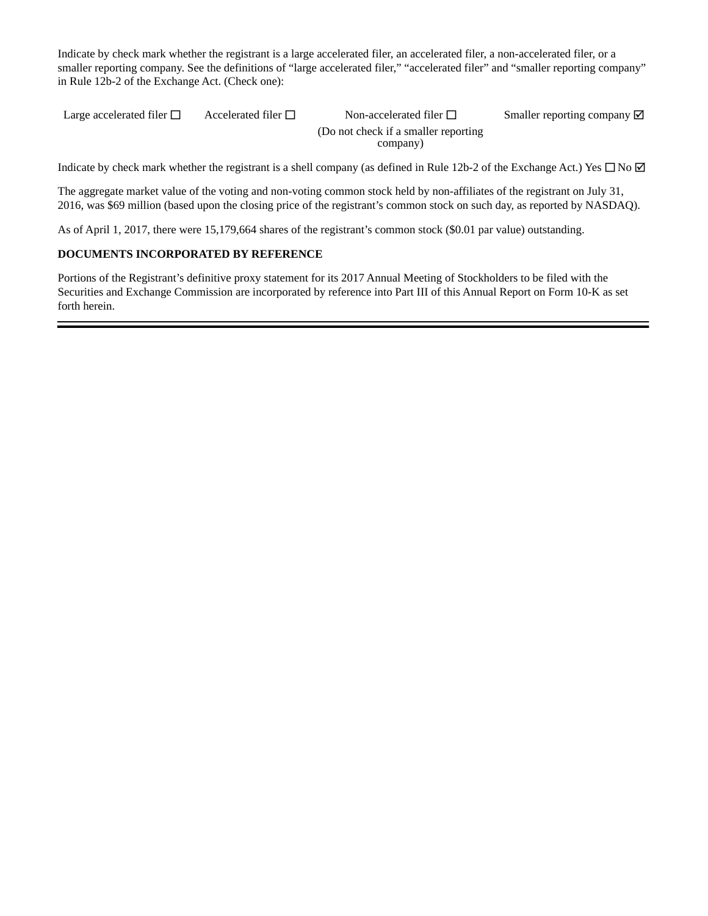Indicate by check mark whether the registrant is a large accelerated filer, an accelerated filer, a non-accelerated filer, or a smaller reporting company. See the definitions of "large accelerated filer," "accelerated filer" and "smaller reporting company" in Rule 12b-2 of the Exchange Act. (Check one):

| Large accelerated filer $\Box$ | Accelerated filer $\square$ | Non-accelerated filer $\Box$          | Smaller reporting company $\boxtimes$ |
|--------------------------------|-----------------------------|---------------------------------------|---------------------------------------|
|                                |                             | (Do not check if a smaller reporting) |                                       |
|                                |                             | company)                              |                                       |

Indicate by check mark whether the registrant is a shell company (as defined in Rule 12b-2 of the Exchange Act.) Yes  $\Box$  No  $\Box$ 

The aggregate market value of the voting and non-voting common stock held by non-affiliates of the registrant on July 31, 2016, was \$69 million (based upon the closing price of the registrant's common stock on such day, as reported by NASDAQ).

As of April 1, 2017, there were 15,179,664 shares of the registrant's common stock (\$0.01 par value) outstanding.

#### **DOCUMENTS INCORPORATED BY REFERENCE**

Portions of the Registrant's definitive proxy statement for its 2017 Annual Meeting of Stockholders to be filed with the Securities and Exchange Commission are incorporated by reference into Part III of this Annual Report on Form 10-K as set forth herein.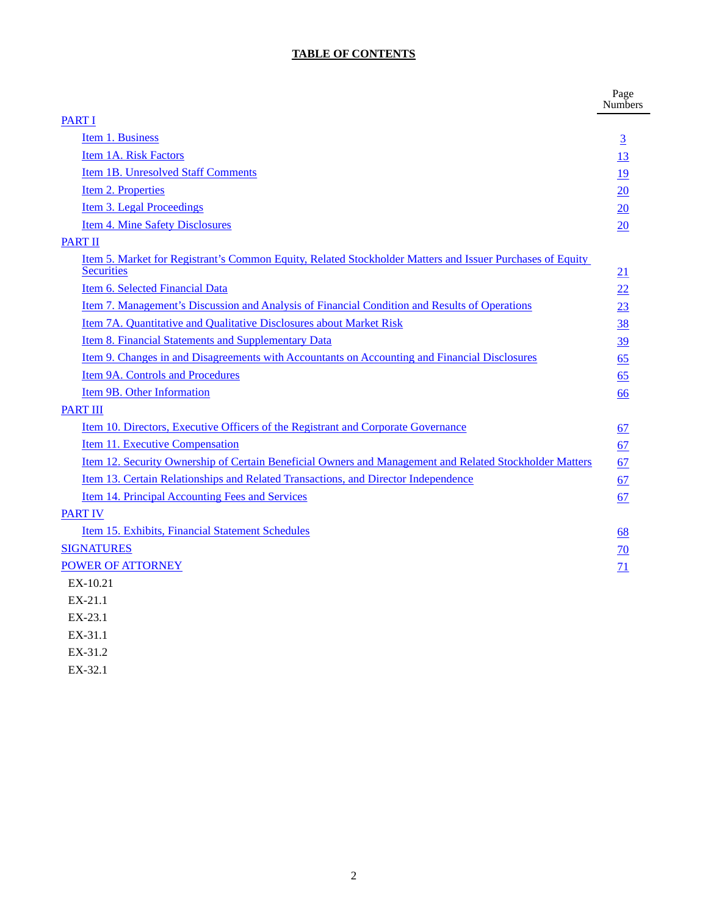# **TABLE OF CONTENTS**

<span id="page-2-0"></span>

|                                                                                                           | Page<br><b>Numbers</b> |
|-----------------------------------------------------------------------------------------------------------|------------------------|
| <b>PART I</b>                                                                                             |                        |
| Item 1. Business                                                                                          | $\overline{3}$         |
| <b>Item 1A. Risk Factors</b>                                                                              | 13                     |
| <b>Item 1B. Unresolved Staff Comments</b>                                                                 | <u>19</u>              |
| Item 2. Properties                                                                                        | 20                     |
| <b>Item 3. Legal Proceedings</b>                                                                          | 20                     |
| <b>Item 4. Mine Safety Disclosures</b>                                                                    | 20                     |
| <b>PART II</b>                                                                                            |                        |
| Item 5. Market for Registrant's Common Equity, Related Stockholder Matters and Issuer Purchases of Equity |                        |
| <b>Securities</b>                                                                                         | 21                     |
| Item 6. Selected Financial Data                                                                           | 22                     |
| Item 7. Management's Discussion and Analysis of Financial Condition and Results of Operations             | 23                     |
| Item 7A. Quantitative and Qualitative Disclosures about Market Risk                                       | 38                     |
| Item 8. Financial Statements and Supplementary Data                                                       | 39                     |
| Item 9. Changes in and Disagreements with Accountants on Accounting and Financial Disclosures             | 65                     |
| Item 9A. Controls and Procedures                                                                          | 65                     |
| Item 9B. Other Information                                                                                | 66                     |
| <b>PART III</b>                                                                                           |                        |
| Item 10. Directors, Executive Officers of the Registrant and Corporate Governance                         | 67                     |
| Item 11. Executive Compensation                                                                           | 67                     |
| Item 12. Security Ownership of Certain Beneficial Owners and Management and Related Stockholder Matters   | 67                     |
| Item 13. Certain Relationships and Related Transactions, and Director Independence                        | 67                     |
| Item 14. Principal Accounting Fees and Services                                                           | 67                     |
| <b>PART IV</b>                                                                                            |                        |
| Item 15. Exhibits, Financial Statement Schedules                                                          | 68                     |
| <b>SIGNATURES</b>                                                                                         | 70                     |
| <b>POWER OF ATTORNEY</b>                                                                                  | 71                     |
| EX-10.21                                                                                                  |                        |
| EX-21.1                                                                                                   |                        |
| $EX-23.1$                                                                                                 |                        |
| $EX-31.1$                                                                                                 |                        |
| EX-31.2                                                                                                   |                        |

EX-32.1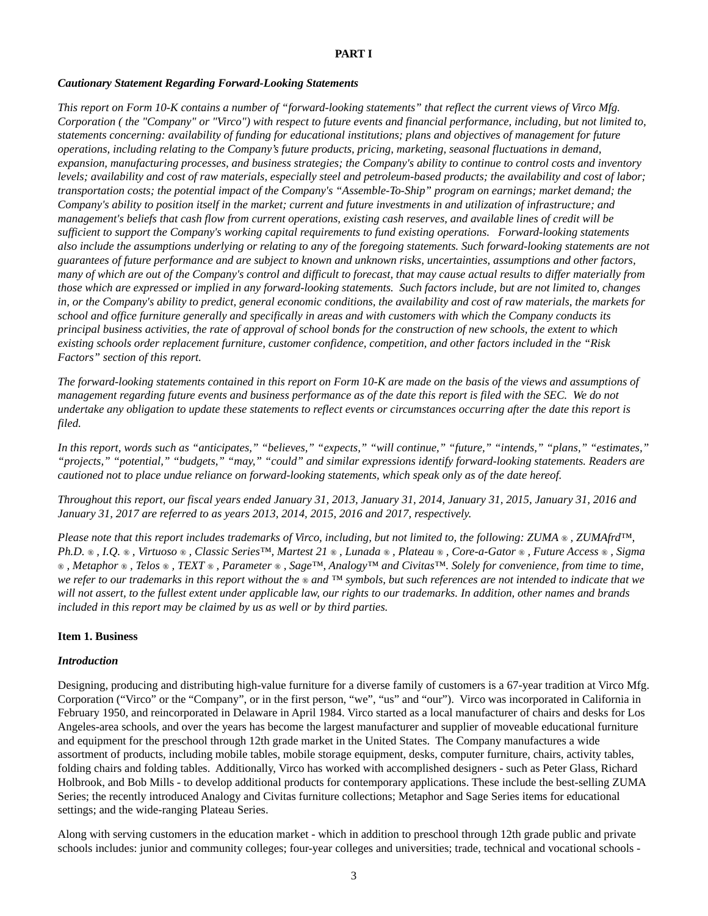#### **PART I**

#### <span id="page-3-0"></span>*Cautionary Statement Regarding Forward-Looking Statements*

*This report on Form 10-K contains a number of "forward-looking statements" that reflect the current views of Virco Mfg. Corporation ( the "Company" or "Virco") with respect to future events and financial performance, including, but not limited to, statements concerning: availability of funding for educational institutions; plans and objectives of management for future operations, including relating to the Company's future products, pricing, marketing, seasonal fluctuations in demand, expansion, manufacturing processes, and business strategies; the Company's ability to continue to control costs and inventory levels; availability and cost of raw materials, especially steel and petroleum-based products; the availability and cost of labor; transportation costs; the potential impact of the Company's "Assemble-To-Ship" program on earnings; market demand; the Company's ability to position itself in the market; current and future investments in and utilization of infrastructure; and management's beliefs that cash flow from current operations, existing cash reserves, and available lines of credit will be sufficient to support the Company's working capital requirements to fund existing operations. Forward-looking statements also include the assumptions underlying or relating to any of the foregoing statements. Such forward-looking statements are not guarantees of future performance and are subject to known and unknown risks, uncertainties, assumptions and other factors, many of which are out of the Company's control and difficult to forecast, that may cause actual results to differ materially from those which are expressed or implied in any forward-looking statements. Such factors include, but are not limited to, changes in, or the Company's ability to predict, general economic conditions, the availability and cost of raw materials, the markets for school and office furniture generally and specifically in areas and with customers with which the Company conducts its principal business activities, the rate of approval of school bonds for the construction of new schools, the extent to which existing schools order replacement furniture, customer confidence, competition, and other factors included in the "Risk Factors" section of this report.*

*The forward-looking statements contained in this report on Form 10-K are made on the basis of the views and assumptions of management regarding future events and business performance as of the date this report is filed with the SEC. We do not undertake any obligation to update these statements to reflect events or circumstances occurring after the date this report is filed.*

*In this report, words such as "anticipates," "believes," "expects," "will continue," "future," "intends," "plans," "estimates," "projects," "potential," "budgets," "may," "could" and similar expressions identify forward-looking statements. Readers are cautioned not to place undue reliance on forward-looking statements, which speak only as of the date hereof.*

*Throughout this report, our fiscal years ended January 31, 2013, January 31, 2014, January 31, 2015, January 31, 2016 and January 31, 2017 are referred to as years 2013, 2014, 2015, 2016 and 2017, respectively.*

*Please note that this report includes trademarks of Virco, including, but not limited to, the following: ZUMA ® , ZUMAfrd™,*  Ph.D. ®, I.Q. ®, Virtuoso ®, Classic Series™, Martest 21 ®, Lunada ®, Plateau ®, Core-a-Gator ®, Future Access ®, Sigma *® , Metaphor ® , Telos ® , TEXT ® , Parameter ® , Sage™, Analogy™ and Civitas™. Solely for convenience, from time to time, we refer to our trademarks in this report without the ® and ™ symbols, but such references are not intended to indicate that we will not assert, to the fullest extent under applicable law, our rights to our trademarks. In addition, other names and brands included in this report may be claimed by us as well or by third parties.*

#### <span id="page-3-1"></span>**Item 1. Business**

#### *Introduction*

Designing, producing and distributing high-value furniture for a diverse family of customers is a 67-year tradition at Virco Mfg. Corporation ("Virco" or the "Company", or in the first person, "we", "us" and "our"). Virco was incorporated in California in February 1950, and reincorporated in Delaware in April 1984. Virco started as a local manufacturer of chairs and desks for Los Angeles-area schools, and over the years has become the largest manufacturer and supplier of moveable educational furniture and equipment for the preschool through 12th grade market in the United States. The Company manufactures a wide assortment of products, including mobile tables, mobile storage equipment, desks, computer furniture, chairs, activity tables, folding chairs and folding tables. Additionally, Virco has worked with accomplished designers - such as Peter Glass, Richard Holbrook, and Bob Mills - to develop additional products for contemporary applications. These include the best-selling ZUMA Series; the recently introduced Analogy and Civitas furniture collections; Metaphor and Sage Series items for educational settings; and the wide-ranging Plateau Series.

Along with serving customers in the education market - which in addition to preschool through 12th grade public and private schools includes: junior and community colleges; four-year colleges and universities; trade, technical and vocational schools -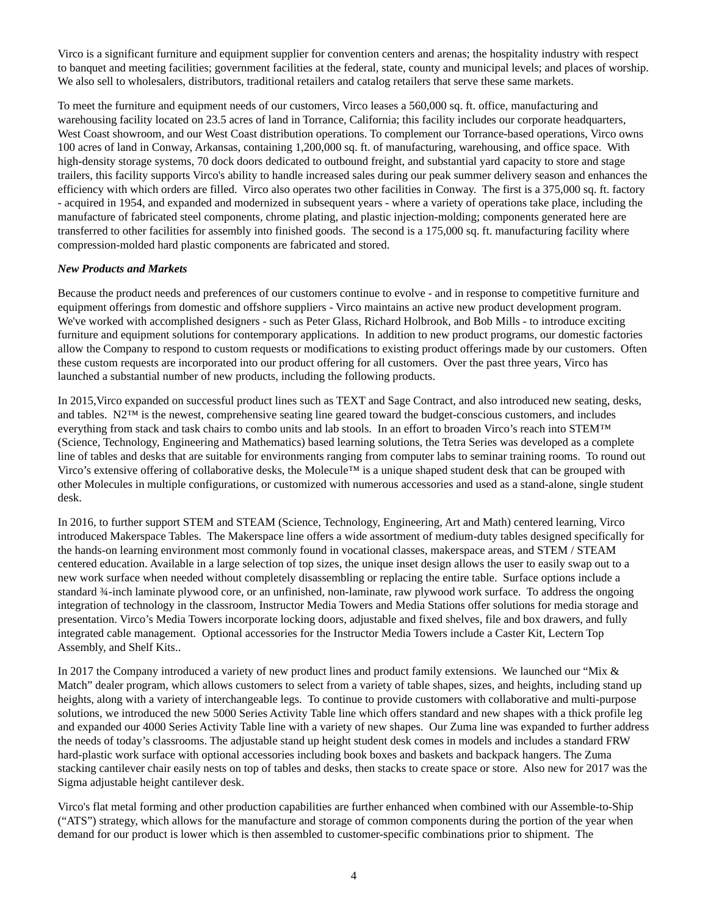Virco is a significant furniture and equipment supplier for convention centers and arenas; the hospitality industry with respect to banquet and meeting facilities; government facilities at the federal, state, county and municipal levels; and places of worship. We also sell to wholesalers, distributors, traditional retailers and catalog retailers that serve these same markets.

To meet the furniture and equipment needs of our customers, Virco leases a 560,000 sq. ft. office, manufacturing and warehousing facility located on 23.5 acres of land in Torrance, California; this facility includes our corporate headquarters, West Coast showroom, and our West Coast distribution operations. To complement our Torrance-based operations, Virco owns 100 acres of land in Conway, Arkansas, containing 1,200,000 sq. ft. of manufacturing, warehousing, and office space. With high-density storage systems, 70 dock doors dedicated to outbound freight, and substantial yard capacity to store and stage trailers, this facility supports Virco's ability to handle increased sales during our peak summer delivery season and enhances the efficiency with which orders are filled. Virco also operates two other facilities in Conway. The first is a 375,000 sq. ft. factory - acquired in 1954, and expanded and modernized in subsequent years - where a variety of operations take place, including the manufacture of fabricated steel components, chrome plating, and plastic injection-molding; components generated here are transferred to other facilities for assembly into finished goods. The second is a 175,000 sq. ft. manufacturing facility where compression-molded hard plastic components are fabricated and stored.

#### *New Products and Markets*

Because the product needs and preferences of our customers continue to evolve - and in response to competitive furniture and equipment offerings from domestic and offshore suppliers - Virco maintains an active new product development program. We've worked with accomplished designers - such as Peter Glass, Richard Holbrook, and Bob Mills - to introduce exciting furniture and equipment solutions for contemporary applications. In addition to new product programs, our domestic factories allow the Company to respond to custom requests or modifications to existing product offerings made by our customers. Often these custom requests are incorporated into our product offering for all customers. Over the past three years, Virco has launched a substantial number of new products, including the following products.

In 2015,Virco expanded on successful product lines such as TEXT and Sage Contract, and also introduced new seating, desks, and tables. N2™ is the newest, comprehensive seating line geared toward the budget-conscious customers, and includes everything from stack and task chairs to combo units and lab stools. In an effort to broaden Virco's reach into STEM™ (Science, Technology, Engineering and Mathematics) based learning solutions, the Tetra Series was developed as a complete line of tables and desks that are suitable for environments ranging from computer labs to seminar training rooms. To round out Virco's extensive offering of collaborative desks, the Molecule™ is a unique shaped student desk that can be grouped with other Molecules in multiple configurations, or customized with numerous accessories and used as a stand-alone, single student desk.

In 2016, to further support STEM and STEAM (Science, Technology, Engineering, Art and Math) centered learning, Virco introduced Makerspace Tables. The Makerspace line offers a wide assortment of medium-duty tables designed specifically for the hands-on learning environment most commonly found in vocational classes, makerspace areas, and STEM / STEAM centered education. Available in a large selection of top sizes, the unique inset design allows the user to easily swap out to a new work surface when needed without completely disassembling or replacing the entire table. Surface options include a standard ¾-inch laminate plywood core, or an unfinished, non-laminate, raw plywood work surface. To address the ongoing integration of technology in the classroom, Instructor Media Towers and Media Stations offer solutions for media storage and presentation. Virco's Media Towers incorporate locking doors, adjustable and fixed shelves, file and box drawers, and fully integrated cable management. Optional accessories for the Instructor Media Towers include a Caster Kit, Lectern Top Assembly, and Shelf Kits..

In 2017 the Company introduced a variety of new product lines and product family extensions. We launched our "Mix & Match" dealer program, which allows customers to select from a variety of table shapes, sizes, and heights, including stand up heights, along with a variety of interchangeable legs. To continue to provide customers with collaborative and multi-purpose solutions, we introduced the new 5000 Series Activity Table line which offers standard and new shapes with a thick profile leg and expanded our 4000 Series Activity Table line with a variety of new shapes. Our Zuma line was expanded to further address the needs of today's classrooms. The adjustable stand up height student desk comes in models and includes a standard FRW hard-plastic work surface with optional accessories including book boxes and baskets and backpack hangers. The Zuma stacking cantilever chair easily nests on top of tables and desks, then stacks to create space or store. Also new for 2017 was the Sigma adjustable height cantilever desk.

Virco's flat metal forming and other production capabilities are further enhanced when combined with our Assemble-to-Ship ("ATS") strategy, which allows for the manufacture and storage of common components during the portion of the year when demand for our product is lower which is then assembled to customer-specific combinations prior to shipment. The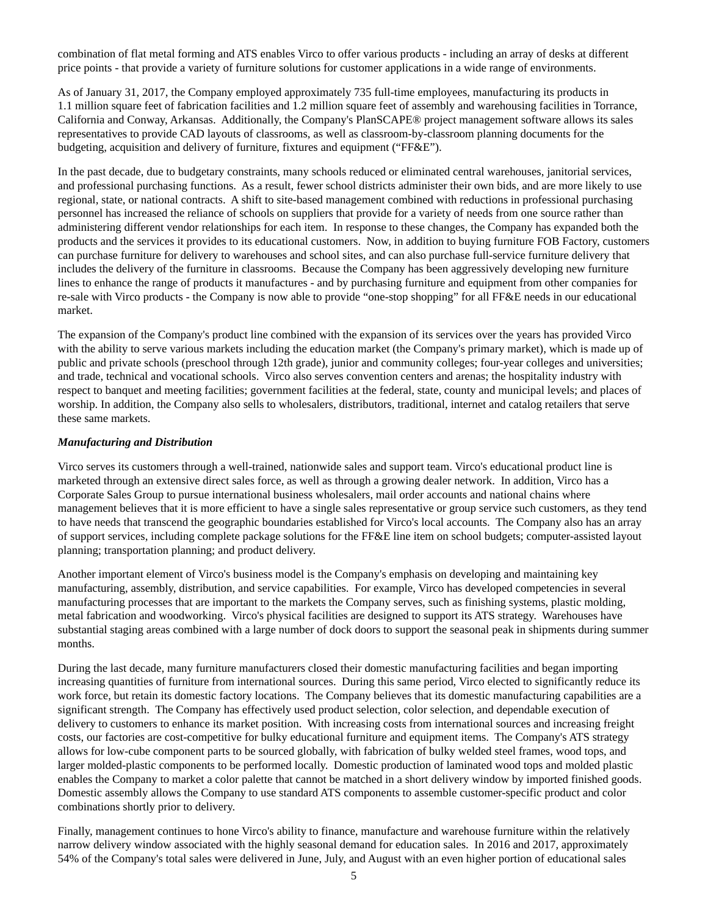combination of flat metal forming and ATS enables Virco to offer various products - including an array of desks at different price points - that provide a variety of furniture solutions for customer applications in a wide range of environments.

As of January 31, 2017, the Company employed approximately 735 full-time employees, manufacturing its products in 1.1 million square feet of fabrication facilities and 1.2 million square feet of assembly and warehousing facilities in Torrance, California and Conway, Arkansas. Additionally, the Company's PlanSCAPE® project management software allows its sales representatives to provide CAD layouts of classrooms, as well as classroom-by-classroom planning documents for the budgeting, acquisition and delivery of furniture, fixtures and equipment ("FF&E").

In the past decade, due to budgetary constraints, many schools reduced or eliminated central warehouses, janitorial services, and professional purchasing functions. As a result, fewer school districts administer their own bids, and are more likely to use regional, state, or national contracts. A shift to site-based management combined with reductions in professional purchasing personnel has increased the reliance of schools on suppliers that provide for a variety of needs from one source rather than administering different vendor relationships for each item. In response to these changes, the Company has expanded both the products and the services it provides to its educational customers. Now, in addition to buying furniture FOB Factory, customers can purchase furniture for delivery to warehouses and school sites, and can also purchase full-service furniture delivery that includes the delivery of the furniture in classrooms. Because the Company has been aggressively developing new furniture lines to enhance the range of products it manufactures - and by purchasing furniture and equipment from other companies for re-sale with Virco products - the Company is now able to provide "one-stop shopping" for all FF&E needs in our educational market.

The expansion of the Company's product line combined with the expansion of its services over the years has provided Virco with the ability to serve various markets including the education market (the Company's primary market), which is made up of public and private schools (preschool through 12th grade), junior and community colleges; four-year colleges and universities; and trade, technical and vocational schools. Virco also serves convention centers and arenas; the hospitality industry with respect to banquet and meeting facilities; government facilities at the federal, state, county and municipal levels; and places of worship. In addition, the Company also sells to wholesalers, distributors, traditional, internet and catalog retailers that serve these same markets.

#### *Manufacturing and Distribution*

Virco serves its customers through a well-trained, nationwide sales and support team. Virco's educational product line is marketed through an extensive direct sales force, as well as through a growing dealer network. In addition, Virco has a Corporate Sales Group to pursue international business wholesalers, mail order accounts and national chains where management believes that it is more efficient to have a single sales representative or group service such customers, as they tend to have needs that transcend the geographic boundaries established for Virco's local accounts. The Company also has an array of support services, including complete package solutions for the FF&E line item on school budgets; computer-assisted layout planning; transportation planning; and product delivery.

Another important element of Virco's business model is the Company's emphasis on developing and maintaining key manufacturing, assembly, distribution, and service capabilities. For example, Virco has developed competencies in several manufacturing processes that are important to the markets the Company serves, such as finishing systems, plastic molding, metal fabrication and woodworking. Virco's physical facilities are designed to support its ATS strategy. Warehouses have substantial staging areas combined with a large number of dock doors to support the seasonal peak in shipments during summer months.

During the last decade, many furniture manufacturers closed their domestic manufacturing facilities and began importing increasing quantities of furniture from international sources. During this same period, Virco elected to significantly reduce its work force, but retain its domestic factory locations. The Company believes that its domestic manufacturing capabilities are a significant strength. The Company has effectively used product selection, color selection, and dependable execution of delivery to customers to enhance its market position. With increasing costs from international sources and increasing freight costs, our factories are cost-competitive for bulky educational furniture and equipment items. The Company's ATS strategy allows for low-cube component parts to be sourced globally, with fabrication of bulky welded steel frames, wood tops, and larger molded-plastic components to be performed locally. Domestic production of laminated wood tops and molded plastic enables the Company to market a color palette that cannot be matched in a short delivery window by imported finished goods. Domestic assembly allows the Company to use standard ATS components to assemble customer-specific product and color combinations shortly prior to delivery.

Finally, management continues to hone Virco's ability to finance, manufacture and warehouse furniture within the relatively narrow delivery window associated with the highly seasonal demand for education sales. In 2016 and 2017, approximately 54% of the Company's total sales were delivered in June, July, and August with an even higher portion of educational sales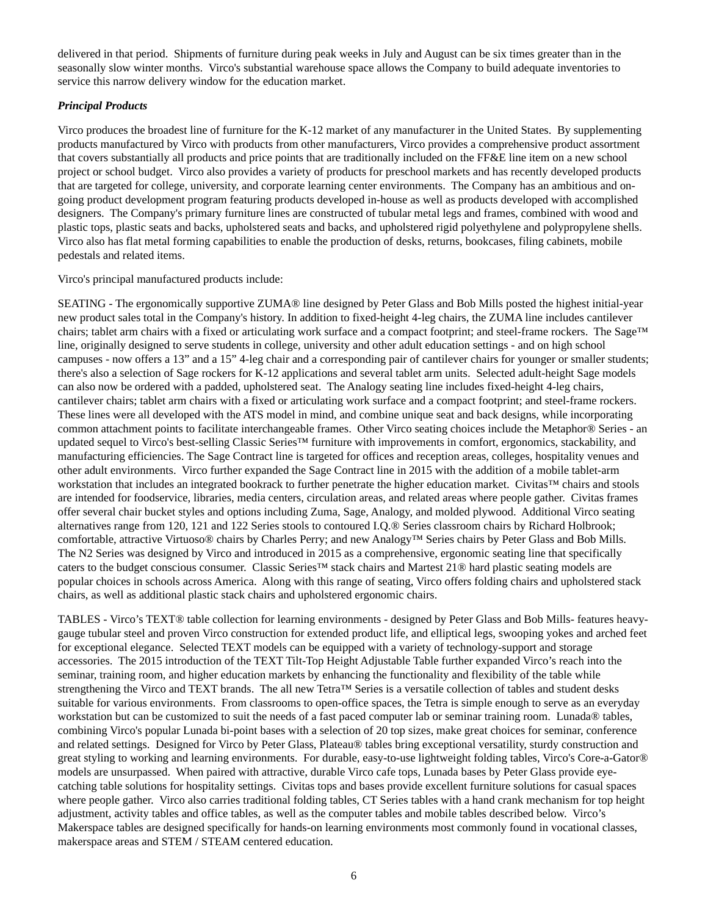delivered in that period. Shipments of furniture during peak weeks in July and August can be six times greater than in the seasonally slow winter months. Virco's substantial warehouse space allows the Company to build adequate inventories to service this narrow delivery window for the education market.

#### *Principal Products*

Virco produces the broadest line of furniture for the K-12 market of any manufacturer in the United States. By supplementing products manufactured by Virco with products from other manufacturers, Virco provides a comprehensive product assortment that covers substantially all products and price points that are traditionally included on the FF&E line item on a new school project or school budget. Virco also provides a variety of products for preschool markets and has recently developed products that are targeted for college, university, and corporate learning center environments. The Company has an ambitious and ongoing product development program featuring products developed in-house as well as products developed with accomplished designers. The Company's primary furniture lines are constructed of tubular metal legs and frames, combined with wood and plastic tops, plastic seats and backs, upholstered seats and backs, and upholstered rigid polyethylene and polypropylene shells. Virco also has flat metal forming capabilities to enable the production of desks, returns, bookcases, filing cabinets, mobile pedestals and related items.

# Virco's principal manufactured products include:

SEATING - The ergonomically supportive ZUMA® line designed by Peter Glass and Bob Mills posted the highest initial-year new product sales total in the Company's history. In addition to fixed-height 4-leg chairs, the ZUMA line includes cantilever chairs; tablet arm chairs with a fixed or articulating work surface and a compact footprint; and steel-frame rockers. The Sage™ line, originally designed to serve students in college, university and other adult education settings - and on high school campuses - now offers a 13" and a 15" 4-leg chair and a corresponding pair of cantilever chairs for younger or smaller students; there's also a selection of Sage rockers for K-12 applications and several tablet arm units. Selected adult-height Sage models can also now be ordered with a padded, upholstered seat. The Analogy seating line includes fixed-height 4-leg chairs, cantilever chairs; tablet arm chairs with a fixed or articulating work surface and a compact footprint; and steel-frame rockers. These lines were all developed with the ATS model in mind, and combine unique seat and back designs, while incorporating common attachment points to facilitate interchangeable frames. Other Virco seating choices include the Metaphor® Series - an updated sequel to Virco's best-selling Classic Series™ furniture with improvements in comfort, ergonomics, stackability, and manufacturing efficiencies. The Sage Contract line is targeted for offices and reception areas, colleges, hospitality venues and other adult environments. Virco further expanded the Sage Contract line in 2015 with the addition of a mobile tablet-arm workstation that includes an integrated bookrack to further penetrate the higher education market. Civitas™ chairs and stools are intended for foodservice, libraries, media centers, circulation areas, and related areas where people gather. Civitas frames offer several chair bucket styles and options including Zuma, Sage, Analogy, and molded plywood. Additional Virco seating alternatives range from 120, 121 and 122 Series stools to contoured I.Q.® Series classroom chairs by Richard Holbrook; comfortable, attractive Virtuoso® chairs by Charles Perry; and new Analogy™ Series chairs by Peter Glass and Bob Mills. The N2 Series was designed by Virco and introduced in 2015 as a comprehensive, ergonomic seating line that specifically caters to the budget conscious consumer. Classic Series™ stack chairs and Martest 21® hard plastic seating models are popular choices in schools across America. Along with this range of seating, Virco offers folding chairs and upholstered stack chairs, as well as additional plastic stack chairs and upholstered ergonomic chairs.

TABLES - Virco's TEXT® table collection for learning environments - designed by Peter Glass and Bob Mills- features heavygauge tubular steel and proven Virco construction for extended product life, and elliptical legs, swooping yokes and arched feet for exceptional elegance. Selected TEXT models can be equipped with a variety of technology-support and storage accessories. The 2015 introduction of the TEXT Tilt-Top Height Adjustable Table further expanded Virco's reach into the seminar, training room, and higher education markets by enhancing the functionality and flexibility of the table while strengthening the Virco and TEXT brands. The all new Tetra™ Series is a versatile collection of tables and student desks suitable for various environments. From classrooms to open-office spaces, the Tetra is simple enough to serve as an everyday workstation but can be customized to suit the needs of a fast paced computer lab or seminar training room. Lunada® tables, combining Virco's popular Lunada bi-point bases with a selection of 20 top sizes, make great choices for seminar, conference and related settings. Designed for Virco by Peter Glass, Plateau® tables bring exceptional versatility, sturdy construction and great styling to working and learning environments. For durable, easy-to-use lightweight folding tables, Virco's Core-a-Gator® models are unsurpassed. When paired with attractive, durable Virco cafe tops, Lunada bases by Peter Glass provide eyecatching table solutions for hospitality settings. Civitas tops and bases provide excellent furniture solutions for casual spaces where people gather. Virco also carries traditional folding tables, CT Series tables with a hand crank mechanism for top height adjustment, activity tables and office tables, as well as the computer tables and mobile tables described below. Virco's Makerspace tables are designed specifically for hands-on learning environments most commonly found in vocational classes, makerspace areas and STEM / STEAM centered education.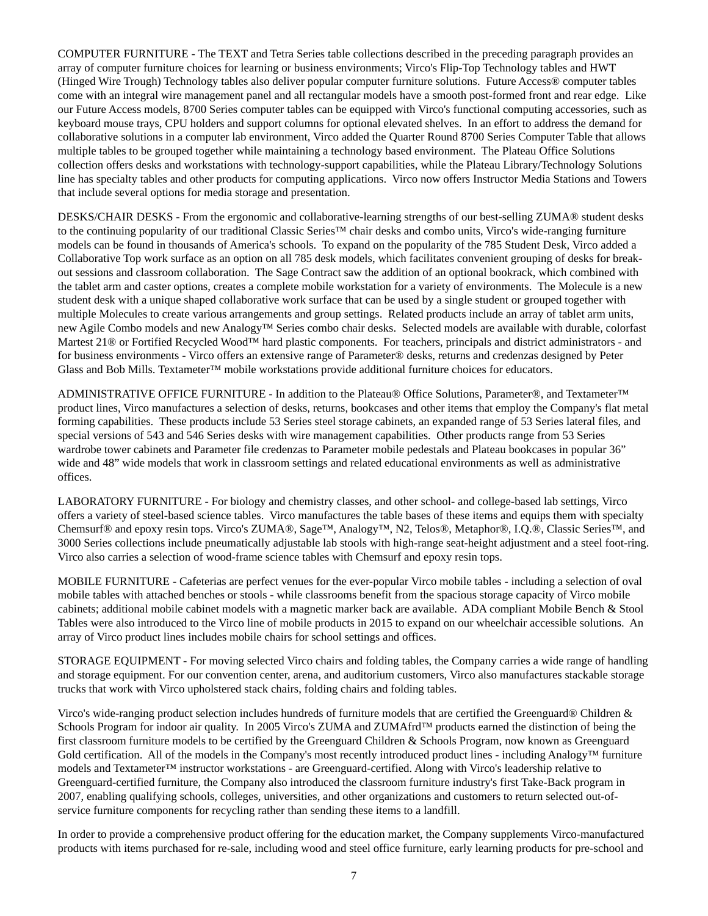COMPUTER FURNITURE - The TEXT and Tetra Series table collections described in the preceding paragraph provides an array of computer furniture choices for learning or business environments; Virco's Flip-Top Technology tables and HWT (Hinged Wire Trough) Technology tables also deliver popular computer furniture solutions. Future Access® computer tables come with an integral wire management panel and all rectangular models have a smooth post-formed front and rear edge. Like our Future Access models, 8700 Series computer tables can be equipped with Virco's functional computing accessories, such as keyboard mouse trays, CPU holders and support columns for optional elevated shelves. In an effort to address the demand for collaborative solutions in a computer lab environment, Virco added the Quarter Round 8700 Series Computer Table that allows multiple tables to be grouped together while maintaining a technology based environment. The Plateau Office Solutions collection offers desks and workstations with technology-support capabilities, while the Plateau Library/Technology Solutions line has specialty tables and other products for computing applications. Virco now offers Instructor Media Stations and Towers that include several options for media storage and presentation.

DESKS/CHAIR DESKS - From the ergonomic and collaborative-learning strengths of our best-selling ZUMA® student desks to the continuing popularity of our traditional Classic Series™ chair desks and combo units, Virco's wide-ranging furniture models can be found in thousands of America's schools. To expand on the popularity of the 785 Student Desk, Virco added a Collaborative Top work surface as an option on all 785 desk models, which facilitates convenient grouping of desks for breakout sessions and classroom collaboration. The Sage Contract saw the addition of an optional bookrack, which combined with the tablet arm and caster options, creates a complete mobile workstation for a variety of environments. The Molecule is a new student desk with a unique shaped collaborative work surface that can be used by a single student or grouped together with multiple Molecules to create various arrangements and group settings. Related products include an array of tablet arm units, new Agile Combo models and new Analogy™ Series combo chair desks. Selected models are available with durable, colorfast Martest 21® or Fortified Recycled Wood™ hard plastic components. For teachers, principals and district administrators - and for business environments - Virco offers an extensive range of Parameter® desks, returns and credenzas designed by Peter Glass and Bob Mills. Textameter™ mobile workstations provide additional furniture choices for educators.

ADMINISTRATIVE OFFICE FURNITURE - In addition to the Plateau® Office Solutions, Parameter®, and Textameter™ product lines, Virco manufactures a selection of desks, returns, bookcases and other items that employ the Company's flat metal forming capabilities. These products include 53 Series steel storage cabinets, an expanded range of 53 Series lateral files, and special versions of 543 and 546 Series desks with wire management capabilities. Other products range from 53 Series wardrobe tower cabinets and Parameter file credenzas to Parameter mobile pedestals and Plateau bookcases in popular 36" wide and 48" wide models that work in classroom settings and related educational environments as well as administrative offices.

LABORATORY FURNITURE - For biology and chemistry classes, and other school- and college-based lab settings, Virco offers a variety of steel-based science tables. Virco manufactures the table bases of these items and equips them with specialty Chemsurf® and epoxy resin tops. Virco's ZUMA®, Sage™, Analogy™, N2, Telos®, Metaphor®, I.Q.®, Classic Series™, and 3000 Series collections include pneumatically adjustable lab stools with high-range seat-height adjustment and a steel foot-ring. Virco also carries a selection of wood-frame science tables with Chemsurf and epoxy resin tops.

MOBILE FURNITURE - Cafeterias are perfect venues for the ever-popular Virco mobile tables - including a selection of oval mobile tables with attached benches or stools - while classrooms benefit from the spacious storage capacity of Virco mobile cabinets; additional mobile cabinet models with a magnetic marker back are available. ADA compliant Mobile Bench & Stool Tables were also introduced to the Virco line of mobile products in 2015 to expand on our wheelchair accessible solutions. An array of Virco product lines includes mobile chairs for school settings and offices.

STORAGE EQUIPMENT - For moving selected Virco chairs and folding tables, the Company carries a wide range of handling and storage equipment. For our convention center, arena, and auditorium customers, Virco also manufactures stackable storage trucks that work with Virco upholstered stack chairs, folding chairs and folding tables.

Virco's wide-ranging product selection includes hundreds of furniture models that are certified the Greenguard® Children & Schools Program for indoor air quality. In 2005 Virco's ZUMA and ZUMAfrd™ products earned the distinction of being the first classroom furniture models to be certified by the Greenguard Children & Schools Program, now known as Greenguard Gold certification. All of the models in the Company's most recently introduced product lines - including Analogy™ furniture models and Textameter™ instructor workstations - are Greenguard-certified. Along with Virco's leadership relative to Greenguard-certified furniture, the Company also introduced the classroom furniture industry's first Take-Back program in 2007, enabling qualifying schools, colleges, universities, and other organizations and customers to return selected out-ofservice furniture components for recycling rather than sending these items to a landfill.

In order to provide a comprehensive product offering for the education market, the Company supplements Virco-manufactured products with items purchased for re-sale, including wood and steel office furniture, early learning products for pre-school and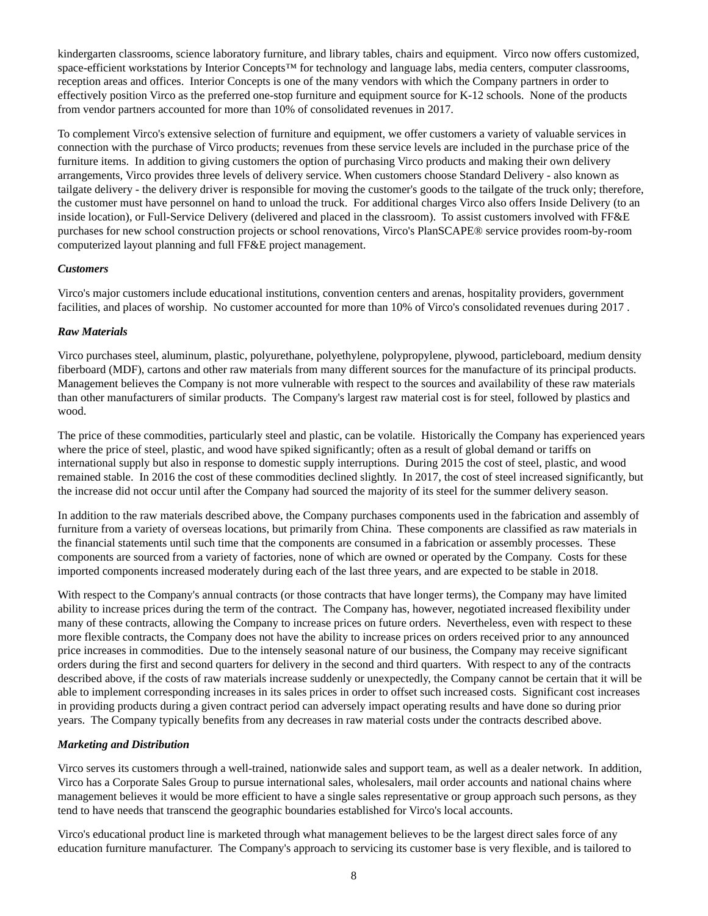kindergarten classrooms, science laboratory furniture, and library tables, chairs and equipment. Virco now offers customized, space-efficient workstations by Interior Concepts™ for technology and language labs, media centers, computer classrooms, reception areas and offices. Interior Concepts is one of the many vendors with which the Company partners in order to effectively position Virco as the preferred one-stop furniture and equipment source for K-12 schools. None of the products from vendor partners accounted for more than 10% of consolidated revenues in 2017.

To complement Virco's extensive selection of furniture and equipment, we offer customers a variety of valuable services in connection with the purchase of Virco products; revenues from these service levels are included in the purchase price of the furniture items. In addition to giving customers the option of purchasing Virco products and making their own delivery arrangements, Virco provides three levels of delivery service. When customers choose Standard Delivery - also known as tailgate delivery - the delivery driver is responsible for moving the customer's goods to the tailgate of the truck only; therefore, the customer must have personnel on hand to unload the truck. For additional charges Virco also offers Inside Delivery (to an inside location), or Full-Service Delivery (delivered and placed in the classroom). To assist customers involved with FF&E purchases for new school construction projects or school renovations, Virco's PlanSCAPE® service provides room-by-room computerized layout planning and full FF&E project management.

#### *Customers*

Virco's major customers include educational institutions, convention centers and arenas, hospitality providers, government facilities, and places of worship. No customer accounted for more than 10% of Virco's consolidated revenues during 2017 .

# *Raw Materials*

Virco purchases steel, aluminum, plastic, polyurethane, polyethylene, polypropylene, plywood, particleboard, medium density fiberboard (MDF), cartons and other raw materials from many different sources for the manufacture of its principal products. Management believes the Company is not more vulnerable with respect to the sources and availability of these raw materials than other manufacturers of similar products. The Company's largest raw material cost is for steel, followed by plastics and wood.

The price of these commodities, particularly steel and plastic, can be volatile. Historically the Company has experienced years where the price of steel, plastic, and wood have spiked significantly; often as a result of global demand or tariffs on international supply but also in response to domestic supply interruptions. During 2015 the cost of steel, plastic, and wood remained stable. In 2016 the cost of these commodities declined slightly. In 2017, the cost of steel increased significantly, but the increase did not occur until after the Company had sourced the majority of its steel for the summer delivery season.

In addition to the raw materials described above, the Company purchases components used in the fabrication and assembly of furniture from a variety of overseas locations, but primarily from China. These components are classified as raw materials in the financial statements until such time that the components are consumed in a fabrication or assembly processes. These components are sourced from a variety of factories, none of which are owned or operated by the Company. Costs for these imported components increased moderately during each of the last three years, and are expected to be stable in 2018.

With respect to the Company's annual contracts (or those contracts that have longer terms), the Company may have limited ability to increase prices during the term of the contract. The Company has, however, negotiated increased flexibility under many of these contracts, allowing the Company to increase prices on future orders. Nevertheless, even with respect to these more flexible contracts, the Company does not have the ability to increase prices on orders received prior to any announced price increases in commodities. Due to the intensely seasonal nature of our business, the Company may receive significant orders during the first and second quarters for delivery in the second and third quarters. With respect to any of the contracts described above, if the costs of raw materials increase suddenly or unexpectedly, the Company cannot be certain that it will be able to implement corresponding increases in its sales prices in order to offset such increased costs. Significant cost increases in providing products during a given contract period can adversely impact operating results and have done so during prior years. The Company typically benefits from any decreases in raw material costs under the contracts described above.

# *Marketing and Distribution*

Virco serves its customers through a well-trained, nationwide sales and support team, as well as a dealer network. In addition, Virco has a Corporate Sales Group to pursue international sales, wholesalers, mail order accounts and national chains where management believes it would be more efficient to have a single sales representative or group approach such persons, as they tend to have needs that transcend the geographic boundaries established for Virco's local accounts.

Virco's educational product line is marketed through what management believes to be the largest direct sales force of any education furniture manufacturer. The Company's approach to servicing its customer base is very flexible, and is tailored to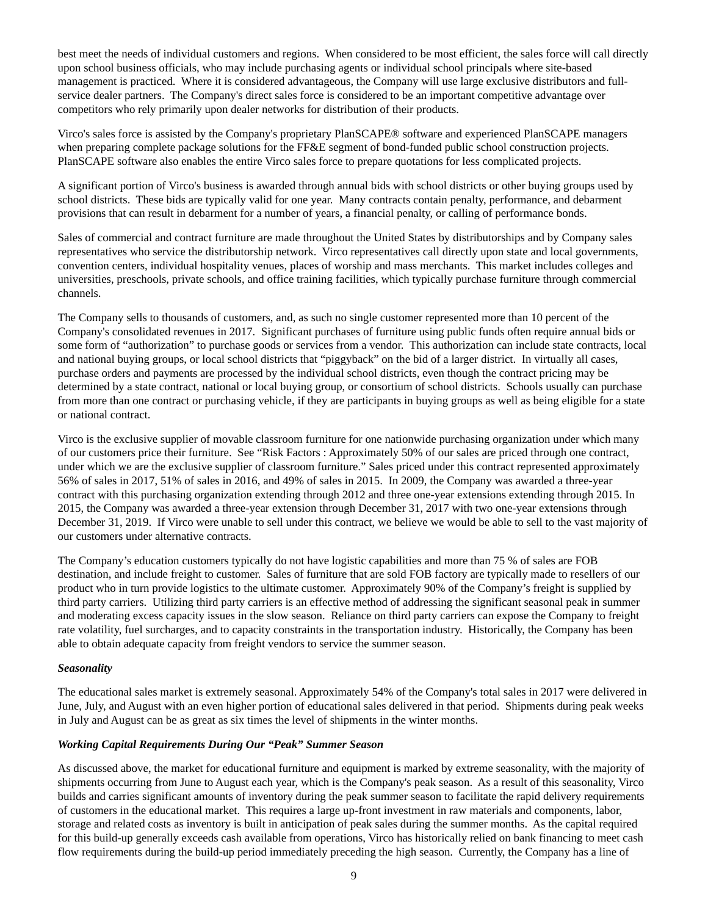best meet the needs of individual customers and regions. When considered to be most efficient, the sales force will call directly upon school business officials, who may include purchasing agents or individual school principals where site-based management is practiced. Where it is considered advantageous, the Company will use large exclusive distributors and fullservice dealer partners. The Company's direct sales force is considered to be an important competitive advantage over competitors who rely primarily upon dealer networks for distribution of their products.

Virco's sales force is assisted by the Company's proprietary PlanSCAPE® software and experienced PlanSCAPE managers when preparing complete package solutions for the FF&E segment of bond-funded public school construction projects. PlanSCAPE software also enables the entire Virco sales force to prepare quotations for less complicated projects.

A significant portion of Virco's business is awarded through annual bids with school districts or other buying groups used by school districts. These bids are typically valid for one year. Many contracts contain penalty, performance, and debarment provisions that can result in debarment for a number of years, a financial penalty, or calling of performance bonds.

Sales of commercial and contract furniture are made throughout the United States by distributorships and by Company sales representatives who service the distributorship network. Virco representatives call directly upon state and local governments, convention centers, individual hospitality venues, places of worship and mass merchants. This market includes colleges and universities, preschools, private schools, and office training facilities, which typically purchase furniture through commercial channels.

The Company sells to thousands of customers, and, as such no single customer represented more than 10 percent of the Company's consolidated revenues in 2017. Significant purchases of furniture using public funds often require annual bids or some form of "authorization" to purchase goods or services from a vendor. This authorization can include state contracts, local and national buying groups, or local school districts that "piggyback" on the bid of a larger district. In virtually all cases, purchase orders and payments are processed by the individual school districts, even though the contract pricing may be determined by a state contract, national or local buying group, or consortium of school districts. Schools usually can purchase from more than one contract or purchasing vehicle, if they are participants in buying groups as well as being eligible for a state or national contract.

Virco is the exclusive supplier of movable classroom furniture for one nationwide purchasing organization under which many of our customers price their furniture. See "Risk Factors : Approximately 50% of our sales are priced through one contract, under which we are the exclusive supplier of classroom furniture." Sales priced under this contract represented approximately 56% of sales in 2017, 51% of sales in 2016, and 49% of sales in 2015. In 2009, the Company was awarded a three-year contract with this purchasing organization extending through 2012 and three one-year extensions extending through 2015. In 2015, the Company was awarded a three-year extension through December 31, 2017 with two one-year extensions through December 31, 2019. If Virco were unable to sell under this contract, we believe we would be able to sell to the vast majority of our customers under alternative contracts.

The Company's education customers typically do not have logistic capabilities and more than 75 % of sales are FOB destination, and include freight to customer. Sales of furniture that are sold FOB factory are typically made to resellers of our product who in turn provide logistics to the ultimate customer. Approximately 90% of the Company's freight is supplied by third party carriers. Utilizing third party carriers is an effective method of addressing the significant seasonal peak in summer and moderating excess capacity issues in the slow season. Reliance on third party carriers can expose the Company to freight rate volatility, fuel surcharges, and to capacity constraints in the transportation industry. Historically, the Company has been able to obtain adequate capacity from freight vendors to service the summer season.

# *Seasonality*

The educational sales market is extremely seasonal. Approximately 54% of the Company's total sales in 2017 were delivered in June, July, and August with an even higher portion of educational sales delivered in that period. Shipments during peak weeks in July and August can be as great as six times the level of shipments in the winter months.

# *Working Capital Requirements During Our "Peak" Summer Season*

As discussed above, the market for educational furniture and equipment is marked by extreme seasonality, with the majority of shipments occurring from June to August each year, which is the Company's peak season. As a result of this seasonality, Virco builds and carries significant amounts of inventory during the peak summer season to facilitate the rapid delivery requirements of customers in the educational market. This requires a large up-front investment in raw materials and components, labor, storage and related costs as inventory is built in anticipation of peak sales during the summer months. As the capital required for this build-up generally exceeds cash available from operations, Virco has historically relied on bank financing to meet cash flow requirements during the build-up period immediately preceding the high season. Currently, the Company has a line of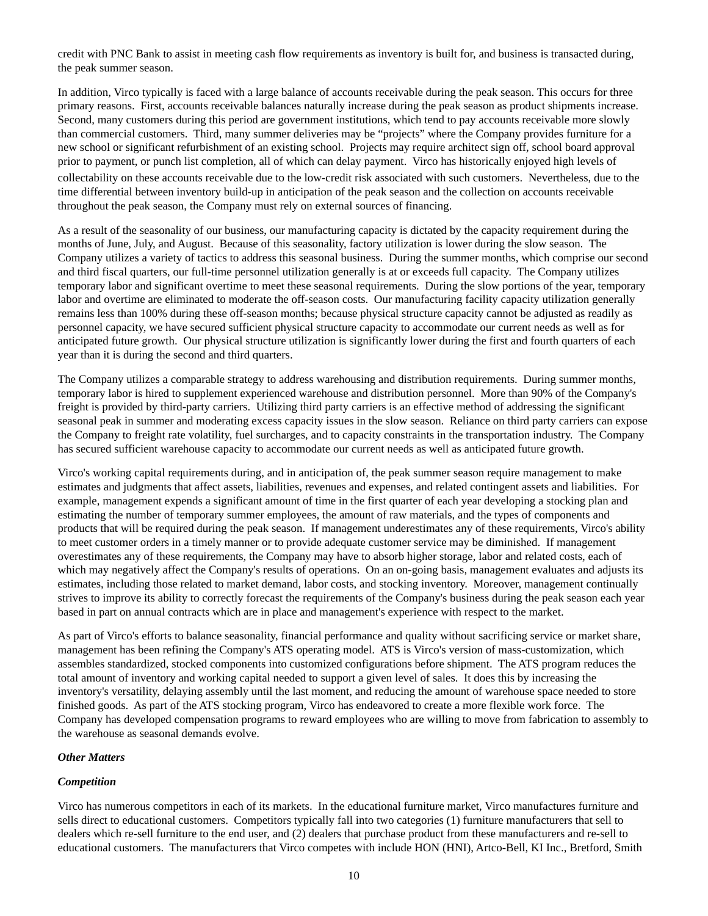credit with PNC Bank to assist in meeting cash flow requirements as inventory is built for, and business is transacted during, the peak summer season.

In addition, Virco typically is faced with a large balance of accounts receivable during the peak season. This occurs for three primary reasons. First, accounts receivable balances naturally increase during the peak season as product shipments increase. Second, many customers during this period are government institutions, which tend to pay accounts receivable more slowly than commercial customers. Third, many summer deliveries may be "projects" where the Company provides furniture for a new school or significant refurbishment of an existing school. Projects may require architect sign off, school board approval prior to payment, or punch list completion, all of which can delay payment. Virco has historically enjoyed high levels of collectability on these accounts receivable due to the low-credit risk associated with such customers. Nevertheless, due to the time differential between inventory build-up in anticipation of the peak season and the collection on accounts receivable throughout the peak season, the Company must rely on external sources of financing.

As a result of the seasonality of our business, our manufacturing capacity is dictated by the capacity requirement during the months of June, July, and August. Because of this seasonality, factory utilization is lower during the slow season. The Company utilizes a variety of tactics to address this seasonal business. During the summer months, which comprise our second and third fiscal quarters, our full-time personnel utilization generally is at or exceeds full capacity. The Company utilizes temporary labor and significant overtime to meet these seasonal requirements. During the slow portions of the year, temporary labor and overtime are eliminated to moderate the off-season costs. Our manufacturing facility capacity utilization generally remains less than 100% during these off-season months; because physical structure capacity cannot be adjusted as readily as personnel capacity, we have secured sufficient physical structure capacity to accommodate our current needs as well as for anticipated future growth. Our physical structure utilization is significantly lower during the first and fourth quarters of each year than it is during the second and third quarters.

The Company utilizes a comparable strategy to address warehousing and distribution requirements. During summer months, temporary labor is hired to supplement experienced warehouse and distribution personnel. More than 90% of the Company's freight is provided by third-party carriers. Utilizing third party carriers is an effective method of addressing the significant seasonal peak in summer and moderating excess capacity issues in the slow season. Reliance on third party carriers can expose the Company to freight rate volatility, fuel surcharges, and to capacity constraints in the transportation industry. The Company has secured sufficient warehouse capacity to accommodate our current needs as well as anticipated future growth.

Virco's working capital requirements during, and in anticipation of, the peak summer season require management to make estimates and judgments that affect assets, liabilities, revenues and expenses, and related contingent assets and liabilities. For example, management expends a significant amount of time in the first quarter of each year developing a stocking plan and estimating the number of temporary summer employees, the amount of raw materials, and the types of components and products that will be required during the peak season. If management underestimates any of these requirements, Virco's ability to meet customer orders in a timely manner or to provide adequate customer service may be diminished. If management overestimates any of these requirements, the Company may have to absorb higher storage, labor and related costs, each of which may negatively affect the Company's results of operations. On an on-going basis, management evaluates and adjusts its estimates, including those related to market demand, labor costs, and stocking inventory. Moreover, management continually strives to improve its ability to correctly forecast the requirements of the Company's business during the peak season each year based in part on annual contracts which are in place and management's experience with respect to the market.

As part of Virco's efforts to balance seasonality, financial performance and quality without sacrificing service or market share, management has been refining the Company's ATS operating model. ATS is Virco's version of mass-customization, which assembles standardized, stocked components into customized configurations before shipment. The ATS program reduces the total amount of inventory and working capital needed to support a given level of sales. It does this by increasing the inventory's versatility, delaying assembly until the last moment, and reducing the amount of warehouse space needed to store finished goods. As part of the ATS stocking program, Virco has endeavored to create a more flexible work force. The Company has developed compensation programs to reward employees who are willing to move from fabrication to assembly to the warehouse as seasonal demands evolve.

# *Other Matters*

# *Competition*

Virco has numerous competitors in each of its markets. In the educational furniture market, Virco manufactures furniture and sells direct to educational customers. Competitors typically fall into two categories (1) furniture manufacturers that sell to dealers which re-sell furniture to the end user, and (2) dealers that purchase product from these manufacturers and re-sell to educational customers. The manufacturers that Virco competes with include HON (HNI), Artco-Bell, KI Inc., Bretford, Smith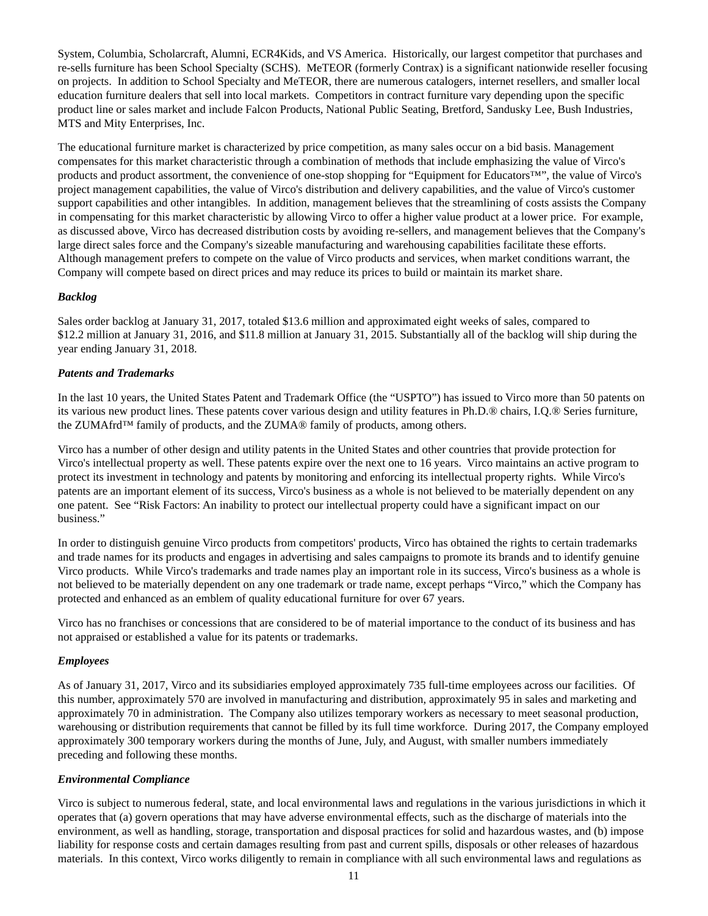System, Columbia, Scholarcraft, Alumni, ECR4Kids, and VS America. Historically, our largest competitor that purchases and re-sells furniture has been School Specialty (SCHS). MeTEOR (formerly Contrax) is a significant nationwide reseller focusing on projects. In addition to School Specialty and MeTEOR, there are numerous catalogers, internet resellers, and smaller local education furniture dealers that sell into local markets. Competitors in contract furniture vary depending upon the specific product line or sales market and include Falcon Products, National Public Seating, Bretford, Sandusky Lee, Bush Industries, MTS and Mity Enterprises, Inc.

The educational furniture market is characterized by price competition, as many sales occur on a bid basis. Management compensates for this market characteristic through a combination of methods that include emphasizing the value of Virco's products and product assortment, the convenience of one-stop shopping for "Equipment for Educators™", the value of Virco's project management capabilities, the value of Virco's distribution and delivery capabilities, and the value of Virco's customer support capabilities and other intangibles. In addition, management believes that the streamlining of costs assists the Company in compensating for this market characteristic by allowing Virco to offer a higher value product at a lower price. For example, as discussed above, Virco has decreased distribution costs by avoiding re-sellers, and management believes that the Company's large direct sales force and the Company's sizeable manufacturing and warehousing capabilities facilitate these efforts. Although management prefers to compete on the value of Virco products and services, when market conditions warrant, the Company will compete based on direct prices and may reduce its prices to build or maintain its market share.

# *Backlog*

Sales order backlog at January 31, 2017, totaled \$13.6 million and approximated eight weeks of sales, compared to \$12.2 million at January 31, 2016, and \$11.8 million at January 31, 2015. Substantially all of the backlog will ship during the year ending January 31, 2018.

# *Patents and Trademarks*

In the last 10 years, the United States Patent and Trademark Office (the "USPTO") has issued to Virco more than 50 patents on its various new product lines. These patents cover various design and utility features in Ph.D.® chairs, I.Q.® Series furniture, the ZUMAfrd™ family of products, and the ZUMA® family of products, among others.

Virco has a number of other design and utility patents in the United States and other countries that provide protection for Virco's intellectual property as well. These patents expire over the next one to 16 years. Virco maintains an active program to protect its investment in technology and patents by monitoring and enforcing its intellectual property rights. While Virco's patents are an important element of its success, Virco's business as a whole is not believed to be materially dependent on any one patent. See "Risk Factors: An inability to protect our intellectual property could have a significant impact on our business."

In order to distinguish genuine Virco products from competitors' products, Virco has obtained the rights to certain trademarks and trade names for its products and engages in advertising and sales campaigns to promote its brands and to identify genuine Virco products. While Virco's trademarks and trade names play an important role in its success, Virco's business as a whole is not believed to be materially dependent on any one trademark or trade name, except perhaps "Virco," which the Company has protected and enhanced as an emblem of quality educational furniture for over 67 years.

Virco has no franchises or concessions that are considered to be of material importance to the conduct of its business and has not appraised or established a value for its patents or trademarks.

# *Employees*

As of January 31, 2017, Virco and its subsidiaries employed approximately 735 full-time employees across our facilities. Of this number, approximately 570 are involved in manufacturing and distribution, approximately 95 in sales and marketing and approximately 70 in administration. The Company also utilizes temporary workers as necessary to meet seasonal production, warehousing or distribution requirements that cannot be filled by its full time workforce. During 2017, the Company employed approximately 300 temporary workers during the months of June, July, and August, with smaller numbers immediately preceding and following these months.

# *Environmental Compliance*

Virco is subject to numerous federal, state, and local environmental laws and regulations in the various jurisdictions in which it operates that (a) govern operations that may have adverse environmental effects, such as the discharge of materials into the environment, as well as handling, storage, transportation and disposal practices for solid and hazardous wastes, and (b) impose liability for response costs and certain damages resulting from past and current spills, disposals or other releases of hazardous materials. In this context, Virco works diligently to remain in compliance with all such environmental laws and regulations as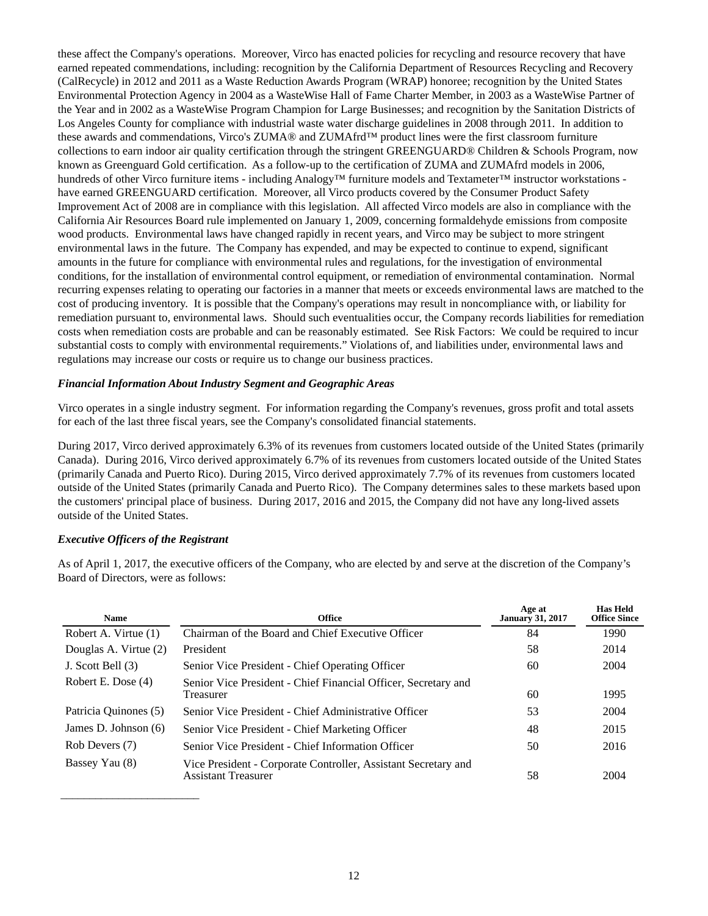these affect the Company's operations. Moreover, Virco has enacted policies for recycling and resource recovery that have earned repeated commendations, including: recognition by the California Department of Resources Recycling and Recovery (CalRecycle) in 2012 and 2011 as a Waste Reduction Awards Program (WRAP) honoree; recognition by the United States Environmental Protection Agency in 2004 as a WasteWise Hall of Fame Charter Member, in 2003 as a WasteWise Partner of the Year and in 2002 as a WasteWise Program Champion for Large Businesses; and recognition by the Sanitation Districts of Los Angeles County for compliance with industrial waste water discharge guidelines in 2008 through 2011. In addition to these awards and commendations, Virco's ZUMA® and ZUMAfrd™ product lines were the first classroom furniture collections to earn indoor air quality certification through the stringent GREENGUARD® Children & Schools Program, now known as Greenguard Gold certification. As a follow-up to the certification of ZUMA and ZUMAfrd models in 2006, hundreds of other Virco furniture items - including Analogy™ furniture models and Textameter™ instructor workstations have earned GREENGUARD certification. Moreover, all Virco products covered by the Consumer Product Safety Improvement Act of 2008 are in compliance with this legislation. All affected Virco models are also in compliance with the California Air Resources Board rule implemented on January 1, 2009, concerning formaldehyde emissions from composite wood products. Environmental laws have changed rapidly in recent years, and Virco may be subject to more stringent environmental laws in the future. The Company has expended, and may be expected to continue to expend, significant amounts in the future for compliance with environmental rules and regulations, for the investigation of environmental conditions, for the installation of environmental control equipment, or remediation of environmental contamination. Normal recurring expenses relating to operating our factories in a manner that meets or exceeds environmental laws are matched to the cost of producing inventory. It is possible that the Company's operations may result in noncompliance with, or liability for remediation pursuant to, environmental laws. Should such eventualities occur, the Company records liabilities for remediation costs when remediation costs are probable and can be reasonably estimated. See Risk Factors: We could be required to incur substantial costs to comply with environmental requirements." Violations of, and liabilities under, environmental laws and regulations may increase our costs or require us to change our business practices.

#### *Financial Information About Industry Segment and Geographic Areas*

Virco operates in a single industry segment. For information regarding the Company's revenues, gross profit and total assets for each of the last three fiscal years, see the Company's consolidated financial statements.

During 2017, Virco derived approximately 6.3% of its revenues from customers located outside of the United States (primarily Canada). During 2016, Virco derived approximately 6.7% of its revenues from customers located outside of the United States (primarily Canada and Puerto Rico). During 2015, Virco derived approximately 7.7% of its revenues from customers located outside of the United States (primarily Canada and Puerto Rico). The Company determines sales to these markets based upon the customers' principal place of business. During 2017, 2016 and 2015, the Company did not have any long-lived assets outside of the United States.

# *Executive Officers of the Registrant*

 $\overline{\phantom{a}}$  , we can also the contract of the contract of the contract of the contract of the contract of the contract of the contract of the contract of the contract of the contract of the contract of the contract of the

As of April 1, 2017, the executive officers of the Company, who are elected by and serve at the discretion of the Company's Board of Directors, were as follows:

| <b>Name</b>           | <b>Office</b>                                                                                | Age at<br><b>January 31, 2017</b> | <b>Has Held</b><br><b>Office Since</b> |
|-----------------------|----------------------------------------------------------------------------------------------|-----------------------------------|----------------------------------------|
| Robert A. Virtue (1)  | Chairman of the Board and Chief Executive Officer                                            | 84                                | 1990                                   |
| Douglas A. Virtue (2) | President                                                                                    | 58                                | 2014                                   |
| J. Scott Bell (3)     | Senior Vice President - Chief Operating Officer                                              | 60                                | 2004                                   |
| Robert E. Dose (4)    | Senior Vice President - Chief Financial Officer, Secretary and<br>Treasurer                  | 60                                | 1995                                   |
| Patricia Quinones (5) | Senior Vice President - Chief Administrative Officer                                         | 53                                | 2004                                   |
| James D. Johnson (6)  | Senior Vice President - Chief Marketing Officer                                              | 48                                | 2015                                   |
| Rob Devers (7)        | Senior Vice President - Chief Information Officer                                            | 50                                | 2016                                   |
| Bassey Yau (8)        | Vice President - Corporate Controller, Assistant Secretary and<br><b>Assistant Treasurer</b> | 58                                | 2004                                   |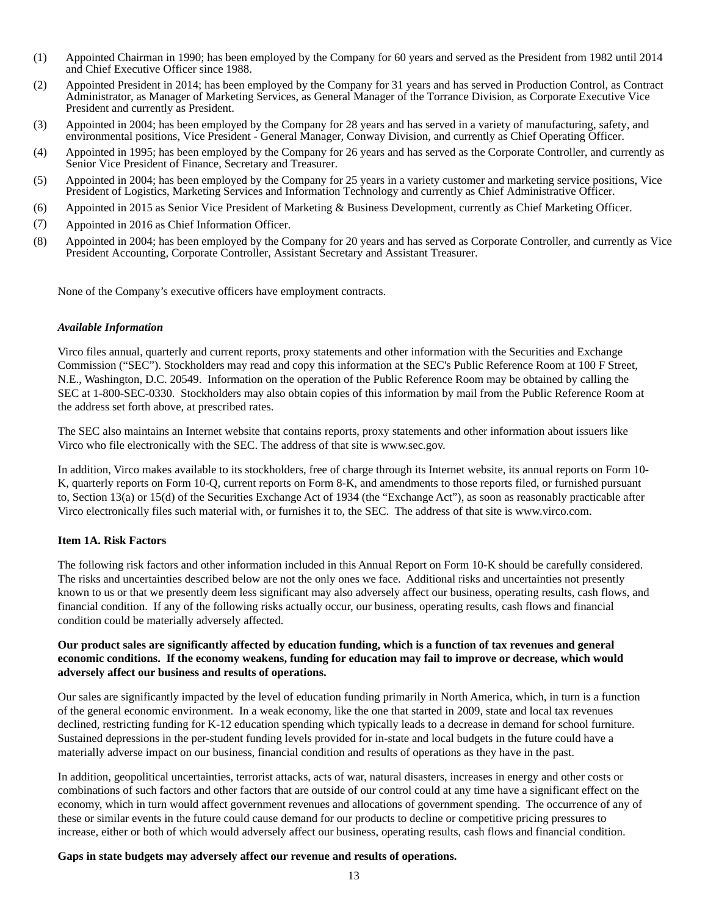- (1) Appointed Chairman in 1990; has been employed by the Company for 60 years and served as the President from 1982 until 2014 and Chief Executive Officer since 1988.
- (2) Appointed President in 2014; has been employed by the Company for 31 years and has served in Production Control, as Contract Administrator, as Manager of Marketing Services, as General Manager of the Torrance Division, as Corporate Executive Vice President and currently as President.
- (3) Appointed in 2004; has been employed by the Company for 28 years and has served in a variety of manufacturing, safety, and environmental positions, Vice President - General Manager, Conway Division, and currently as Chief Operating Officer.
- (4) Appointed in 1995; has been employed by the Company for 26 years and has served as the Corporate Controller, and currently as Senior Vice President of Finance, Secretary and Treasurer.
- (5) Appointed in 2004; has been employed by the Company for 25 years in a variety customer and marketing service positions, Vice President of Logistics, Marketing Services and Information Technology and currently as Chief Administrative Officer.
- (6) Appointed in 2015 as Senior Vice President of Marketing & Business Development, currently as Chief Marketing Officer.
- (7) Appointed in 2016 as Chief Information Officer.
- (8) Appointed in 2004; has been employed by the Company for 20 years and has served as Corporate Controller, and currently as Vice President Accounting, Corporate Controller, Assistant Secretary and Assistant Treasurer.

None of the Company's executive officers have employment contracts.

#### *Available Information*

Virco files annual, quarterly and current reports, proxy statements and other information with the Securities and Exchange Commission ("SEC"). Stockholders may read and copy this information at the SEC's Public Reference Room at 100 F Street, N.E., Washington, D.C. 20549. Information on the operation of the Public Reference Room may be obtained by calling the SEC at 1-800-SEC-0330. Stockholders may also obtain copies of this information by mail from the Public Reference Room at the address set forth above, at prescribed rates.

The SEC also maintains an Internet website that contains reports, proxy statements and other information about issuers like Virco who file electronically with the SEC. The address of that site is www.sec.gov.

In addition, Virco makes available to its stockholders, free of charge through its Internet website, its annual reports on Form 10- K, quarterly reports on Form 10-Q, current reports on Form 8-K, and amendments to those reports filed, or furnished pursuant to, Section 13(a) or 15(d) of the Securities Exchange Act of 1934 (the "Exchange Act"), as soon as reasonably practicable after Virco electronically files such material with, or furnishes it to, the SEC. The address of that site is www.virco.com.

#### <span id="page-13-0"></span>**Item 1A. Risk Factors**

The following risk factors and other information included in this Annual Report on Form 10-K should be carefully considered. The risks and uncertainties described below are not the only ones we face. Additional risks and uncertainties not presently known to us or that we presently deem less significant may also adversely affect our business, operating results, cash flows, and financial condition. If any of the following risks actually occur, our business, operating results, cash flows and financial condition could be materially adversely affected.

# **Our product sales are significantly affected by education funding, which is a function of tax revenues and general economic conditions. If the economy weakens, funding for education may fail to improve or decrease, which would adversely affect our business and results of operations.**

Our sales are significantly impacted by the level of education funding primarily in North America, which, in turn is a function of the general economic environment. In a weak economy, like the one that started in 2009, state and local tax revenues declined, restricting funding for K-12 education spending which typically leads to a decrease in demand for school furniture. Sustained depressions in the per-student funding levels provided for in-state and local budgets in the future could have a materially adverse impact on our business, financial condition and results of operations as they have in the past.

In addition, geopolitical uncertainties, terrorist attacks, acts of war, natural disasters, increases in energy and other costs or combinations of such factors and other factors that are outside of our control could at any time have a significant effect on the economy, which in turn would affect government revenues and allocations of government spending. The occurrence of any of these or similar events in the future could cause demand for our products to decline or competitive pricing pressures to increase, either or both of which would adversely affect our business, operating results, cash flows and financial condition.

#### **Gaps in state budgets may adversely affect our revenue and results of operations.**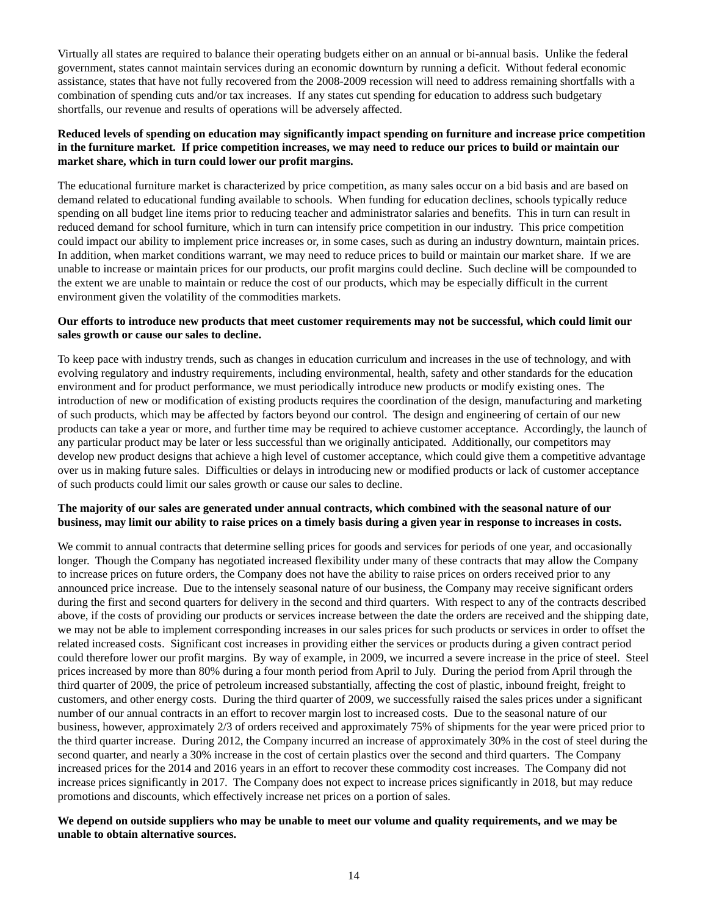Virtually all states are required to balance their operating budgets either on an annual or bi-annual basis. Unlike the federal government, states cannot maintain services during an economic downturn by running a deficit. Without federal economic assistance, states that have not fully recovered from the 2008-2009 recession will need to address remaining shortfalls with a combination of spending cuts and/or tax increases. If any states cut spending for education to address such budgetary shortfalls, our revenue and results of operations will be adversely affected.

# **Reduced levels of spending on education may significantly impact spending on furniture and increase price competition in the furniture market. If price competition increases, we may need to reduce our prices to build or maintain our market share, which in turn could lower our profit margins.**

The educational furniture market is characterized by price competition, as many sales occur on a bid basis and are based on demand related to educational funding available to schools. When funding for education declines, schools typically reduce spending on all budget line items prior to reducing teacher and administrator salaries and benefits. This in turn can result in reduced demand for school furniture, which in turn can intensify price competition in our industry. This price competition could impact our ability to implement price increases or, in some cases, such as during an industry downturn, maintain prices. In addition, when market conditions warrant, we may need to reduce prices to build or maintain our market share. If we are unable to increase or maintain prices for our products, our profit margins could decline. Such decline will be compounded to the extent we are unable to maintain or reduce the cost of our products, which may be especially difficult in the current environment given the volatility of the commodities markets.

# **Our efforts to introduce new products that meet customer requirements may not be successful, which could limit our sales growth or cause our sales to decline.**

To keep pace with industry trends, such as changes in education curriculum and increases in the use of technology, and with evolving regulatory and industry requirements, including environmental, health, safety and other standards for the education environment and for product performance, we must periodically introduce new products or modify existing ones. The introduction of new or modification of existing products requires the coordination of the design, manufacturing and marketing of such products, which may be affected by factors beyond our control. The design and engineering of certain of our new products can take a year or more, and further time may be required to achieve customer acceptance. Accordingly, the launch of any particular product may be later or less successful than we originally anticipated. Additionally, our competitors may develop new product designs that achieve a high level of customer acceptance, which could give them a competitive advantage over us in making future sales. Difficulties or delays in introducing new or modified products or lack of customer acceptance of such products could limit our sales growth or cause our sales to decline.

# **The majority of our sales are generated under annual contracts, which combined with the seasonal nature of our business, may limit our ability to raise prices on a timely basis during a given year in response to increases in costs.**

We commit to annual contracts that determine selling prices for goods and services for periods of one year, and occasionally longer. Though the Company has negotiated increased flexibility under many of these contracts that may allow the Company to increase prices on future orders, the Company does not have the ability to raise prices on orders received prior to any announced price increase. Due to the intensely seasonal nature of our business, the Company may receive significant orders during the first and second quarters for delivery in the second and third quarters. With respect to any of the contracts described above, if the costs of providing our products or services increase between the date the orders are received and the shipping date, we may not be able to implement corresponding increases in our sales prices for such products or services in order to offset the related increased costs. Significant cost increases in providing either the services or products during a given contract period could therefore lower our profit margins. By way of example, in 2009, we incurred a severe increase in the price of steel. Steel prices increased by more than 80% during a four month period from April to July. During the period from April through the third quarter of 2009, the price of petroleum increased substantially, affecting the cost of plastic, inbound freight, freight to customers, and other energy costs. During the third quarter of 2009, we successfully raised the sales prices under a significant number of our annual contracts in an effort to recover margin lost to increased costs. Due to the seasonal nature of our business, however, approximately 2/3 of orders received and approximately 75% of shipments for the year were priced prior to the third quarter increase. During 2012, the Company incurred an increase of approximately 30% in the cost of steel during the second quarter, and nearly a 30% increase in the cost of certain plastics over the second and third quarters. The Company increased prices for the 2014 and 2016 years in an effort to recover these commodity cost increases. The Company did not increase prices significantly in 2017. The Company does not expect to increase prices significantly in 2018, but may reduce promotions and discounts, which effectively increase net prices on a portion of sales.

# **We depend on outside suppliers who may be unable to meet our volume and quality requirements, and we may be unable to obtain alternative sources.**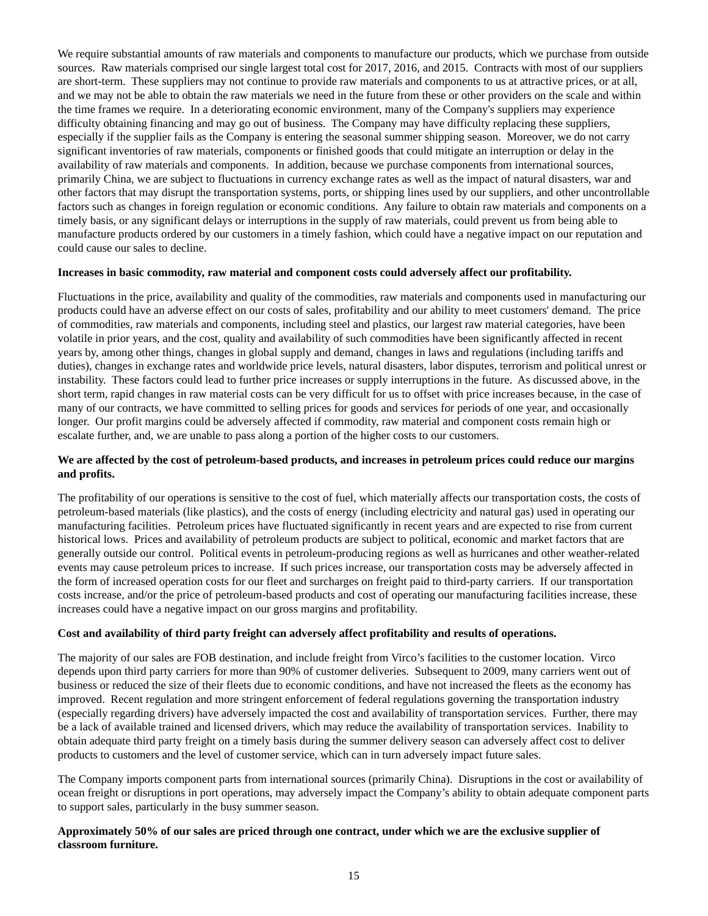We require substantial amounts of raw materials and components to manufacture our products, which we purchase from outside sources. Raw materials comprised our single largest total cost for 2017, 2016, and 2015. Contracts with most of our suppliers are short-term. These suppliers may not continue to provide raw materials and components to us at attractive prices, or at all, and we may not be able to obtain the raw materials we need in the future from these or other providers on the scale and within the time frames we require. In a deteriorating economic environment, many of the Company's suppliers may experience difficulty obtaining financing and may go out of business. The Company may have difficulty replacing these suppliers, especially if the supplier fails as the Company is entering the seasonal summer shipping season. Moreover, we do not carry significant inventories of raw materials, components or finished goods that could mitigate an interruption or delay in the availability of raw materials and components. In addition, because we purchase components from international sources, primarily China, we are subject to fluctuations in currency exchange rates as well as the impact of natural disasters, war and other factors that may disrupt the transportation systems, ports, or shipping lines used by our suppliers, and other uncontrollable factors such as changes in foreign regulation or economic conditions. Any failure to obtain raw materials and components on a timely basis, or any significant delays or interruptions in the supply of raw materials, could prevent us from being able to manufacture products ordered by our customers in a timely fashion, which could have a negative impact on our reputation and could cause our sales to decline.

#### **Increases in basic commodity, raw material and component costs could adversely affect our profitability.**

Fluctuations in the price, availability and quality of the commodities, raw materials and components used in manufacturing our products could have an adverse effect on our costs of sales, profitability and our ability to meet customers' demand. The price of commodities, raw materials and components, including steel and plastics, our largest raw material categories, have been volatile in prior years, and the cost, quality and availability of such commodities have been significantly affected in recent years by, among other things, changes in global supply and demand, changes in laws and regulations (including tariffs and duties), changes in exchange rates and worldwide price levels, natural disasters, labor disputes, terrorism and political unrest or instability. These factors could lead to further price increases or supply interruptions in the future. As discussed above, in the short term, rapid changes in raw material costs can be very difficult for us to offset with price increases because, in the case of many of our contracts, we have committed to selling prices for goods and services for periods of one year, and occasionally longer. Our profit margins could be adversely affected if commodity, raw material and component costs remain high or escalate further, and, we are unable to pass along a portion of the higher costs to our customers.

# **We are affected by the cost of petroleum-based products, and increases in petroleum prices could reduce our margins and profits.**

The profitability of our operations is sensitive to the cost of fuel, which materially affects our transportation costs, the costs of petroleum-based materials (like plastics), and the costs of energy (including electricity and natural gas) used in operating our manufacturing facilities. Petroleum prices have fluctuated significantly in recent years and are expected to rise from current historical lows. Prices and availability of petroleum products are subject to political, economic and market factors that are generally outside our control. Political events in petroleum-producing regions as well as hurricanes and other weather-related events may cause petroleum prices to increase. If such prices increase, our transportation costs may be adversely affected in the form of increased operation costs for our fleet and surcharges on freight paid to third-party carriers. If our transportation costs increase, and/or the price of petroleum-based products and cost of operating our manufacturing facilities increase, these increases could have a negative impact on our gross margins and profitability.

# **Cost and availability of third party freight can adversely affect profitability and results of operations.**

The majority of our sales are FOB destination, and include freight from Virco's facilities to the customer location. Virco depends upon third party carriers for more than 90% of customer deliveries. Subsequent to 2009, many carriers went out of business or reduced the size of their fleets due to economic conditions, and have not increased the fleets as the economy has improved. Recent regulation and more stringent enforcement of federal regulations governing the transportation industry (especially regarding drivers) have adversely impacted the cost and availability of transportation services. Further, there may be a lack of available trained and licensed drivers, which may reduce the availability of transportation services. Inability to obtain adequate third party freight on a timely basis during the summer delivery season can adversely affect cost to deliver products to customers and the level of customer service, which can in turn adversely impact future sales.

The Company imports component parts from international sources (primarily China). Disruptions in the cost or availability of ocean freight or disruptions in port operations, may adversely impact the Company's ability to obtain adequate component parts to support sales, particularly in the busy summer season.

# **Approximately 50% of our sales are priced through one contract, under which we are the exclusive supplier of classroom furniture.**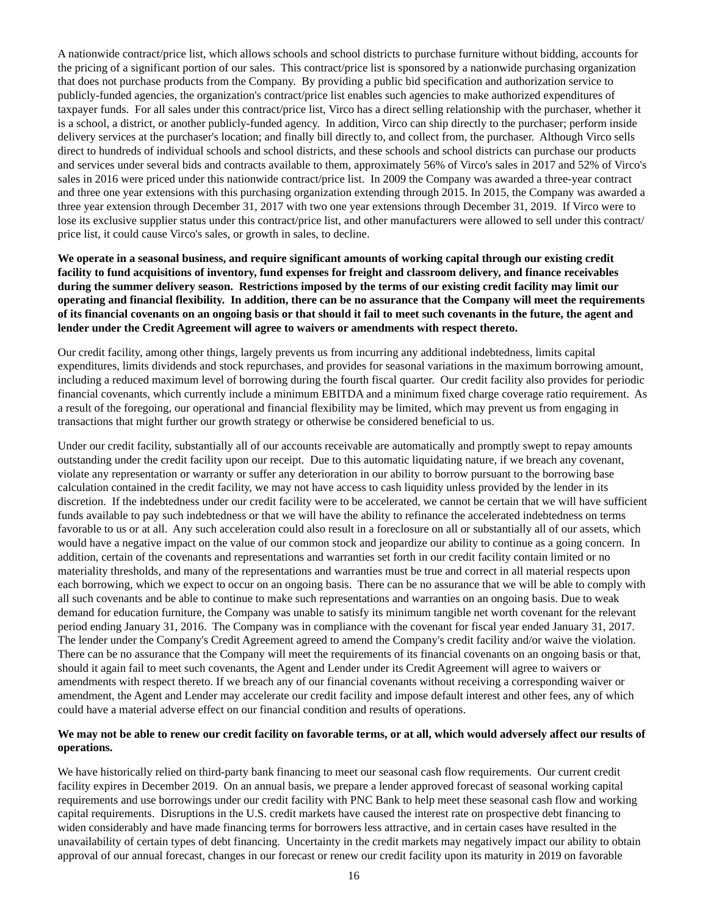A nationwide contract/price list, which allows schools and school districts to purchase furniture without bidding, accounts for the pricing of a significant portion of our sales. This contract/price list is sponsored by a nationwide purchasing organization that does not purchase products from the Company. By providing a public bid specification and authorization service to publicly-funded agencies, the organization's contract/price list enables such agencies to make authorized expenditures of taxpayer funds. For all sales under this contract/price list, Virco has a direct selling relationship with the purchaser, whether it is a school, a district, or another publicly-funded agency. In addition, Virco can ship directly to the purchaser; perform inside delivery services at the purchaser's location; and finally bill directly to, and collect from, the purchaser. Although Virco sells direct to hundreds of individual schools and school districts, and these schools and school districts can purchase our products and services under several bids and contracts available to them, approximately 56% of Virco's sales in 2017 and 52% of Virco's sales in 2016 were priced under this nationwide contract/price list. In 2009 the Company was awarded a three-year contract and three one year extensions with this purchasing organization extending through 2015. In 2015, the Company was awarded a three year extension through December 31, 2017 with two one year extensions through December 31, 2019. If Virco were to lose its exclusive supplier status under this contract/price list, and other manufacturers were allowed to sell under this contract/ price list, it could cause Virco's sales, or growth in sales, to decline.

**We operate in a seasonal business, and require significant amounts of working capital through our existing credit facility to fund acquisitions of inventory, fund expenses for freight and classroom delivery, and finance receivables during the summer delivery season. Restrictions imposed by the terms of our existing credit facility may limit our operating and financial flexibility. In addition, there can be no assurance that the Company will meet the requirements of its financial covenants on an ongoing basis or that should it fail to meet such covenants in the future, the agent and lender under the Credit Agreement will agree to waivers or amendments with respect thereto.**

Our credit facility, among other things, largely prevents us from incurring any additional indebtedness, limits capital expenditures, limits dividends and stock repurchases, and provides for seasonal variations in the maximum borrowing amount, including a reduced maximum level of borrowing during the fourth fiscal quarter. Our credit facility also provides for periodic financial covenants, which currently include a minimum EBITDA and a minimum fixed charge coverage ratio requirement. As a result of the foregoing, our operational and financial flexibility may be limited, which may prevent us from engaging in transactions that might further our growth strategy or otherwise be considered beneficial to us.

Under our credit facility, substantially all of our accounts receivable are automatically and promptly swept to repay amounts outstanding under the credit facility upon our receipt. Due to this automatic liquidating nature, if we breach any covenant, violate any representation or warranty or suffer any deterioration in our ability to borrow pursuant to the borrowing base calculation contained in the credit facility, we may not have access to cash liquidity unless provided by the lender in its discretion. If the indebtedness under our credit facility were to be accelerated, we cannot be certain that we will have sufficient funds available to pay such indebtedness or that we will have the ability to refinance the accelerated indebtedness on terms favorable to us or at all. Any such acceleration could also result in a foreclosure on all or substantially all of our assets, which would have a negative impact on the value of our common stock and jeopardize our ability to continue as a going concern. In addition, certain of the covenants and representations and warranties set forth in our credit facility contain limited or no materiality thresholds, and many of the representations and warranties must be true and correct in all material respects upon each borrowing, which we expect to occur on an ongoing basis. There can be no assurance that we will be able to comply with all such covenants and be able to continue to make such representations and warranties on an ongoing basis. Due to weak demand for education furniture, the Company was unable to satisfy its minimum tangible net worth covenant for the relevant period ending January 31, 2016. The Company was in compliance with the covenant for fiscal year ended January 31, 2017. The lender under the Company's Credit Agreement agreed to amend the Company's credit facility and/or waive the violation. There can be no assurance that the Company will meet the requirements of its financial covenants on an ongoing basis or that, should it again fail to meet such covenants, the Agent and Lender under its Credit Agreement will agree to waivers or amendments with respect thereto. If we breach any of our financial covenants without receiving a corresponding waiver or amendment, the Agent and Lender may accelerate our credit facility and impose default interest and other fees, any of which could have a material adverse effect on our financial condition and results of operations.

#### **We may not be able to renew our credit facility on favorable terms, or at all, which would adversely affect our results of operations.**

We have historically relied on third-party bank financing to meet our seasonal cash flow requirements. Our current credit facility expires in December 2019. On an annual basis, we prepare a lender approved forecast of seasonal working capital requirements and use borrowings under our credit facility with PNC Bank to help meet these seasonal cash flow and working capital requirements. Disruptions in the U.S. credit markets have caused the interest rate on prospective debt financing to widen considerably and have made financing terms for borrowers less attractive, and in certain cases have resulted in the unavailability of certain types of debt financing. Uncertainty in the credit markets may negatively impact our ability to obtain approval of our annual forecast, changes in our forecast or renew our credit facility upon its maturity in 2019 on favorable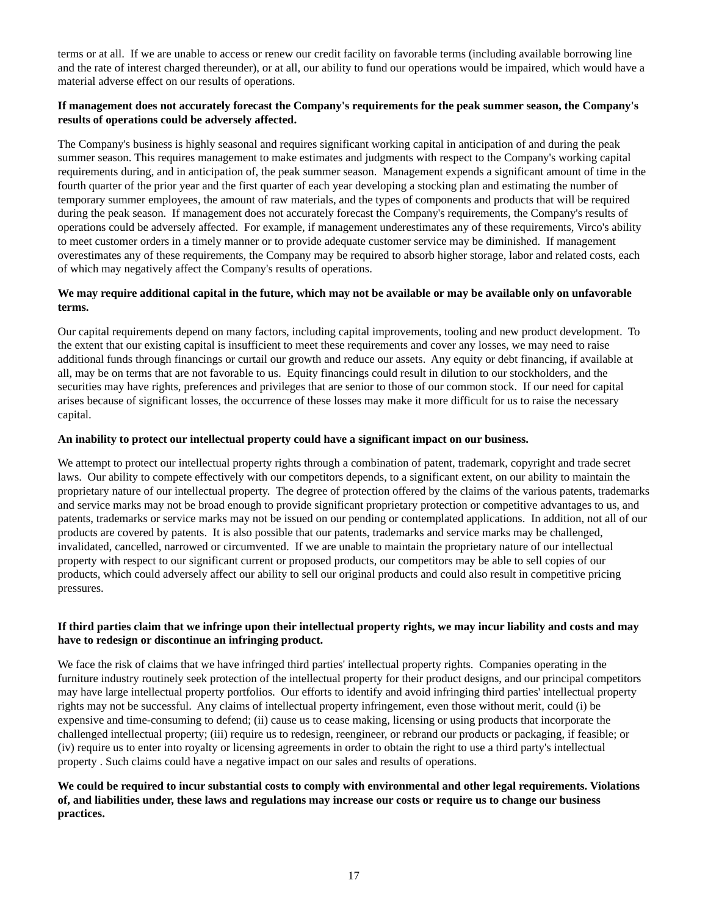terms or at all. If we are unable to access or renew our credit facility on favorable terms (including available borrowing line and the rate of interest charged thereunder), or at all, our ability to fund our operations would be impaired, which would have a material adverse effect on our results of operations.

#### **If management does not accurately forecast the Company's requirements for the peak summer season, the Company's results of operations could be adversely affected.**

The Company's business is highly seasonal and requires significant working capital in anticipation of and during the peak summer season. This requires management to make estimates and judgments with respect to the Company's working capital requirements during, and in anticipation of, the peak summer season. Management expends a significant amount of time in the fourth quarter of the prior year and the first quarter of each year developing a stocking plan and estimating the number of temporary summer employees, the amount of raw materials, and the types of components and products that will be required during the peak season. If management does not accurately forecast the Company's requirements, the Company's results of operations could be adversely affected. For example, if management underestimates any of these requirements, Virco's ability to meet customer orders in a timely manner or to provide adequate customer service may be diminished. If management overestimates any of these requirements, the Company may be required to absorb higher storage, labor and related costs, each of which may negatively affect the Company's results of operations.

# **We may require additional capital in the future, which may not be available or may be available only on unfavorable terms.**

Our capital requirements depend on many factors, including capital improvements, tooling and new product development. To the extent that our existing capital is insufficient to meet these requirements and cover any losses, we may need to raise additional funds through financings or curtail our growth and reduce our assets. Any equity or debt financing, if available at all, may be on terms that are not favorable to us. Equity financings could result in dilution to our stockholders, and the securities may have rights, preferences and privileges that are senior to those of our common stock. If our need for capital arises because of significant losses, the occurrence of these losses may make it more difficult for us to raise the necessary capital.

# **An inability to protect our intellectual property could have a significant impact on our business.**

We attempt to protect our intellectual property rights through a combination of patent, trademark, copyright and trade secret laws. Our ability to compete effectively with our competitors depends, to a significant extent, on our ability to maintain the proprietary nature of our intellectual property. The degree of protection offered by the claims of the various patents, trademarks and service marks may not be broad enough to provide significant proprietary protection or competitive advantages to us, and patents, trademarks or service marks may not be issued on our pending or contemplated applications. In addition, not all of our products are covered by patents. It is also possible that our patents, trademarks and service marks may be challenged, invalidated, cancelled, narrowed or circumvented. If we are unable to maintain the proprietary nature of our intellectual property with respect to our significant current or proposed products, our competitors may be able to sell copies of our products, which could adversely affect our ability to sell our original products and could also result in competitive pricing pressures.

# **If third parties claim that we infringe upon their intellectual property rights, we may incur liability and costs and may have to redesign or discontinue an infringing product.**

We face the risk of claims that we have infringed third parties' intellectual property rights. Companies operating in the furniture industry routinely seek protection of the intellectual property for their product designs, and our principal competitors may have large intellectual property portfolios. Our efforts to identify and avoid infringing third parties' intellectual property rights may not be successful. Any claims of intellectual property infringement, even those without merit, could (i) be expensive and time-consuming to defend; (ii) cause us to cease making, licensing or using products that incorporate the challenged intellectual property; (iii) require us to redesign, reengineer, or rebrand our products or packaging, if feasible; or (iv) require us to enter into royalty or licensing agreements in order to obtain the right to use a third party's intellectual property . Such claims could have a negative impact on our sales and results of operations.

# **We could be required to incur substantial costs to comply with environmental and other legal requirements. Violations of, and liabilities under, these laws and regulations may increase our costs or require us to change our business practices.**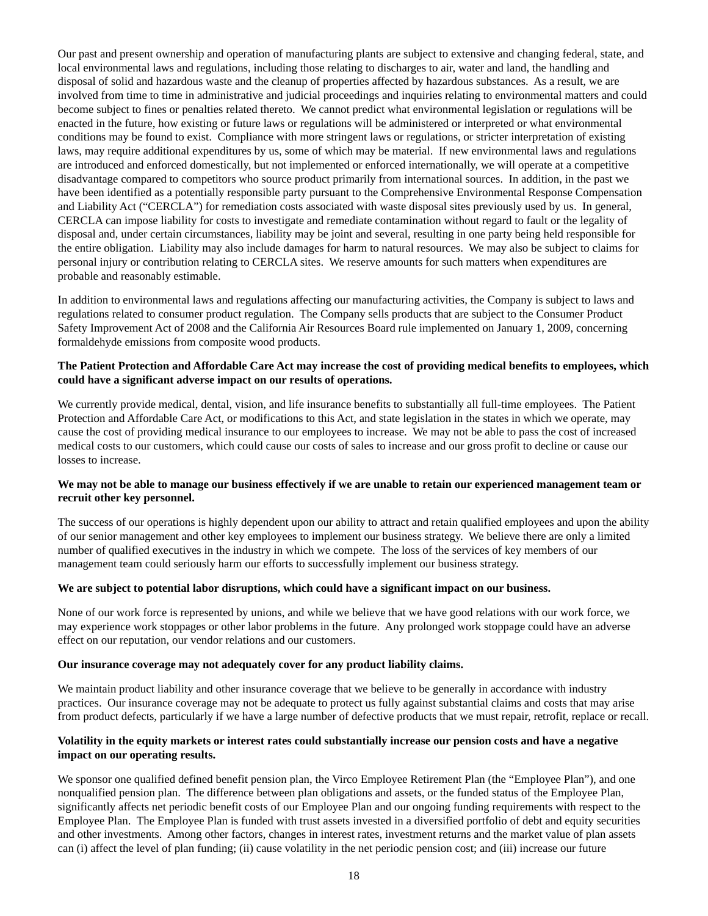Our past and present ownership and operation of manufacturing plants are subject to extensive and changing federal, state, and local environmental laws and regulations, including those relating to discharges to air, water and land, the handling and disposal of solid and hazardous waste and the cleanup of properties affected by hazardous substances. As a result, we are involved from time to time in administrative and judicial proceedings and inquiries relating to environmental matters and could become subject to fines or penalties related thereto. We cannot predict what environmental legislation or regulations will be enacted in the future, how existing or future laws or regulations will be administered or interpreted or what environmental conditions may be found to exist. Compliance with more stringent laws or regulations, or stricter interpretation of existing laws, may require additional expenditures by us, some of which may be material. If new environmental laws and regulations are introduced and enforced domestically, but not implemented or enforced internationally, we will operate at a competitive disadvantage compared to competitors who source product primarily from international sources. In addition, in the past we have been identified as a potentially responsible party pursuant to the Comprehensive Environmental Response Compensation and Liability Act ("CERCLA") for remediation costs associated with waste disposal sites previously used by us. In general, CERCLA can impose liability for costs to investigate and remediate contamination without regard to fault or the legality of disposal and, under certain circumstances, liability may be joint and several, resulting in one party being held responsible for the entire obligation. Liability may also include damages for harm to natural resources. We may also be subject to claims for personal injury or contribution relating to CERCLA sites. We reserve amounts for such matters when expenditures are probable and reasonably estimable.

In addition to environmental laws and regulations affecting our manufacturing activities, the Company is subject to laws and regulations related to consumer product regulation. The Company sells products that are subject to the Consumer Product Safety Improvement Act of 2008 and the California Air Resources Board rule implemented on January 1, 2009, concerning formaldehyde emissions from composite wood products.

# **The Patient Protection and Affordable Care Act may increase the cost of providing medical benefits to employees, which could have a significant adverse impact on our results of operations.**

We currently provide medical, dental, vision, and life insurance benefits to substantially all full-time employees. The Patient Protection and Affordable Care Act, or modifications to this Act, and state legislation in the states in which we operate, may cause the cost of providing medical insurance to our employees to increase. We may not be able to pass the cost of increased medical costs to our customers, which could cause our costs of sales to increase and our gross profit to decline or cause our losses to increase.

# **We may not be able to manage our business effectively if we are unable to retain our experienced management team or recruit other key personnel.**

The success of our operations is highly dependent upon our ability to attract and retain qualified employees and upon the ability of our senior management and other key employees to implement our business strategy. We believe there are only a limited number of qualified executives in the industry in which we compete. The loss of the services of key members of our management team could seriously harm our efforts to successfully implement our business strategy.

# **We are subject to potential labor disruptions, which could have a significant impact on our business.**

None of our work force is represented by unions, and while we believe that we have good relations with our work force, we may experience work stoppages or other labor problems in the future. Any prolonged work stoppage could have an adverse effect on our reputation, our vendor relations and our customers.

# **Our insurance coverage may not adequately cover for any product liability claims.**

We maintain product liability and other insurance coverage that we believe to be generally in accordance with industry practices. Our insurance coverage may not be adequate to protect us fully against substantial claims and costs that may arise from product defects, particularly if we have a large number of defective products that we must repair, retrofit, replace or recall.

# **Volatility in the equity markets or interest rates could substantially increase our pension costs and have a negative impact on our operating results.**

We sponsor one qualified defined benefit pension plan, the Virco Employee Retirement Plan (the "Employee Plan"), and one nonqualified pension plan. The difference between plan obligations and assets, or the funded status of the Employee Plan, significantly affects net periodic benefit costs of our Employee Plan and our ongoing funding requirements with respect to the Employee Plan. The Employee Plan is funded with trust assets invested in a diversified portfolio of debt and equity securities and other investments. Among other factors, changes in interest rates, investment returns and the market value of plan assets can (i) affect the level of plan funding; (ii) cause volatility in the net periodic pension cost; and (iii) increase our future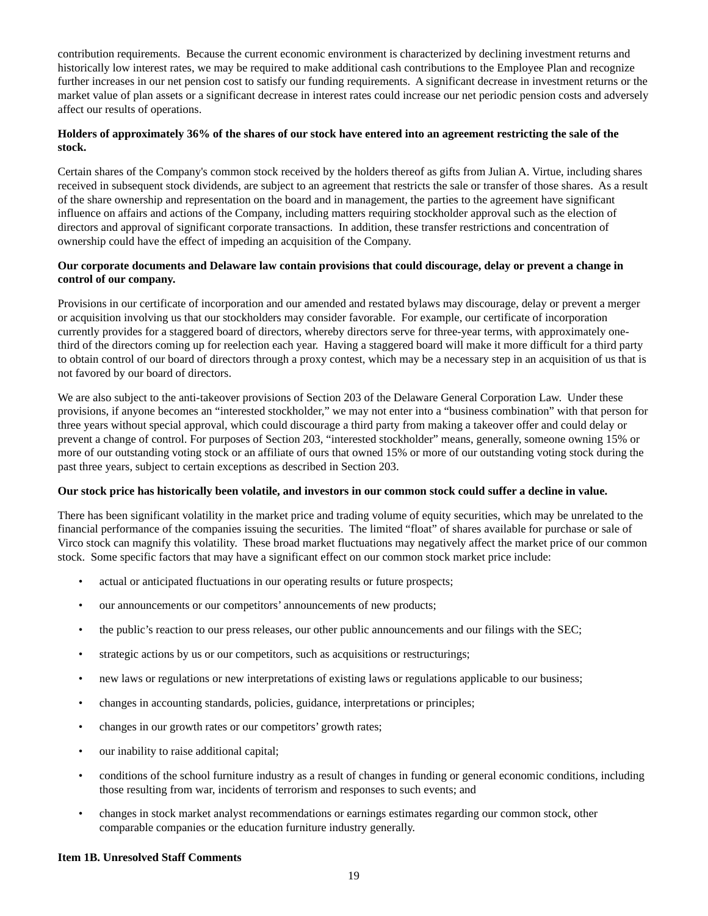contribution requirements. Because the current economic environment is characterized by declining investment returns and historically low interest rates, we may be required to make additional cash contributions to the Employee Plan and recognize further increases in our net pension cost to satisfy our funding requirements. A significant decrease in investment returns or the market value of plan assets or a significant decrease in interest rates could increase our net periodic pension costs and adversely affect our results of operations.

# **Holders of approximately 36% of the shares of our stock have entered into an agreement restricting the sale of the stock.**

Certain shares of the Company's common stock received by the holders thereof as gifts from Julian A. Virtue, including shares received in subsequent stock dividends, are subject to an agreement that restricts the sale or transfer of those shares. As a result of the share ownership and representation on the board and in management, the parties to the agreement have significant influence on affairs and actions of the Company, including matters requiring stockholder approval such as the election of directors and approval of significant corporate transactions. In addition, these transfer restrictions and concentration of ownership could have the effect of impeding an acquisition of the Company.

# **Our corporate documents and Delaware law contain provisions that could discourage, delay or prevent a change in control of our company.**

Provisions in our certificate of incorporation and our amended and restated bylaws may discourage, delay or prevent a merger or acquisition involving us that our stockholders may consider favorable. For example, our certificate of incorporation currently provides for a staggered board of directors, whereby directors serve for three-year terms, with approximately onethird of the directors coming up for reelection each year. Having a staggered board will make it more difficult for a third party to obtain control of our board of directors through a proxy contest, which may be a necessary step in an acquisition of us that is not favored by our board of directors.

We are also subject to the anti-takeover provisions of Section 203 of the Delaware General Corporation Law. Under these provisions, if anyone becomes an "interested stockholder," we may not enter into a "business combination" with that person for three years without special approval, which could discourage a third party from making a takeover offer and could delay or prevent a change of control. For purposes of Section 203, "interested stockholder" means, generally, someone owning 15% or more of our outstanding voting stock or an affiliate of ours that owned 15% or more of our outstanding voting stock during the past three years, subject to certain exceptions as described in Section 203.

# **Our stock price has historically been volatile, and investors in our common stock could suffer a decline in value.**

There has been significant volatility in the market price and trading volume of equity securities, which may be unrelated to the financial performance of the companies issuing the securities. The limited "float" of shares available for purchase or sale of Virco stock can magnify this volatility. These broad market fluctuations may negatively affect the market price of our common stock. Some specific factors that may have a significant effect on our common stock market price include:

- actual or anticipated fluctuations in our operating results or future prospects;
- our announcements or our competitors' announcements of new products;
- the public's reaction to our press releases, our other public announcements and our filings with the SEC;
- strategic actions by us or our competitors, such as acquisitions or restructurings;
- new laws or regulations or new interpretations of existing laws or regulations applicable to our business;
- changes in accounting standards, policies, guidance, interpretations or principles;
- changes in our growth rates or our competitors' growth rates;
- our inability to raise additional capital;
- conditions of the school furniture industry as a result of changes in funding or general economic conditions, including those resulting from war, incidents of terrorism and responses to such events; and
- changes in stock market analyst recommendations or earnings estimates regarding our common stock, other comparable companies or the education furniture industry generally.

#### <span id="page-19-0"></span>**Item 1B. Unresolved Staff Comments**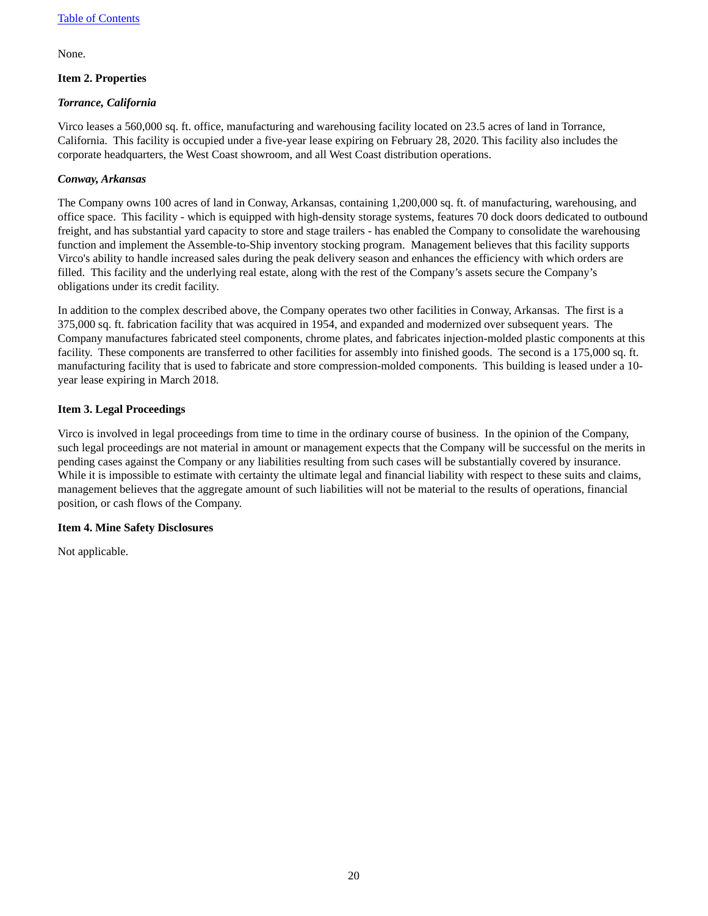<span id="page-20-0"></span>None.

# **Item 2. Properties**

# *Torrance, California*

Virco leases a 560,000 sq. ft. office, manufacturing and warehousing facility located on 23.5 acres of land in Torrance, California. This facility is occupied under a five-year lease expiring on February 28, 2020. This facility also includes the corporate headquarters, the West Coast showroom, and all West Coast distribution operations.

# *Conway, Arkansas*

The Company owns 100 acres of land in Conway, Arkansas, containing 1,200,000 sq. ft. of manufacturing, warehousing, and office space. This facility - which is equipped with high-density storage systems, features 70 dock doors dedicated to outbound freight, and has substantial yard capacity to store and stage trailers - has enabled the Company to consolidate the warehousing function and implement the Assemble-to-Ship inventory stocking program. Management believes that this facility supports Virco's ability to handle increased sales during the peak delivery season and enhances the efficiency with which orders are filled. This facility and the underlying real estate, along with the rest of the Company's assets secure the Company's obligations under its credit facility.

In addition to the complex described above, the Company operates two other facilities in Conway, Arkansas. The first is a 375,000 sq. ft. fabrication facility that was acquired in 1954, and expanded and modernized over subsequent years. The Company manufactures fabricated steel components, chrome plates, and fabricates injection-molded plastic components at this facility. These components are transferred to other facilities for assembly into finished goods. The second is a 175,000 sq. ft. manufacturing facility that is used to fabricate and store compression-molded components. This building is leased under a 10 year lease expiring in March 2018.

# <span id="page-20-1"></span>**Item 3. Legal Proceedings**

Virco is involved in legal proceedings from time to time in the ordinary course of business. In the opinion of the Company, such legal proceedings are not material in amount or management expects that the Company will be successful on the merits in pending cases against the Company or any liabilities resulting from such cases will be substantially covered by insurance. While it is impossible to estimate with certainty the ultimate legal and financial liability with respect to these suits and claims, management believes that the aggregate amount of such liabilities will not be material to the results of operations, financial position, or cash flows of the Company.

# <span id="page-20-2"></span>**Item 4. Mine Safety Disclosures**

Not applicable.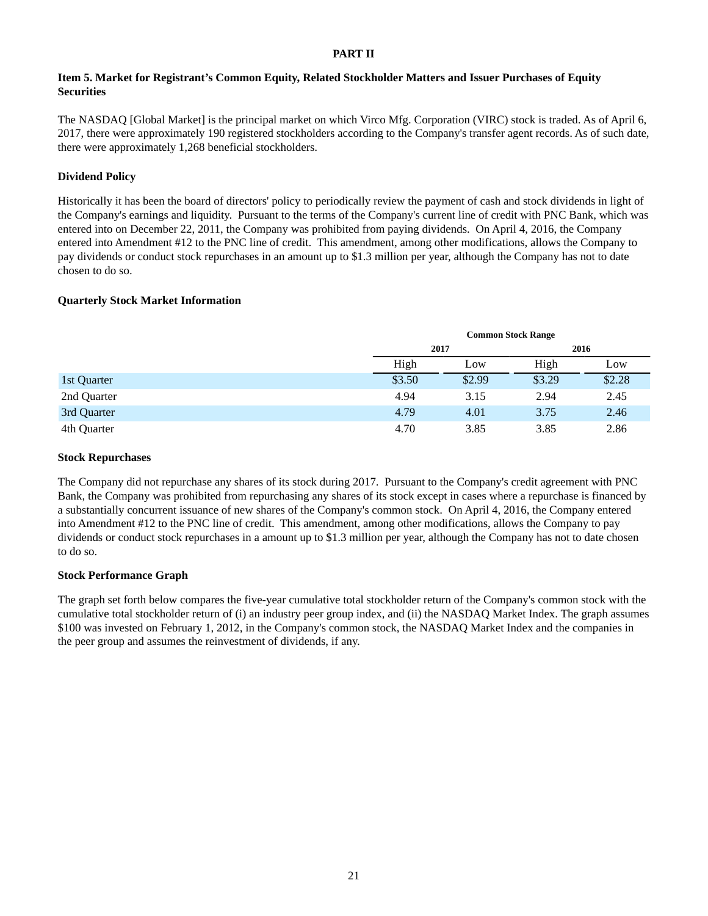#### **PART II**

# <span id="page-21-1"></span><span id="page-21-0"></span>**Item 5. Market for Registrant's Common Equity, Related Stockholder Matters and Issuer Purchases of Equity Securities**

The NASDAQ [Global Market] is the principal market on which Virco Mfg. Corporation (VIRC) stock is traded. As of April 6, 2017, there were approximately 190 registered stockholders according to the Company's transfer agent records. As of such date, there were approximately 1,268 beneficial stockholders.

# **Dividend Policy**

Historically it has been the board of directors' policy to periodically review the payment of cash and stock dividends in light of the Company's earnings and liquidity. Pursuant to the terms of the Company's current line of credit with PNC Bank, which was entered into on December 22, 2011, the Company was prohibited from paying dividends. On April 4, 2016, the Company entered into Amendment #12 to the PNC line of credit. This amendment, among other modifications, allows the Company to pay dividends or conduct stock repurchases in an amount up to \$1.3 million per year, although the Company has not to date chosen to do so.

#### **Quarterly Stock Market Information**

|             |        | <b>Common Stock Range</b> |        |        |  |  |  |  |  |  |
|-------------|--------|---------------------------|--------|--------|--|--|--|--|--|--|
|             | 2017   |                           |        | 2016   |  |  |  |  |  |  |
|             | High   | Low                       | High   | Low    |  |  |  |  |  |  |
| 1st Quarter | \$3.50 | \$2.99                    | \$3.29 | \$2.28 |  |  |  |  |  |  |
| 2nd Quarter | 4.94   | 3.15                      | 2.94   | 2.45   |  |  |  |  |  |  |
| 3rd Quarter | 4.79   | 4.01                      | 3.75   | 2.46   |  |  |  |  |  |  |
| 4th Quarter | 4.70   | 3.85                      | 3.85   | 2.86   |  |  |  |  |  |  |

#### **Stock Repurchases**

The Company did not repurchase any shares of its stock during 2017. Pursuant to the Company's credit agreement with PNC Bank, the Company was prohibited from repurchasing any shares of its stock except in cases where a repurchase is financed by a substantially concurrent issuance of new shares of the Company's common stock. On April 4, 2016, the Company entered into Amendment #12 to the PNC line of credit. This amendment, among other modifications, allows the Company to pay dividends or conduct stock repurchases in a amount up to \$1.3 million per year, although the Company has not to date chosen to do so.

# **Stock Performance Graph**

The graph set forth below compares the five-year cumulative total stockholder return of the Company's common stock with the cumulative total stockholder return of (i) an industry peer group index, and (ii) the NASDAQ Market Index. The graph assumes \$100 was invested on February 1, 2012, in the Company's common stock, the NASDAQ Market Index and the companies in the peer group and assumes the reinvestment of dividends, if any.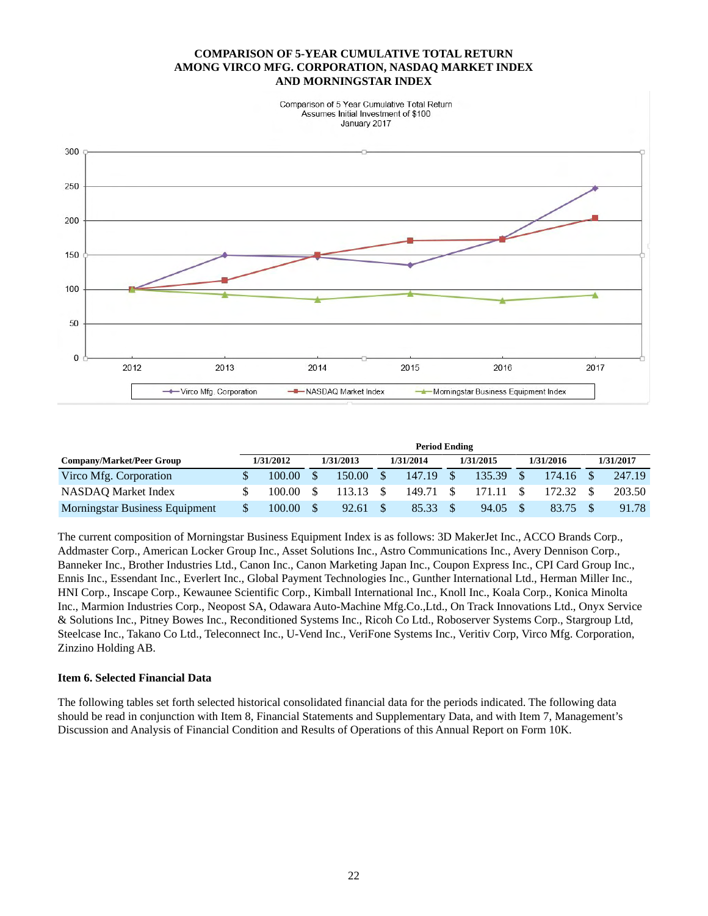#### **COMPARISON OF 5-YEAR CUMULATIVE TOTAL RETURN AMONG VIRCO MFG. CORPORATION, NASDAQ MARKET INDEX AND MORNINGSTAR INDEX**



|                                  | <b>Period Ending</b> |  |           |  |           |      |           |  |           |  |           |  |
|----------------------------------|----------------------|--|-----------|--|-----------|------|-----------|--|-----------|--|-----------|--|
| <b>Company/Market/Peer Group</b> | 1/31/2012            |  | 1/31/2013 |  | 1/31/2014 |      | 1/31/2015 |  | 1/31/2016 |  | 1/31/2017 |  |
| Virco Mfg. Corporation           | 100.00               |  | 150.00    |  | 147.19    | - \$ | 135.39    |  | 174.16    |  | 247.19    |  |
| NASDAO Market Index              | 100.00.              |  | 113.13    |  | 149.71    | - \$ | 171.11    |  | 172.32    |  | 203.50    |  |
| Morningstar Business Equipment   | 100.00               |  | 92.61     |  | 85.33     |      | 94.05     |  | 83.75     |  | 91.78     |  |

The current composition of Morningstar Business Equipment Index is as follows: 3D MakerJet Inc., ACCO Brands Corp., Addmaster Corp., American Locker Group Inc., Asset Solutions Inc., Astro Communications Inc., Avery Dennison Corp., Banneker Inc., Brother Industries Ltd., Canon Inc., Canon Marketing Japan Inc., Coupon Express Inc., CPI Card Group Inc., Ennis Inc., Essendant Inc., Everlert Inc., Global Payment Technologies Inc., Gunther International Ltd., Herman Miller Inc., HNI Corp., Inscape Corp., Kewaunee Scientific Corp., Kimball International Inc., Knoll Inc., Koala Corp., Konica Minolta Inc., Marmion Industries Corp., Neopost SA, Odawara Auto-Machine Mfg.Co.,Ltd., On Track Innovations Ltd., Onyx Service & Solutions Inc., Pitney Bowes Inc., Reconditioned Systems Inc., Ricoh Co Ltd., Roboserver Systems Corp., Stargroup Ltd, Steelcase Inc., Takano Co Ltd., Teleconnect Inc., U-Vend Inc., VeriFone Systems Inc., Veritiv Corp, Virco Mfg. Corporation, Zinzino Holding AB.

# <span id="page-22-0"></span>**Item 6. Selected Financial Data**

The following tables set forth selected historical consolidated financial data for the periods indicated. The following data should be read in conjunction with Item 8, Financial Statements and Supplementary Data, and with Item 7, Management's Discussion and Analysis of Financial Condition and Results of Operations of this Annual Report on Form 10K.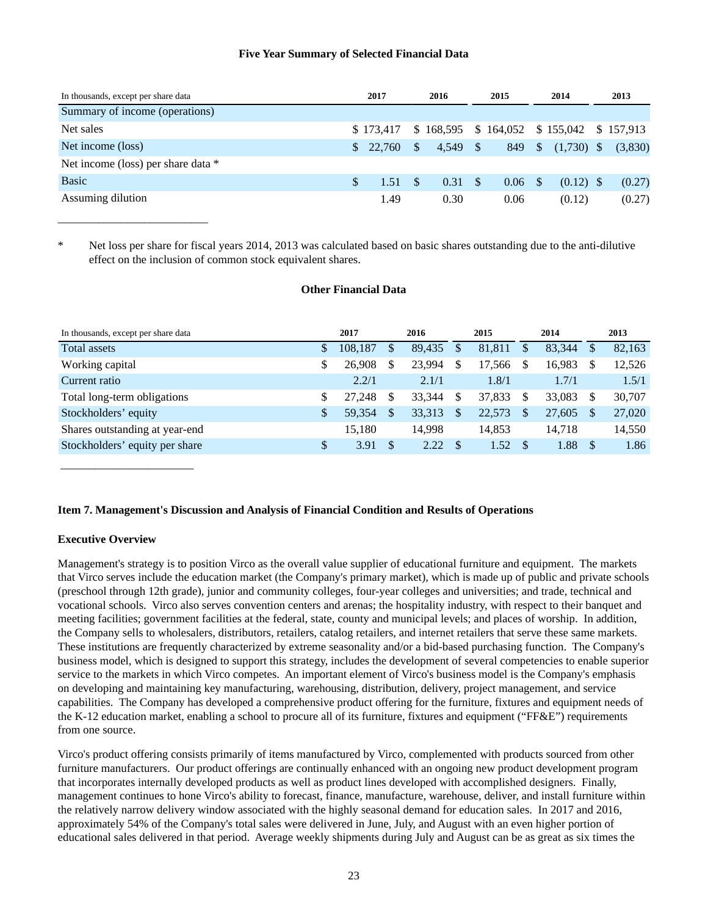#### **Five Year Summary of Selected Financial Data**

| In thousands, except per share data | 2017                |               | 2016                 |      | 2015 |               | 2014                | 2013    |
|-------------------------------------|---------------------|---------------|----------------------|------|------|---------------|---------------------|---------|
| Summary of income (operations)      |                     |               |                      |      |      |               |                     |         |
| Net sales                           | \$173.417           |               | $$168,595 \$164,052$ |      |      |               | \$155,042 \$157,913 |         |
| Net income (loss)                   | $\frac{\$}{22.760}$ | <sup>\$</sup> | $4,549$ \$           |      | 849  | $\mathcal{S}$ | $(1,730)$ \$        | (3,830) |
| Net income (loss) per share data *  |                     |               |                      |      |      |               |                     |         |
| Basic                               | 1.51                |               | 0.31                 | - \$ | 0.06 | <b>S</b>      | $(0.12)$ \$         | (0.27)  |
| Assuming dilution                   | 1.49                |               | 0.30                 |      | 0.06 |               | (0.12)              | (0.27)  |

Net loss per share for fiscal years 2014, 2013 was calculated based on basic shares outstanding due to the anti-dilutive effect on the inclusion of common stock equivalent shares.

#### **Other Financial Data**

| In thousands, except per share data |    | 2017    |     | 2016   |    | 2015   |          | 2014   |     | 2013   |
|-------------------------------------|----|---------|-----|--------|----|--------|----------|--------|-----|--------|
| Total assets                        | S  | 108.187 | S   | 89.435 | S  | 81,811 | <b>S</b> | 83,344 | \$. | 82,163 |
| Working capital                     | \$ | 26.908  | \$  | 23.994 | S  | 17.566 | -S       | 16,983 |     | 12,526 |
| Current ratio                       |    | 2.2/1   |     | 2.1/1  |    | 1.8/1  |          | 1.7/1  |     | 1.5/1  |
| Total long-term obligations         |    | 27,248  |     | 33.344 | \$ | 37,833 |          | 33,083 | S   | 30,707 |
| Stockholders' equity                | S  | 59.354  |     | 33,313 |    | 22,573 |          | 27,605 |     | 27,020 |
| Shares outstanding at year-end      |    | 15.180  |     | 14.998 |    | 14.853 |          | 14.718 |     | 14,550 |
| Stockholders' equity per share      | \$ | 3.91    | \$. | 2.22   | -S | 1.52   |          | 1.88   | -S  | 1.86   |

#### <span id="page-23-0"></span>**Item 7. Management's Discussion and Analysis of Financial Condition and Results of Operations**

#### **Executive Overview**

\_\_\_\_\_\_\_\_\_\_\_\_\_\_\_\_\_\_\_\_\_\_\_

\_\_\_\_\_\_\_\_\_\_\_\_\_\_\_\_\_\_\_\_\_\_\_\_\_\_

Management's strategy is to position Virco as the overall value supplier of educational furniture and equipment. The markets that Virco serves include the education market (the Company's primary market), which is made up of public and private schools (preschool through 12th grade), junior and community colleges, four-year colleges and universities; and trade, technical and vocational schools. Virco also serves convention centers and arenas; the hospitality industry, with respect to their banquet and meeting facilities; government facilities at the federal, state, county and municipal levels; and places of worship. In addition, the Company sells to wholesalers, distributors, retailers, catalog retailers, and internet retailers that serve these same markets. These institutions are frequently characterized by extreme seasonality and/or a bid-based purchasing function. The Company's business model, which is designed to support this strategy, includes the development of several competencies to enable superior service to the markets in which Virco competes. An important element of Virco's business model is the Company's emphasis on developing and maintaining key manufacturing, warehousing, distribution, delivery, project management, and service capabilities. The Company has developed a comprehensive product offering for the furniture, fixtures and equipment needs of the K-12 education market, enabling a school to procure all of its furniture, fixtures and equipment ("FF&E") requirements from one source.

Virco's product offering consists primarily of items manufactured by Virco, complemented with products sourced from other furniture manufacturers. Our product offerings are continually enhanced with an ongoing new product development program that incorporates internally developed products as well as product lines developed with accomplished designers. Finally, management continues to hone Virco's ability to forecast, finance, manufacture, warehouse, deliver, and install furniture within the relatively narrow delivery window associated with the highly seasonal demand for education sales. In 2017 and 2016, approximately 54% of the Company's total sales were delivered in June, July, and August with an even higher portion of educational sales delivered in that period. Average weekly shipments during July and August can be as great as six times the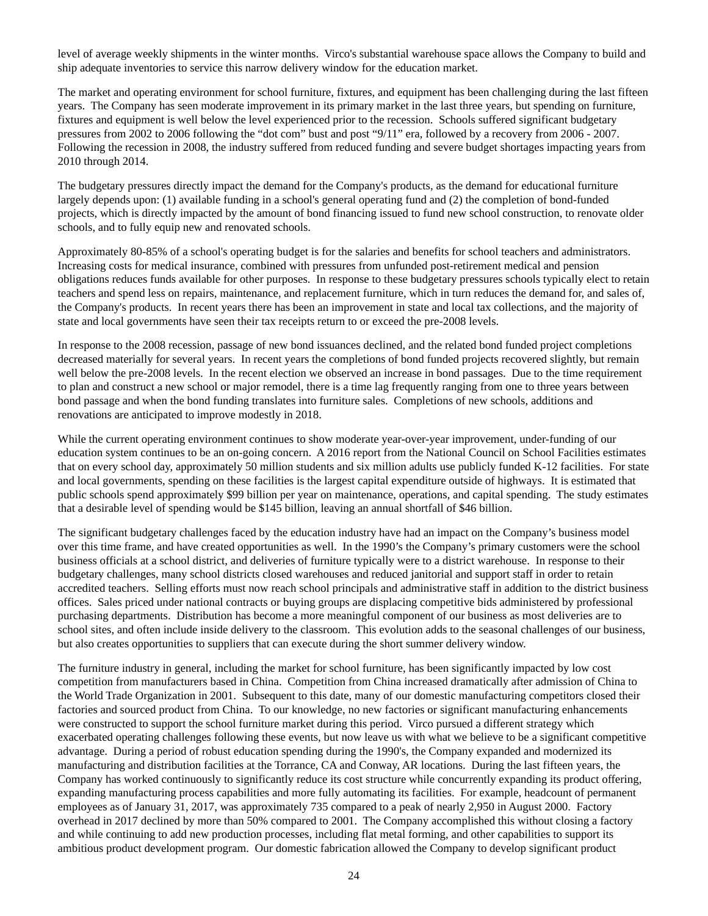level of average weekly shipments in the winter months. Virco's substantial warehouse space allows the Company to build and ship adequate inventories to service this narrow delivery window for the education market.

The market and operating environment for school furniture, fixtures, and equipment has been challenging during the last fifteen years. The Company has seen moderate improvement in its primary market in the last three years, but spending on furniture, fixtures and equipment is well below the level experienced prior to the recession. Schools suffered significant budgetary pressures from 2002 to 2006 following the "dot com" bust and post "9/11" era, followed by a recovery from 2006 - 2007. Following the recession in 2008, the industry suffered from reduced funding and severe budget shortages impacting years from 2010 through 2014.

The budgetary pressures directly impact the demand for the Company's products, as the demand for educational furniture largely depends upon: (1) available funding in a school's general operating fund and (2) the completion of bond-funded projects, which is directly impacted by the amount of bond financing issued to fund new school construction, to renovate older schools, and to fully equip new and renovated schools.

Approximately 80-85% of a school's operating budget is for the salaries and benefits for school teachers and administrators. Increasing costs for medical insurance, combined with pressures from unfunded post-retirement medical and pension obligations reduces funds available for other purposes. In response to these budgetary pressures schools typically elect to retain teachers and spend less on repairs, maintenance, and replacement furniture, which in turn reduces the demand for, and sales of, the Company's products. In recent years there has been an improvement in state and local tax collections, and the majority of state and local governments have seen their tax receipts return to or exceed the pre-2008 levels.

In response to the 2008 recession, passage of new bond issuances declined, and the related bond funded project completions decreased materially for several years. In recent years the completions of bond funded projects recovered slightly, but remain well below the pre-2008 levels. In the recent election we observed an increase in bond passages. Due to the time requirement to plan and construct a new school or major remodel, there is a time lag frequently ranging from one to three years between bond passage and when the bond funding translates into furniture sales. Completions of new schools, additions and renovations are anticipated to improve modestly in 2018.

While the current operating environment continues to show moderate year-over-year improvement, under-funding of our education system continues to be an on-going concern. A 2016 report from the National Council on School Facilities estimates that on every school day, approximately 50 million students and six million adults use publicly funded K-12 facilities. For state and local governments, spending on these facilities is the largest capital expenditure outside of highways. It is estimated that public schools spend approximately \$99 billion per year on maintenance, operations, and capital spending. The study estimates that a desirable level of spending would be \$145 billion, leaving an annual shortfall of \$46 billion.

The significant budgetary challenges faced by the education industry have had an impact on the Company's business model over this time frame, and have created opportunities as well. In the 1990's the Company's primary customers were the school business officials at a school district, and deliveries of furniture typically were to a district warehouse. In response to their budgetary challenges, many school districts closed warehouses and reduced janitorial and support staff in order to retain accredited teachers. Selling efforts must now reach school principals and administrative staff in addition to the district business offices. Sales priced under national contracts or buying groups are displacing competitive bids administered by professional purchasing departments. Distribution has become a more meaningful component of our business as most deliveries are to school sites, and often include inside delivery to the classroom. This evolution adds to the seasonal challenges of our business, but also creates opportunities to suppliers that can execute during the short summer delivery window.

The furniture industry in general, including the market for school furniture, has been significantly impacted by low cost competition from manufacturers based in China. Competition from China increased dramatically after admission of China to the World Trade Organization in 2001. Subsequent to this date, many of our domestic manufacturing competitors closed their factories and sourced product from China. To our knowledge, no new factories or significant manufacturing enhancements were constructed to support the school furniture market during this period. Virco pursued a different strategy which exacerbated operating challenges following these events, but now leave us with what we believe to be a significant competitive advantage. During a period of robust education spending during the 1990's, the Company expanded and modernized its manufacturing and distribution facilities at the Torrance, CA and Conway, AR locations. During the last fifteen years, the Company has worked continuously to significantly reduce its cost structure while concurrently expanding its product offering, expanding manufacturing process capabilities and more fully automating its facilities. For example, headcount of permanent employees as of January 31, 2017, was approximately 735 compared to a peak of nearly 2,950 in August 2000. Factory overhead in 2017 declined by more than 50% compared to 2001. The Company accomplished this without closing a factory and while continuing to add new production processes, including flat metal forming, and other capabilities to support its ambitious product development program. Our domestic fabrication allowed the Company to develop significant product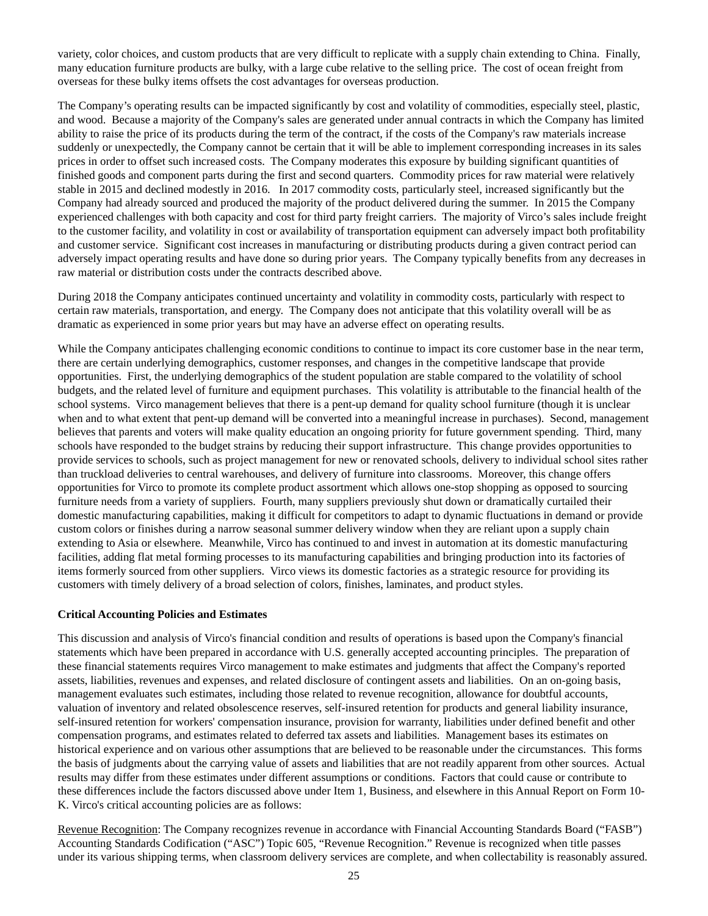variety, color choices, and custom products that are very difficult to replicate with a supply chain extending to China. Finally, many education furniture products are bulky, with a large cube relative to the selling price. The cost of ocean freight from overseas for these bulky items offsets the cost advantages for overseas production.

The Company's operating results can be impacted significantly by cost and volatility of commodities, especially steel, plastic, and wood. Because a majority of the Company's sales are generated under annual contracts in which the Company has limited ability to raise the price of its products during the term of the contract, if the costs of the Company's raw materials increase suddenly or unexpectedly, the Company cannot be certain that it will be able to implement corresponding increases in its sales prices in order to offset such increased costs. The Company moderates this exposure by building significant quantities of finished goods and component parts during the first and second quarters. Commodity prices for raw material were relatively stable in 2015 and declined modestly in 2016. In 2017 commodity costs, particularly steel, increased significantly but the Company had already sourced and produced the majority of the product delivered during the summer. In 2015 the Company experienced challenges with both capacity and cost for third party freight carriers. The majority of Virco's sales include freight to the customer facility, and volatility in cost or availability of transportation equipment can adversely impact both profitability and customer service. Significant cost increases in manufacturing or distributing products during a given contract period can adversely impact operating results and have done so during prior years. The Company typically benefits from any decreases in raw material or distribution costs under the contracts described above.

During 2018 the Company anticipates continued uncertainty and volatility in commodity costs, particularly with respect to certain raw materials, transportation, and energy. The Company does not anticipate that this volatility overall will be as dramatic as experienced in some prior years but may have an adverse effect on operating results.

While the Company anticipates challenging economic conditions to continue to impact its core customer base in the near term, there are certain underlying demographics, customer responses, and changes in the competitive landscape that provide opportunities. First, the underlying demographics of the student population are stable compared to the volatility of school budgets, and the related level of furniture and equipment purchases. This volatility is attributable to the financial health of the school systems. Virco management believes that there is a pent-up demand for quality school furniture (though it is unclear when and to what extent that pent-up demand will be converted into a meaningful increase in purchases). Second, management believes that parents and voters will make quality education an ongoing priority for future government spending. Third, many schools have responded to the budget strains by reducing their support infrastructure. This change provides opportunities to provide services to schools, such as project management for new or renovated schools, delivery to individual school sites rather than truckload deliveries to central warehouses, and delivery of furniture into classrooms. Moreover, this change offers opportunities for Virco to promote its complete product assortment which allows one-stop shopping as opposed to sourcing furniture needs from a variety of suppliers. Fourth, many suppliers previously shut down or dramatically curtailed their domestic manufacturing capabilities, making it difficult for competitors to adapt to dynamic fluctuations in demand or provide custom colors or finishes during a narrow seasonal summer delivery window when they are reliant upon a supply chain extending to Asia or elsewhere. Meanwhile, Virco has continued to and invest in automation at its domestic manufacturing facilities, adding flat metal forming processes to its manufacturing capabilities and bringing production into its factories of items formerly sourced from other suppliers. Virco views its domestic factories as a strategic resource for providing its customers with timely delivery of a broad selection of colors, finishes, laminates, and product styles.

#### **Critical Accounting Policies and Estimates**

This discussion and analysis of Virco's financial condition and results of operations is based upon the Company's financial statements which have been prepared in accordance with U.S. generally accepted accounting principles. The preparation of these financial statements requires Virco management to make estimates and judgments that affect the Company's reported assets, liabilities, revenues and expenses, and related disclosure of contingent assets and liabilities. On an on-going basis, management evaluates such estimates, including those related to revenue recognition, allowance for doubtful accounts, valuation of inventory and related obsolescence reserves, self-insured retention for products and general liability insurance, self-insured retention for workers' compensation insurance, provision for warranty, liabilities under defined benefit and other compensation programs, and estimates related to deferred tax assets and liabilities. Management bases its estimates on historical experience and on various other assumptions that are believed to be reasonable under the circumstances. This forms the basis of judgments about the carrying value of assets and liabilities that are not readily apparent from other sources. Actual results may differ from these estimates under different assumptions or conditions. Factors that could cause or contribute to these differences include the factors discussed above under Item 1, Business, and elsewhere in this Annual Report on Form 10- K. Virco's critical accounting policies are as follows:

Revenue Recognition: The Company recognizes revenue in accordance with Financial Accounting Standards Board ("FASB") Accounting Standards Codification ("ASC") Topic 605, "Revenue Recognition." Revenue is recognized when title passes under its various shipping terms, when classroom delivery services are complete, and when collectability is reasonably assured.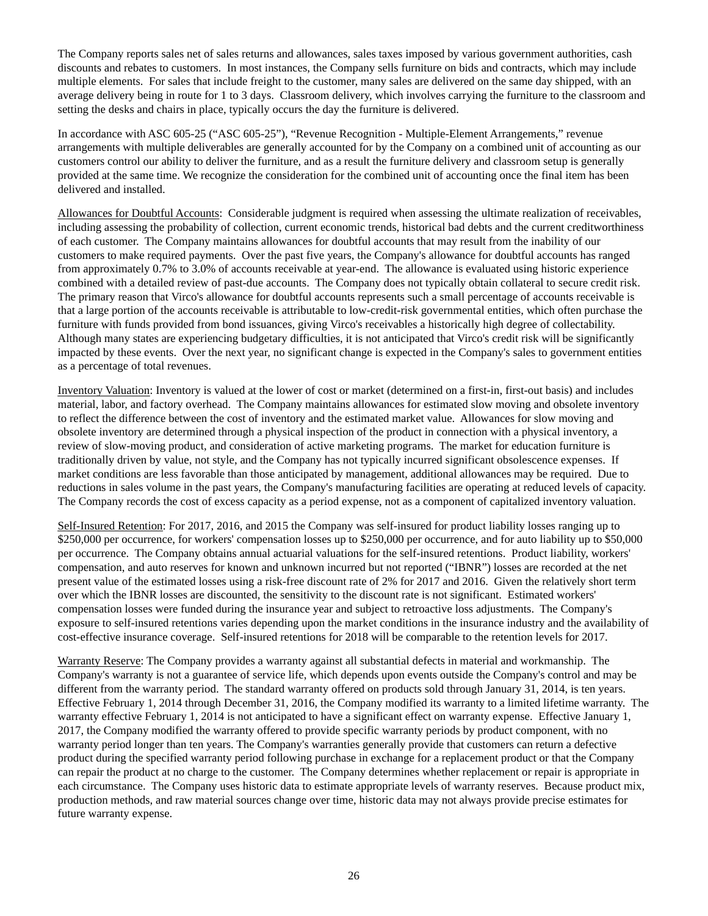The Company reports sales net of sales returns and allowances, sales taxes imposed by various government authorities, cash discounts and rebates to customers. In most instances, the Company sells furniture on bids and contracts, which may include multiple elements. For sales that include freight to the customer, many sales are delivered on the same day shipped, with an average delivery being in route for 1 to 3 days. Classroom delivery, which involves carrying the furniture to the classroom and setting the desks and chairs in place, typically occurs the day the furniture is delivered.

In accordance with ASC 605-25 ("ASC 605-25"), "Revenue Recognition - Multiple-Element Arrangements," revenue arrangements with multiple deliverables are generally accounted for by the Company on a combined unit of accounting as our customers control our ability to deliver the furniture, and as a result the furniture delivery and classroom setup is generally provided at the same time. We recognize the consideration for the combined unit of accounting once the final item has been delivered and installed.

Allowances for Doubtful Accounts: Considerable judgment is required when assessing the ultimate realization of receivables, including assessing the probability of collection, current economic trends, historical bad debts and the current creditworthiness of each customer. The Company maintains allowances for doubtful accounts that may result from the inability of our customers to make required payments. Over the past five years, the Company's allowance for doubtful accounts has ranged from approximately 0.7% to 3.0% of accounts receivable at year-end. The allowance is evaluated using historic experience combined with a detailed review of past-due accounts. The Company does not typically obtain collateral to secure credit risk. The primary reason that Virco's allowance for doubtful accounts represents such a small percentage of accounts receivable is that a large portion of the accounts receivable is attributable to low-credit-risk governmental entities, which often purchase the furniture with funds provided from bond issuances, giving Virco's receivables a historically high degree of collectability. Although many states are experiencing budgetary difficulties, it is not anticipated that Virco's credit risk will be significantly impacted by these events. Over the next year, no significant change is expected in the Company's sales to government entities as a percentage of total revenues.

Inventory Valuation: Inventory is valued at the lower of cost or market (determined on a first-in, first-out basis) and includes material, labor, and factory overhead. The Company maintains allowances for estimated slow moving and obsolete inventory to reflect the difference between the cost of inventory and the estimated market value. Allowances for slow moving and obsolete inventory are determined through a physical inspection of the product in connection with a physical inventory, a review of slow-moving product, and consideration of active marketing programs. The market for education furniture is traditionally driven by value, not style, and the Company has not typically incurred significant obsolescence expenses. If market conditions are less favorable than those anticipated by management, additional allowances may be required. Due to reductions in sales volume in the past years, the Company's manufacturing facilities are operating at reduced levels of capacity. The Company records the cost of excess capacity as a period expense, not as a component of capitalized inventory valuation.

Self-Insured Retention: For 2017, 2016, and 2015 the Company was self-insured for product liability losses ranging up to \$250,000 per occurrence, for workers' compensation losses up to \$250,000 per occurrence, and for auto liability up to \$50,000 per occurrence. The Company obtains annual actuarial valuations for the self-insured retentions. Product liability, workers' compensation, and auto reserves for known and unknown incurred but not reported ("IBNR") losses are recorded at the net present value of the estimated losses using a risk-free discount rate of 2% for 2017 and 2016. Given the relatively short term over which the IBNR losses are discounted, the sensitivity to the discount rate is not significant. Estimated workers' compensation losses were funded during the insurance year and subject to retroactive loss adjustments. The Company's exposure to self-insured retentions varies depending upon the market conditions in the insurance industry and the availability of cost-effective insurance coverage. Self-insured retentions for 2018 will be comparable to the retention levels for 2017.

Warranty Reserve: The Company provides a warranty against all substantial defects in material and workmanship. The Company's warranty is not a guarantee of service life, which depends upon events outside the Company's control and may be different from the warranty period. The standard warranty offered on products sold through January 31, 2014, is ten years. Effective February 1, 2014 through December 31, 2016, the Company modified its warranty to a limited lifetime warranty. The warranty effective February 1, 2014 is not anticipated to have a significant effect on warranty expense. Effective January 1, 2017, the Company modified the warranty offered to provide specific warranty periods by product component, with no warranty period longer than ten years. The Company's warranties generally provide that customers can return a defective product during the specified warranty period following purchase in exchange for a replacement product or that the Company can repair the product at no charge to the customer. The Company determines whether replacement or repair is appropriate in each circumstance. The Company uses historic data to estimate appropriate levels of warranty reserves. Because product mix, production methods, and raw material sources change over time, historic data may not always provide precise estimates for future warranty expense.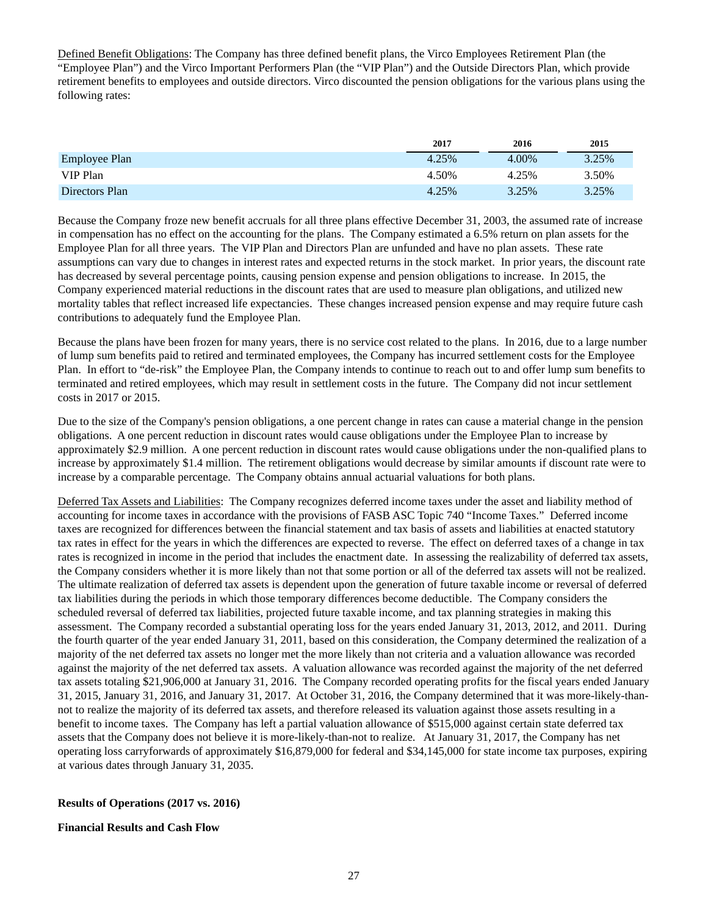Defined Benefit Obligations: The Company has three defined benefit plans, the Virco Employees Retirement Plan (the "Employee Plan") and the Virco Important Performers Plan (the "VIP Plan") and the Outside Directors Plan, which provide retirement benefits to employees and outside directors. Virco discounted the pension obligations for the various plans using the following rates:

|                      | 2017  | 2016  | 2015  |
|----------------------|-------|-------|-------|
| <b>Employee Plan</b> | 4.25% | 4.00% | 3.25% |
| VIP Plan             | 4.50% | 4.25% | 3.50% |
| Directors Plan       | 4.25% | 3.25% | 3.25% |

Because the Company froze new benefit accruals for all three plans effective December 31, 2003, the assumed rate of increase in compensation has no effect on the accounting for the plans. The Company estimated a 6.5% return on plan assets for the Employee Plan for all three years. The VIP Plan and Directors Plan are unfunded and have no plan assets. These rate assumptions can vary due to changes in interest rates and expected returns in the stock market. In prior years, the discount rate has decreased by several percentage points, causing pension expense and pension obligations to increase. In 2015, the Company experienced material reductions in the discount rates that are used to measure plan obligations, and utilized new mortality tables that reflect increased life expectancies. These changes increased pension expense and may require future cash contributions to adequately fund the Employee Plan.

Because the plans have been frozen for many years, there is no service cost related to the plans. In 2016, due to a large number of lump sum benefits paid to retired and terminated employees, the Company has incurred settlement costs for the Employee Plan. In effort to "de-risk" the Employee Plan, the Company intends to continue to reach out to and offer lump sum benefits to terminated and retired employees, which may result in settlement costs in the future. The Company did not incur settlement costs in 2017 or 2015.

Due to the size of the Company's pension obligations, a one percent change in rates can cause a material change in the pension obligations. A one percent reduction in discount rates would cause obligations under the Employee Plan to increase by approximately \$2.9 million. A one percent reduction in discount rates would cause obligations under the non-qualified plans to increase by approximately \$1.4 million. The retirement obligations would decrease by similar amounts if discount rate were to increase by a comparable percentage. The Company obtains annual actuarial valuations for both plans.

Deferred Tax Assets and Liabilities: The Company recognizes deferred income taxes under the asset and liability method of accounting for income taxes in accordance with the provisions of FASB ASC Topic 740 "Income Taxes." Deferred income taxes are recognized for differences between the financial statement and tax basis of assets and liabilities at enacted statutory tax rates in effect for the years in which the differences are expected to reverse. The effect on deferred taxes of a change in tax rates is recognized in income in the period that includes the enactment date. In assessing the realizability of deferred tax assets, the Company considers whether it is more likely than not that some portion or all of the deferred tax assets will not be realized. The ultimate realization of deferred tax assets is dependent upon the generation of future taxable income or reversal of deferred tax liabilities during the periods in which those temporary differences become deductible. The Company considers the scheduled reversal of deferred tax liabilities, projected future taxable income, and tax planning strategies in making this assessment. The Company recorded a substantial operating loss for the years ended January 31, 2013, 2012, and 2011. During the fourth quarter of the year ended January 31, 2011, based on this consideration, the Company determined the realization of a majority of the net deferred tax assets no longer met the more likely than not criteria and a valuation allowance was recorded against the majority of the net deferred tax assets. A valuation allowance was recorded against the majority of the net deferred tax assets totaling \$21,906,000 at January 31, 2016. The Company recorded operating profits for the fiscal years ended January 31, 2015, January 31, 2016, and January 31, 2017. At October 31, 2016, the Company determined that it was more-likely-thannot to realize the majority of its deferred tax assets, and therefore released its valuation against those assets resulting in a benefit to income taxes. The Company has left a partial valuation allowance of \$515,000 against certain state deferred tax assets that the Company does not believe it is more-likely-than-not to realize. At January 31, 2017, the Company has net operating loss carryforwards of approximately \$16,879,000 for federal and \$34,145,000 for state income tax purposes, expiring at various dates through January 31, 2035.

# **Results of Operations (2017 vs. 2016)**

# **Financial Results and Cash Flow**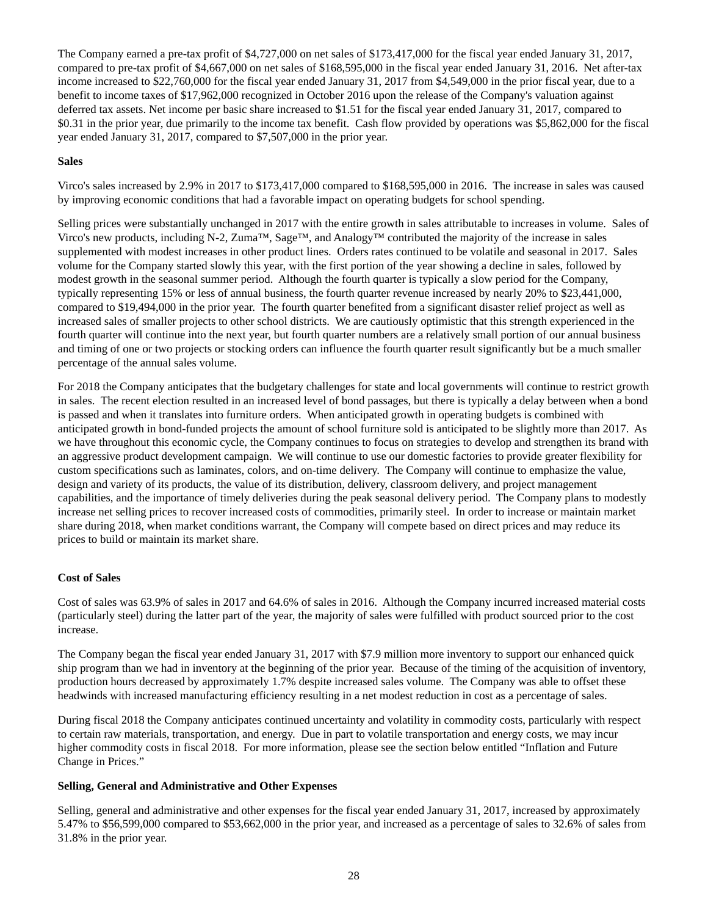The Company earned a pre-tax profit of \$4,727,000 on net sales of \$173,417,000 for the fiscal year ended January 31, 2017, compared to pre-tax profit of \$4,667,000 on net sales of \$168,595,000 in the fiscal year ended January 31, 2016. Net after-tax income increased to \$22,760,000 for the fiscal year ended January 31, 2017 from \$4,549,000 in the prior fiscal year, due to a benefit to income taxes of \$17,962,000 recognized in October 2016 upon the release of the Company's valuation against deferred tax assets. Net income per basic share increased to \$1.51 for the fiscal year ended January 31, 2017, compared to \$0.31 in the prior year, due primarily to the income tax benefit. Cash flow provided by operations was \$5,862,000 for the fiscal year ended January 31, 2017, compared to \$7,507,000 in the prior year.

# **Sales**

Virco's sales increased by 2.9% in 2017 to \$173,417,000 compared to \$168,595,000 in 2016. The increase in sales was caused by improving economic conditions that had a favorable impact on operating budgets for school spending.

Selling prices were substantially unchanged in 2017 with the entire growth in sales attributable to increases in volume. Sales of Virco's new products, including N-2, Zuma™, Sage™, and Analogy™ contributed the majority of the increase in sales supplemented with modest increases in other product lines. Orders rates continued to be volatile and seasonal in 2017. Sales volume for the Company started slowly this year, with the first portion of the year showing a decline in sales, followed by modest growth in the seasonal summer period. Although the fourth quarter is typically a slow period for the Company, typically representing 15% or less of annual business, the fourth quarter revenue increased by nearly 20% to \$23,441,000, compared to \$19,494,000 in the prior year. The fourth quarter benefited from a significant disaster relief project as well as increased sales of smaller projects to other school districts. We are cautiously optimistic that this strength experienced in the fourth quarter will continue into the next year, but fourth quarter numbers are a relatively small portion of our annual business and timing of one or two projects or stocking orders can influence the fourth quarter result significantly but be a much smaller percentage of the annual sales volume.

For 2018 the Company anticipates that the budgetary challenges for state and local governments will continue to restrict growth in sales. The recent election resulted in an increased level of bond passages, but there is typically a delay between when a bond is passed and when it translates into furniture orders. When anticipated growth in operating budgets is combined with anticipated growth in bond-funded projects the amount of school furniture sold is anticipated to be slightly more than 2017. As we have throughout this economic cycle, the Company continues to focus on strategies to develop and strengthen its brand with an aggressive product development campaign. We will continue to use our domestic factories to provide greater flexibility for custom specifications such as laminates, colors, and on-time delivery. The Company will continue to emphasize the value, design and variety of its products, the value of its distribution, delivery, classroom delivery, and project management capabilities, and the importance of timely deliveries during the peak seasonal delivery period. The Company plans to modestly increase net selling prices to recover increased costs of commodities, primarily steel. In order to increase or maintain market share during 2018, when market conditions warrant, the Company will compete based on direct prices and may reduce its prices to build or maintain its market share.

# **Cost of Sales**

Cost of sales was 63.9% of sales in 2017 and 64.6% of sales in 2016. Although the Company incurred increased material costs (particularly steel) during the latter part of the year, the majority of sales were fulfilled with product sourced prior to the cost increase.

The Company began the fiscal year ended January 31, 2017 with \$7.9 million more inventory to support our enhanced quick ship program than we had in inventory at the beginning of the prior year. Because of the timing of the acquisition of inventory, production hours decreased by approximately 1.7% despite increased sales volume. The Company was able to offset these headwinds with increased manufacturing efficiency resulting in a net modest reduction in cost as a percentage of sales.

During fiscal 2018 the Company anticipates continued uncertainty and volatility in commodity costs, particularly with respect to certain raw materials, transportation, and energy. Due in part to volatile transportation and energy costs, we may incur higher commodity costs in fiscal 2018. For more information, please see the section below entitled "Inflation and Future Change in Prices."

# **Selling, General and Administrative and Other Expenses**

Selling, general and administrative and other expenses for the fiscal year ended January 31, 2017, increased by approximately 5.47% to \$56,599,000 compared to \$53,662,000 in the prior year, and increased as a percentage of sales to 32.6% of sales from 31.8% in the prior year.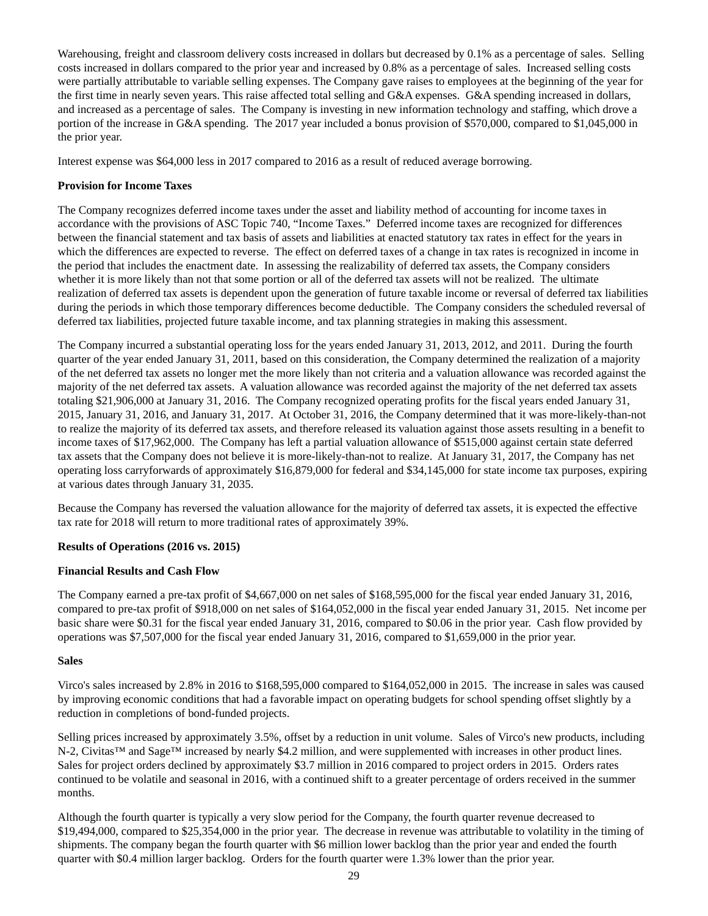Warehousing, freight and classroom delivery costs increased in dollars but decreased by 0.1% as a percentage of sales. Selling costs increased in dollars compared to the prior year and increased by 0.8% as a percentage of sales. Increased selling costs were partially attributable to variable selling expenses. The Company gave raises to employees at the beginning of the year for the first time in nearly seven years. This raise affected total selling and G&A expenses. G&A spending increased in dollars, and increased as a percentage of sales. The Company is investing in new information technology and staffing, which drove a portion of the increase in G&A spending. The 2017 year included a bonus provision of \$570,000, compared to \$1,045,000 in the prior year.

Interest expense was \$64,000 less in 2017 compared to 2016 as a result of reduced average borrowing.

# **Provision for Income Taxes**

The Company recognizes deferred income taxes under the asset and liability method of accounting for income taxes in accordance with the provisions of ASC Topic 740, "Income Taxes." Deferred income taxes are recognized for differences between the financial statement and tax basis of assets and liabilities at enacted statutory tax rates in effect for the years in which the differences are expected to reverse. The effect on deferred taxes of a change in tax rates is recognized in income in the period that includes the enactment date. In assessing the realizability of deferred tax assets, the Company considers whether it is more likely than not that some portion or all of the deferred tax assets will not be realized. The ultimate realization of deferred tax assets is dependent upon the generation of future taxable income or reversal of deferred tax liabilities during the periods in which those temporary differences become deductible. The Company considers the scheduled reversal of deferred tax liabilities, projected future taxable income, and tax planning strategies in making this assessment.

The Company incurred a substantial operating loss for the years ended January 31, 2013, 2012, and 2011. During the fourth quarter of the year ended January 31, 2011, based on this consideration, the Company determined the realization of a majority of the net deferred tax assets no longer met the more likely than not criteria and a valuation allowance was recorded against the majority of the net deferred tax assets. A valuation allowance was recorded against the majority of the net deferred tax assets totaling \$21,906,000 at January 31, 2016. The Company recognized operating profits for the fiscal years ended January 31, 2015, January 31, 2016, and January 31, 2017. At October 31, 2016, the Company determined that it was more-likely-than-not to realize the majority of its deferred tax assets, and therefore released its valuation against those assets resulting in a benefit to income taxes of \$17,962,000. The Company has left a partial valuation allowance of \$515,000 against certain state deferred tax assets that the Company does not believe it is more-likely-than-not to realize. At January 31, 2017, the Company has net operating loss carryforwards of approximately \$16,879,000 for federal and \$34,145,000 for state income tax purposes, expiring at various dates through January 31, 2035.

Because the Company has reversed the valuation allowance for the majority of deferred tax assets, it is expected the effective tax rate for 2018 will return to more traditional rates of approximately 39%.

# **Results of Operations (2016 vs. 2015)**

#### **Financial Results and Cash Flow**

The Company earned a pre-tax profit of \$4,667,000 on net sales of \$168,595,000 for the fiscal year ended January 31, 2016, compared to pre-tax profit of \$918,000 on net sales of \$164,052,000 in the fiscal year ended January 31, 2015. Net income per basic share were \$0.31 for the fiscal year ended January 31, 2016, compared to \$0.06 in the prior year. Cash flow provided by operations was \$7,507,000 for the fiscal year ended January 31, 2016, compared to \$1,659,000 in the prior year.

#### **Sales**

Virco's sales increased by 2.8% in 2016 to \$168,595,000 compared to \$164,052,000 in 2015. The increase in sales was caused by improving economic conditions that had a favorable impact on operating budgets for school spending offset slightly by a reduction in completions of bond-funded projects.

Selling prices increased by approximately 3.5%, offset by a reduction in unit volume. Sales of Virco's new products, including N-2, Civitas™ and Sage™ increased by nearly \$4.2 million, and were supplemented with increases in other product lines. Sales for project orders declined by approximately \$3.7 million in 2016 compared to project orders in 2015. Orders rates continued to be volatile and seasonal in 2016, with a continued shift to a greater percentage of orders received in the summer months.

Although the fourth quarter is typically a very slow period for the Company, the fourth quarter revenue decreased to \$19,494,000, compared to \$25,354,000 in the prior year. The decrease in revenue was attributable to volatility in the timing of shipments. The company began the fourth quarter with \$6 million lower backlog than the prior year and ended the fourth quarter with \$0.4 million larger backlog. Orders for the fourth quarter were 1.3% lower than the prior year.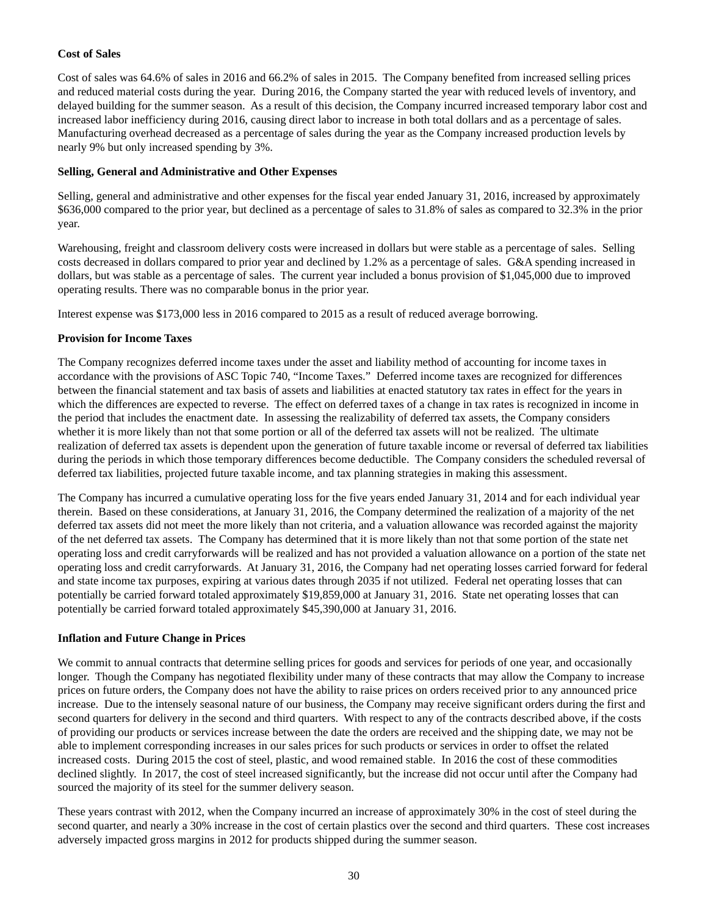# **Cost of Sales**

Cost of sales was 64.6% of sales in 2016 and 66.2% of sales in 2015. The Company benefited from increased selling prices and reduced material costs during the year. During 2016, the Company started the year with reduced levels of inventory, and delayed building for the summer season. As a result of this decision, the Company incurred increased temporary labor cost and increased labor inefficiency during 2016, causing direct labor to increase in both total dollars and as a percentage of sales. Manufacturing overhead decreased as a percentage of sales during the year as the Company increased production levels by nearly 9% but only increased spending by 3%.

# **Selling, General and Administrative and Other Expenses**

Selling, general and administrative and other expenses for the fiscal year ended January 31, 2016, increased by approximately \$636,000 compared to the prior year, but declined as a percentage of sales to 31.8% of sales as compared to 32.3% in the prior year.

Warehousing, freight and classroom delivery costs were increased in dollars but were stable as a percentage of sales. Selling costs decreased in dollars compared to prior year and declined by 1.2% as a percentage of sales. G&A spending increased in dollars, but was stable as a percentage of sales. The current year included a bonus provision of \$1,045,000 due to improved operating results. There was no comparable bonus in the prior year.

Interest expense was \$173,000 less in 2016 compared to 2015 as a result of reduced average borrowing.

# **Provision for Income Taxes**

The Company recognizes deferred income taxes under the asset and liability method of accounting for income taxes in accordance with the provisions of ASC Topic 740, "Income Taxes." Deferred income taxes are recognized for differences between the financial statement and tax basis of assets and liabilities at enacted statutory tax rates in effect for the years in which the differences are expected to reverse. The effect on deferred taxes of a change in tax rates is recognized in income in the period that includes the enactment date. In assessing the realizability of deferred tax assets, the Company considers whether it is more likely than not that some portion or all of the deferred tax assets will not be realized. The ultimate realization of deferred tax assets is dependent upon the generation of future taxable income or reversal of deferred tax liabilities during the periods in which those temporary differences become deductible. The Company considers the scheduled reversal of deferred tax liabilities, projected future taxable income, and tax planning strategies in making this assessment.

The Company has incurred a cumulative operating loss for the five years ended January 31, 2014 and for each individual year therein. Based on these considerations, at January 31, 2016, the Company determined the realization of a majority of the net deferred tax assets did not meet the more likely than not criteria, and a valuation allowance was recorded against the majority of the net deferred tax assets. The Company has determined that it is more likely than not that some portion of the state net operating loss and credit carryforwards will be realized and has not provided a valuation allowance on a portion of the state net operating loss and credit carryforwards. At January 31, 2016, the Company had net operating losses carried forward for federal and state income tax purposes, expiring at various dates through 2035 if not utilized. Federal net operating losses that can potentially be carried forward totaled approximately \$19,859,000 at January 31, 2016. State net operating losses that can potentially be carried forward totaled approximately \$45,390,000 at January 31, 2016.

# **Inflation and Future Change in Prices**

We commit to annual contracts that determine selling prices for goods and services for periods of one year, and occasionally longer. Though the Company has negotiated flexibility under many of these contracts that may allow the Company to increase prices on future orders, the Company does not have the ability to raise prices on orders received prior to any announced price increase. Due to the intensely seasonal nature of our business, the Company may receive significant orders during the first and second quarters for delivery in the second and third quarters. With respect to any of the contracts described above, if the costs of providing our products or services increase between the date the orders are received and the shipping date, we may not be able to implement corresponding increases in our sales prices for such products or services in order to offset the related increased costs. During 2015 the cost of steel, plastic, and wood remained stable. In 2016 the cost of these commodities declined slightly. In 2017, the cost of steel increased significantly, but the increase did not occur until after the Company had sourced the majority of its steel for the summer delivery season.

These years contrast with 2012, when the Company incurred an increase of approximately 30% in the cost of steel during the second quarter, and nearly a 30% increase in the cost of certain plastics over the second and third quarters. These cost increases adversely impacted gross margins in 2012 for products shipped during the summer season.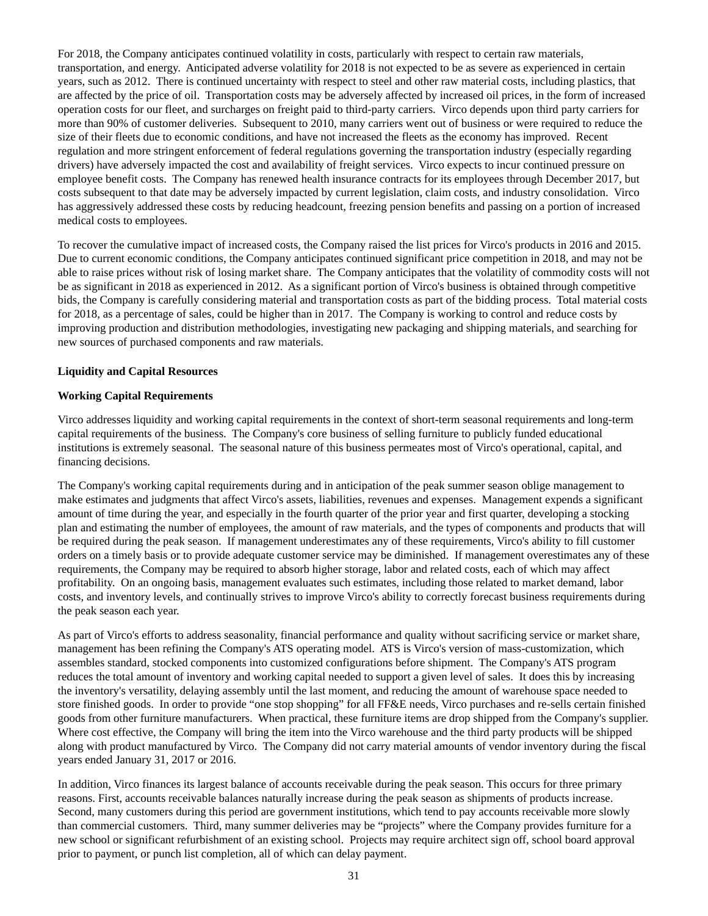For 2018, the Company anticipates continued volatility in costs, particularly with respect to certain raw materials, transportation, and energy. Anticipated adverse volatility for 2018 is not expected to be as severe as experienced in certain years, such as 2012. There is continued uncertainty with respect to steel and other raw material costs, including plastics, that are affected by the price of oil. Transportation costs may be adversely affected by increased oil prices, in the form of increased operation costs for our fleet, and surcharges on freight paid to third-party carriers. Virco depends upon third party carriers for more than 90% of customer deliveries. Subsequent to 2010, many carriers went out of business or were required to reduce the size of their fleets due to economic conditions, and have not increased the fleets as the economy has improved. Recent regulation and more stringent enforcement of federal regulations governing the transportation industry (especially regarding drivers) have adversely impacted the cost and availability of freight services. Virco expects to incur continued pressure on employee benefit costs. The Company has renewed health insurance contracts for its employees through December 2017, but costs subsequent to that date may be adversely impacted by current legislation, claim costs, and industry consolidation. Virco has aggressively addressed these costs by reducing headcount, freezing pension benefits and passing on a portion of increased medical costs to employees.

To recover the cumulative impact of increased costs, the Company raised the list prices for Virco's products in 2016 and 2015. Due to current economic conditions, the Company anticipates continued significant price competition in 2018, and may not be able to raise prices without risk of losing market share. The Company anticipates that the volatility of commodity costs will not be as significant in 2018 as experienced in 2012. As a significant portion of Virco's business is obtained through competitive bids, the Company is carefully considering material and transportation costs as part of the bidding process. Total material costs for 2018, as a percentage of sales, could be higher than in 2017. The Company is working to control and reduce costs by improving production and distribution methodologies, investigating new packaging and shipping materials, and searching for new sources of purchased components and raw materials.

# **Liquidity and Capital Resources**

# **Working Capital Requirements**

Virco addresses liquidity and working capital requirements in the context of short-term seasonal requirements and long-term capital requirements of the business. The Company's core business of selling furniture to publicly funded educational institutions is extremely seasonal. The seasonal nature of this business permeates most of Virco's operational, capital, and financing decisions.

The Company's working capital requirements during and in anticipation of the peak summer season oblige management to make estimates and judgments that affect Virco's assets, liabilities, revenues and expenses. Management expends a significant amount of time during the year, and especially in the fourth quarter of the prior year and first quarter, developing a stocking plan and estimating the number of employees, the amount of raw materials, and the types of components and products that will be required during the peak season. If management underestimates any of these requirements, Virco's ability to fill customer orders on a timely basis or to provide adequate customer service may be diminished. If management overestimates any of these requirements, the Company may be required to absorb higher storage, labor and related costs, each of which may affect profitability. On an ongoing basis, management evaluates such estimates, including those related to market demand, labor costs, and inventory levels, and continually strives to improve Virco's ability to correctly forecast business requirements during the peak season each year.

As part of Virco's efforts to address seasonality, financial performance and quality without sacrificing service or market share, management has been refining the Company's ATS operating model. ATS is Virco's version of mass-customization, which assembles standard, stocked components into customized configurations before shipment. The Company's ATS program reduces the total amount of inventory and working capital needed to support a given level of sales. It does this by increasing the inventory's versatility, delaying assembly until the last moment, and reducing the amount of warehouse space needed to store finished goods. In order to provide "one stop shopping" for all FF&E needs, Virco purchases and re-sells certain finished goods from other furniture manufacturers. When practical, these furniture items are drop shipped from the Company's supplier. Where cost effective, the Company will bring the item into the Virco warehouse and the third party products will be shipped along with product manufactured by Virco. The Company did not carry material amounts of vendor inventory during the fiscal years ended January 31, 2017 or 2016.

In addition, Virco finances its largest balance of accounts receivable during the peak season. This occurs for three primary reasons. First, accounts receivable balances naturally increase during the peak season as shipments of products increase. Second, many customers during this period are government institutions, which tend to pay accounts receivable more slowly than commercial customers. Third, many summer deliveries may be "projects" where the Company provides furniture for a new school or significant refurbishment of an existing school. Projects may require architect sign off, school board approval prior to payment, or punch list completion, all of which can delay payment.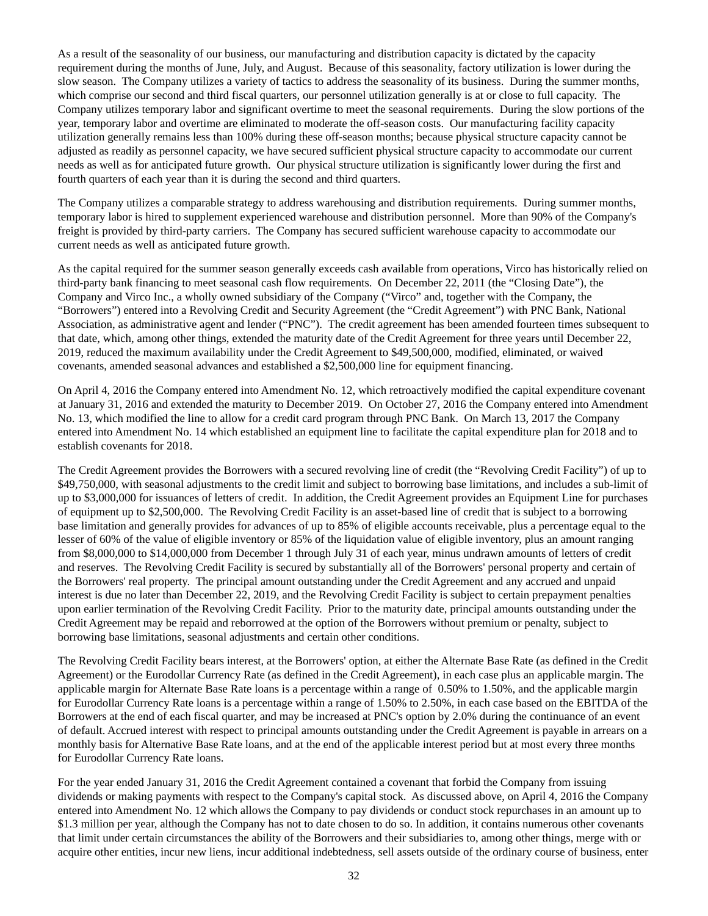As a result of the seasonality of our business, our manufacturing and distribution capacity is dictated by the capacity requirement during the months of June, July, and August. Because of this seasonality, factory utilization is lower during the slow season. The Company utilizes a variety of tactics to address the seasonality of its business. During the summer months, which comprise our second and third fiscal quarters, our personnel utilization generally is at or close to full capacity. The Company utilizes temporary labor and significant overtime to meet the seasonal requirements. During the slow portions of the year, temporary labor and overtime are eliminated to moderate the off-season costs. Our manufacturing facility capacity utilization generally remains less than 100% during these off-season months; because physical structure capacity cannot be adjusted as readily as personnel capacity, we have secured sufficient physical structure capacity to accommodate our current needs as well as for anticipated future growth. Our physical structure utilization is significantly lower during the first and fourth quarters of each year than it is during the second and third quarters.

The Company utilizes a comparable strategy to address warehousing and distribution requirements. During summer months, temporary labor is hired to supplement experienced warehouse and distribution personnel. More than 90% of the Company's freight is provided by third-party carriers. The Company has secured sufficient warehouse capacity to accommodate our current needs as well as anticipated future growth.

As the capital required for the summer season generally exceeds cash available from operations, Virco has historically relied on third-party bank financing to meet seasonal cash flow requirements. On December 22, 2011 (the "Closing Date"), the Company and Virco Inc., a wholly owned subsidiary of the Company ("Virco" and, together with the Company, the "Borrowers") entered into a Revolving Credit and Security Agreement (the "Credit Agreement") with PNC Bank, National Association, as administrative agent and lender ("PNC"). The credit agreement has been amended fourteen times subsequent to that date, which, among other things, extended the maturity date of the Credit Agreement for three years until December 22, 2019, reduced the maximum availability under the Credit Agreement to \$49,500,000, modified, eliminated, or waived covenants, amended seasonal advances and established a \$2,500,000 line for equipment financing.

On April 4, 2016 the Company entered into Amendment No. 12, which retroactively modified the capital expenditure covenant at January 31, 2016 and extended the maturity to December 2019. On October 27, 2016 the Company entered into Amendment No. 13, which modified the line to allow for a credit card program through PNC Bank. On March 13, 2017 the Company entered into Amendment No. 14 which established an equipment line to facilitate the capital expenditure plan for 2018 and to establish covenants for 2018.

The Credit Agreement provides the Borrowers with a secured revolving line of credit (the "Revolving Credit Facility") of up to \$49,750,000, with seasonal adjustments to the credit limit and subject to borrowing base limitations, and includes a sub-limit of up to \$3,000,000 for issuances of letters of credit. In addition, the Credit Agreement provides an Equipment Line for purchases of equipment up to \$2,500,000. The Revolving Credit Facility is an asset-based line of credit that is subject to a borrowing base limitation and generally provides for advances of up to 85% of eligible accounts receivable, plus a percentage equal to the lesser of 60% of the value of eligible inventory or 85% of the liquidation value of eligible inventory, plus an amount ranging from \$8,000,000 to \$14,000,000 from December 1 through July 31 of each year, minus undrawn amounts of letters of credit and reserves. The Revolving Credit Facility is secured by substantially all of the Borrowers' personal property and certain of the Borrowers' real property. The principal amount outstanding under the Credit Agreement and any accrued and unpaid interest is due no later than December 22, 2019, and the Revolving Credit Facility is subject to certain prepayment penalties upon earlier termination of the Revolving Credit Facility. Prior to the maturity date, principal amounts outstanding under the Credit Agreement may be repaid and reborrowed at the option of the Borrowers without premium or penalty, subject to borrowing base limitations, seasonal adjustments and certain other conditions.

The Revolving Credit Facility bears interest, at the Borrowers' option, at either the Alternate Base Rate (as defined in the Credit Agreement) or the Eurodollar Currency Rate (as defined in the Credit Agreement), in each case plus an applicable margin. The applicable margin for Alternate Base Rate loans is a percentage within a range of 0.50% to 1.50%, and the applicable margin for Eurodollar Currency Rate loans is a percentage within a range of 1.50% to 2.50%, in each case based on the EBITDA of the Borrowers at the end of each fiscal quarter, and may be increased at PNC's option by 2.0% during the continuance of an event of default. Accrued interest with respect to principal amounts outstanding under the Credit Agreement is payable in arrears on a monthly basis for Alternative Base Rate loans, and at the end of the applicable interest period but at most every three months for Eurodollar Currency Rate loans.

For the year ended January 31, 2016 the Credit Agreement contained a covenant that forbid the Company from issuing dividends or making payments with respect to the Company's capital stock. As discussed above, on April 4, 2016 the Company entered into Amendment No. 12 which allows the Company to pay dividends or conduct stock repurchases in an amount up to \$1.3 million per year, although the Company has not to date chosen to do so. In addition, it contains numerous other covenants that limit under certain circumstances the ability of the Borrowers and their subsidiaries to, among other things, merge with or acquire other entities, incur new liens, incur additional indebtedness, sell assets outside of the ordinary course of business, enter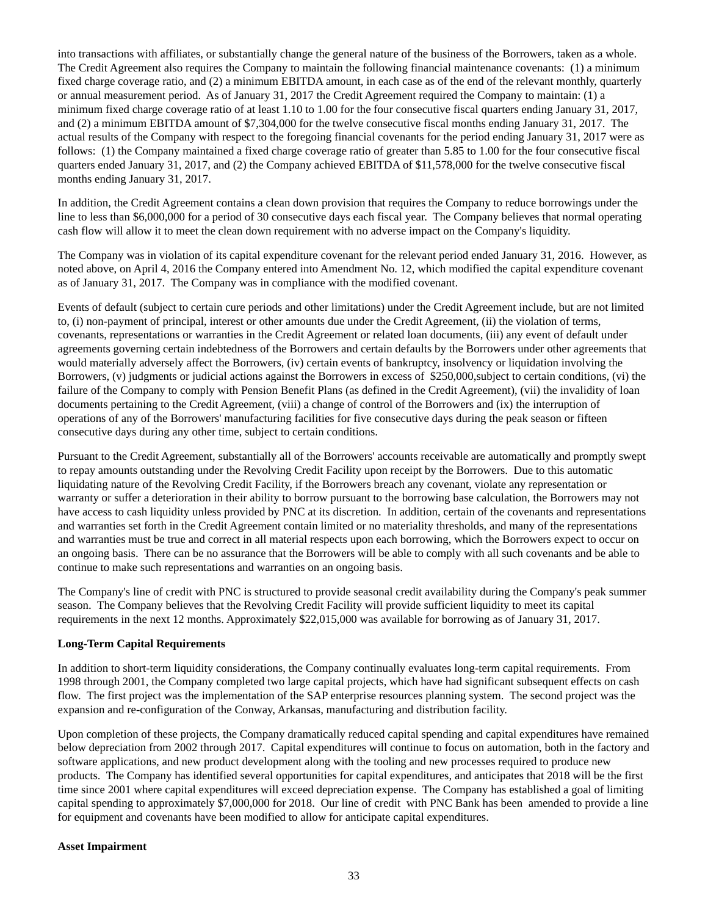into transactions with affiliates, or substantially change the general nature of the business of the Borrowers, taken as a whole. The Credit Agreement also requires the Company to maintain the following financial maintenance covenants: (1) a minimum fixed charge coverage ratio, and (2) a minimum EBITDA amount, in each case as of the end of the relevant monthly, quarterly or annual measurement period. As of January 31, 2017 the Credit Agreement required the Company to maintain: (1) a minimum fixed charge coverage ratio of at least 1.10 to 1.00 for the four consecutive fiscal quarters ending January 31, 2017, and (2) a minimum EBITDA amount of \$7,304,000 for the twelve consecutive fiscal months ending January 31, 2017. The actual results of the Company with respect to the foregoing financial covenants for the period ending January 31, 2017 were as follows: (1) the Company maintained a fixed charge coverage ratio of greater than 5.85 to 1.00 for the four consecutive fiscal quarters ended January 31, 2017, and (2) the Company achieved EBITDA of \$11,578,000 for the twelve consecutive fiscal months ending January 31, 2017.

In addition, the Credit Agreement contains a clean down provision that requires the Company to reduce borrowings under the line to less than \$6,000,000 for a period of 30 consecutive days each fiscal year. The Company believes that normal operating cash flow will allow it to meet the clean down requirement with no adverse impact on the Company's liquidity.

The Company was in violation of its capital expenditure covenant for the relevant period ended January 31, 2016. However, as noted above, on April 4, 2016 the Company entered into Amendment No. 12, which modified the capital expenditure covenant as of January 31, 2017. The Company was in compliance with the modified covenant.

Events of default (subject to certain cure periods and other limitations) under the Credit Agreement include, but are not limited to, (i) non-payment of principal, interest or other amounts due under the Credit Agreement, (ii) the violation of terms, covenants, representations or warranties in the Credit Agreement or related loan documents, (iii) any event of default under agreements governing certain indebtedness of the Borrowers and certain defaults by the Borrowers under other agreements that would materially adversely affect the Borrowers, (iv) certain events of bankruptcy, insolvency or liquidation involving the Borrowers, (v) judgments or judicial actions against the Borrowers in excess of \$250,000,subject to certain conditions, (vi) the failure of the Company to comply with Pension Benefit Plans (as defined in the Credit Agreement), (vii) the invalidity of loan documents pertaining to the Credit Agreement, (viii) a change of control of the Borrowers and (ix) the interruption of operations of any of the Borrowers' manufacturing facilities for five consecutive days during the peak season or fifteen consecutive days during any other time, subject to certain conditions.

Pursuant to the Credit Agreement, substantially all of the Borrowers' accounts receivable are automatically and promptly swept to repay amounts outstanding under the Revolving Credit Facility upon receipt by the Borrowers. Due to this automatic liquidating nature of the Revolving Credit Facility, if the Borrowers breach any covenant, violate any representation or warranty or suffer a deterioration in their ability to borrow pursuant to the borrowing base calculation, the Borrowers may not have access to cash liquidity unless provided by PNC at its discretion. In addition, certain of the covenants and representations and warranties set forth in the Credit Agreement contain limited or no materiality thresholds, and many of the representations and warranties must be true and correct in all material respects upon each borrowing, which the Borrowers expect to occur on an ongoing basis. There can be no assurance that the Borrowers will be able to comply with all such covenants and be able to continue to make such representations and warranties on an ongoing basis.

The Company's line of credit with PNC is structured to provide seasonal credit availability during the Company's peak summer season. The Company believes that the Revolving Credit Facility will provide sufficient liquidity to meet its capital requirements in the next 12 months. Approximately \$22,015,000 was available for borrowing as of January 31, 2017.

# **Long-Term Capital Requirements**

In addition to short-term liquidity considerations, the Company continually evaluates long-term capital requirements. From 1998 through 2001, the Company completed two large capital projects, which have had significant subsequent effects on cash flow. The first project was the implementation of the SAP enterprise resources planning system. The second project was the expansion and re-configuration of the Conway, Arkansas, manufacturing and distribution facility.

Upon completion of these projects, the Company dramatically reduced capital spending and capital expenditures have remained below depreciation from 2002 through 2017. Capital expenditures will continue to focus on automation, both in the factory and software applications, and new product development along with the tooling and new processes required to produce new products. The Company has identified several opportunities for capital expenditures, and anticipates that 2018 will be the first time since 2001 where capital expenditures will exceed depreciation expense. The Company has established a goal of limiting capital spending to approximately \$7,000,000 for 2018. Our line of credit with PNC Bank has been amended to provide a line for equipment and covenants have been modified to allow for anticipate capital expenditures.

# **Asset Impairment**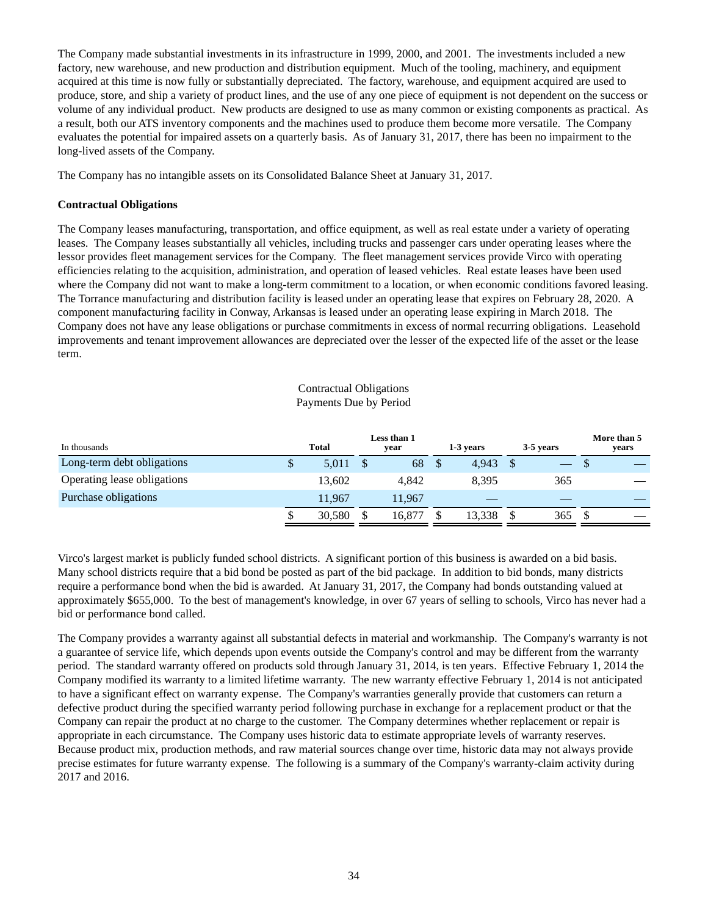The Company made substantial investments in its infrastructure in 1999, 2000, and 2001. The investments included a new factory, new warehouse, and new production and distribution equipment. Much of the tooling, machinery, and equipment acquired at this time is now fully or substantially depreciated. The factory, warehouse, and equipment acquired are used to produce, store, and ship a variety of product lines, and the use of any one piece of equipment is not dependent on the success or volume of any individual product. New products are designed to use as many common or existing components as practical. As a result, both our ATS inventory components and the machines used to produce them become more versatile. The Company evaluates the potential for impaired assets on a quarterly basis. As of January 31, 2017, there has been no impairment to the long-lived assets of the Company.

The Company has no intangible assets on its Consolidated Balance Sheet at January 31, 2017.

#### **Contractual Obligations**

The Company leases manufacturing, transportation, and office equipment, as well as real estate under a variety of operating leases. The Company leases substantially all vehicles, including trucks and passenger cars under operating leases where the lessor provides fleet management services for the Company. The fleet management services provide Virco with operating efficiencies relating to the acquisition, administration, and operation of leased vehicles. Real estate leases have been used where the Company did not want to make a long-term commitment to a location, or when economic conditions favored leasing. The Torrance manufacturing and distribution facility is leased under an operating lease that expires on February 28, 2020. A component manufacturing facility in Conway, Arkansas is leased under an operating lease expiring in March 2018. The Company does not have any lease obligations or purchase commitments in excess of normal recurring obligations. Leasehold improvements and tenant improvement allowances are depreciated over the lesser of the expected life of the asset or the lease term.

#### Contractual Obligations Payments Due by Period

| In thousands                | <b>Total</b> | Less than 1<br>vear | 1-3 years | 3-5 years | More than 5<br>years |
|-----------------------------|--------------|---------------------|-----------|-----------|----------------------|
| Long-term debt obligations  | 5,011        | 68                  | 4.943     |           |                      |
| Operating lease obligations | 13.602       | 4.842               | 8.395     | 365       |                      |
| Purchase obligations        | 11.967       | 11.967              |           |           |                      |
|                             | 30.580       | 16.877              | 13.338    | \$<br>365 |                      |

Virco's largest market is publicly funded school districts. A significant portion of this business is awarded on a bid basis. Many school districts require that a bid bond be posted as part of the bid package. In addition to bid bonds, many districts require a performance bond when the bid is awarded. At January 31, 2017, the Company had bonds outstanding valued at approximately \$655,000. To the best of management's knowledge, in over 67 years of selling to schools, Virco has never had a bid or performance bond called.

The Company provides a warranty against all substantial defects in material and workmanship. The Company's warranty is not a guarantee of service life, which depends upon events outside the Company's control and may be different from the warranty period. The standard warranty offered on products sold through January 31, 2014, is ten years. Effective February 1, 2014 the Company modified its warranty to a limited lifetime warranty. The new warranty effective February 1, 2014 is not anticipated to have a significant effect on warranty expense. The Company's warranties generally provide that customers can return a defective product during the specified warranty period following purchase in exchange for a replacement product or that the Company can repair the product at no charge to the customer. The Company determines whether replacement or repair is appropriate in each circumstance. The Company uses historic data to estimate appropriate levels of warranty reserves. Because product mix, production methods, and raw material sources change over time, historic data may not always provide precise estimates for future warranty expense. The following is a summary of the Company's warranty-claim activity during 2017 and 2016.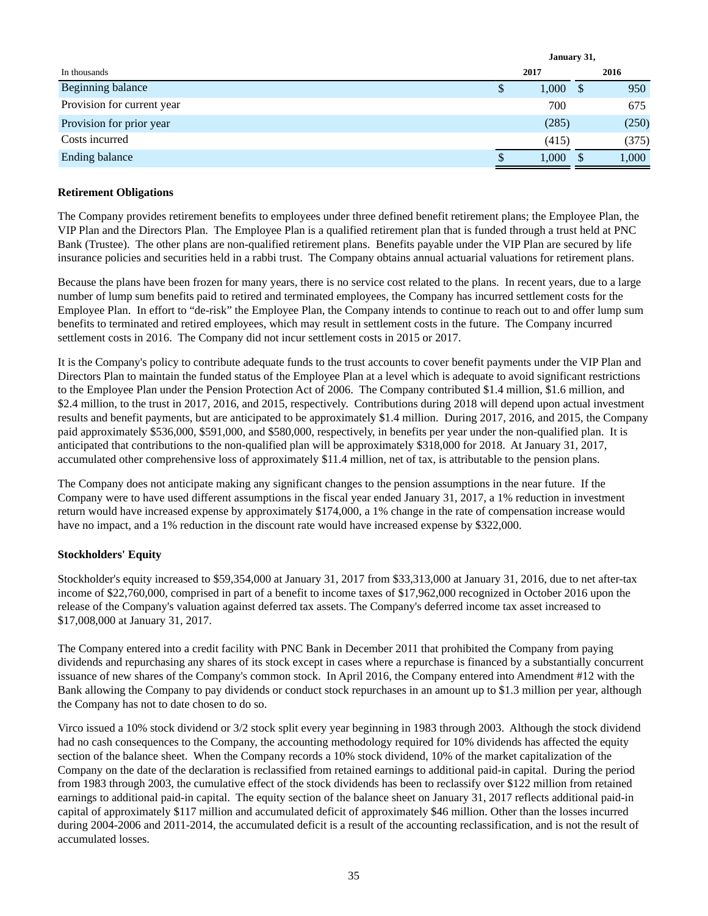|                            |              | January 31, |               |       |
|----------------------------|--------------|-------------|---------------|-------|
| In thousands               |              | 2017        |               | 2016  |
| Beginning balance          | $\mathbb{S}$ | 1,000       | $\mathcal{S}$ | 950   |
| Provision for current year |              | 700         |               | 675   |
| Provision for prior year   |              | (285)       |               | (250) |
| Costs incurred             |              | (415)       |               | (375) |
| Ending balance             |              | 1,000       |               | 1,000 |

# **Retirement Obligations**

The Company provides retirement benefits to employees under three defined benefit retirement plans; the Employee Plan, the VIP Plan and the Directors Plan. The Employee Plan is a qualified retirement plan that is funded through a trust held at PNC Bank (Trustee). The other plans are non-qualified retirement plans. Benefits payable under the VIP Plan are secured by life insurance policies and securities held in a rabbi trust. The Company obtains annual actuarial valuations for retirement plans.

Because the plans have been frozen for many years, there is no service cost related to the plans. In recent years, due to a large number of lump sum benefits paid to retired and terminated employees, the Company has incurred settlement costs for the Employee Plan. In effort to "de-risk" the Employee Plan, the Company intends to continue to reach out to and offer lump sum benefits to terminated and retired employees, which may result in settlement costs in the future. The Company incurred settlement costs in 2016. The Company did not incur settlement costs in 2015 or 2017.

It is the Company's policy to contribute adequate funds to the trust accounts to cover benefit payments under the VIP Plan and Directors Plan to maintain the funded status of the Employee Plan at a level which is adequate to avoid significant restrictions to the Employee Plan under the Pension Protection Act of 2006. The Company contributed \$1.4 million, \$1.6 million, and \$2.4 million, to the trust in 2017, 2016, and 2015, respectively. Contributions during 2018 will depend upon actual investment results and benefit payments, but are anticipated to be approximately \$1.4 million. During 2017, 2016, and 2015, the Company paid approximately \$536,000, \$591,000, and \$580,000, respectively, in benefits per year under the non-qualified plan. It is anticipated that contributions to the non-qualified plan will be approximately \$318,000 for 2018. At January 31, 2017, accumulated other comprehensive loss of approximately \$11.4 million, net of tax, is attributable to the pension plans.

The Company does not anticipate making any significant changes to the pension assumptions in the near future. If the Company were to have used different assumptions in the fiscal year ended January 31, 2017, a 1% reduction in investment return would have increased expense by approximately \$174,000, a 1% change in the rate of compensation increase would have no impact, and a 1% reduction in the discount rate would have increased expense by \$322,000.

# **Stockholders' Equity**

Stockholder's equity increased to \$59,354,000 at January 31, 2017 from \$33,313,000 at January 31, 2016, due to net after-tax income of \$22,760,000, comprised in part of a benefit to income taxes of \$17,962,000 recognized in October 2016 upon the release of the Company's valuation against deferred tax assets. The Company's deferred income tax asset increased to \$17,008,000 at January 31, 2017.

The Company entered into a credit facility with PNC Bank in December 2011 that prohibited the Company from paying dividends and repurchasing any shares of its stock except in cases where a repurchase is financed by a substantially concurrent issuance of new shares of the Company's common stock. In April 2016, the Company entered into Amendment #12 with the Bank allowing the Company to pay dividends or conduct stock repurchases in an amount up to \$1.3 million per year, although the Company has not to date chosen to do so.

Virco issued a 10% stock dividend or 3/2 stock split every year beginning in 1983 through 2003. Although the stock dividend had no cash consequences to the Company, the accounting methodology required for 10% dividends has affected the equity section of the balance sheet. When the Company records a 10% stock dividend, 10% of the market capitalization of the Company on the date of the declaration is reclassified from retained earnings to additional paid-in capital. During the period from 1983 through 2003, the cumulative effect of the stock dividends has been to reclassify over \$122 million from retained earnings to additional paid-in capital. The equity section of the balance sheet on January 31, 2017 reflects additional paid-in capital of approximately \$117 million and accumulated deficit of approximately \$46 million. Other than the losses incurred during 2004-2006 and 2011-2014, the accumulated deficit is a result of the accounting reclassification, and is not the result of accumulated losses.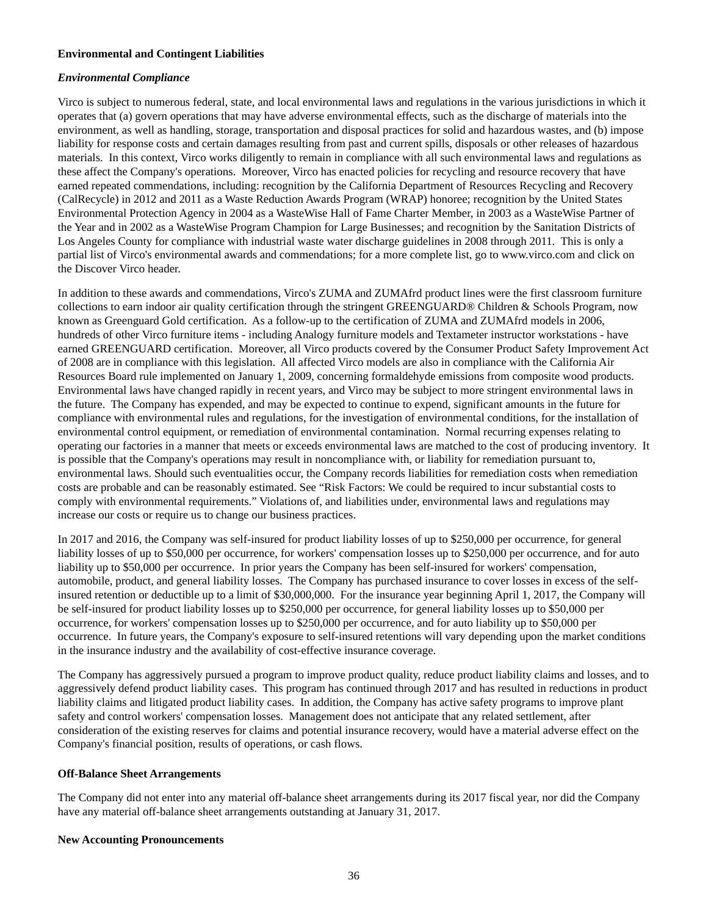## **Environmental and Contingent Liabilities**

## *Environmental Compliance*

Virco is subject to numerous federal, state, and local environmental laws and regulations in the various jurisdictions in which it operates that (a) govern operations that may have adverse environmental effects, such as the discharge of materials into the environment, as well as handling, storage, transportation and disposal practices for solid and hazardous wastes, and (b) impose liability for response costs and certain damages resulting from past and current spills, disposals or other releases of hazardous materials. In this context, Virco works diligently to remain in compliance with all such environmental laws and regulations as these affect the Company's operations. Moreover, Virco has enacted policies for recycling and resource recovery that have earned repeated commendations, including: recognition by the California Department of Resources Recycling and Recovery (CalRecycle) in 2012 and 2011 as a Waste Reduction Awards Program (WRAP) honoree; recognition by the United States Environmental Protection Agency in 2004 as a WasteWise Hall of Fame Charter Member, in 2003 as a WasteWise Partner of the Year and in 2002 as a WasteWise Program Champion for Large Businesses; and recognition by the Sanitation Districts of Los Angeles County for compliance with industrial waste water discharge guidelines in 2008 through 2011. This is only a partial list of Virco's environmental awards and commendations; for a more complete list, go to www.virco.com and click on the Discover Virco header.

In addition to these awards and commendations, Virco's ZUMA and ZUMAfrd product lines were the first classroom furniture collections to earn indoor air quality certification through the stringent GREENGUARD® Children & Schools Program, now known as Greenguard Gold certification. As a follow-up to the certification of ZUMA and ZUMAfrd models in 2006, hundreds of other Virco furniture items - including Analogy furniture models and Textameter instructor workstations - have earned GREENGUARD certification. Moreover, all Virco products covered by the Consumer Product Safety Improvement Act of 2008 are in compliance with this legislation. All affected Virco models are also in compliance with the California Air Resources Board rule implemented on January 1, 2009, concerning formaldehyde emissions from composite wood products. Environmental laws have changed rapidly in recent years, and Virco may be subject to more stringent environmental laws in the future. The Company has expended, and may be expected to continue to expend, significant amounts in the future for compliance with environmental rules and regulations, for the investigation of environmental conditions, for the installation of environmental control equipment, or remediation of environmental contamination. Normal recurring expenses relating to operating our factories in a manner that meets or exceeds environmental laws are matched to the cost of producing inventory. It is possible that the Company's operations may result in noncompliance with, or liability for remediation pursuant to, environmental laws. Should such eventualities occur, the Company records liabilities for remediation costs when remediation costs are probable and can be reasonably estimated. See "Risk Factors: We could be required to incur substantial costs to comply with environmental requirements." Violations of, and liabilities under, environmental laws and regulations may increase our costs or require us to change our business practices.

In 2017 and 2016, the Company was self-insured for product liability losses of up to \$250,000 per occurrence, for general liability losses of up to \$50,000 per occurrence, for workers' compensation losses up to \$250,000 per occurrence, and for auto liability up to \$50,000 per occurrence. In prior years the Company has been self-insured for workers' compensation, automobile, product, and general liability losses. The Company has purchased insurance to cover losses in excess of the selfinsured retention or deductible up to a limit of \$30,000,000. For the insurance year beginning April 1, 2017, the Company will be self-insured for product liability losses up to \$250,000 per occurrence, for general liability losses up to \$50,000 per occurrence, for workers' compensation losses up to \$250,000 per occurrence, and for auto liability up to \$50,000 per occurrence. In future years, the Company's exposure to self-insured retentions will vary depending upon the market conditions in the insurance industry and the availability of cost-effective insurance coverage.

The Company has aggressively pursued a program to improve product quality, reduce product liability claims and losses, and to aggressively defend product liability cases. This program has continued through 2017 and has resulted in reductions in product liability claims and litigated product liability cases. In addition, the Company has active safety programs to improve plant safety and control workers' compensation losses. Management does not anticipate that any related settlement, after consideration of the existing reserves for claims and potential insurance recovery, would have a material adverse effect on the Company's financial position, results of operations, or cash flows.

## **Off-Balance Sheet Arrangements**

The Company did not enter into any material off-balance sheet arrangements during its 2017 fiscal year, nor did the Company have any material off-balance sheet arrangements outstanding at January 31, 2017.

## **New Accounting Pronouncements**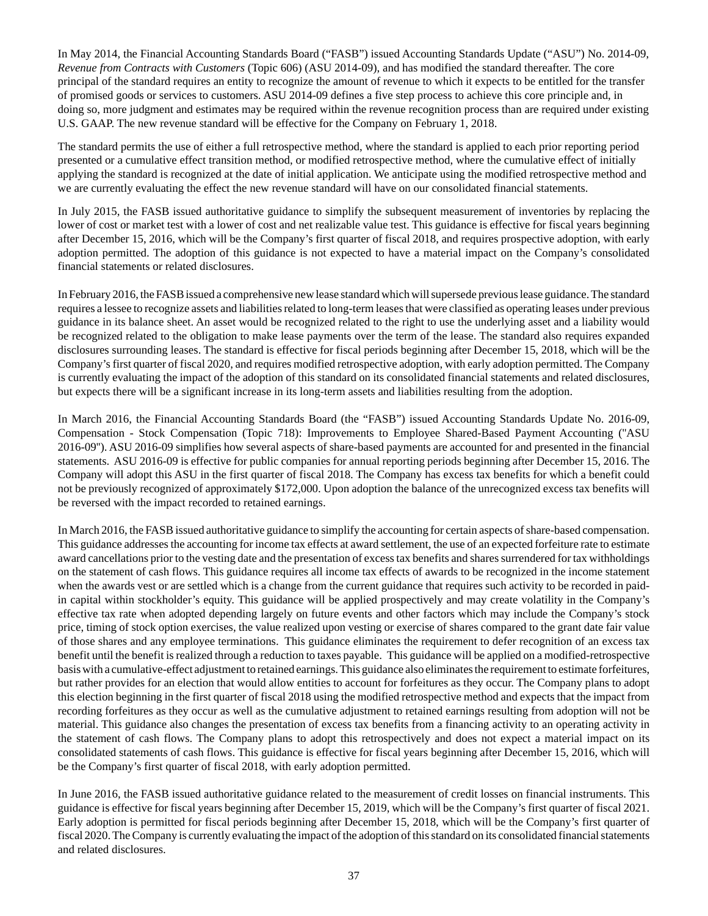In May 2014, the Financial Accounting Standards Board ("FASB") issued Accounting Standards Update ("ASU") No. 2014-09, *Revenue from Contracts with Customers* (Topic 606) (ASU 2014-09), and has modified the standard thereafter. The core principal of the standard requires an entity to recognize the amount of revenue to which it expects to be entitled for the transfer of promised goods or services to customers. ASU 2014-09 defines a five step process to achieve this core principle and, in doing so, more judgment and estimates may be required within the revenue recognition process than are required under existing U.S. GAAP. The new revenue standard will be effective for the Company on February 1, 2018.

The standard permits the use of either a full retrospective method, where the standard is applied to each prior reporting period presented or a cumulative effect transition method, or modified retrospective method, where the cumulative effect of initially applying the standard is recognized at the date of initial application. We anticipate using the modified retrospective method and we are currently evaluating the effect the new revenue standard will have on our consolidated financial statements.

In July 2015, the FASB issued authoritative guidance to simplify the subsequent measurement of inventories by replacing the lower of cost or market test with a lower of cost and net realizable value test. This guidance is effective for fiscal years beginning after December 15, 2016, which will be the Company's first quarter of fiscal 2018, and requires prospective adoption, with early adoption permitted. The adoption of this guidance is not expected to have a material impact on the Company's consolidated financial statements or related disclosures.

In February 2016, the FASB issued a comprehensive new lease standard which will supersede previous lease guidance. The standard requires a lessee to recognize assets and liabilities related to long-term leases that were classified as operating leases under previous guidance in its balance sheet. An asset would be recognized related to the right to use the underlying asset and a liability would be recognized related to the obligation to make lease payments over the term of the lease. The standard also requires expanded disclosures surrounding leases. The standard is effective for fiscal periods beginning after December 15, 2018, which will be the Company's first quarter of fiscal 2020, and requires modified retrospective adoption, with early adoption permitted. The Company is currently evaluating the impact of the adoption of this standard on its consolidated financial statements and related disclosures, but expects there will be a significant increase in its long-term assets and liabilities resulting from the adoption.

In March 2016, the Financial Accounting Standards Board (the "FASB") issued Accounting Standards Update No. 2016-09, Compensation - Stock Compensation (Topic 718): Improvements to Employee Shared-Based Payment Accounting (''ASU 2016-09''). ASU 2016-09 simplifies how several aspects of share-based payments are accounted for and presented in the financial statements. ASU 2016-09 is effective for public companies for annual reporting periods beginning after December 15, 2016. The Company will adopt this ASU in the first quarter of fiscal 2018. The Company has excess tax benefits for which a benefit could not be previously recognized of approximately \$172,000. Upon adoption the balance of the unrecognized excess tax benefits will be reversed with the impact recorded to retained earnings.

In March 2016, the FASB issued authoritative guidance to simplify the accounting for certain aspects of share-based compensation. This guidance addresses the accounting for income tax effects at award settlement, the use of an expected forfeiture rate to estimate award cancellations prior to the vesting date and the presentation of excess tax benefits and shares surrendered for tax withholdings on the statement of cash flows. This guidance requires all income tax effects of awards to be recognized in the income statement when the awards vest or are settled which is a change from the current guidance that requires such activity to be recorded in paidin capital within stockholder's equity. This guidance will be applied prospectively and may create volatility in the Company's effective tax rate when adopted depending largely on future events and other factors which may include the Company's stock price, timing of stock option exercises, the value realized upon vesting or exercise of shares compared to the grant date fair value of those shares and any employee terminations. This guidance eliminates the requirement to defer recognition of an excess tax benefit until the benefit is realized through a reduction to taxes payable. This guidance will be applied on a modified-retrospective basis with a cumulative-effect adjustment to retained earnings. This guidance also eliminates the requirement to estimate forfeitures, but rather provides for an election that would allow entities to account for forfeitures as they occur. The Company plans to adopt this election beginning in the first quarter of fiscal 2018 using the modified retrospective method and expects that the impact from recording forfeitures as they occur as well as the cumulative adjustment to retained earnings resulting from adoption will not be material. This guidance also changes the presentation of excess tax benefits from a financing activity to an operating activity in the statement of cash flows. The Company plans to adopt this retrospectively and does not expect a material impact on its consolidated statements of cash flows. This guidance is effective for fiscal years beginning after December 15, 2016, which will be the Company's first quarter of fiscal 2018, with early adoption permitted.

In June 2016, the FASB issued authoritative guidance related to the measurement of credit losses on financial instruments. This guidance is effective for fiscal years beginning after December 15, 2019, which will be the Company's first quarter of fiscal 2021. Early adoption is permitted for fiscal periods beginning after December 15, 2018, which will be the Company's first quarter of fiscal 2020. The Company is currently evaluating the impact of the adoption of this standard on its consolidated financial statements and related disclosures.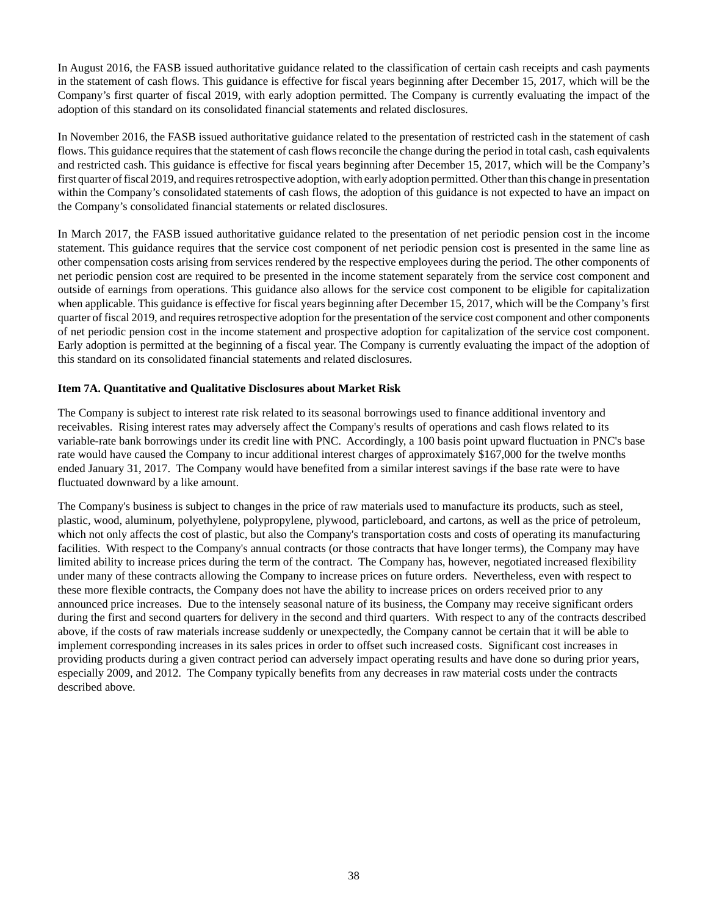In August 2016, the FASB issued authoritative guidance related to the classification of certain cash receipts and cash payments in the statement of cash flows. This guidance is effective for fiscal years beginning after December 15, 2017, which will be the Company's first quarter of fiscal 2019, with early adoption permitted. The Company is currently evaluating the impact of the adoption of this standard on its consolidated financial statements and related disclosures.

In November 2016, the FASB issued authoritative guidance related to the presentation of restricted cash in the statement of cash flows. This guidance requires that the statement of cash flows reconcile the change during the period in total cash, cash equivalents and restricted cash. This guidance is effective for fiscal years beginning after December 15, 2017, which will be the Company's first quarter of fiscal 2019, and requires retrospective adoption, with early adoption permitted. Other than this change in presentation within the Company's consolidated statements of cash flows, the adoption of this guidance is not expected to have an impact on the Company's consolidated financial statements or related disclosures.

In March 2017, the FASB issued authoritative guidance related to the presentation of net periodic pension cost in the income statement. This guidance requires that the service cost component of net periodic pension cost is presented in the same line as other compensation costs arising from services rendered by the respective employees during the period. The other components of net periodic pension cost are required to be presented in the income statement separately from the service cost component and outside of earnings from operations. This guidance also allows for the service cost component to be eligible for capitalization when applicable. This guidance is effective for fiscal years beginning after December 15, 2017, which will be the Company's first quarter of fiscal 2019, and requires retrospective adoption for the presentation of the service cost component and other components of net periodic pension cost in the income statement and prospective adoption for capitalization of the service cost component. Early adoption is permitted at the beginning of a fiscal year. The Company is currently evaluating the impact of the adoption of this standard on its consolidated financial statements and related disclosures.

## **Item 7A. Quantitative and Qualitative Disclosures about Market Risk**

The Company is subject to interest rate risk related to its seasonal borrowings used to finance additional inventory and receivables. Rising interest rates may adversely affect the Company's results of operations and cash flows related to its variable-rate bank borrowings under its credit line with PNC. Accordingly, a 100 basis point upward fluctuation in PNC's base rate would have caused the Company to incur additional interest charges of approximately \$167,000 for the twelve months ended January 31, 2017. The Company would have benefited from a similar interest savings if the base rate were to have fluctuated downward by a like amount.

The Company's business is subject to changes in the price of raw materials used to manufacture its products, such as steel, plastic, wood, aluminum, polyethylene, polypropylene, plywood, particleboard, and cartons, as well as the price of petroleum, which not only affects the cost of plastic, but also the Company's transportation costs and costs of operating its manufacturing facilities. With respect to the Company's annual contracts (or those contracts that have longer terms), the Company may have limited ability to increase prices during the term of the contract. The Company has, however, negotiated increased flexibility under many of these contracts allowing the Company to increase prices on future orders. Nevertheless, even with respect to these more flexible contracts, the Company does not have the ability to increase prices on orders received prior to any announced price increases. Due to the intensely seasonal nature of its business, the Company may receive significant orders during the first and second quarters for delivery in the second and third quarters. With respect to any of the contracts described above, if the costs of raw materials increase suddenly or unexpectedly, the Company cannot be certain that it will be able to implement corresponding increases in its sales prices in order to offset such increased costs. Significant cost increases in providing products during a given contract period can adversely impact operating results and have done so during prior years, especially 2009, and 2012. The Company typically benefits from any decreases in raw material costs under the contracts described above.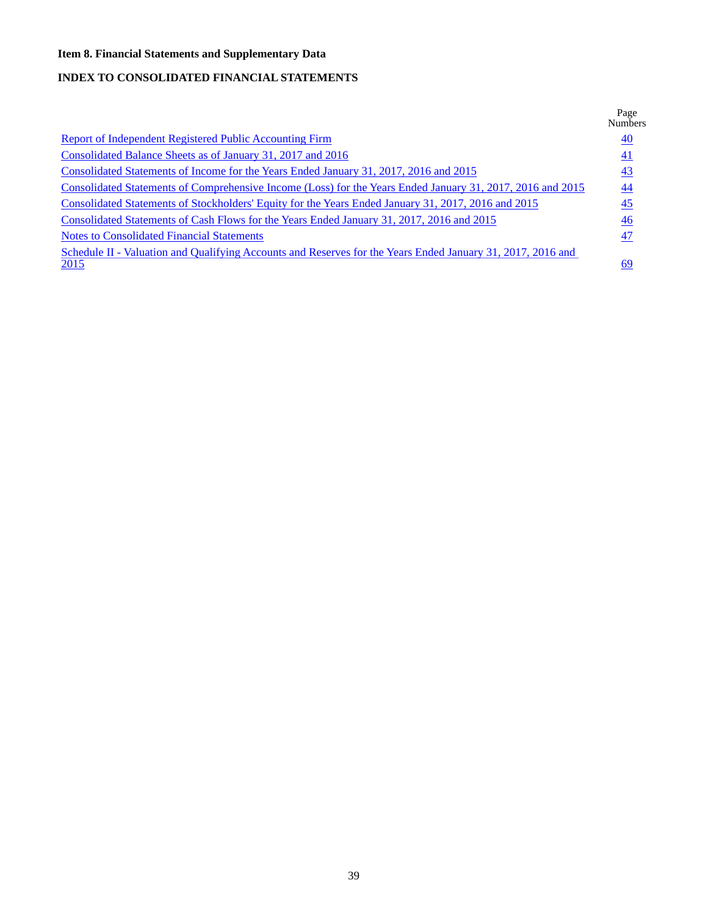# **Item 8. Financial Statements and Supplementary Data**

## **INDEX TO CONSOLIDATED FINANCIAL STATEMENTS**

|                                                                                                                     | Page<br>Numbers  |
|---------------------------------------------------------------------------------------------------------------------|------------------|
| Report of Independent Registered Public Accounting Firm                                                             | $\underline{40}$ |
| Consolidated Balance Sheets as of January 31, 2017 and 2016                                                         | <u>41</u>        |
| Consolidated Statements of Income for the Years Ended January 31, 2017, 2016 and 2015                               | $\frac{43}{5}$   |
| Consolidated Statements of Comprehensive Income (Loss) for the Years Ended January 31, 2017, 2016 and 2015          | $\overline{44}$  |
| Consolidated Statements of Stockholders' Equity for the Years Ended January 31, 2017, 2016 and 2015                 | 45               |
| Consolidated Statements of Cash Flows for the Years Ended January 31, 2017, 2016 and 2015                           | $\frac{46}{5}$   |
| <b>Notes to Consolidated Financial Statements</b>                                                                   | 47               |
| Schedule II - Valuation and Qualifying Accounts and Reserves for the Years Ended January 31, 2017, 2016 and<br>2015 | 69               |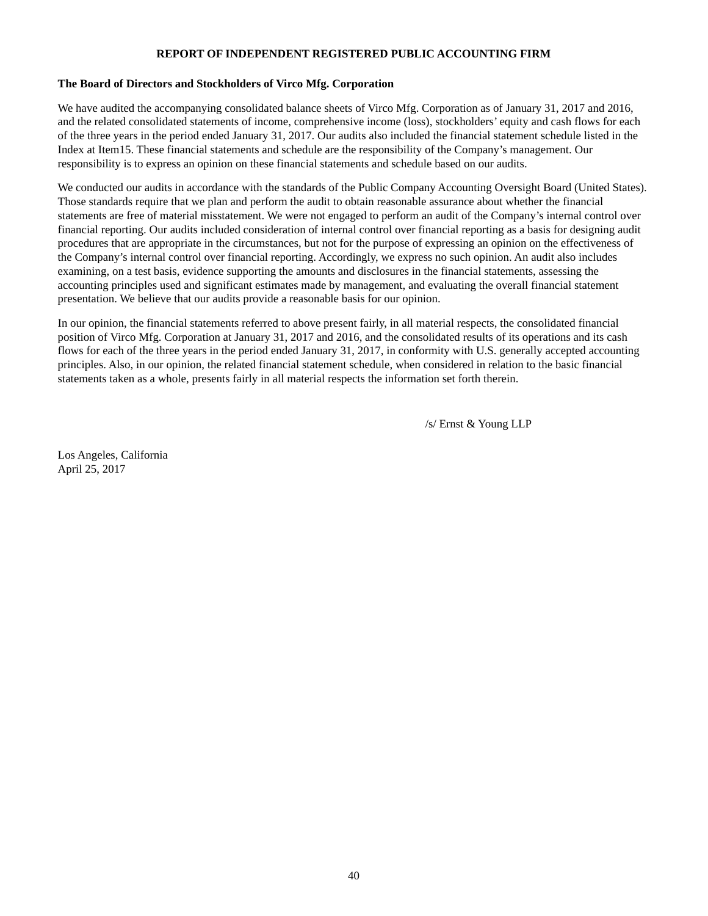## **REPORT OF INDEPENDENT REGISTERED PUBLIC ACCOUNTING FIRM**

#### <span id="page-40-0"></span>**The Board of Directors and Stockholders of Virco Mfg. Corporation**

We have audited the accompanying consolidated balance sheets of Virco Mfg. Corporation as of January 31, 2017 and 2016, and the related consolidated statements of income, comprehensive income (loss), stockholders' equity and cash flows for each of the three years in the period ended January 31, 2017. Our audits also included the financial statement schedule listed in the Index at Item15. These financial statements and schedule are the responsibility of the Company's management. Our responsibility is to express an opinion on these financial statements and schedule based on our audits.

We conducted our audits in accordance with the standards of the Public Company Accounting Oversight Board (United States). Those standards require that we plan and perform the audit to obtain reasonable assurance about whether the financial statements are free of material misstatement. We were not engaged to perform an audit of the Company's internal control over financial reporting. Our audits included consideration of internal control over financial reporting as a basis for designing audit procedures that are appropriate in the circumstances, but not for the purpose of expressing an opinion on the effectiveness of the Company's internal control over financial reporting. Accordingly, we express no such opinion. An audit also includes examining, on a test basis, evidence supporting the amounts and disclosures in the financial statements, assessing the accounting principles used and significant estimates made by management, and evaluating the overall financial statement presentation. We believe that our audits provide a reasonable basis for our opinion.

In our opinion, the financial statements referred to above present fairly, in all material respects, the consolidated financial position of Virco Mfg. Corporation at January 31, 2017 and 2016, and the consolidated results of its operations and its cash flows for each of the three years in the period ended January 31, 2017, in conformity with U.S. generally accepted accounting principles. Also, in our opinion, the related financial statement schedule, when considered in relation to the basic financial statements taken as a whole, presents fairly in all material respects the information set forth therein.

/s/ Ernst & Young LLP

Los Angeles, California April 25, 2017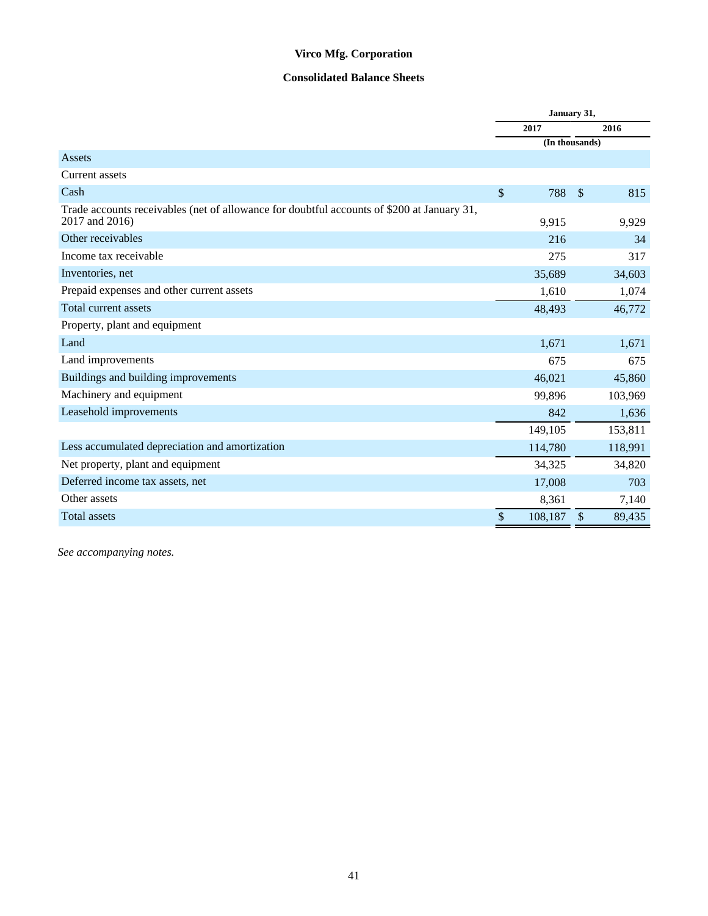## **Consolidated Balance Sheets**

<span id="page-41-0"></span>

|                                                                                                              | January 31, |                |               |         |
|--------------------------------------------------------------------------------------------------------------|-------------|----------------|---------------|---------|
|                                                                                                              |             | 2017           |               | 2016    |
|                                                                                                              |             | (In thousands) |               |         |
| Assets                                                                                                       |             |                |               |         |
| Current assets                                                                                               |             |                |               |         |
| Cash                                                                                                         | \$          | 788            | $\sqrt$       | 815     |
| Trade accounts receivables (net of allowance for doubtful accounts of \$200 at January 31,<br>2017 and 2016) |             | 9,915          |               | 9,929   |
| Other receivables                                                                                            |             | 216            |               | 34      |
| Income tax receivable                                                                                        |             | 275            |               | 317     |
| Inventories, net                                                                                             |             | 35,689         |               | 34,603  |
| Prepaid expenses and other current assets                                                                    |             | 1,610          |               | 1,074   |
| Total current assets                                                                                         |             | 48,493         |               | 46,772  |
| Property, plant and equipment                                                                                |             |                |               |         |
| Land                                                                                                         |             | 1,671          |               | 1,671   |
| Land improvements                                                                                            |             | 675            |               | 675     |
| Buildings and building improvements                                                                          |             | 46,021         |               | 45,860  |
| Machinery and equipment                                                                                      |             | 99,896         |               | 103,969 |
| Leasehold improvements                                                                                       |             | 842            |               | 1,636   |
|                                                                                                              |             | 149,105        |               | 153,811 |
| Less accumulated depreciation and amortization                                                               |             | 114,780        |               | 118,991 |
| Net property, plant and equipment                                                                            |             | 34,325         |               | 34,820  |
| Deferred income tax assets, net                                                                              |             | 17,008         |               | 703     |
| Other assets                                                                                                 |             | 8,361          |               | 7,140   |
| <b>Total assets</b>                                                                                          | \$          | 108,187        | $\mathcal{S}$ | 89,435  |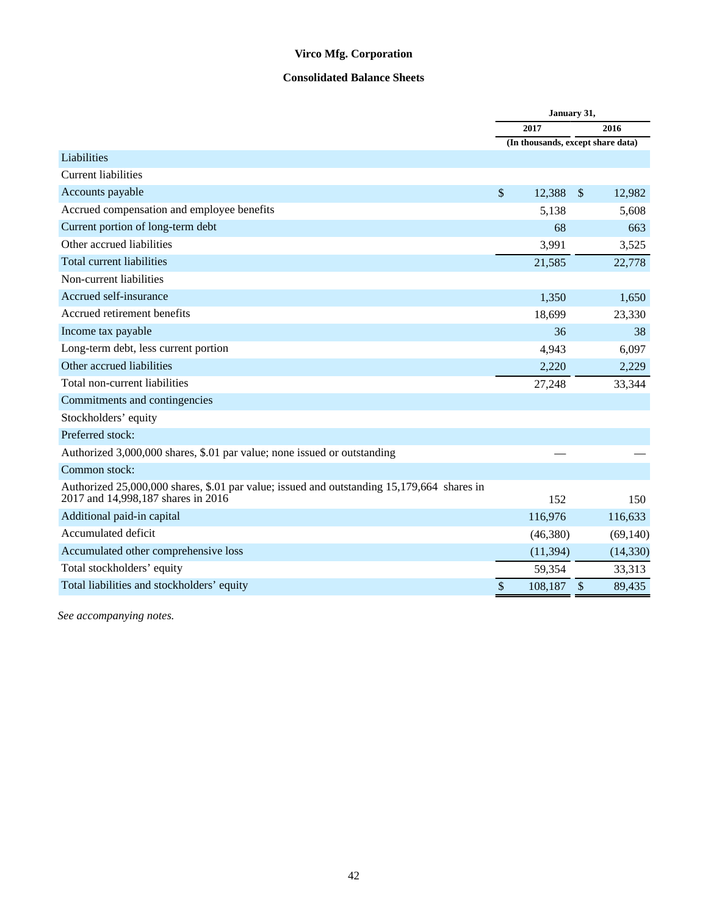## **Consolidated Balance Sheets**

|                                                                                                                                  | January 31, |                                   |               |           |
|----------------------------------------------------------------------------------------------------------------------------------|-------------|-----------------------------------|---------------|-----------|
|                                                                                                                                  |             | 2017                              |               | 2016      |
|                                                                                                                                  |             | (In thousands, except share data) |               |           |
| Liabilities                                                                                                                      |             |                                   |               |           |
| <b>Current liabilities</b>                                                                                                       |             |                                   |               |           |
| Accounts payable                                                                                                                 | \$          | 12,388                            | $\mathcal{S}$ | 12,982    |
| Accrued compensation and employee benefits                                                                                       |             | 5,138                             |               | 5,608     |
| Current portion of long-term debt                                                                                                |             | 68                                |               | 663       |
| Other accrued liabilities                                                                                                        |             | 3,991                             |               | 3,525     |
| Total current liabilities                                                                                                        |             | 21,585                            |               | 22,778    |
| Non-current liabilities                                                                                                          |             |                                   |               |           |
| Accrued self-insurance                                                                                                           |             | 1,350                             |               | 1,650     |
| Accrued retirement benefits                                                                                                      |             | 18,699                            |               | 23,330    |
| Income tax payable                                                                                                               |             | 36                                |               | 38        |
| Long-term debt, less current portion                                                                                             |             | 4,943                             |               | 6,097     |
| Other accrued liabilities                                                                                                        |             | 2,220                             |               | 2,229     |
| Total non-current liabilities                                                                                                    |             | 27,248                            |               | 33,344    |
| Commitments and contingencies                                                                                                    |             |                                   |               |           |
| Stockholders' equity                                                                                                             |             |                                   |               |           |
| Preferred stock:                                                                                                                 |             |                                   |               |           |
| Authorized 3,000,000 shares, \$.01 par value; none issued or outstanding                                                         |             |                                   |               |           |
| Common stock:                                                                                                                    |             |                                   |               |           |
| Authorized 25,000,000 shares, \$.01 par value; issued and outstanding 15,179,664 shares in<br>2017 and 14,998,187 shares in 2016 |             | 152                               |               | 150       |
| Additional paid-in capital                                                                                                       |             | 116,976                           |               | 116,633   |
| Accumulated deficit                                                                                                              |             | (46,380)                          |               | (69, 140) |
| Accumulated other comprehensive loss                                                                                             |             | (11, 394)                         |               | (14, 330) |
| Total stockholders' equity                                                                                                       |             | 59,354                            |               | 33,313    |
| Total liabilities and stockholders' equity                                                                                       | $\sqrt{\ }$ | 108,187                           | \$            | 89,435    |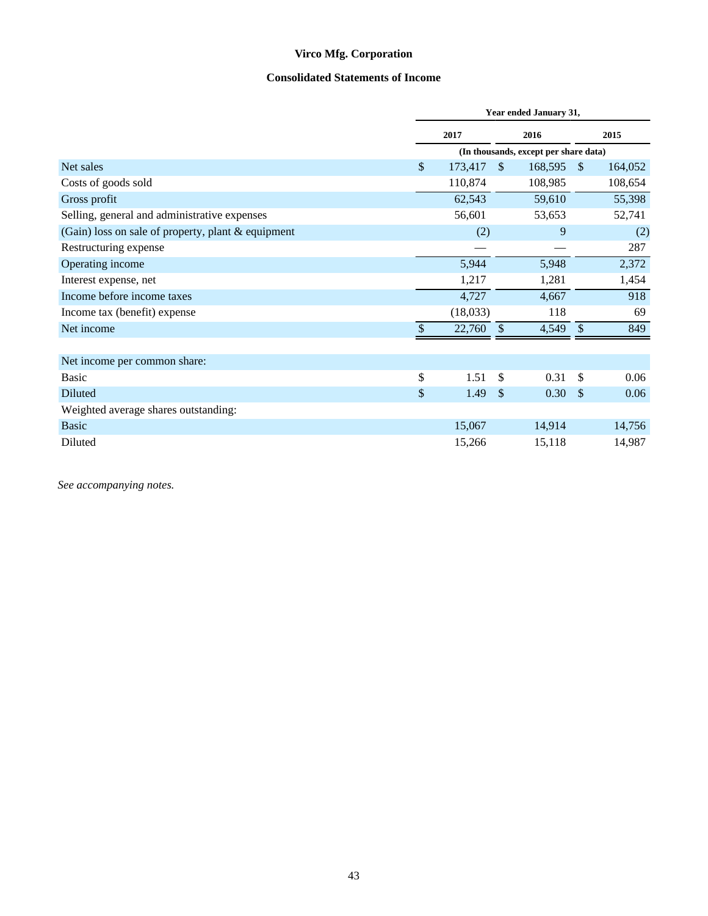## **Consolidated Statements of Income**

<span id="page-43-0"></span>

|                                                    |              | Year ended January 31,                |    |         |    |         |  |
|----------------------------------------------------|--------------|---------------------------------------|----|---------|----|---------|--|
|                                                    |              | 2017                                  |    | 2016    |    | 2015    |  |
|                                                    |              | (In thousands, except per share data) |    |         |    |         |  |
| Net sales                                          | $\mathbb{S}$ | 173,417                               | \$ | 168,595 | \$ | 164,052 |  |
| Costs of goods sold                                |              | 110,874                               |    | 108,985 |    | 108,654 |  |
| Gross profit                                       |              | 62,543                                |    | 59,610  |    | 55,398  |  |
| Selling, general and administrative expenses       |              | 56,601                                |    | 53,653  |    | 52,741  |  |
| (Gain) loss on sale of property, plant & equipment |              | (2)                                   |    | 9       |    | (2)     |  |
| Restructuring expense                              |              |                                       |    |         |    | 287     |  |
| Operating income                                   |              | 5,944                                 |    | 5,948   |    | 2,372   |  |
| Interest expense, net                              |              | 1,217                                 |    | 1,281   |    | 1,454   |  |
| Income before income taxes                         |              | 4,727                                 |    | 4,667   |    | 918     |  |
| Income tax (benefit) expense                       |              | (18,033)                              |    | 118     |    | 69      |  |
| Net income                                         | \$           | 22,760                                | \$ | 4,549   | \$ | 849     |  |
|                                                    |              |                                       |    |         |    |         |  |
| Net income per common share:                       |              |                                       |    |         |    |         |  |
| <b>Basic</b>                                       | \$           | 1.51                                  | \$ | 0.31    | \$ | 0.06    |  |
| Diluted                                            | \$           | 1.49                                  | \$ | 0.30    | \$ | 0.06    |  |
| Weighted average shares outstanding:               |              |                                       |    |         |    |         |  |
| <b>Basic</b>                                       |              | 15,067                                |    | 14,914  |    | 14,756  |  |
| Diluted                                            |              | 15,266                                |    | 15,118  |    | 14,987  |  |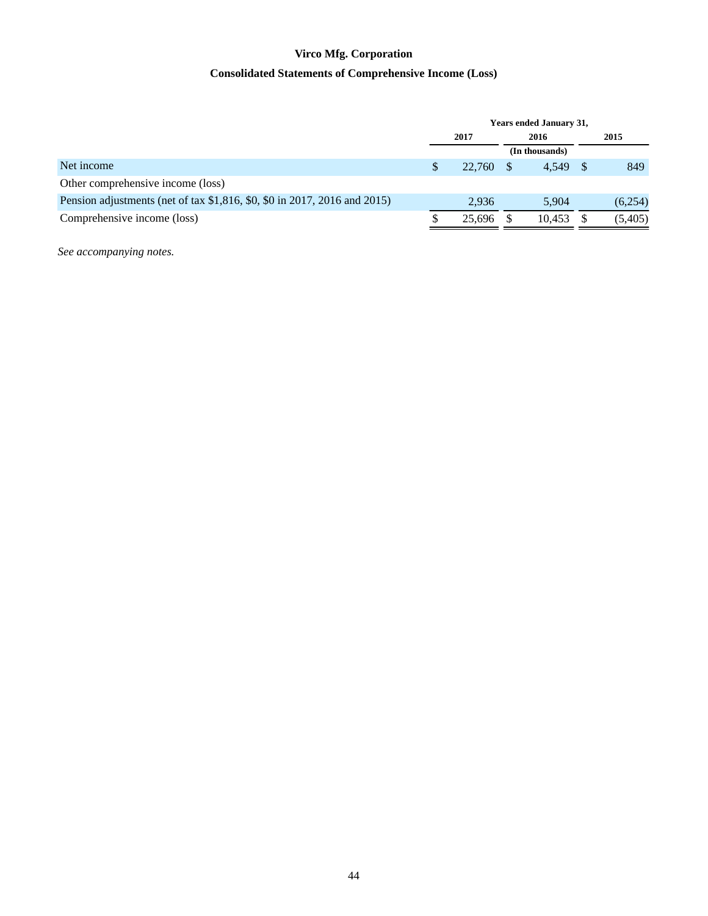# **Consolidated Statements of Comprehensive Income (Loss)**

<span id="page-44-0"></span>

|                                                                           | <b>Years ended January 31,</b> |        |      |                |  |         |  |
|---------------------------------------------------------------------------|--------------------------------|--------|------|----------------|--|---------|--|
|                                                                           | 2017                           |        | 2016 |                |  | 2015    |  |
|                                                                           |                                |        |      | (In thousands) |  |         |  |
| Net income                                                                |                                | 22.760 |      | 4.549          |  | 849     |  |
| Other comprehensive income (loss)                                         |                                |        |      |                |  |         |  |
| Pension adjustments (net of tax \$1,816, \$0, \$0 in 2017, 2016 and 2015) |                                | 2.936  |      | 5.904          |  | (6,254) |  |
| Comprehensive income (loss)                                               |                                | 25.696 |      | 10.453         |  | (5,405) |  |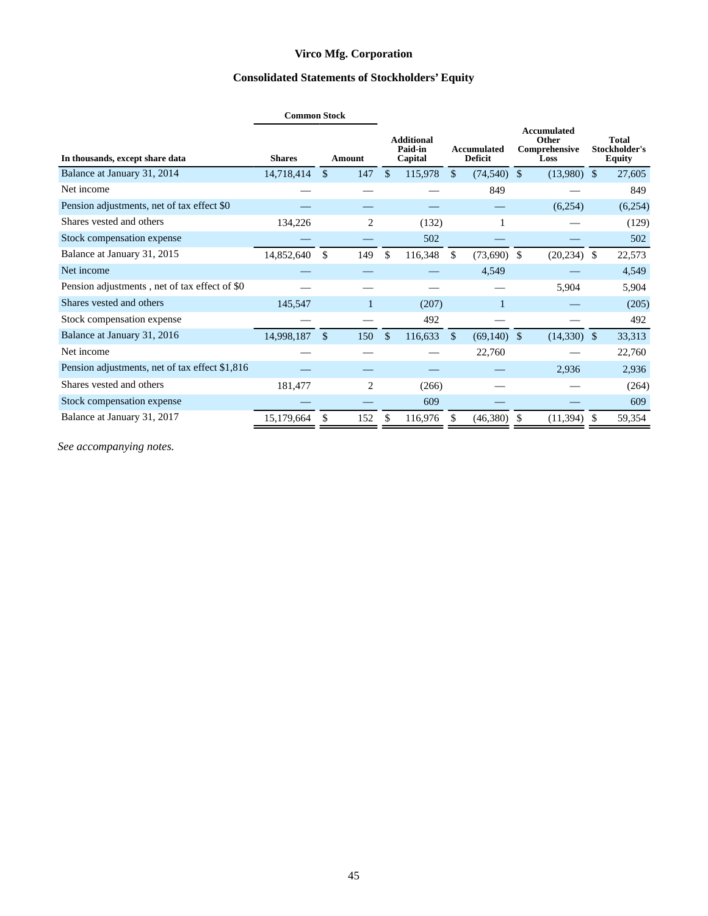## **Consolidated Statements of Stockholders' Equity**

<span id="page-45-0"></span>

|                                                | <b>Common Stock</b> |               |                |               |                                         |               |                                      |    |                                                      |               |                                                |
|------------------------------------------------|---------------------|---------------|----------------|---------------|-----------------------------------------|---------------|--------------------------------------|----|------------------------------------------------------|---------------|------------------------------------------------|
| In thousands, except share data                | <b>Shares</b>       |               | Amount         |               | <b>Additional</b><br>Paid-in<br>Capital |               | <b>Accumulated</b><br><b>Deficit</b> |    | <b>Accumulated</b><br>Other<br>Comprehensive<br>Loss |               | <b>Total</b><br>Stockholder's<br><b>Equity</b> |
| Balance at January 31, 2014                    | 14,718,414          | \$.           | 147            | \$            | 115,978                                 | $\mathcal{S}$ | $(74,540)$ \$                        |    | $(13,980)$ \$                                        |               | 27,605                                         |
| Net income                                     |                     |               |                |               |                                         |               | 849                                  |    |                                                      |               | 849                                            |
| Pension adjustments, net of tax effect \$0     |                     |               |                |               |                                         |               |                                      |    | (6,254)                                              |               | (6,254)                                        |
| Shares vested and others                       | 134,226             |               | $\overline{c}$ |               | (132)                                   |               |                                      |    |                                                      |               | (129)                                          |
| Stock compensation expense                     |                     |               |                |               | 502                                     |               |                                      |    |                                                      |               | 502                                            |
| Balance at January 31, 2015                    | 14,852,640          | $\mathbb{S}$  | 149            | \$            | 116,348                                 | \$            | (73,690)                             | -S | (20, 234)                                            | <sup>\$</sup> | 22,573                                         |
| Net income                                     |                     |               |                |               |                                         |               | 4,549                                |    |                                                      |               | 4,549                                          |
| Pension adjustments, net of tax effect of \$0  |                     |               |                |               |                                         |               |                                      |    | 5,904                                                |               | 5,904                                          |
| Shares vested and others                       | 145,547             |               | 1              |               | (207)                                   |               | 1                                    |    |                                                      |               | (205)                                          |
| Stock compensation expense                     |                     |               |                |               | 492                                     |               |                                      |    |                                                      |               | 492                                            |
| Balance at January 31, 2016                    | 14,998,187          | <sup>\$</sup> | 150            | $\mathcal{S}$ | 116,633                                 | $\mathcal{S}$ | $(69,140)$ \$                        |    | $(14,330)$ \$                                        |               | 33,313                                         |
| Net income                                     |                     |               |                |               |                                         |               | 22,760                               |    |                                                      |               | 22,760                                         |
| Pension adjustments, net of tax effect \$1,816 |                     |               |                |               |                                         |               |                                      |    | 2,936                                                |               | 2,936                                          |
| Shares vested and others                       | 181,477             |               | 2              |               | (266)                                   |               |                                      |    |                                                      |               | (264)                                          |
| Stock compensation expense                     |                     |               |                |               | 609                                     |               |                                      |    |                                                      |               | 609                                            |
| Balance at January 31, 2017                    | 15,179,664          | \$            | 152            | \$            | 116,976                                 | \$            | (46,380)                             | \$ | (11, 394)                                            | <sup>\$</sup> | 59,354                                         |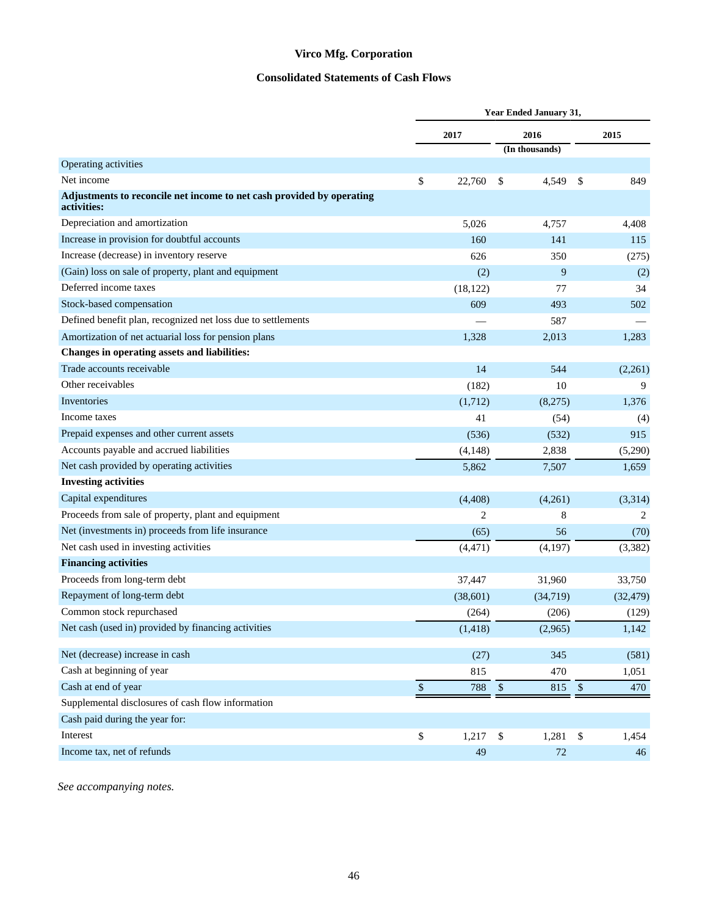## **Consolidated Statements of Cash Flows**

<span id="page-46-0"></span>

|                                                                                      | Year Ended January 31, |           |                           |                |               |           |
|--------------------------------------------------------------------------------------|------------------------|-----------|---------------------------|----------------|---------------|-----------|
|                                                                                      |                        | 2017      |                           | 2016           |               | 2015      |
|                                                                                      |                        |           |                           | (In thousands) |               |           |
| Operating activities                                                                 |                        |           |                           |                |               |           |
| Net income                                                                           | \$                     | 22,760    | \$                        | 4,549          | \$            | 849       |
| Adjustments to reconcile net income to net cash provided by operating<br>activities: |                        |           |                           |                |               |           |
| Depreciation and amortization                                                        |                        | 5,026     |                           | 4,757          |               | 4,408     |
| Increase in provision for doubtful accounts                                          |                        | 160       |                           | 141            |               | 115       |
| Increase (decrease) in inventory reserve                                             |                        | 626       |                           | 350            |               | (275)     |
| (Gain) loss on sale of property, plant and equipment                                 |                        | (2)       |                           | 9              |               | (2)       |
| Deferred income taxes                                                                |                        | (18, 122) |                           | 77             |               | 34        |
| Stock-based compensation                                                             |                        | 609       |                           | 493            |               | 502       |
| Defined benefit plan, recognized net loss due to settlements                         |                        |           |                           | 587            |               |           |
| Amortization of net actuarial loss for pension plans                                 |                        | 1,328     |                           | 2,013          |               | 1,283     |
| Changes in operating assets and liabilities:                                         |                        |           |                           |                |               |           |
| Trade accounts receivable                                                            |                        | 14        |                           | 544            |               | (2,261)   |
| Other receivables                                                                    |                        | (182)     |                           | 10             |               | 9         |
| Inventories                                                                          |                        | (1,712)   |                           | (8,275)        |               | 1,376     |
| Income taxes                                                                         |                        | 41        |                           | (54)           |               | (4)       |
| Prepaid expenses and other current assets                                            |                        | (536)     |                           | (532)          |               | 915       |
| Accounts payable and accrued liabilities                                             |                        | (4,148)   |                           | 2,838          |               | (5,290)   |
| Net cash provided by operating activities                                            |                        | 5,862     |                           | 7,507          |               | 1,659     |
| <b>Investing activities</b>                                                          |                        |           |                           |                |               |           |
| Capital expenditures                                                                 |                        | (4, 408)  |                           | (4,261)        |               | (3,314)   |
| Proceeds from sale of property, plant and equipment                                  |                        | 2         |                           | 8              |               | 2         |
| Net (investments in) proceeds from life insurance                                    |                        | (65)      |                           | 56             |               | (70)      |
| Net cash used in investing activities                                                |                        | (4, 471)  |                           | (4,197)        |               | (3, 382)  |
| <b>Financing activities</b>                                                          |                        |           |                           |                |               |           |
| Proceeds from long-term debt                                                         |                        | 37,447    |                           | 31,960         |               | 33,750    |
| Repayment of long-term debt                                                          |                        | (38,601)  |                           | (34,719)       |               | (32, 479) |
| Common stock repurchased                                                             |                        | (264)     |                           | (206)          |               | (129)     |
| Net cash (used in) provided by financing activities                                  |                        | (1, 418)  |                           | (2,965)        |               | 1,142     |
| Net (decrease) increase in cash                                                      |                        | (27)      |                           | 345            |               | (581)     |
| Cash at beginning of year                                                            |                        | 815       |                           | 470            |               | 1,051     |
| Cash at end of year                                                                  | $\mathbb{S}$           | 788       | $\sqrt{\$}$               | 815            | $\mathcal{S}$ | 470       |
| Supplemental disclosures of cash flow information                                    |                        |           |                           |                |               |           |
| Cash paid during the year for:                                                       |                        |           |                           |                |               |           |
| Interest                                                                             | $\mathbb{S}$           | 1,217     | $\boldsymbol{\mathsf{S}}$ | 1,281          | $\mathcal{S}$ | 1,454     |
| Income tax, net of refunds                                                           |                        | 49        |                           | $72\,$         |               | 46        |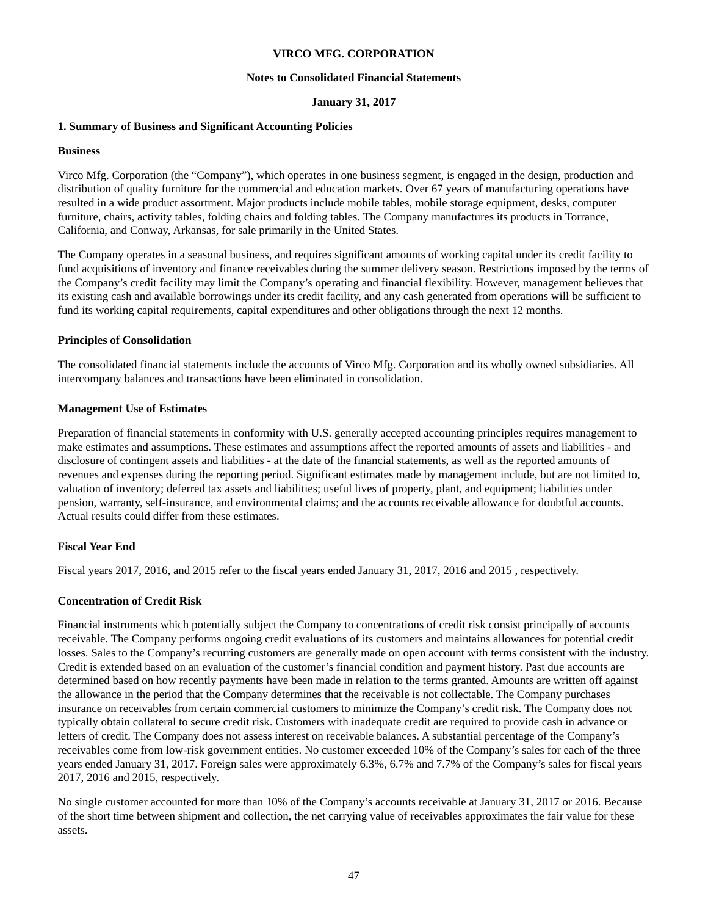### **VIRCO MFG. CORPORATION**

#### **Notes to Consolidated Financial Statements**

### **January 31, 2017**

#### <span id="page-47-0"></span>**1. Summary of Business and Significant Accounting Policies**

#### **Business**

Virco Mfg. Corporation (the "Company"), which operates in one business segment, is engaged in the design, production and distribution of quality furniture for the commercial and education markets. Over 67 years of manufacturing operations have resulted in a wide product assortment. Major products include mobile tables, mobile storage equipment, desks, computer furniture, chairs, activity tables, folding chairs and folding tables. The Company manufactures its products in Torrance, California, and Conway, Arkansas, for sale primarily in the United States.

The Company operates in a seasonal business, and requires significant amounts of working capital under its credit facility to fund acquisitions of inventory and finance receivables during the summer delivery season. Restrictions imposed by the terms of the Company's credit facility may limit the Company's operating and financial flexibility. However, management believes that its existing cash and available borrowings under its credit facility, and any cash generated from operations will be sufficient to fund its working capital requirements, capital expenditures and other obligations through the next 12 months.

#### **Principles of Consolidation**

The consolidated financial statements include the accounts of Virco Mfg. Corporation and its wholly owned subsidiaries. All intercompany balances and transactions have been eliminated in consolidation.

#### **Management Use of Estimates**

Preparation of financial statements in conformity with U.S. generally accepted accounting principles requires management to make estimates and assumptions. These estimates and assumptions affect the reported amounts of assets and liabilities - and disclosure of contingent assets and liabilities - at the date of the financial statements, as well as the reported amounts of revenues and expenses during the reporting period. Significant estimates made by management include, but are not limited to, valuation of inventory; deferred tax assets and liabilities; useful lives of property, plant, and equipment; liabilities under pension, warranty, self-insurance, and environmental claims; and the accounts receivable allowance for doubtful accounts. Actual results could differ from these estimates.

## **Fiscal Year End**

Fiscal years 2017, 2016, and 2015 refer to the fiscal years ended January 31, 2017, 2016 and 2015 , respectively.

## **Concentration of Credit Risk**

Financial instruments which potentially subject the Company to concentrations of credit risk consist principally of accounts receivable. The Company performs ongoing credit evaluations of its customers and maintains allowances for potential credit losses. Sales to the Company's recurring customers are generally made on open account with terms consistent with the industry. Credit is extended based on an evaluation of the customer's financial condition and payment history. Past due accounts are determined based on how recently payments have been made in relation to the terms granted. Amounts are written off against the allowance in the period that the Company determines that the receivable is not collectable. The Company purchases insurance on receivables from certain commercial customers to minimize the Company's credit risk. The Company does not typically obtain collateral to secure credit risk. Customers with inadequate credit are required to provide cash in advance or letters of credit. The Company does not assess interest on receivable balances. A substantial percentage of the Company's receivables come from low-risk government entities. No customer exceeded 10% of the Company's sales for each of the three years ended January 31, 2017. Foreign sales were approximately 6.3%, 6.7% and 7.7% of the Company's sales for fiscal years 2017, 2016 and 2015, respectively.

No single customer accounted for more than 10% of the Company's accounts receivable at January 31, 2017 or 2016. Because of the short time between shipment and collection, the net carrying value of receivables approximates the fair value for these assets.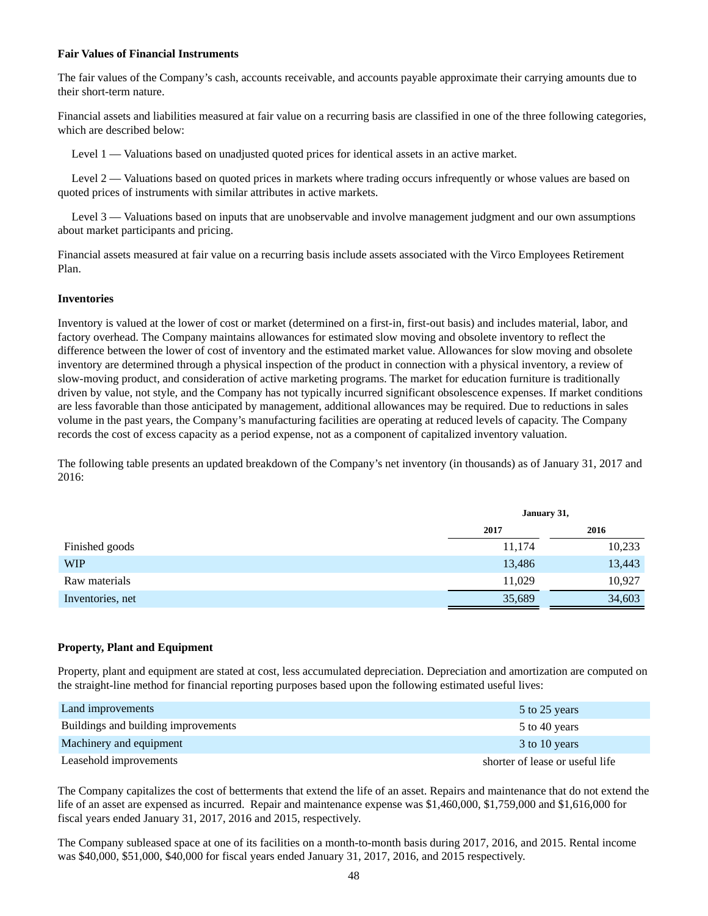### **Fair Values of Financial Instruments**

The fair values of the Company's cash, accounts receivable, and accounts payable approximate their carrying amounts due to their short-term nature.

Financial assets and liabilities measured at fair value on a recurring basis are classified in one of the three following categories, which are described below:

Level 1 — Valuations based on unadjusted quoted prices for identical assets in an active market.

Level 2 — Valuations based on quoted prices in markets where trading occurs infrequently or whose values are based on quoted prices of instruments with similar attributes in active markets.

Level 3 — Valuations based on inputs that are unobservable and involve management judgment and our own assumptions about market participants and pricing.

Financial assets measured at fair value on a recurring basis include assets associated with the Virco Employees Retirement Plan.

#### **Inventories**

Inventory is valued at the lower of cost or market (determined on a first-in, first-out basis) and includes material, labor, and factory overhead. The Company maintains allowances for estimated slow moving and obsolete inventory to reflect the difference between the lower of cost of inventory and the estimated market value. Allowances for slow moving and obsolete inventory are determined through a physical inspection of the product in connection with a physical inventory, a review of slow-moving product, and consideration of active marketing programs. The market for education furniture is traditionally driven by value, not style, and the Company has not typically incurred significant obsolescence expenses. If market conditions are less favorable than those anticipated by management, additional allowances may be required. Due to reductions in sales volume in the past years, the Company's manufacturing facilities are operating at reduced levels of capacity. The Company records the cost of excess capacity as a period expense, not as a component of capitalized inventory valuation.

The following table presents an updated breakdown of the Company's net inventory (in thousands) as of January 31, 2017 and 2016:

|                  | January 31, |        |
|------------------|-------------|--------|
|                  | 2017        | 2016   |
| Finished goods   | 11,174      | 10,233 |
| <b>WIP</b>       | 13,486      | 13,443 |
| Raw materials    | 11,029      | 10,927 |
| Inventories, net | 35,689      | 34,603 |

#### **Property, Plant and Equipment**

Property, plant and equipment are stated at cost, less accumulated depreciation. Depreciation and amortization are computed on the straight-line method for financial reporting purposes based upon the following estimated useful lives:

| Land improvements                   | 5 to 25 years                   |
|-------------------------------------|---------------------------------|
| Buildings and building improvements | 5 to 40 years                   |
| Machinery and equipment             | 3 to 10 years                   |
| Leasehold improvements              | shorter of lease or useful life |

The Company capitalizes the cost of betterments that extend the life of an asset. Repairs and maintenance that do not extend the life of an asset are expensed as incurred. Repair and maintenance expense was \$1,460,000, \$1,759,000 and \$1,616,000 for fiscal years ended January 31, 2017, 2016 and 2015, respectively.

The Company subleased space at one of its facilities on a month-to-month basis during 2017, 2016, and 2015. Rental income was \$40,000, \$51,000, \$40,000 for fiscal years ended January 31, 2017, 2016, and 2015 respectively.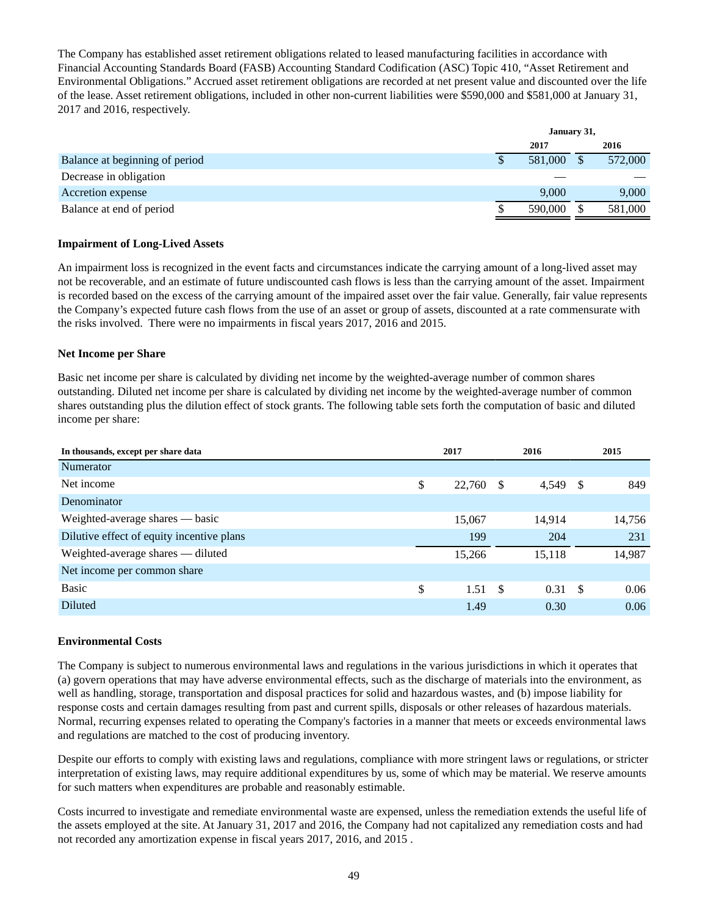The Company has established asset retirement obligations related to leased manufacturing facilities in accordance with Financial Accounting Standards Board (FASB) Accounting Standard Codification (ASC) Topic 410, "Asset Retirement and Environmental Obligations." Accrued asset retirement obligations are recorded at net present value and discounted over the life of the lease. Asset retirement obligations, included in other non-current liabilities were \$590,000 and \$581,000 at January 31, 2017 and 2016, respectively.

|                                | January 31, |     |         |
|--------------------------------|-------------|-----|---------|
|                                | 2017        |     | 2016    |
| Balance at beginning of period | 581,000     | \$. | 572,000 |
| Decrease in obligation         |             |     |         |
| Accretion expense              | 9.000       |     | 9,000   |
| Balance at end of period       | 590,000     |     | 581,000 |

#### **Impairment of Long-Lived Assets**

An impairment loss is recognized in the event facts and circumstances indicate the carrying amount of a long-lived asset may not be recoverable, and an estimate of future undiscounted cash flows is less than the carrying amount of the asset. Impairment is recorded based on the excess of the carrying amount of the impaired asset over the fair value. Generally, fair value represents the Company's expected future cash flows from the use of an asset or group of assets, discounted at a rate commensurate with the risks involved. There were no impairments in fiscal years 2017, 2016 and 2015.

#### **Net Income per Share**

Basic net income per share is calculated by dividing net income by the weighted-average number of common shares outstanding. Diluted net income per share is calculated by dividing net income by the weighted-average number of common shares outstanding plus the dilution effect of stock grants. The following table sets forth the computation of basic and diluted income per share:

| In thousands, except per share data       | 2017         |          | 2016   | 2015 |        |
|-------------------------------------------|--------------|----------|--------|------|--------|
| Numerator                                 |              |          |        |      |        |
| Net income                                | \$<br>22,760 | - \$     | 4,549  | - \$ | 849    |
| Denominator                               |              |          |        |      |        |
| Weighted-average shares — basic           | 15,067       |          | 14,914 |      | 14,756 |
| Dilutive effect of equity incentive plans | 199          |          | 204    |      | 231    |
| Weighted-average shares — diluted         | 15,266       |          | 15,118 |      | 14,987 |
| Net income per common share               |              |          |        |      |        |
| Basic                                     | \$<br>1.51   | <b>S</b> | 0.31   | - \$ | 0.06   |
| Diluted                                   | 1.49         |          | 0.30   |      | 0.06   |

#### **Environmental Costs**

The Company is subject to numerous environmental laws and regulations in the various jurisdictions in which it operates that (a) govern operations that may have adverse environmental effects, such as the discharge of materials into the environment, as well as handling, storage, transportation and disposal practices for solid and hazardous wastes, and (b) impose liability for response costs and certain damages resulting from past and current spills, disposals or other releases of hazardous materials. Normal, recurring expenses related to operating the Company's factories in a manner that meets or exceeds environmental laws and regulations are matched to the cost of producing inventory.

Despite our efforts to comply with existing laws and regulations, compliance with more stringent laws or regulations, or stricter interpretation of existing laws, may require additional expenditures by us, some of which may be material. We reserve amounts for such matters when expenditures are probable and reasonably estimable.

Costs incurred to investigate and remediate environmental waste are expensed, unless the remediation extends the useful life of the assets employed at the site. At January 31, 2017 and 2016, the Company had not capitalized any remediation costs and had not recorded any amortization expense in fiscal years 2017, 2016, and 2015 .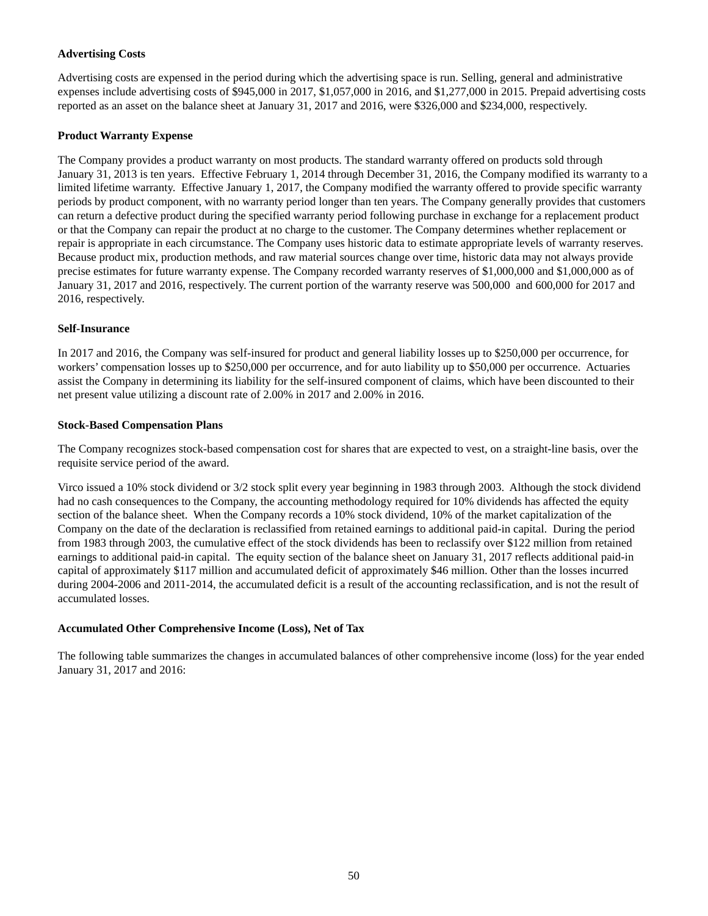## **Advertising Costs**

Advertising costs are expensed in the period during which the advertising space is run. Selling, general and administrative expenses include advertising costs of \$945,000 in 2017, \$1,057,000 in 2016, and \$1,277,000 in 2015. Prepaid advertising costs reported as an asset on the balance sheet at January 31, 2017 and 2016, were \$326,000 and \$234,000, respectively.

## **Product Warranty Expense**

The Company provides a product warranty on most products. The standard warranty offered on products sold through January 31, 2013 is ten years. Effective February 1, 2014 through December 31, 2016, the Company modified its warranty to a limited lifetime warranty. Effective January 1, 2017, the Company modified the warranty offered to provide specific warranty periods by product component, with no warranty period longer than ten years. The Company generally provides that customers can return a defective product during the specified warranty period following purchase in exchange for a replacement product or that the Company can repair the product at no charge to the customer. The Company determines whether replacement or repair is appropriate in each circumstance. The Company uses historic data to estimate appropriate levels of warranty reserves. Because product mix, production methods, and raw material sources change over time, historic data may not always provide precise estimates for future warranty expense. The Company recorded warranty reserves of \$1,000,000 and \$1,000,000 as of January 31, 2017 and 2016, respectively. The current portion of the warranty reserve was 500,000 and 600,000 for 2017 and 2016, respectively.

## **Self-Insurance**

In 2017 and 2016, the Company was self-insured for product and general liability losses up to \$250,000 per occurrence, for workers' compensation losses up to \$250,000 per occurrence, and for auto liability up to \$50,000 per occurrence. Actuaries assist the Company in determining its liability for the self-insured component of claims, which have been discounted to their net present value utilizing a discount rate of 2.00% in 2017 and 2.00% in 2016.

## **Stock-Based Compensation Plans**

The Company recognizes stock-based compensation cost for shares that are expected to vest, on a straight-line basis, over the requisite service period of the award.

Virco issued a 10% stock dividend or 3/2 stock split every year beginning in 1983 through 2003. Although the stock dividend had no cash consequences to the Company, the accounting methodology required for 10% dividends has affected the equity section of the balance sheet. When the Company records a 10% stock dividend, 10% of the market capitalization of the Company on the date of the declaration is reclassified from retained earnings to additional paid-in capital. During the period from 1983 through 2003, the cumulative effect of the stock dividends has been to reclassify over \$122 million from retained earnings to additional paid-in capital. The equity section of the balance sheet on January 31, 2017 reflects additional paid-in capital of approximately \$117 million and accumulated deficit of approximately \$46 million. Other than the losses incurred during 2004-2006 and 2011-2014, the accumulated deficit is a result of the accounting reclassification, and is not the result of accumulated losses.

## **Accumulated Other Comprehensive Income (Loss), Net of Tax**

The following table summarizes the changes in accumulated balances of other comprehensive income (loss) for the year ended January 31, 2017 and 2016: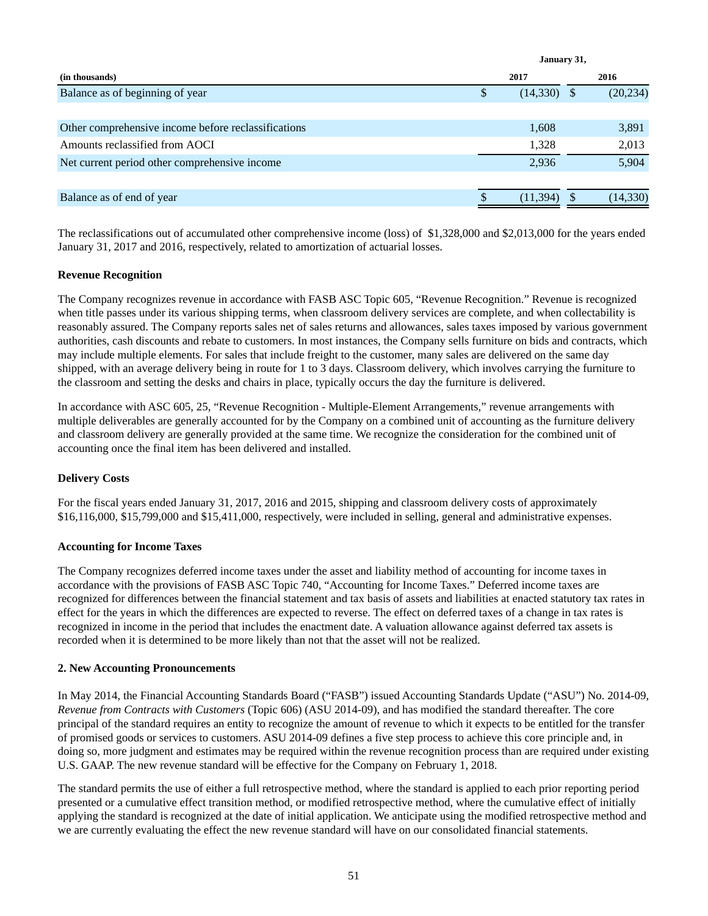|                                                     | January 31,         |  |           |  |
|-----------------------------------------------------|---------------------|--|-----------|--|
| (in thousands)                                      | 2017                |  | 2016      |  |
| Balance as of beginning of year                     | \$<br>$(14,330)$ \$ |  | (20, 234) |  |
|                                                     |                     |  |           |  |
| Other comprehensive income before reclassifications | 1,608               |  | 3,891     |  |
| Amounts reclassified from AOCI                      | 1,328               |  | 2,013     |  |
| Net current period other comprehensive income       | 2,936               |  | 5,904     |  |
|                                                     |                     |  |           |  |
| Balance as of end of year                           | (11, 394)           |  | (14, 330) |  |

The reclassifications out of accumulated other comprehensive income (loss) of \$1,328,000 and \$2,013,000 for the years ended January 31, 2017 and 2016, respectively, related to amortization of actuarial losses.

## **Revenue Recognition**

The Company recognizes revenue in accordance with FASB ASC Topic 605, "Revenue Recognition." Revenue is recognized when title passes under its various shipping terms, when classroom delivery services are complete, and when collectability is reasonably assured. The Company reports sales net of sales returns and allowances, sales taxes imposed by various government authorities, cash discounts and rebate to customers. In most instances, the Company sells furniture on bids and contracts, which may include multiple elements. For sales that include freight to the customer, many sales are delivered on the same day shipped, with an average delivery being in route for 1 to 3 days. Classroom delivery, which involves carrying the furniture to the classroom and setting the desks and chairs in place, typically occurs the day the furniture is delivered.

In accordance with ASC 605, 25, "Revenue Recognition - Multiple-Element Arrangements," revenue arrangements with multiple deliverables are generally accounted for by the Company on a combined unit of accounting as the furniture delivery and classroom delivery are generally provided at the same time. We recognize the consideration for the combined unit of accounting once the final item has been delivered and installed.

## **Delivery Costs**

For the fiscal years ended January 31, 2017, 2016 and 2015, shipping and classroom delivery costs of approximately \$16,116,000, \$15,799,000 and \$15,411,000, respectively, were included in selling, general and administrative expenses.

#### **Accounting for Income Taxes**

The Company recognizes deferred income taxes under the asset and liability method of accounting for income taxes in accordance with the provisions of FASB ASC Topic 740, "Accounting for Income Taxes." Deferred income taxes are recognized for differences between the financial statement and tax basis of assets and liabilities at enacted statutory tax rates in effect for the years in which the differences are expected to reverse. The effect on deferred taxes of a change in tax rates is recognized in income in the period that includes the enactment date. A valuation allowance against deferred tax assets is recorded when it is determined to be more likely than not that the asset will not be realized.

#### **2. New Accounting Pronouncements**

In May 2014, the Financial Accounting Standards Board ("FASB") issued Accounting Standards Update ("ASU") No. 2014-09, *Revenue from Contracts with Customers* (Topic 606) (ASU 2014-09), and has modified the standard thereafter. The core principal of the standard requires an entity to recognize the amount of revenue to which it expects to be entitled for the transfer of promised goods or services to customers. ASU 2014-09 defines a five step process to achieve this core principle and, in doing so, more judgment and estimates may be required within the revenue recognition process than are required under existing U.S. GAAP. The new revenue standard will be effective for the Company on February 1, 2018.

The standard permits the use of either a full retrospective method, where the standard is applied to each prior reporting period presented or a cumulative effect transition method, or modified retrospective method, where the cumulative effect of initially applying the standard is recognized at the date of initial application. We anticipate using the modified retrospective method and we are currently evaluating the effect the new revenue standard will have on our consolidated financial statements.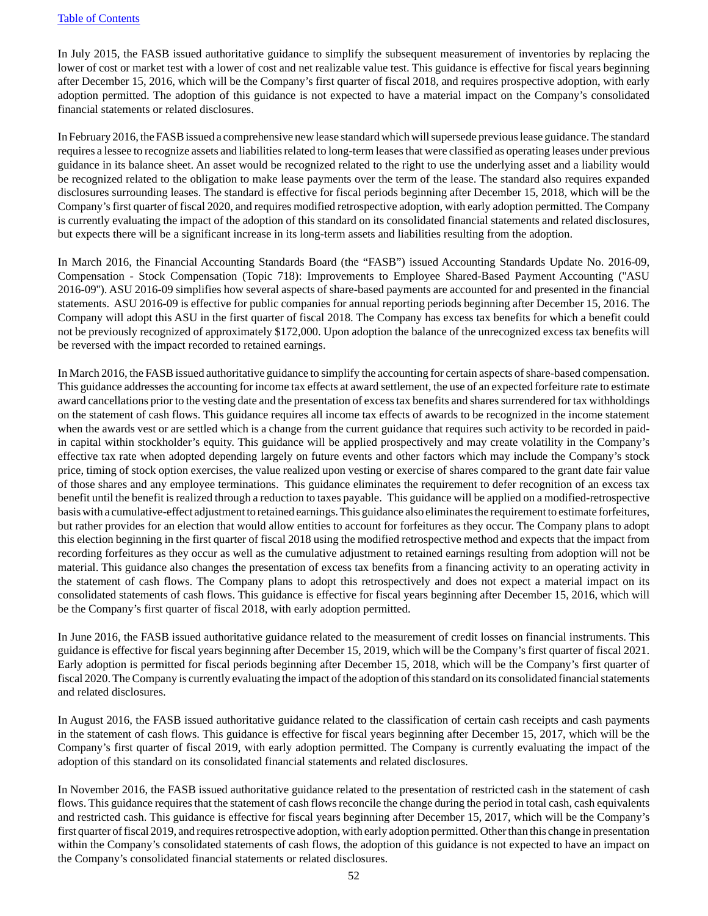In July 2015, the FASB issued authoritative guidance to simplify the subsequent measurement of inventories by replacing the lower of cost or market test with a lower of cost and net realizable value test. This guidance is effective for fiscal years beginning after December 15, 2016, which will be the Company's first quarter of fiscal 2018, and requires prospective adoption, with early adoption permitted. The adoption of this guidance is not expected to have a material impact on the Company's consolidated financial statements or related disclosures.

In February 2016, the FASB issued a comprehensive new lease standard which will supersede previous lease guidance. The standard requires a lessee to recognize assets and liabilities related to long-term leases that were classified as operating leases under previous guidance in its balance sheet. An asset would be recognized related to the right to use the underlying asset and a liability would be recognized related to the obligation to make lease payments over the term of the lease. The standard also requires expanded disclosures surrounding leases. The standard is effective for fiscal periods beginning after December 15, 2018, which will be the Company's first quarter of fiscal 2020, and requires modified retrospective adoption, with early adoption permitted. The Company is currently evaluating the impact of the adoption of this standard on its consolidated financial statements and related disclosures, but expects there will be a significant increase in its long-term assets and liabilities resulting from the adoption.

In March 2016, the Financial Accounting Standards Board (the "FASB") issued Accounting Standards Update No. 2016-09, Compensation - Stock Compensation (Topic 718): Improvements to Employee Shared-Based Payment Accounting (''ASU 2016-09''). ASU 2016-09 simplifies how several aspects of share-based payments are accounted for and presented in the financial statements. ASU 2016-09 is effective for public companies for annual reporting periods beginning after December 15, 2016. The Company will adopt this ASU in the first quarter of fiscal 2018. The Company has excess tax benefits for which a benefit could not be previously recognized of approximately \$172,000. Upon adoption the balance of the unrecognized excess tax benefits will be reversed with the impact recorded to retained earnings.

In March 2016, the FASB issued authoritative guidance to simplify the accounting for certain aspects of share-based compensation. This guidance addresses the accounting for income tax effects at award settlement, the use of an expected forfeiture rate to estimate award cancellations prior to the vesting date and the presentation of excess tax benefits and shares surrendered for tax withholdings on the statement of cash flows. This guidance requires all income tax effects of awards to be recognized in the income statement when the awards vest or are settled which is a change from the current guidance that requires such activity to be recorded in paidin capital within stockholder's equity. This guidance will be applied prospectively and may create volatility in the Company's effective tax rate when adopted depending largely on future events and other factors which may include the Company's stock price, timing of stock option exercises, the value realized upon vesting or exercise of shares compared to the grant date fair value of those shares and any employee terminations. This guidance eliminates the requirement to defer recognition of an excess tax benefit until the benefit is realized through a reduction to taxes payable. This guidance will be applied on a modified-retrospective basis with a cumulative-effect adjustment to retained earnings. This guidance also eliminates the requirement to estimate forfeitures, but rather provides for an election that would allow entities to account for forfeitures as they occur. The Company plans to adopt this election beginning in the first quarter of fiscal 2018 using the modified retrospective method and expects that the impact from recording forfeitures as they occur as well as the cumulative adjustment to retained earnings resulting from adoption will not be material. This guidance also changes the presentation of excess tax benefits from a financing activity to an operating activity in the statement of cash flows. The Company plans to adopt this retrospectively and does not expect a material impact on its consolidated statements of cash flows. This guidance is effective for fiscal years beginning after December 15, 2016, which will be the Company's first quarter of fiscal 2018, with early adoption permitted.

In June 2016, the FASB issued authoritative guidance related to the measurement of credit losses on financial instruments. This guidance is effective for fiscal years beginning after December 15, 2019, which will be the Company's first quarter of fiscal 2021. Early adoption is permitted for fiscal periods beginning after December 15, 2018, which will be the Company's first quarter of fiscal 2020. The Company is currently evaluating the impact of the adoption of this standard on its consolidated financial statements and related disclosures.

In August 2016, the FASB issued authoritative guidance related to the classification of certain cash receipts and cash payments in the statement of cash flows. This guidance is effective for fiscal years beginning after December 15, 2017, which will be the Company's first quarter of fiscal 2019, with early adoption permitted. The Company is currently evaluating the impact of the adoption of this standard on its consolidated financial statements and related disclosures.

In November 2016, the FASB issued authoritative guidance related to the presentation of restricted cash in the statement of cash flows. This guidance requires that the statement of cash flows reconcile the change during the period in total cash, cash equivalents and restricted cash. This guidance is effective for fiscal years beginning after December 15, 2017, which will be the Company's first quarter of fiscal 2019, and requires retrospective adoption, with early adoption permitted. Other than this change in presentation within the Company's consolidated statements of cash flows, the adoption of this guidance is not expected to have an impact on the Company's consolidated financial statements or related disclosures.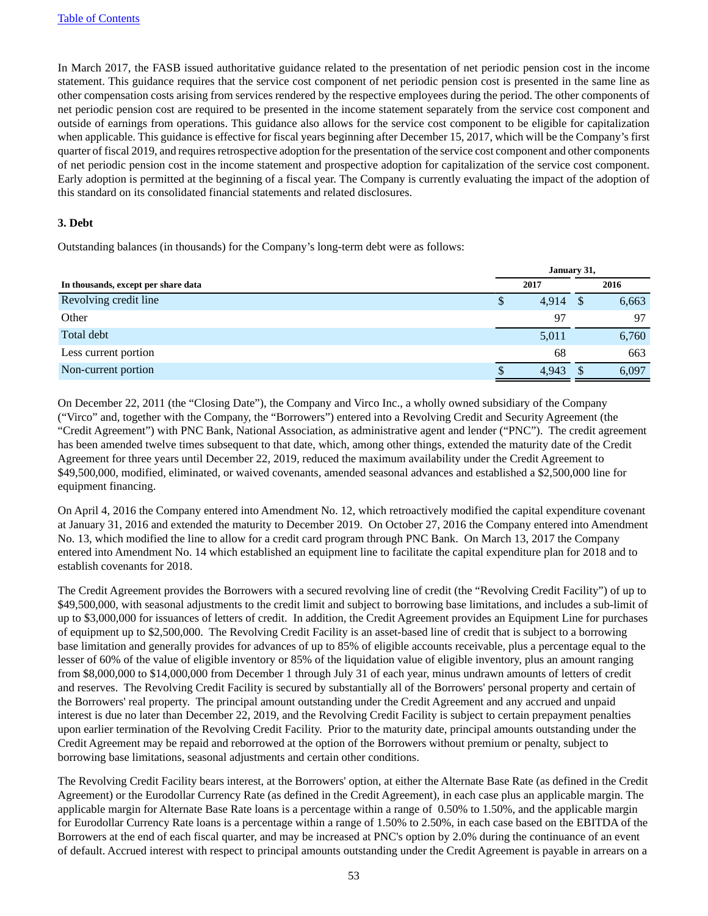In March 2017, the FASB issued authoritative guidance related to the presentation of net periodic pension cost in the income statement. This guidance requires that the service cost component of net periodic pension cost is presented in the same line as other compensation costs arising from services rendered by the respective employees during the period. The other components of net periodic pension cost are required to be presented in the income statement separately from the service cost component and outside of earnings from operations. This guidance also allows for the service cost component to be eligible for capitalization when applicable. This guidance is effective for fiscal years beginning after December 15, 2017, which will be the Company's first quarter of fiscal 2019, and requires retrospective adoption for the presentation of the service cost component and other components of net periodic pension cost in the income statement and prospective adoption for capitalization of the service cost component. Early adoption is permitted at the beginning of a fiscal year. The Company is currently evaluating the impact of the adoption of this standard on its consolidated financial statements and related disclosures.

## **3. Debt**

Outstanding balances (in thousands) for the Company's long-term debt were as follows:

|                                     | January 31, |       |  |       |  |  |  |
|-------------------------------------|-------------|-------|--|-------|--|--|--|
| In thousands, except per share data |             | 2017  |  | 2016  |  |  |  |
| Revolving credit line               | \$          | 4,914 |  | 6,663 |  |  |  |
| Other                               |             | 97    |  | 97    |  |  |  |
| Total debt                          |             | 5,011 |  | 6,760 |  |  |  |
| Less current portion                |             | 68    |  | 663   |  |  |  |
| Non-current portion                 |             | 4.943 |  | 6,097 |  |  |  |

On December 22, 2011 (the "Closing Date"), the Company and Virco Inc., a wholly owned subsidiary of the Company ("Virco" and, together with the Company, the "Borrowers") entered into a Revolving Credit and Security Agreement (the "Credit Agreement") with PNC Bank, National Association, as administrative agent and lender ("PNC"). The credit agreement has been amended twelve times subsequent to that date, which, among other things, extended the maturity date of the Credit Agreement for three years until December 22, 2019, reduced the maximum availability under the Credit Agreement to \$49,500,000, modified, eliminated, or waived covenants, amended seasonal advances and established a \$2,500,000 line for equipment financing.

On April 4, 2016 the Company entered into Amendment No. 12, which retroactively modified the capital expenditure covenant at January 31, 2016 and extended the maturity to December 2019. On October 27, 2016 the Company entered into Amendment No. 13, which modified the line to allow for a credit card program through PNC Bank. On March 13, 2017 the Company entered into Amendment No. 14 which established an equipment line to facilitate the capital expenditure plan for 2018 and to establish covenants for 2018.

The Credit Agreement provides the Borrowers with a secured revolving line of credit (the "Revolving Credit Facility") of up to \$49,500,000, with seasonal adjustments to the credit limit and subject to borrowing base limitations, and includes a sub-limit of up to \$3,000,000 for issuances of letters of credit. In addition, the Credit Agreement provides an Equipment Line for purchases of equipment up to \$2,500,000. The Revolving Credit Facility is an asset-based line of credit that is subject to a borrowing base limitation and generally provides for advances of up to 85% of eligible accounts receivable, plus a percentage equal to the lesser of 60% of the value of eligible inventory or 85% of the liquidation value of eligible inventory, plus an amount ranging from \$8,000,000 to \$14,000,000 from December 1 through July 31 of each year, minus undrawn amounts of letters of credit and reserves. The Revolving Credit Facility is secured by substantially all of the Borrowers' personal property and certain of the Borrowers' real property. The principal amount outstanding under the Credit Agreement and any accrued and unpaid interest is due no later than December 22, 2019, and the Revolving Credit Facility is subject to certain prepayment penalties upon earlier termination of the Revolving Credit Facility. Prior to the maturity date, principal amounts outstanding under the Credit Agreement may be repaid and reborrowed at the option of the Borrowers without premium or penalty, subject to borrowing base limitations, seasonal adjustments and certain other conditions.

The Revolving Credit Facility bears interest, at the Borrowers' option, at either the Alternate Base Rate (as defined in the Credit Agreement) or the Eurodollar Currency Rate (as defined in the Credit Agreement), in each case plus an applicable margin. The applicable margin for Alternate Base Rate loans is a percentage within a range of 0.50% to 1.50%, and the applicable margin for Eurodollar Currency Rate loans is a percentage within a range of 1.50% to 2.50%, in each case based on the EBITDA of the Borrowers at the end of each fiscal quarter, and may be increased at PNC's option by 2.0% during the continuance of an event of default. Accrued interest with respect to principal amounts outstanding under the Credit Agreement is payable in arrears on a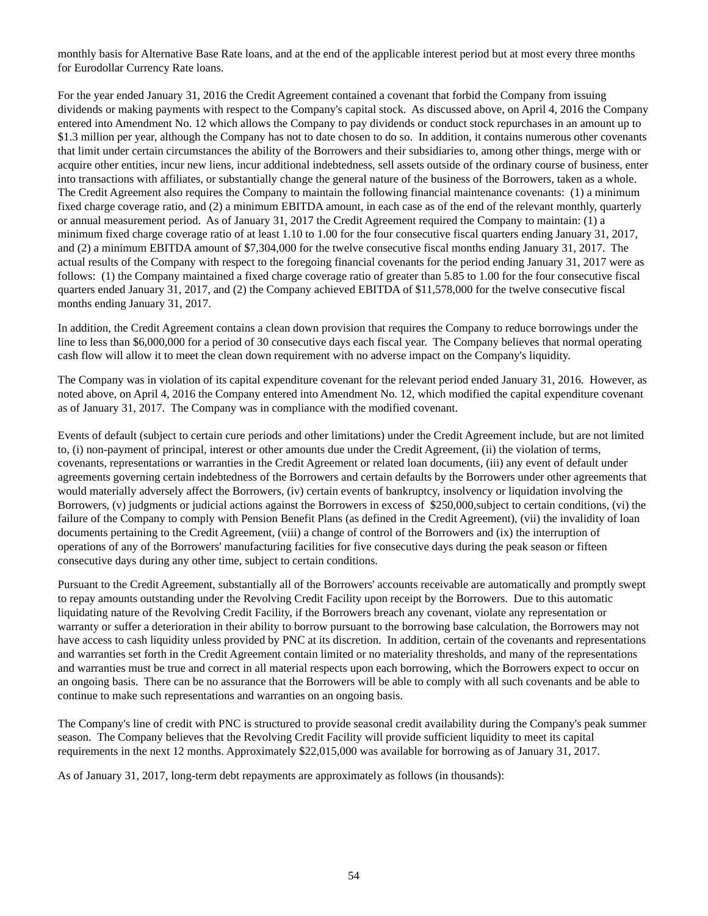monthly basis for Alternative Base Rate loans, and at the end of the applicable interest period but at most every three months for Eurodollar Currency Rate loans.

For the year ended January 31, 2016 the Credit Agreement contained a covenant that forbid the Company from issuing dividends or making payments with respect to the Company's capital stock. As discussed above, on April 4, 2016 the Company entered into Amendment No. 12 which allows the Company to pay dividends or conduct stock repurchases in an amount up to \$1.3 million per year, although the Company has not to date chosen to do so. In addition, it contains numerous other covenants that limit under certain circumstances the ability of the Borrowers and their subsidiaries to, among other things, merge with or acquire other entities, incur new liens, incur additional indebtedness, sell assets outside of the ordinary course of business, enter into transactions with affiliates, or substantially change the general nature of the business of the Borrowers, taken as a whole. The Credit Agreement also requires the Company to maintain the following financial maintenance covenants: (1) a minimum fixed charge coverage ratio, and (2) a minimum EBITDA amount, in each case as of the end of the relevant monthly, quarterly or annual measurement period. As of January 31, 2017 the Credit Agreement required the Company to maintain: (1) a minimum fixed charge coverage ratio of at least 1.10 to 1.00 for the four consecutive fiscal quarters ending January 31, 2017, and (2) a minimum EBITDA amount of \$7,304,000 for the twelve consecutive fiscal months ending January 31, 2017. The actual results of the Company with respect to the foregoing financial covenants for the period ending January 31, 2017 were as follows: (1) the Company maintained a fixed charge coverage ratio of greater than 5.85 to 1.00 for the four consecutive fiscal quarters ended January 31, 2017, and (2) the Company achieved EBITDA of \$11,578,000 for the twelve consecutive fiscal months ending January 31, 2017.

In addition, the Credit Agreement contains a clean down provision that requires the Company to reduce borrowings under the line to less than \$6,000,000 for a period of 30 consecutive days each fiscal year. The Company believes that normal operating cash flow will allow it to meet the clean down requirement with no adverse impact on the Company's liquidity.

The Company was in violation of its capital expenditure covenant for the relevant period ended January 31, 2016. However, as noted above, on April 4, 2016 the Company entered into Amendment No. 12, which modified the capital expenditure covenant as of January 31, 2017. The Company was in compliance with the modified covenant.

Events of default (subject to certain cure periods and other limitations) under the Credit Agreement include, but are not limited to, (i) non-payment of principal, interest or other amounts due under the Credit Agreement, (ii) the violation of terms, covenants, representations or warranties in the Credit Agreement or related loan documents, (iii) any event of default under agreements governing certain indebtedness of the Borrowers and certain defaults by the Borrowers under other agreements that would materially adversely affect the Borrowers, (iv) certain events of bankruptcy, insolvency or liquidation involving the Borrowers, (v) judgments or judicial actions against the Borrowers in excess of \$250,000,subject to certain conditions, (vi) the failure of the Company to comply with Pension Benefit Plans (as defined in the Credit Agreement), (vii) the invalidity of loan documents pertaining to the Credit Agreement, (viii) a change of control of the Borrowers and (ix) the interruption of operations of any of the Borrowers' manufacturing facilities for five consecutive days during the peak season or fifteen consecutive days during any other time, subject to certain conditions.

Pursuant to the Credit Agreement, substantially all of the Borrowers' accounts receivable are automatically and promptly swept to repay amounts outstanding under the Revolving Credit Facility upon receipt by the Borrowers. Due to this automatic liquidating nature of the Revolving Credit Facility, if the Borrowers breach any covenant, violate any representation or warranty or suffer a deterioration in their ability to borrow pursuant to the borrowing base calculation, the Borrowers may not have access to cash liquidity unless provided by PNC at its discretion. In addition, certain of the covenants and representations and warranties set forth in the Credit Agreement contain limited or no materiality thresholds, and many of the representations and warranties must be true and correct in all material respects upon each borrowing, which the Borrowers expect to occur on an ongoing basis. There can be no assurance that the Borrowers will be able to comply with all such covenants and be able to continue to make such representations and warranties on an ongoing basis.

The Company's line of credit with PNC is structured to provide seasonal credit availability during the Company's peak summer season. The Company believes that the Revolving Credit Facility will provide sufficient liquidity to meet its capital requirements in the next 12 months. Approximately \$22,015,000 was available for borrowing as of January 31, 2017.

As of January 31, 2017, long-term debt repayments are approximately as follows (in thousands):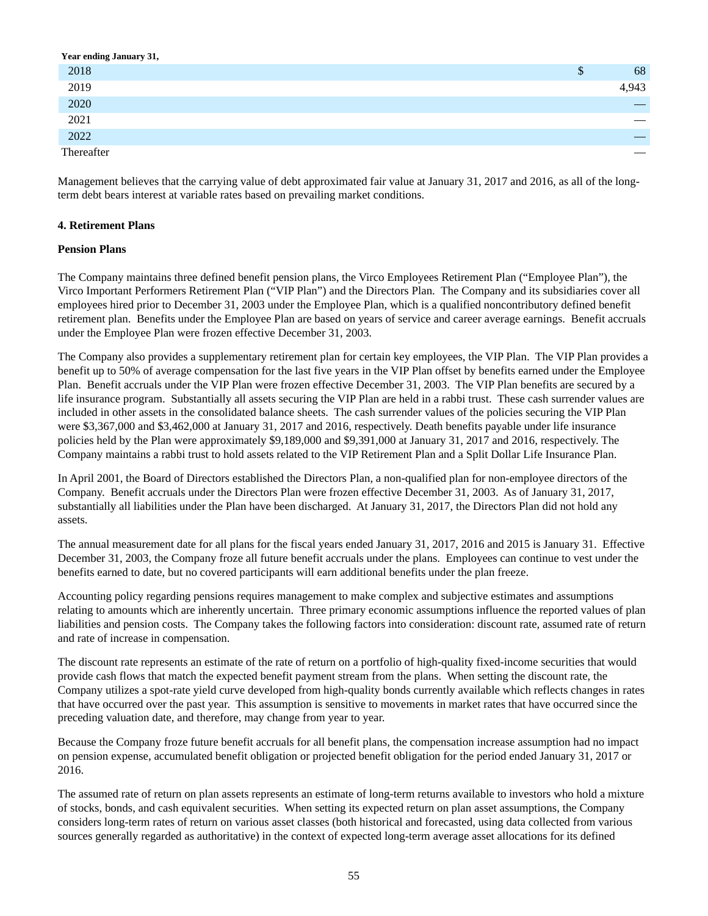| Year ending January 31, |          |
|-------------------------|----------|
| 2018                    | \$<br>68 |
| 2019                    | 4,943    |
| 2020                    |          |
| 2021                    | _        |
| 2022                    | _        |
| Thereafter              | __       |

Management believes that the carrying value of debt approximated fair value at January 31, 2017 and 2016, as all of the longterm debt bears interest at variable rates based on prevailing market conditions.

### **4. Retirement Plans**

### **Pension Plans**

The Company maintains three defined benefit pension plans, the Virco Employees Retirement Plan ("Employee Plan"), the Virco Important Performers Retirement Plan ("VIP Plan") and the Directors Plan. The Company and its subsidiaries cover all employees hired prior to December 31, 2003 under the Employee Plan, which is a qualified noncontributory defined benefit retirement plan. Benefits under the Employee Plan are based on years of service and career average earnings. Benefit accruals under the Employee Plan were frozen effective December 31, 2003.

The Company also provides a supplementary retirement plan for certain key employees, the VIP Plan. The VIP Plan provides a benefit up to 50% of average compensation for the last five years in the VIP Plan offset by benefits earned under the Employee Plan. Benefit accruals under the VIP Plan were frozen effective December 31, 2003. The VIP Plan benefits are secured by a life insurance program. Substantially all assets securing the VIP Plan are held in a rabbi trust. These cash surrender values are included in other assets in the consolidated balance sheets. The cash surrender values of the policies securing the VIP Plan were \$3,367,000 and \$3,462,000 at January 31, 2017 and 2016, respectively. Death benefits payable under life insurance policies held by the Plan were approximately \$9,189,000 and \$9,391,000 at January 31, 2017 and 2016, respectively. The Company maintains a rabbi trust to hold assets related to the VIP Retirement Plan and a Split Dollar Life Insurance Plan.

In April 2001, the Board of Directors established the Directors Plan, a non-qualified plan for non-employee directors of the Company. Benefit accruals under the Directors Plan were frozen effective December 31, 2003. As of January 31, 2017, substantially all liabilities under the Plan have been discharged. At January 31, 2017, the Directors Plan did not hold any assets.

The annual measurement date for all plans for the fiscal years ended January 31, 2017, 2016 and 2015 is January 31. Effective December 31, 2003, the Company froze all future benefit accruals under the plans. Employees can continue to vest under the benefits earned to date, but no covered participants will earn additional benefits under the plan freeze.

Accounting policy regarding pensions requires management to make complex and subjective estimates and assumptions relating to amounts which are inherently uncertain. Three primary economic assumptions influence the reported values of plan liabilities and pension costs. The Company takes the following factors into consideration: discount rate, assumed rate of return and rate of increase in compensation.

The discount rate represents an estimate of the rate of return on a portfolio of high-quality fixed-income securities that would provide cash flows that match the expected benefit payment stream from the plans. When setting the discount rate, the Company utilizes a spot-rate yield curve developed from high-quality bonds currently available which reflects changes in rates that have occurred over the past year. This assumption is sensitive to movements in market rates that have occurred since the preceding valuation date, and therefore, may change from year to year.

Because the Company froze future benefit accruals for all benefit plans, the compensation increase assumption had no impact on pension expense, accumulated benefit obligation or projected benefit obligation for the period ended January 31, 2017 or 2016.

The assumed rate of return on plan assets represents an estimate of long-term returns available to investors who hold a mixture of stocks, bonds, and cash equivalent securities. When setting its expected return on plan asset assumptions, the Company considers long-term rates of return on various asset classes (both historical and forecasted, using data collected from various sources generally regarded as authoritative) in the context of expected long-term average asset allocations for its defined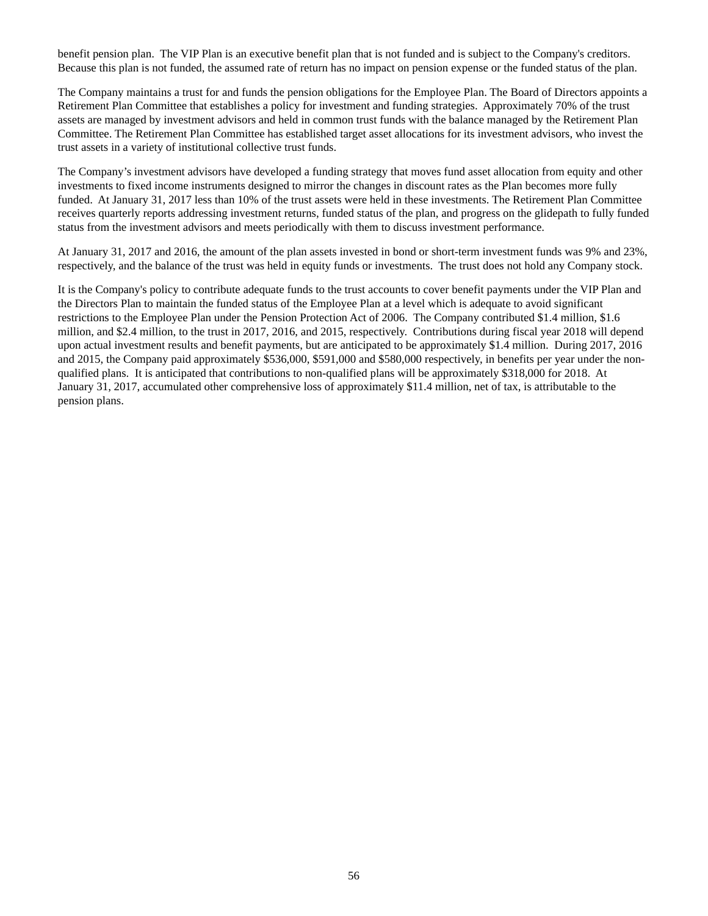benefit pension plan. The VIP Plan is an executive benefit plan that is not funded and is subject to the Company's creditors. Because this plan is not funded, the assumed rate of return has no impact on pension expense or the funded status of the plan.

The Company maintains a trust for and funds the pension obligations for the Employee Plan. The Board of Directors appoints a Retirement Plan Committee that establishes a policy for investment and funding strategies. Approximately 70% of the trust assets are managed by investment advisors and held in common trust funds with the balance managed by the Retirement Plan Committee. The Retirement Plan Committee has established target asset allocations for its investment advisors, who invest the trust assets in a variety of institutional collective trust funds.

The Company's investment advisors have developed a funding strategy that moves fund asset allocation from equity and other investments to fixed income instruments designed to mirror the changes in discount rates as the Plan becomes more fully funded. At January 31, 2017 less than 10% of the trust assets were held in these investments. The Retirement Plan Committee receives quarterly reports addressing investment returns, funded status of the plan, and progress on the glidepath to fully funded status from the investment advisors and meets periodically with them to discuss investment performance.

At January 31, 2017 and 2016, the amount of the plan assets invested in bond or short-term investment funds was 9% and 23%, respectively, and the balance of the trust was held in equity funds or investments. The trust does not hold any Company stock.

It is the Company's policy to contribute adequate funds to the trust accounts to cover benefit payments under the VIP Plan and the Directors Plan to maintain the funded status of the Employee Plan at a level which is adequate to avoid significant restrictions to the Employee Plan under the Pension Protection Act of 2006. The Company contributed \$1.4 million, \$1.6 million, and \$2.4 million, to the trust in 2017, 2016, and 2015, respectively. Contributions during fiscal year 2018 will depend upon actual investment results and benefit payments, but are anticipated to be approximately \$1.4 million. During 2017, 2016 and 2015, the Company paid approximately \$536,000, \$591,000 and \$580,000 respectively, in benefits per year under the nonqualified plans. It is anticipated that contributions to non-qualified plans will be approximately \$318,000 for 2018. At January 31, 2017, accumulated other comprehensive loss of approximately \$11.4 million, net of tax, is attributable to the pension plans.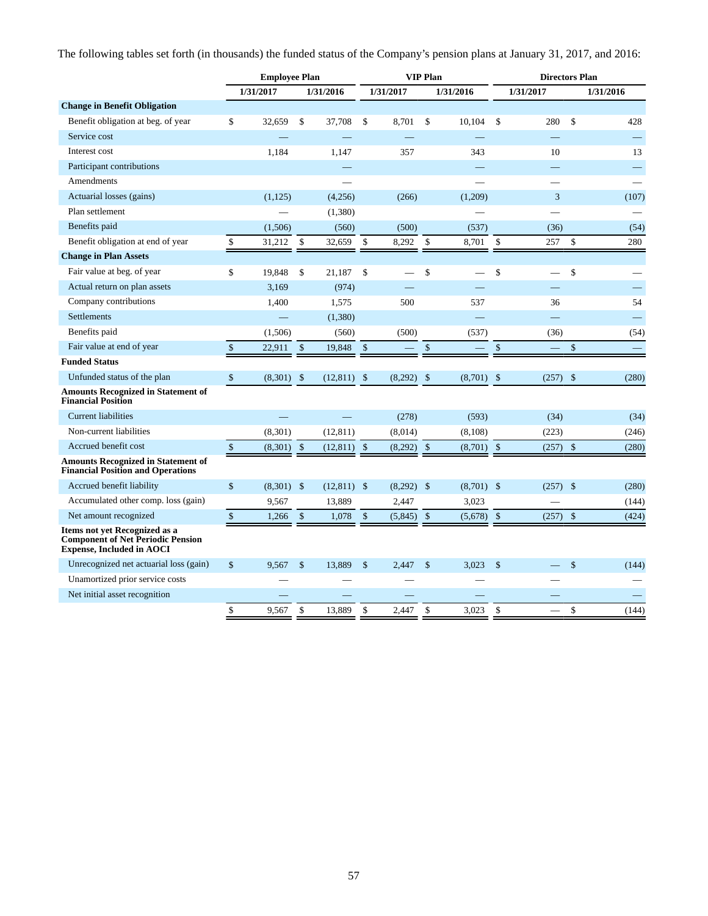The following tables set forth (in thousands) the funded status of the Company's pension plans at January 31, 2017, and 2016:

|                                                                                                               | <b>Employee Plan</b> |              |               |                          | <b>VIP Plan</b> |              |            | <b>Directors Plan</b> |    |            |    |           |
|---------------------------------------------------------------------------------------------------------------|----------------------|--------------|---------------|--------------------------|-----------------|--------------|------------|-----------------------|----|------------|----|-----------|
|                                                                                                               |                      | 1/31/2017    |               | 1/31/2016                |                 | 1/31/2017    |            | 1/31/2016             |    | 1/31/2017  |    | 1/31/2016 |
| <b>Change in Benefit Obligation</b>                                                                           |                      |              |               |                          |                 |              |            |                       |    |            |    |           |
| Benefit obligation at beg. of year                                                                            | \$                   | 32,659       | \$            | 37,708                   | \$              | 8,701        | \$         | 10,104                | \$ | 280        | \$ | 428       |
| Service cost                                                                                                  |                      |              |               |                          |                 |              |            |                       |    |            |    |           |
| Interest cost                                                                                                 |                      | 1,184        |               | 1,147                    |                 | 357          |            | 343                   |    | 10         |    | 13        |
| Participant contributions                                                                                     |                      |              |               |                          |                 |              |            |                       |    |            |    |           |
| Amendments                                                                                                    |                      |              |               |                          |                 |              |            |                       |    |            |    |           |
| Actuarial losses (gains)                                                                                      |                      | (1, 125)     |               | (4,256)                  |                 | (266)        |            | (1,209)               |    | 3          |    | (107)     |
| Plan settlement                                                                                               |                      |              |               | (1,380)                  |                 |              |            |                       |    |            |    |           |
| Benefits paid                                                                                                 |                      | (1,506)      |               | (560)                    |                 | (500)        |            | (537)                 |    | (36)       |    | (54)      |
| Benefit obligation at end of year                                                                             | \$                   | 31,212       | \$            | 32,659                   | \$              | 8,292        | \$         | 8,701                 | \$ | 257        | \$ | 280       |
| <b>Change in Plan Assets</b>                                                                                  |                      |              |               |                          |                 |              |            |                       |    |            |    |           |
| Fair value at beg. of year                                                                                    | \$                   | 19,848       | \$            | 21,187                   | \$              |              | \$         |                       | \$ |            | \$ |           |
| Actual return on plan assets                                                                                  |                      | 3,169        |               | (974)                    |                 |              |            |                       |    |            |    |           |
| Company contributions                                                                                         |                      | 1,400        |               | 1,575                    |                 | 500          |            | 537                   |    | 36         |    | 54        |
| <b>Settlements</b>                                                                                            |                      |              |               | (1,380)                  |                 |              |            |                       |    | $\equiv$   |    |           |
| Benefits paid                                                                                                 |                      | (1,506)      |               | (560)                    |                 | (500)        |            | (537)                 |    | (36)       |    | (54)      |
| Fair value at end of year                                                                                     | $\mathcal{S}$        | 22,911       | $\mathcal{S}$ | 19,848                   | $\sqrt{3}$      |              | \$         |                       | \$ |            | \$ |           |
| <b>Funded Status</b>                                                                                          |                      |              |               |                          |                 |              |            |                       |    |            |    |           |
| Unfunded status of the plan                                                                                   | \$                   | (8,301)      | \$            | $(12,811)$ \$            |                 | (8,292)      | $\sqrt{5}$ | $(8,701)$ \$          |    | $(257)$ \$ |    | (280)     |
| <b>Amounts Recognized in Statement of</b><br><b>Financial Position</b>                                        |                      |              |               |                          |                 |              |            |                       |    |            |    |           |
| <b>Current liabilities</b>                                                                                    |                      |              |               | $\overline{\phantom{a}}$ |                 | (278)        |            | (593)                 |    | (34)       |    | (34)      |
| Non-current liabilities                                                                                       |                      | (8,301)      |               | (12, 811)                |                 | (8,014)      |            | (8,108)               |    | (223)      |    | (246)     |
| Accrued benefit cost                                                                                          | \$                   | (8,301)      | $\sqrt{3}$    | (12, 811)                | $\sqrt{2}$      | (8,292)      | $\sqrt{5}$ | $(8,701)$ \$          |    | $(257)$ \$ |    | (280)     |
| <b>Amounts Recognized in Statement of</b><br><b>Financial Position and Operations</b>                         |                      |              |               |                          |                 |              |            |                       |    |            |    |           |
| Accrued benefit liability                                                                                     | $\mathsf{\$}$        | $(8,301)$ \$ |               | $(12,811)$ \$            |                 | $(8,292)$ \$ |            | $(8,701)$ \$          |    | $(257)$ \$ |    | (280)     |
| Accumulated other comp. loss (gain)                                                                           |                      | 9,567        |               | 13,889                   |                 | 2,447        |            | 3,023                 |    |            |    | (144)     |
| Net amount recognized                                                                                         | $\sqrt$              | 1,266        | \$            | 1,078                    | $\sqrt{5}$      | $(5,845)$ \$ |            | $(5,678)$ \$          |    | $(257)$ \$ |    | (424)     |
| Items not yet Recognized as a<br><b>Component of Net Periodic Pension</b><br><b>Expense, Included in AOCI</b> |                      |              |               |                          |                 |              |            |                       |    |            |    |           |
| Unrecognized net actuarial loss (gain)                                                                        | \$                   | 9,567        | \$            | 13,889                   | \$              | 2,447        | \$         | 3,023                 | \$ |            | \$ | (144)     |
| Unamortized prior service costs                                                                               |                      |              |               |                          |                 |              |            |                       |    |            |    |           |
| Net initial asset recognition                                                                                 |                      |              |               |                          |                 |              |            |                       |    |            |    |           |
|                                                                                                               | \$                   | 9,567        | \$            | 13,889                   | \$              | 2,447        | \$         | 3,023                 | \$ |            | \$ | (144)     |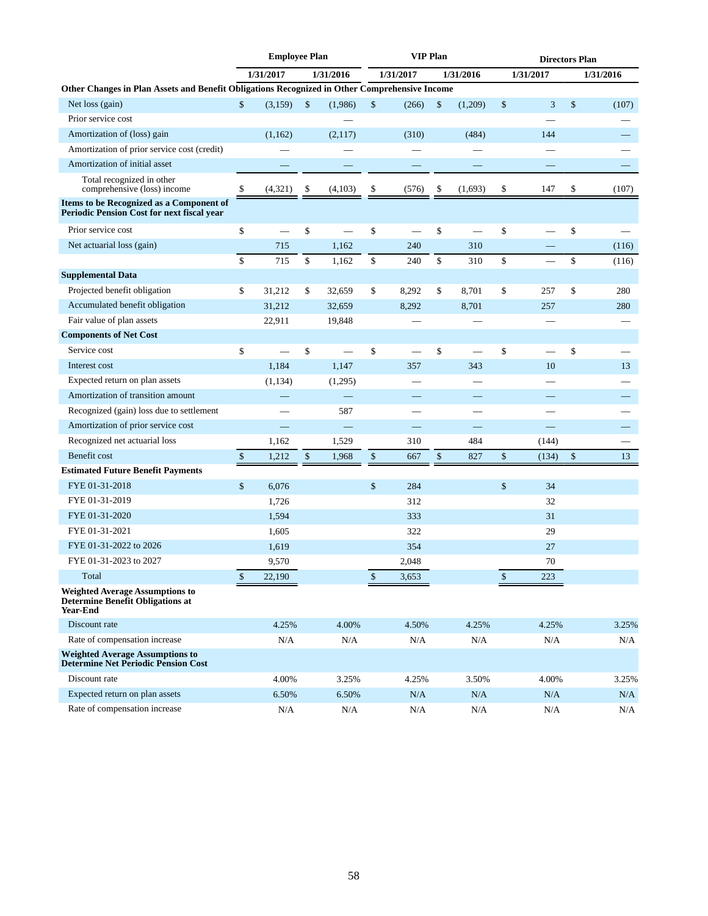|                                                                                               | <b>Employee Plan</b> |                          |              |                          | <b>VIP Plan</b>      |           |    |           | <b>Directors Plan</b> |           |    |           |
|-----------------------------------------------------------------------------------------------|----------------------|--------------------------|--------------|--------------------------|----------------------|-----------|----|-----------|-----------------------|-----------|----|-----------|
|                                                                                               |                      | 1/31/2017                |              | 1/31/2016                |                      | 1/31/2017 |    | 1/31/2016 |                       | 1/31/2017 |    | 1/31/2016 |
| Other Changes in Plan Assets and Benefit Obligations Recognized in Other Comprehensive Income |                      |                          |              |                          |                      |           |    |           |                       |           |    |           |
| Net loss (gain)                                                                               | \$                   | (3,159)                  | $\mathbb{S}$ | (1,986)                  | \$                   | (266)     | \$ | (1,209)   | \$                    | 3         | \$ | (107)     |
| Prior service cost                                                                            |                      |                          |              |                          |                      |           |    |           |                       |           |    |           |
| Amortization of (loss) gain                                                                   |                      | (1,162)                  |              | (2,117)                  |                      | (310)     |    | (484)     |                       | 144       |    |           |
| Amortization of prior service cost (credit)                                                   |                      |                          |              |                          |                      |           |    |           |                       |           |    |           |
| Amortization of initial asset                                                                 |                      |                          |              |                          |                      |           |    |           |                       |           |    |           |
| Total recognized in other<br>comprehensive (loss) income                                      | \$                   | (4,321)                  | \$           | (4,103)                  | \$                   | (576)     | \$ | (1,693)   | \$                    | 147       | \$ | (107)     |
| Items to be Recognized as a Component of<br>Periodic Pension Cost for next fiscal year        |                      |                          |              |                          |                      |           |    |           |                       |           |    |           |
| Prior service cost                                                                            | \$                   |                          | \$           |                          | \$                   |           | \$ |           | \$                    |           | \$ |           |
| Net actuarial loss (gain)                                                                     |                      | 715                      |              | 1,162                    |                      | 240       |    | 310       |                       |           |    | (116)     |
|                                                                                               | \$                   | 715                      | \$           | 1,162                    | \$                   | 240       | \$ | 310       | \$                    |           | \$ | (116)     |
| <b>Supplemental Data</b>                                                                      |                      |                          |              |                          |                      |           |    |           |                       |           |    |           |
| Projected benefit obligation                                                                  | \$                   | 31,212                   | \$           | 32,659                   | \$                   | 8,292     | \$ | 8,701     | \$                    | 257       | \$ | 280       |
| Accumulated benefit obligation                                                                |                      | 31,212                   |              | 32,659                   |                      | 8,292     |    | 8,701     |                       | 257       |    | 280       |
| Fair value of plan assets                                                                     |                      | 22,911                   |              | 19,848                   |                      |           |    |           |                       |           |    |           |
| <b>Components of Net Cost</b>                                                                 |                      |                          |              |                          |                      |           |    |           |                       |           |    |           |
| Service cost                                                                                  | \$                   | $\overline{\phantom{a}}$ | \$           | $\overline{\phantom{0}}$ | \$                   |           | \$ |           | \$                    |           | \$ |           |
| Interest cost                                                                                 |                      | 1,184                    |              | 1,147                    |                      | 357       |    | 343       |                       | 10        |    | 13        |
| Expected return on plan assets                                                                |                      | (1, 134)                 |              | (1,295)                  |                      |           |    |           |                       |           |    |           |
| Amortization of transition amount                                                             |                      |                          |              |                          |                      |           |    |           |                       |           |    |           |
| Recognized (gain) loss due to settlement                                                      |                      |                          |              | 587                      |                      |           |    |           |                       |           |    |           |
| Amortization of prior service cost                                                            |                      |                          |              |                          |                      |           |    |           |                       |           |    |           |
| Recognized net actuarial loss                                                                 |                      | 1,162                    |              | 1,529                    |                      | 310       |    | 484       |                       | (144)     |    |           |
| Benefit cost                                                                                  | \$                   | 1,212                    | \$           | 1,968                    | $\frac{1}{2}$        | 667       | \$ | 827       | \$                    | (134)     | \$ | 13        |
| <b>Estimated Future Benefit Payments</b>                                                      |                      |                          |              |                          |                      |           |    |           |                       |           |    |           |
| FYE 01-31-2018                                                                                | \$                   | 6,076                    |              |                          | \$                   | 284       |    |           | \$                    | 34        |    |           |
| FYE 01-31-2019                                                                                |                      | 1,726                    |              |                          |                      | 312       |    |           |                       | 32        |    |           |
| FYE 01-31-2020                                                                                |                      | 1,594                    |              |                          |                      | 333       |    |           |                       | 31        |    |           |
| FYE 01-31-2021                                                                                |                      | 1,605                    |              |                          |                      | 322       |    |           |                       | 29        |    |           |
| FYE 01-31-2022 to 2026                                                                        |                      | 1,619                    |              |                          |                      | 354       |    |           |                       | 27        |    |           |
| FYE 01-31-2023 to 2027                                                                        |                      | 9,570                    |              |                          |                      | 2,048     |    |           |                       | 70        |    |           |
| Total                                                                                         | \$                   | 22,190                   |              |                          | $\sqrt{\frac{2}{5}}$ | 3,653     |    |           | $\$\,$                | 223       |    |           |
| <b>Weighted Average Assumptions to</b><br><b>Determine Benefit Obligations at</b><br>Year-End |                      |                          |              |                          |                      |           |    |           |                       |           |    |           |
| Discount rate                                                                                 |                      | 4.25%                    |              | 4.00%                    |                      | 4.50%     |    | 4.25%     |                       | 4.25%     |    | 3.25%     |
| Rate of compensation increase                                                                 |                      | N/A                      |              | N/A                      |                      | N/A       |    | N/A       |                       | N/A       |    | N/A       |
| <b>Weighted Average Assumptions to</b><br><b>Determine Net Periodic Pension Cost</b>          |                      |                          |              |                          |                      |           |    |           |                       |           |    |           |
| Discount rate                                                                                 |                      | 4.00%                    |              | 3.25%                    |                      | 4.25%     |    | 3.50%     |                       | 4.00%     |    | 3.25%     |
| Expected return on plan assets                                                                |                      | 6.50%                    |              | 6.50%                    |                      | N/A       |    | N/A       |                       | N/A       |    | N/A       |
| Rate of compensation increase                                                                 |                      | $\rm N/A$                |              | $\rm N/A$                |                      | $\rm N/A$ |    | $\rm N/A$ |                       | $\rm N/A$ |    | N/A       |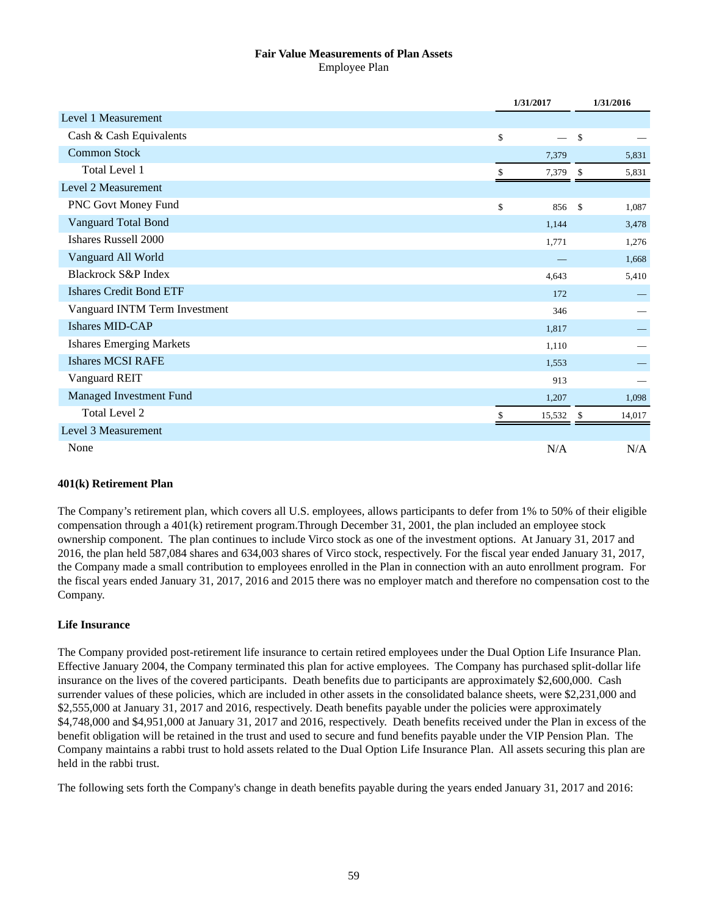### **Fair Value Measurements of Plan Assets** Employee Plan

|                                 | 1/31/2017   |               | 1/31/2016 |
|---------------------------------|-------------|---------------|-----------|
| Level 1 Measurement             |             |               |           |
| Cash & Cash Equivalents         | \$          | \$            |           |
| <b>Common Stock</b>             | 7,379       |               | 5,831     |
| Total Level 1                   | \$<br>7,379 | - \$          | 5,831     |
| Level 2 Measurement             |             |               |           |
| PNC Govt Money Fund             | \$<br>856   | $\mathbf{s}$  | 1,087     |
| <b>Vanguard Total Bond</b>      | 1,144       |               | 3,478     |
| Ishares Russell 2000            | 1,771       |               | 1,276     |
| Vanguard All World              |             |               | 1,668     |
| Blackrock S&P Index             | 4,643       |               | 5,410     |
| <b>Ishares Credit Bond ETF</b>  | 172         |               |           |
| Vanguard INTM Term Investment   | 346         |               |           |
| Ishares MID-CAP                 | 1,817       |               |           |
| <b>Ishares Emerging Markets</b> | 1,110       |               |           |
| <b>Ishares MCSI RAFE</b>        | 1,553       |               |           |
| Vanguard REIT                   | 913         |               |           |
| Managed Investment Fund         | 1,207       |               | 1,098     |
| <b>Total Level 2</b>            | 15,532      | <sup>\$</sup> | 14,017    |
| Level 3 Measurement             |             |               |           |
| None                            | N/A         |               | N/A       |

## **401(k) Retirement Plan**

The Company's retirement plan, which covers all U.S. employees, allows participants to defer from 1% to 50% of their eligible compensation through a 401(k) retirement program.Through December 31, 2001, the plan included an employee stock ownership component. The plan continues to include Virco stock as one of the investment options. At January 31, 2017 and 2016, the plan held 587,084 shares and 634,003 shares of Virco stock, respectively. For the fiscal year ended January 31, 2017, the Company made a small contribution to employees enrolled in the Plan in connection with an auto enrollment program. For the fiscal years ended January 31, 2017, 2016 and 2015 there was no employer match and therefore no compensation cost to the Company.

#### **Life Insurance**

The Company provided post-retirement life insurance to certain retired employees under the Dual Option Life Insurance Plan. Effective January 2004, the Company terminated this plan for active employees. The Company has purchased split-dollar life insurance on the lives of the covered participants. Death benefits due to participants are approximately \$2,600,000. Cash surrender values of these policies, which are included in other assets in the consolidated balance sheets, were \$2,231,000 and \$2,555,000 at January 31, 2017 and 2016, respectively. Death benefits payable under the policies were approximately \$4,748,000 and \$4,951,000 at January 31, 2017 and 2016, respectively. Death benefits received under the Plan in excess of the benefit obligation will be retained in the trust and used to secure and fund benefits payable under the VIP Pension Plan. The Company maintains a rabbi trust to hold assets related to the Dual Option Life Insurance Plan. All assets securing this plan are held in the rabbi trust.

The following sets forth the Company's change in death benefits payable during the years ended January 31, 2017 and 2016: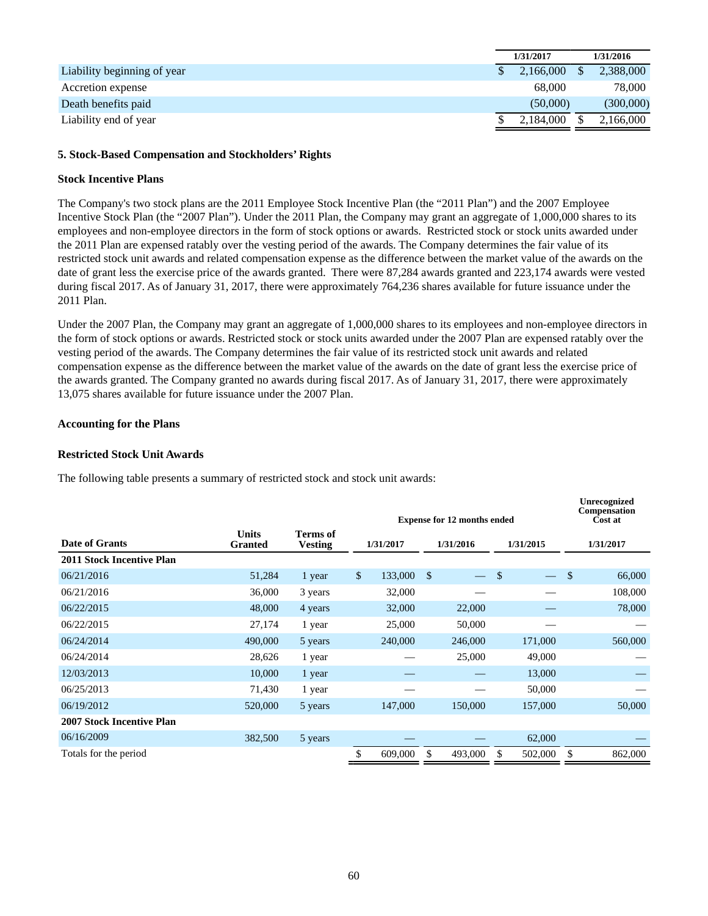|                             | 1/31/2017 |              | 1/31/2016 |
|-----------------------------|-----------|--------------|-----------|
| Liability beginning of year | 2.166.000 | $\mathbf{S}$ | 2,388,000 |
| Accretion expense           | 68.000    |              | 78,000    |
| Death benefits paid         | (50,000)  |              | (300,000) |
| Liability end of year       | 2.184.000 |              | 2,166,000 |

### **5. Stock-Based Compensation and Stockholders' Rights**

#### **Stock Incentive Plans**

The Company's two stock plans are the 2011 Employee Stock Incentive Plan (the "2011 Plan") and the 2007 Employee Incentive Stock Plan (the "2007 Plan"). Under the 2011 Plan, the Company may grant an aggregate of 1,000,000 shares to its employees and non-employee directors in the form of stock options or awards. Restricted stock or stock units awarded under the 2011 Plan are expensed ratably over the vesting period of the awards. The Company determines the fair value of its restricted stock unit awards and related compensation expense as the difference between the market value of the awards on the date of grant less the exercise price of the awards granted. There were 87,284 awards granted and 223,174 awards were vested during fiscal 2017. As of January 31, 2017, there were approximately 764,236 shares available for future issuance under the 2011 Plan.

Under the 2007 Plan, the Company may grant an aggregate of 1,000,000 shares to its employees and non-employee directors in the form of stock options or awards. Restricted stock or stock units awarded under the 2007 Plan are expensed ratably over the vesting period of the awards. The Company determines the fair value of its restricted stock unit awards and related compensation expense as the difference between the market value of the awards on the date of grant less the exercise price of the awards granted. The Company granted no awards during fiscal 2017. As of January 31, 2017, there were approximately 13,075 shares available for future issuance under the 2007 Plan.

#### **Accounting for the Plans**

#### **Restricted Stock Unit Awards**

The following table presents a summary of restricted stock and stock unit awards:

|                                  |                                |                            |              | <b>Expense for 12 months ended</b> |    |           |               |           |    | Unrecognized<br>Compensation<br>Cost at |  |
|----------------------------------|--------------------------------|----------------------------|--------------|------------------------------------|----|-----------|---------------|-----------|----|-----------------------------------------|--|
| Date of Grants                   | <b>Units</b><br><b>Granted</b> | Terms of<br><b>Vesting</b> |              | 1/31/2017                          |    | 1/31/2016 |               | 1/31/2015 |    | 1/31/2017                               |  |
| <b>2011 Stock Incentive Plan</b> |                                |                            |              |                                    |    |           |               |           |    |                                         |  |
| 06/21/2016                       | 51,284                         | 1 year                     | $\mathbb{S}$ | 133,000                            | \$ |           | $\mathcal{S}$ |           | \$ | 66,000                                  |  |
| 06/21/2016                       | 36,000                         | 3 years                    |              | 32,000                             |    |           |               |           |    | 108,000                                 |  |
| 06/22/2015                       | 48,000                         | 4 years                    |              | 32,000                             |    | 22,000    |               |           |    | 78,000                                  |  |
| 06/22/2015                       | 27,174                         | 1 year                     |              | 25,000                             |    | 50,000    |               |           |    |                                         |  |
| 06/24/2014                       | 490,000                        | 5 years                    |              | 240,000                            |    | 246,000   |               | 171,000   |    | 560,000                                 |  |
| 06/24/2014                       | 28,626                         | 1 year                     |              |                                    |    | 25,000    |               | 49,000    |    |                                         |  |
| 12/03/2013                       | 10,000                         | 1 year                     |              |                                    |    |           |               | 13,000    |    |                                         |  |
| 06/25/2013                       | 71,430                         | 1 year                     |              |                                    |    |           |               | 50,000    |    |                                         |  |
| 06/19/2012                       | 520,000                        | 5 years                    |              | 147,000                            |    | 150,000   |               | 157,000   |    | 50,000                                  |  |
| <b>2007 Stock Incentive Plan</b> |                                |                            |              |                                    |    |           |               |           |    |                                         |  |
| 06/16/2009                       | 382,500                        | 5 years                    |              |                                    |    |           |               | 62,000    |    |                                         |  |
| Totals for the period            |                                |                            | \$           | 609,000                            | \$ | 493,000   | \$            | 502,000   | \$ | 862,000                                 |  |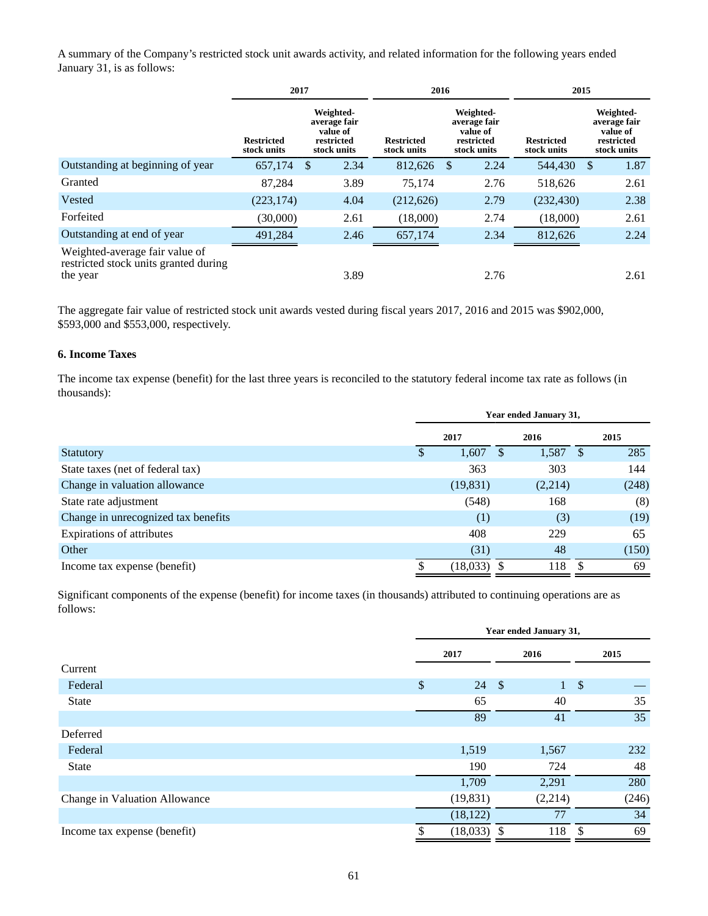A summary of the Company's restricted stock unit awards activity, and related information for the following years ended January 31, is as follows:

|                                                                                     | 2017                             |                                                                    | 2016                             |                                                                    | 2015                             |                                                                    |  |  |
|-------------------------------------------------------------------------------------|----------------------------------|--------------------------------------------------------------------|----------------------------------|--------------------------------------------------------------------|----------------------------------|--------------------------------------------------------------------|--|--|
|                                                                                     | <b>Restricted</b><br>stock units | Weighted-<br>average fair<br>value of<br>restricted<br>stock units | <b>Restricted</b><br>stock units | Weighted-<br>average fair<br>value of<br>restricted<br>stock units | <b>Restricted</b><br>stock units | Weighted-<br>average fair<br>value of<br>restricted<br>stock units |  |  |
| Outstanding at beginning of year                                                    | 657,174                          | 2.34<br>S                                                          | 812,626                          | 2.24<br>S                                                          | 544,430                          | 1.87<br>S                                                          |  |  |
| Granted                                                                             | 87.284                           | 3.89                                                               | 75,174                           | 2.76                                                               | 518.626                          | 2.61                                                               |  |  |
| Vested                                                                              | (223, 174)                       | 4.04                                                               | (212, 626)                       | 2.79                                                               | (232, 430)                       | 2.38                                                               |  |  |
| Forfeited                                                                           | (30,000)                         | 2.61                                                               | (18,000)                         | 2.74                                                               | (18,000)                         | 2.61                                                               |  |  |
| Outstanding at end of year                                                          | 491,284                          | 2.46                                                               | 657,174                          | 2.34                                                               | 812,626                          | 2.24                                                               |  |  |
| Weighted-average fair value of<br>restricted stock units granted during<br>the year |                                  | 3.89                                                               |                                  | 2.76                                                               |                                  | 2.61                                                               |  |  |

The aggregate fair value of restricted stock unit awards vested during fiscal years 2017, 2016 and 2015 was \$902,000, \$593,000 and \$553,000, respectively.

#### **6. Income Taxes**

The income tax expense (benefit) for the last three years is reconciled to the statutory federal income tax rate as follows (in thousands):

|                                     |             | Year ended January 31, |                      |  |  |  |  |  |  |
|-------------------------------------|-------------|------------------------|----------------------|--|--|--|--|--|--|
|                                     | 2017        | 2016                   | 2015                 |  |  |  |  |  |  |
| Statutory                           | 1,607<br>\$ | 1,587<br>P             | 285<br><sup>\$</sup> |  |  |  |  |  |  |
| State taxes (net of federal tax)    | 363         | 303                    | 144                  |  |  |  |  |  |  |
| Change in valuation allowance       | (19, 831)   | (2,214)                | (248)                |  |  |  |  |  |  |
| State rate adjustment               | (548)       | 168                    | (8)                  |  |  |  |  |  |  |
| Change in unrecognized tax benefits | (1)         | (3)                    | (19)                 |  |  |  |  |  |  |
| Expirations of attributes           | 408         | 229                    | 65                   |  |  |  |  |  |  |
| Other                               | (31)        | 48                     | (150)                |  |  |  |  |  |  |
| Income tax expense (benefit)        | (18,033)    | 118                    | 69<br>S              |  |  |  |  |  |  |

Significant components of the expense (benefit) for income taxes (in thousands) attributed to continuing operations are as follows:

|                               |              | Year ended January 31, |                        |                         |       |  |  |  |
|-------------------------------|--------------|------------------------|------------------------|-------------------------|-------|--|--|--|
|                               |              | 2017                   | 2016                   |                         | 2015  |  |  |  |
| Current                       |              |                        |                        |                         |       |  |  |  |
| Federal                       | \$           | 24                     | $\mathcal{S}$<br>$1 -$ | $\sqrt[6]{\frac{1}{2}}$ |       |  |  |  |
| <b>State</b>                  |              | 65                     | 40                     |                         | 35    |  |  |  |
|                               |              | 89                     | 41                     |                         | 35    |  |  |  |
| Deferred                      |              |                        |                        |                         |       |  |  |  |
| Federal                       |              | 1,519                  | 1,567                  |                         | 232   |  |  |  |
| <b>State</b>                  |              | 190                    | 724                    |                         | 48    |  |  |  |
|                               |              | 1,709                  | 2,291                  |                         | 280   |  |  |  |
| Change in Valuation Allowance |              | (19, 831)              | (2,214)                |                         | (246) |  |  |  |
|                               |              | (18, 122)              | 77                     |                         | 34    |  |  |  |
| Income tax expense (benefit)  | $\mathbb{S}$ | $(18,033)$ \$          | 118                    | \$                      | 69    |  |  |  |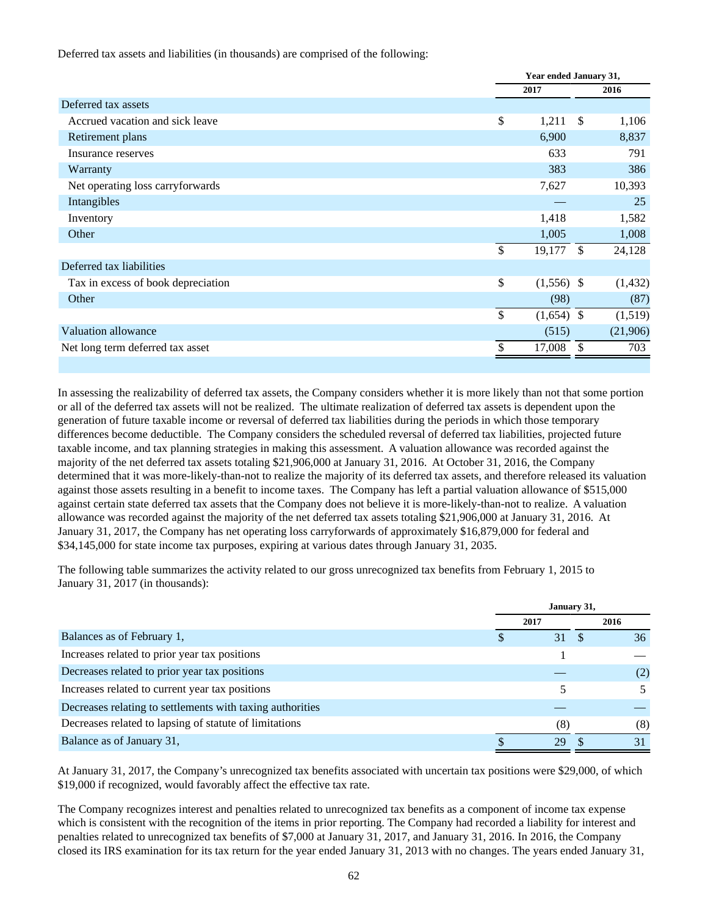Deferred tax assets and liabilities (in thousands) are comprised of the following:

|                                    | Year ended January 31, |      |          |  |  |
|------------------------------------|------------------------|------|----------|--|--|
|                                    | 2017                   |      | 2016     |  |  |
| Deferred tax assets                |                        |      |          |  |  |
| Accrued vacation and sick leave    | \$<br>1,211            | - \$ | 1,106    |  |  |
| Retirement plans                   | 6,900                  |      | 8,837    |  |  |
| Insurance reserves                 | 633                    |      | 791      |  |  |
| Warranty                           | 383                    |      | 386      |  |  |
| Net operating loss carryforwards   | 7,627                  |      | 10,393   |  |  |
| Intangibles                        |                        |      | 25       |  |  |
| Inventory                          | 1,418                  |      | 1,582    |  |  |
| Other                              | 1,005                  |      | 1,008    |  |  |
|                                    | \$<br>19,177           | \$   | 24,128   |  |  |
| Deferred tax liabilities           |                        |      |          |  |  |
| Tax in excess of book depreciation | \$<br>$(1,556)$ \$     |      | (1, 432) |  |  |
| Other                              | (98)                   |      | (87)     |  |  |
|                                    | \$<br>$(1,654)$ \$     |      | (1,519)  |  |  |
| Valuation allowance                | (515)                  |      | (21,906) |  |  |
| Net long term deferred tax asset   | \$<br>17,008           | \$   | 703      |  |  |
|                                    |                        |      |          |  |  |

In assessing the realizability of deferred tax assets, the Company considers whether it is more likely than not that some portion or all of the deferred tax assets will not be realized. The ultimate realization of deferred tax assets is dependent upon the generation of future taxable income or reversal of deferred tax liabilities during the periods in which those temporary differences become deductible. The Company considers the scheduled reversal of deferred tax liabilities, projected future taxable income, and tax planning strategies in making this assessment. A valuation allowance was recorded against the majority of the net deferred tax assets totaling \$21,906,000 at January 31, 2016. At October 31, 2016, the Company determined that it was more-likely-than-not to realize the majority of its deferred tax assets, and therefore released its valuation against those assets resulting in a benefit to income taxes. The Company has left a partial valuation allowance of \$515,000 against certain state deferred tax assets that the Company does not believe it is more-likely-than-not to realize. A valuation allowance was recorded against the majority of the net deferred tax assets totaling \$21,906,000 at January 31, 2016. At January 31, 2017, the Company has net operating loss carryforwards of approximately \$16,879,000 for federal and \$34,145,000 for state income tax purposes, expiring at various dates through January 31, 2035.

The following table summarizes the activity related to our gross unrecognized tax benefits from February 1, 2015 to January 31, 2017 (in thousands):

|                                                           | January 31, |      |  |      |
|-----------------------------------------------------------|-------------|------|--|------|
|                                                           |             | 2017 |  | 2016 |
| Balances as of February 1,                                |             | 31   |  | 36   |
| Increases related to prior year tax positions             |             |      |  |      |
| Decreases related to prior year tax positions             |             |      |  | (2)  |
| Increases related to current year tax positions           |             |      |  |      |
| Decreases relating to settlements with taxing authorities |             |      |  |      |
| Decreases related to lapsing of statute of limitations    |             | (8)  |  | (8)  |
| Balance as of January 31,                                 |             | 29   |  |      |

At January 31, 2017, the Company's unrecognized tax benefits associated with uncertain tax positions were \$29,000, of which \$19,000 if recognized, would favorably affect the effective tax rate.

The Company recognizes interest and penalties related to unrecognized tax benefits as a component of income tax expense which is consistent with the recognition of the items in prior reporting. The Company had recorded a liability for interest and penalties related to unrecognized tax benefits of \$7,000 at January 31, 2017, and January 31, 2016. In 2016, the Company closed its IRS examination for its tax return for the year ended January 31, 2013 with no changes. The years ended January 31,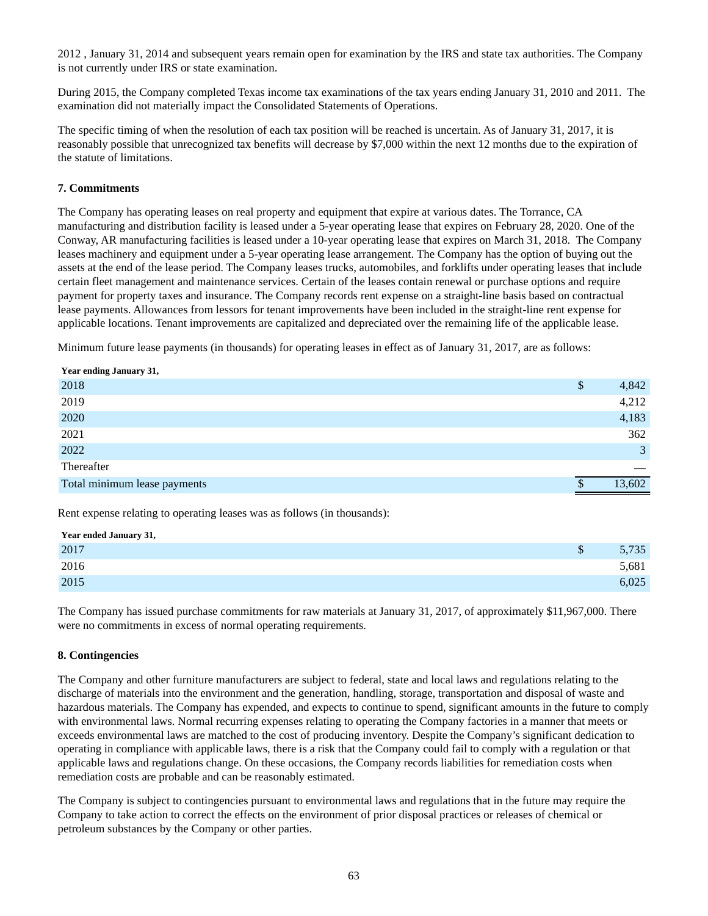2012 , January 31, 2014 and subsequent years remain open for examination by the IRS and state tax authorities. The Company is not currently under IRS or state examination.

During 2015, the Company completed Texas income tax examinations of the tax years ending January 31, 2010 and 2011. The examination did not materially impact the Consolidated Statements of Operations.

The specific timing of when the resolution of each tax position will be reached is uncertain. As of January 31, 2017, it is reasonably possible that unrecognized tax benefits will decrease by \$7,000 within the next 12 months due to the expiration of the statute of limitations.

### **7. Commitments**

The Company has operating leases on real property and equipment that expire at various dates. The Torrance, CA manufacturing and distribution facility is leased under a 5-year operating lease that expires on February 28, 2020. One of the Conway, AR manufacturing facilities is leased under a 10-year operating lease that expires on March 31, 2018. The Company leases machinery and equipment under a 5-year operating lease arrangement. The Company has the option of buying out the assets at the end of the lease period. The Company leases trucks, automobiles, and forklifts under operating leases that include certain fleet management and maintenance services. Certain of the leases contain renewal or purchase options and require payment for property taxes and insurance. The Company records rent expense on a straight-line basis based on contractual lease payments. Allowances from lessors for tenant improvements have been included in the straight-line rent expense for applicable locations. Tenant improvements are capitalized and depreciated over the remaining life of the applicable lease.

Minimum future lease payments (in thousands) for operating leases in effect as of January 31, 2017, are as follows:

| Year ending January 31,      |             |
|------------------------------|-------------|
| 2018                         | \$<br>4,842 |
| 2019                         | 4,212       |
| 2020                         | 4,183       |
| 2021                         | 362         |
| 2022                         | 3           |
| Thereafter                   |             |
| Total minimum lease payments | 13,602      |

Rent expense relating to operating leases was as follows (in thousands):

| Year ended January 31, |   |       |
|------------------------|---|-------|
| 2017                   | D | 5,735 |
| 2016                   |   | 5,681 |
| 2015                   |   | 6,025 |

The Company has issued purchase commitments for raw materials at January 31, 2017, of approximately \$11,967,000. There were no commitments in excess of normal operating requirements.

## **8. Contingencies**

The Company and other furniture manufacturers are subject to federal, state and local laws and regulations relating to the discharge of materials into the environment and the generation, handling, storage, transportation and disposal of waste and hazardous materials. The Company has expended, and expects to continue to spend, significant amounts in the future to comply with environmental laws. Normal recurring expenses relating to operating the Company factories in a manner that meets or exceeds environmental laws are matched to the cost of producing inventory. Despite the Company's significant dedication to operating in compliance with applicable laws, there is a risk that the Company could fail to comply with a regulation or that applicable laws and regulations change. On these occasions, the Company records liabilities for remediation costs when remediation costs are probable and can be reasonably estimated.

The Company is subject to contingencies pursuant to environmental laws and regulations that in the future may require the Company to take action to correct the effects on the environment of prior disposal practices or releases of chemical or petroleum substances by the Company or other parties.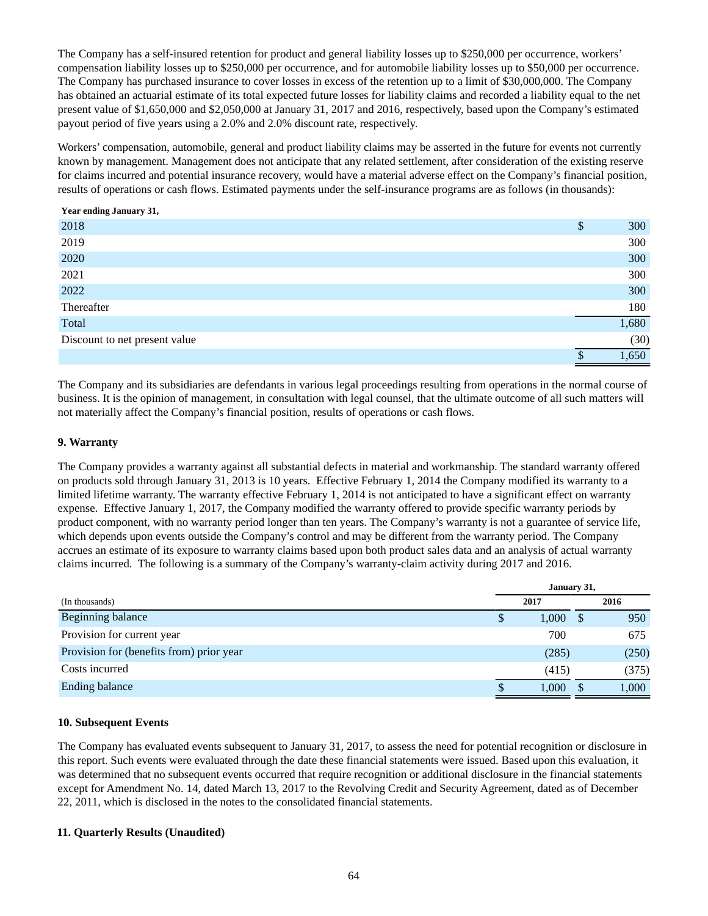The Company has a self-insured retention for product and general liability losses up to \$250,000 per occurrence, workers' compensation liability losses up to \$250,000 per occurrence, and for automobile liability losses up to \$50,000 per occurrence. The Company has purchased insurance to cover losses in excess of the retention up to a limit of \$30,000,000. The Company has obtained an actuarial estimate of its total expected future losses for liability claims and recorded a liability equal to the net present value of \$1,650,000 and \$2,050,000 at January 31, 2017 and 2016, respectively, based upon the Company's estimated payout period of five years using a 2.0% and 2.0% discount rate, respectively.

Workers' compensation, automobile, general and product liability claims may be asserted in the future for events not currently known by management. Management does not anticipate that any related settlement, after consideration of the existing reserve for claims incurred and potential insurance recovery, would have a material adverse effect on the Company's financial position, results of operations or cash flows. Estimated payments under the self-insurance programs are as follows (in thousands):

| Year ending January 31,       |    |       |
|-------------------------------|----|-------|
| 2018                          | \$ | 300   |
| 2019                          |    | 300   |
| 2020                          |    | 300   |
| 2021                          |    | 300   |
| 2022                          |    | 300   |
| Thereafter                    |    | 180   |
| Total                         |    | 1,680 |
| Discount to net present value |    | (30)  |
|                               | S  | 1,650 |

The Company and its subsidiaries are defendants in various legal proceedings resulting from operations in the normal course of business. It is the opinion of management, in consultation with legal counsel, that the ultimate outcome of all such matters will not materially affect the Company's financial position, results of operations or cash flows.

## **9. Warranty**

The Company provides a warranty against all substantial defects in material and workmanship. The standard warranty offered on products sold through January 31, 2013 is 10 years. Effective February 1, 2014 the Company modified its warranty to a limited lifetime warranty. The warranty effective February 1, 2014 is not anticipated to have a significant effect on warranty expense. Effective January 1, 2017, the Company modified the warranty offered to provide specific warranty periods by product component, with no warranty period longer than ten years. The Company's warranty is not a guarantee of service life, which depends upon events outside the Company's control and may be different from the warranty period. The Company accrues an estimate of its exposure to warranty claims based upon both product sales data and an analysis of actual warranty claims incurred. The following is a summary of the Company's warranty-claim activity during 2017 and 2016.

|                                          | January 31, |       |      |       |
|------------------------------------------|-------------|-------|------|-------|
| (In thousands)                           | 2017        |       |      | 2016  |
| Beginning balance                        | \$          | 1,000 | - \$ | 950   |
| Provision for current year               |             | 700   |      | 675   |
| Provision for (benefits from) prior year |             | (285) |      | (250) |
| Costs incurred                           |             | (415) |      | (375) |
| <b>Ending balance</b>                    | 1,000       |       | -S   | 1,000 |

## **10. Subsequent Events**

The Company has evaluated events subsequent to January 31, 2017, to assess the need for potential recognition or disclosure in this report. Such events were evaluated through the date these financial statements were issued. Based upon this evaluation, it was determined that no subsequent events occurred that require recognition or additional disclosure in the financial statements except for Amendment No. 14, dated March 13, 2017 to the Revolving Credit and Security Agreement, dated as of December 22, 2011, which is disclosed in the notes to the consolidated financial statements.

## **11. Quarterly Results (Unaudited)**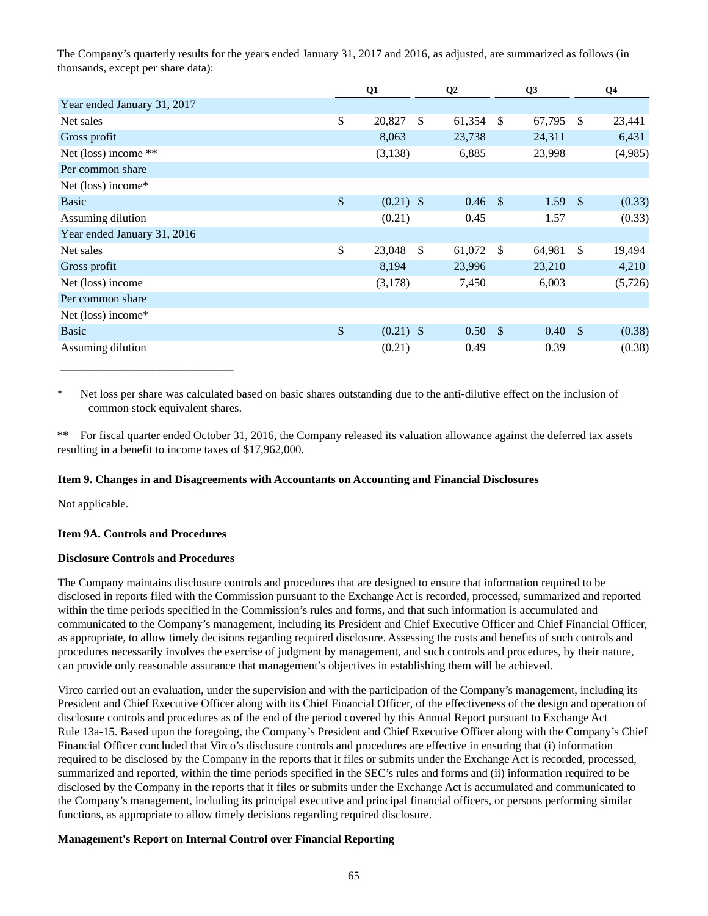The Company's quarterly results for the years ended January 31, 2017 and 2016, as adjusted, are summarized as follows (in thousands, except per share data):

|                             | Q1                |               | Q <sub>2</sub> |               | Q3     |               | Q <sub>4</sub> |
|-----------------------------|-------------------|---------------|----------------|---------------|--------|---------------|----------------|
| Year ended January 31, 2017 |                   |               |                |               |        |               |                |
| Net sales                   | \$<br>20,827      | <sup>\$</sup> | 61,354         | <sup>\$</sup> | 67,795 | $\mathbb{S}$  | 23,441         |
| Gross profit                | 8,063             |               | 23,738         |               | 24,311 |               | 6,431          |
| Net (loss) income **        | (3, 138)          |               | 6,885          |               | 23,998 |               | (4,985)        |
| Per common share            |                   |               |                |               |        |               |                |
| Net (loss) income*          |                   |               |                |               |        |               |                |
| <b>Basic</b>                | \$<br>$(0.21)$ \$ |               | 0.46           | - \$          | 1.59   | - \$          | (0.33)         |
| Assuming dilution           | (0.21)            |               | 0.45           |               | 1.57   |               | (0.33)         |
| Year ended January 31, 2016 |                   |               |                |               |        |               |                |
| Net sales                   | \$<br>23,048      | <sup>\$</sup> | 61,072         | -S            | 64,981 | $\mathcal{S}$ | 19,494         |
| Gross profit                | 8,194             |               | 23,996         |               | 23,210 |               | 4,210          |
| Net (loss) income           | (3,178)           |               | 7,450          |               | 6,003  |               | (5,726)        |
| Per common share            |                   |               |                |               |        |               |                |
| Net (loss) income $*$       |                   |               |                |               |        |               |                |
| <b>Basic</b>                | \$<br>$(0.21)$ \$ |               | 0.50           | $\mathcal{S}$ | 0.40   | - S           | (0.38)         |
| Assuming dilution           | (0.21)            |               | 0.49           |               | 0.39   |               | (0.38)         |

Net loss per share was calculated based on basic shares outstanding due to the anti-dilutive effect on the inclusion of common stock equivalent shares.

\*\* For fiscal quarter ended October 31, 2016, the Company released its valuation allowance against the deferred tax assets resulting in a benefit to income taxes of \$17,962,000.

## **Item 9. Changes in and Disagreements with Accountants on Accounting and Financial Disclosures**

Not applicable.

#### **Item 9A. Controls and Procedures**

\_\_\_\_\_\_\_\_\_\_\_\_\_\_\_\_\_\_\_\_\_\_\_\_\_\_\_\_\_\_

#### **Disclosure Controls and Procedures**

The Company maintains disclosure controls and procedures that are designed to ensure that information required to be disclosed in reports filed with the Commission pursuant to the Exchange Act is recorded, processed, summarized and reported within the time periods specified in the Commission's rules and forms, and that such information is accumulated and communicated to the Company's management, including its President and Chief Executive Officer and Chief Financial Officer, as appropriate, to allow timely decisions regarding required disclosure. Assessing the costs and benefits of such controls and procedures necessarily involves the exercise of judgment by management, and such controls and procedures, by their nature, can provide only reasonable assurance that management's objectives in establishing them will be achieved.

Virco carried out an evaluation, under the supervision and with the participation of the Company's management, including its President and Chief Executive Officer along with its Chief Financial Officer, of the effectiveness of the design and operation of disclosure controls and procedures as of the end of the period covered by this Annual Report pursuant to Exchange Act Rule 13a-15. Based upon the foregoing, the Company's President and Chief Executive Officer along with the Company's Chief Financial Officer concluded that Virco's disclosure controls and procedures are effective in ensuring that (i) information required to be disclosed by the Company in the reports that it files or submits under the Exchange Act is recorded, processed, summarized and reported, within the time periods specified in the SEC's rules and forms and (ii) information required to be disclosed by the Company in the reports that it files or submits under the Exchange Act is accumulated and communicated to the Company's management, including its principal executive and principal financial officers, or persons performing similar functions, as appropriate to allow timely decisions regarding required disclosure.

#### **Management's Report on Internal Control over Financial Reporting**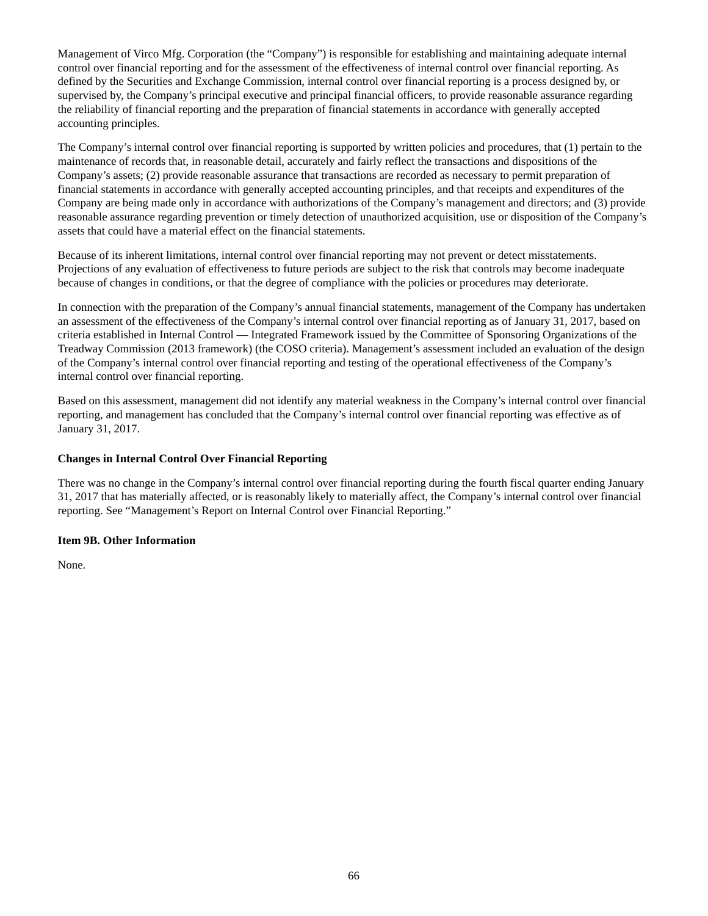Management of Virco Mfg. Corporation (the "Company") is responsible for establishing and maintaining adequate internal control over financial reporting and for the assessment of the effectiveness of internal control over financial reporting. As defined by the Securities and Exchange Commission, internal control over financial reporting is a process designed by, or supervised by, the Company's principal executive and principal financial officers, to provide reasonable assurance regarding the reliability of financial reporting and the preparation of financial statements in accordance with generally accepted accounting principles.

The Company's internal control over financial reporting is supported by written policies and procedures, that (1) pertain to the maintenance of records that, in reasonable detail, accurately and fairly reflect the transactions and dispositions of the Company's assets; (2) provide reasonable assurance that transactions are recorded as necessary to permit preparation of financial statements in accordance with generally accepted accounting principles, and that receipts and expenditures of the Company are being made only in accordance with authorizations of the Company's management and directors; and (3) provide reasonable assurance regarding prevention or timely detection of unauthorized acquisition, use or disposition of the Company's assets that could have a material effect on the financial statements.

Because of its inherent limitations, internal control over financial reporting may not prevent or detect misstatements. Projections of any evaluation of effectiveness to future periods are subject to the risk that controls may become inadequate because of changes in conditions, or that the degree of compliance with the policies or procedures may deteriorate.

In connection with the preparation of the Company's annual financial statements, management of the Company has undertaken an assessment of the effectiveness of the Company's internal control over financial reporting as of January 31, 2017, based on criteria established in Internal Control — Integrated Framework issued by the Committee of Sponsoring Organizations of the Treadway Commission (2013 framework) (the COSO criteria). Management's assessment included an evaluation of the design of the Company's internal control over financial reporting and testing of the operational effectiveness of the Company's internal control over financial reporting.

Based on this assessment, management did not identify any material weakness in the Company's internal control over financial reporting, and management has concluded that the Company's internal control over financial reporting was effective as of January 31, 2017.

## **Changes in Internal Control Over Financial Reporting**

There was no change in the Company's internal control over financial reporting during the fourth fiscal quarter ending January 31, 2017 that has materially affected, or is reasonably likely to materially affect, the Company's internal control over financial reporting. See "Management's Report on Internal Control over Financial Reporting."

## **Item 9B. Other Information**

None.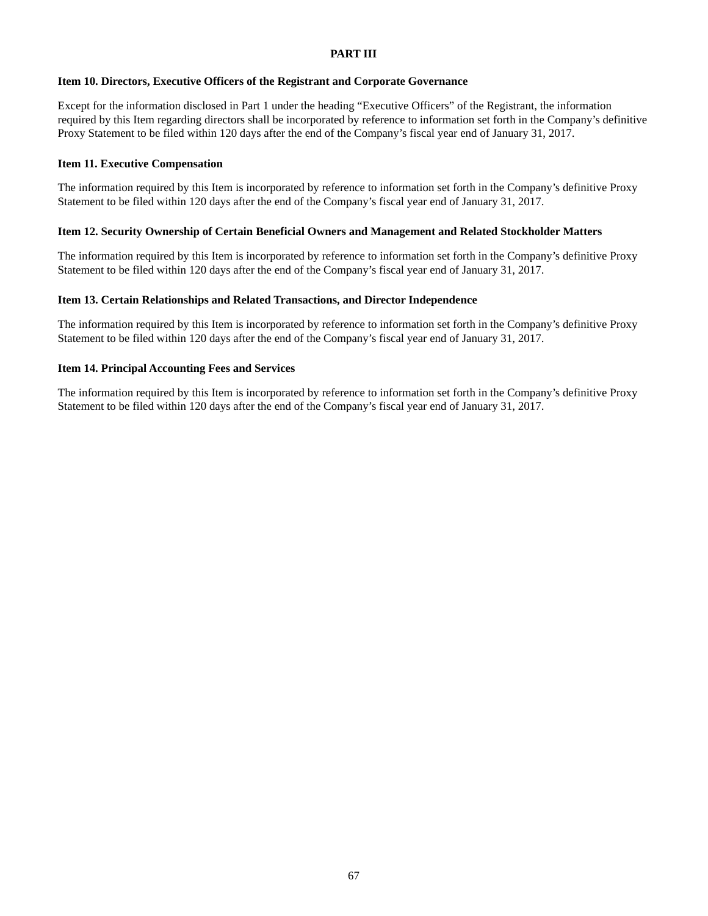### **PART III**

#### **Item 10. Directors, Executive Officers of the Registrant and Corporate Governance**

Except for the information disclosed in Part 1 under the heading "Executive Officers" of the Registrant, the information required by this Item regarding directors shall be incorporated by reference to information set forth in the Company's definitive Proxy Statement to be filed within 120 days after the end of the Company's fiscal year end of January 31, 2017.

#### **Item 11. Executive Compensation**

The information required by this Item is incorporated by reference to information set forth in the Company's definitive Proxy Statement to be filed within 120 days after the end of the Company's fiscal year end of January 31, 2017.

#### **Item 12. Security Ownership of Certain Beneficial Owners and Management and Related Stockholder Matters**

The information required by this Item is incorporated by reference to information set forth in the Company's definitive Proxy Statement to be filed within 120 days after the end of the Company's fiscal year end of January 31, 2017.

#### **Item 13. Certain Relationships and Related Transactions, and Director Independence**

The information required by this Item is incorporated by reference to information set forth in the Company's definitive Proxy Statement to be filed within 120 days after the end of the Company's fiscal year end of January 31, 2017.

#### **Item 14. Principal Accounting Fees and Services**

The information required by this Item is incorporated by reference to information set forth in the Company's definitive Proxy Statement to be filed within 120 days after the end of the Company's fiscal year end of January 31, 2017.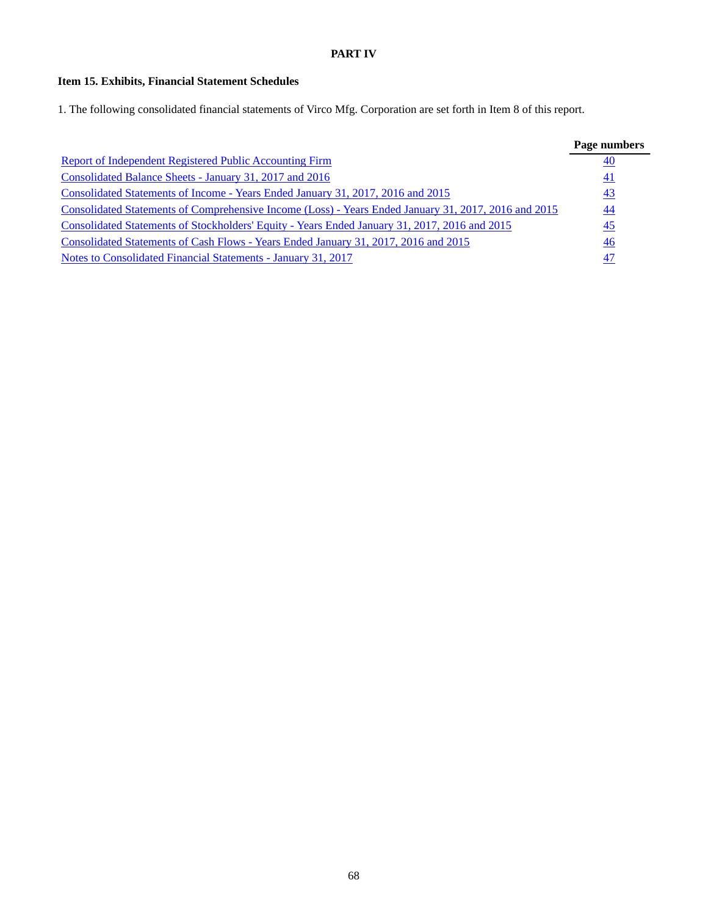## **PART IV**

## **Item 15. Exhibits, Financial Statement Schedules**

1. The following consolidated financial statements of Virco Mfg. Corporation are set forth in Item 8 of this report.

|                                                                                                      | Page numbers    |
|------------------------------------------------------------------------------------------------------|-----------------|
| Report of Independent Registered Public Accounting Firm                                              | $\overline{40}$ |
| Consolidated Balance Sheets - January 31, 2017 and 2016                                              | 41              |
| Consolidated Statements of Income - Years Ended January 31, 2017, 2016 and 2015                      | 43              |
| Consolidated Statements of Comprehensive Income (Loss) - Years Ended January 31, 2017, 2016 and 2015 | $\overline{44}$ |
| Consolidated Statements of Stockholders' Equity - Years Ended January 31, 2017, 2016 and 2015        | $\overline{45}$ |
| Consolidated Statements of Cash Flows - Years Ended January 31, 2017, 2016 and 2015                  | $\frac{46}{5}$  |
| Notes to Consolidated Financial Statements - January 31, 2017                                        | $\overline{47}$ |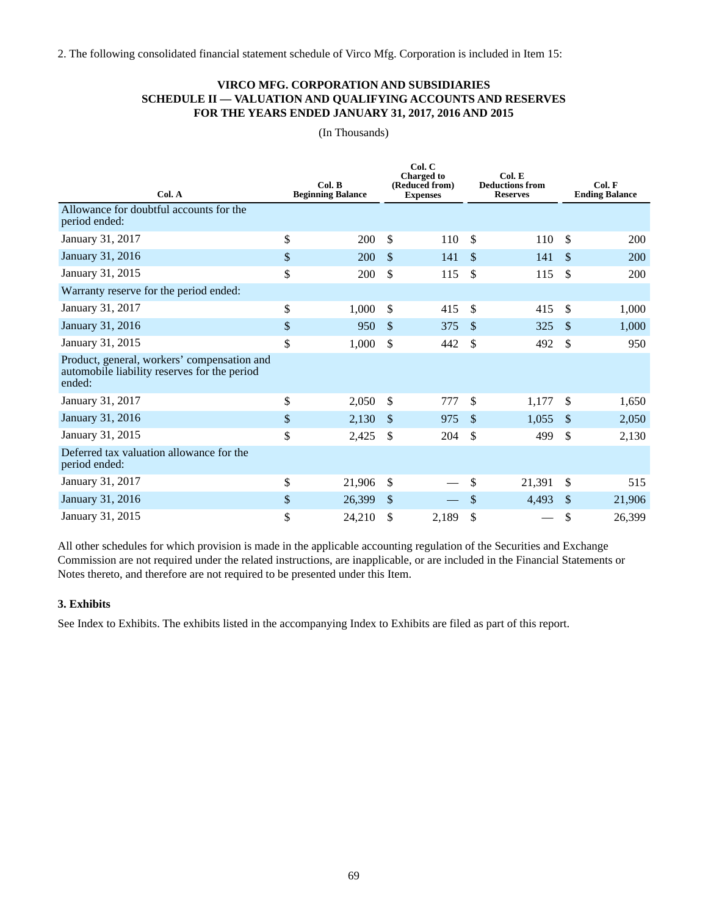<span id="page-69-0"></span>2. The following consolidated financial statement schedule of Virco Mfg. Corporation is included in Item 15:

## **VIRCO MFG. CORPORATION AND SUBSIDIARIES SCHEDULE II — VALUATION AND QUALIFYING ACCOUNTS AND RESERVES FOR THE YEARS ENDED JANUARY 31, 2017, 2016 AND 2015**

| Col. A                                                   | Col. B<br><b>Beginning Balance</b> |      | Col. C<br><b>Charged to</b><br>(Reduced from)<br><b>Expenses</b> |      | Col. E<br><b>Deductions from</b><br><b>Reserves</b> |      | Col. F<br><b>Ending Balance</b> |
|----------------------------------------------------------|------------------------------------|------|------------------------------------------------------------------|------|-----------------------------------------------------|------|---------------------------------|
| Allowance for doubtful accounts for the<br>period ended: |                                    |      |                                                                  |      |                                                     |      |                                 |
| January 31, 2017                                         | \$<br>200                          | - \$ | 110                                                              | - \$ | 110                                                 | - \$ | 200                             |
| January 31, 2016                                         | \$<br><b>200</b>                   | - \$ | 141                                                              | - \$ | 141                                                 | -S   | 200                             |
| January 31, 2015                                         | \$<br>200 \$                       |      | 115S                                                             |      | 115                                                 | -S   | 200                             |
| Warranty reserve for the period ended:                   |                                    |      |                                                                  |      |                                                     |      |                                 |
| January 31, 2017                                         | \$<br>$1,000 \quad$ \$             |      | $415 \quad$ \$                                                   |      | 415 \$                                              |      | 1,000                           |
| January 31, 2016                                         | \$<br>950                          | - \$ | 375                                                              | - \$ | 325                                                 | -\$  | 1,000                           |
| January 31, 2015                                         | \$<br>1.000                        | S    | 442                                                              | - \$ | 492                                                 | -S   | 950                             |

January 31, 2017 \$ 2,050 \$ 777 \$ 1,177 \$ 1,650 January 31, 2016 \$ 2,130 \$ 975 \$ 1,055 \$ 2,050 January 31, 2015 \$ 2,425 \$ 204 \$ 499 \$ 2,130

January 31, 2017  $\qquad \qquad$  \$ 21,906 \$  $\qquad \qquad$  \$ 21,391 \$ 515 January 31, 2016  $\qquad$  \$ 26,399 \$  $\qquad$  \$ 4,493 \$ 21,906 January 31, 2015 \$ \$ 24,210 \$ 2,189 \$  $\rightarrow$  \$ 26,399

(In Thousands)

All other schedules for which provision is made in the applicable accounting regulation of the Securities and Exchange Commission are not required under the related instructions, are inapplicable, or are included in the Financial Statements or Notes thereto, and therefore are not required to be presented under this Item.

## **3. Exhibits**

ended:

period ended:

Product, general, workers' compensation and automobile liability reserves for the period

Deferred tax valuation allowance for the

See Index to Exhibits. The exhibits listed in the accompanying Index to Exhibits are filed as part of this report.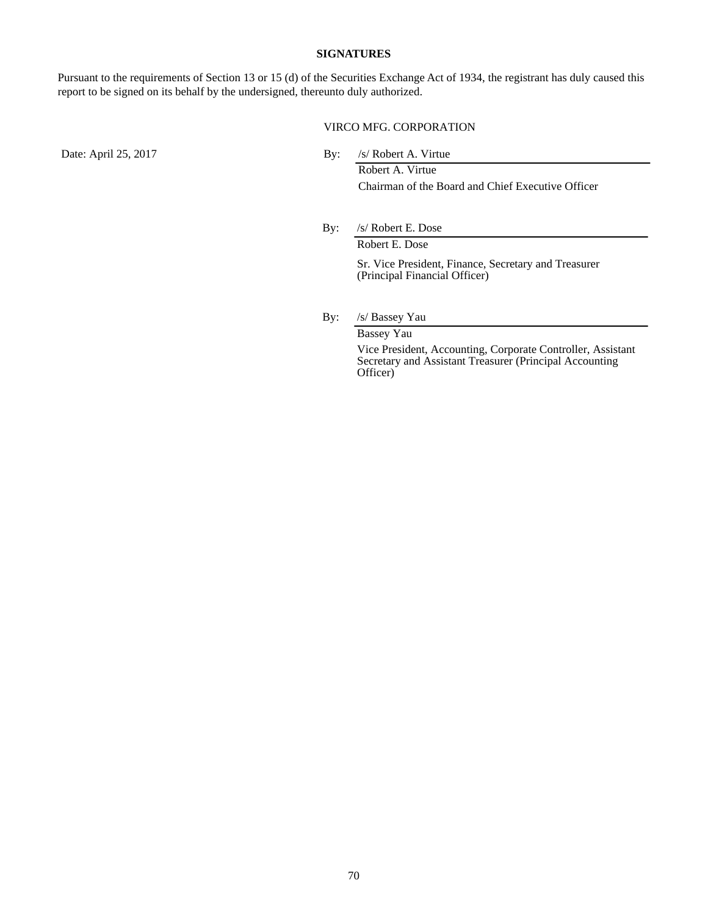## **SIGNATURES**

Pursuant to the requirements of Section 13 or 15 (d) of the Securities Exchange Act of 1934, the registrant has duly caused this report to be signed on its behalf by the undersigned, thereunto duly authorized.

## VIRCO MFG. CORPORATION

Date: April 25, 2017 By: /s/ Robert A. Virtue

Robert A. Virtue Chairman of the Board and Chief Executive Officer

By: /s/ Robert E. Dose

Robert E. Dose

Sr. Vice President, Finance, Secretary and Treasurer (Principal Financial Officer)

By: /s/ Bassey Yau

Bassey Yau Vice President, Accounting, Corporate Controller, Assistant Secretary and Assistant Treasurer (Principal Accounting Officer)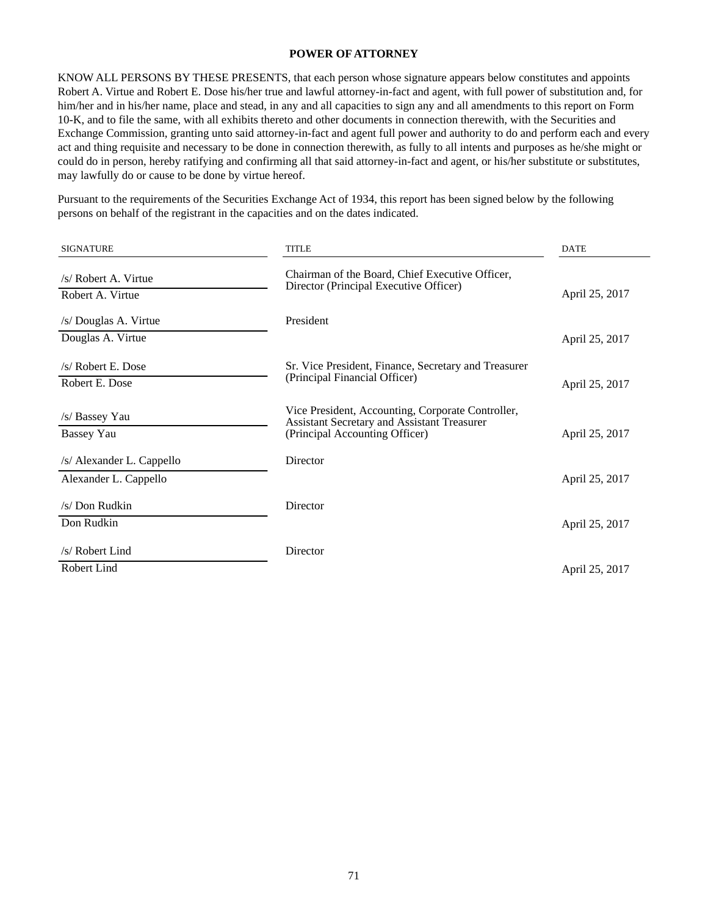## **POWER OF ATTORNEY**

KNOW ALL PERSONS BY THESE PRESENTS, that each person whose signature appears below constitutes and appoints Robert A. Virtue and Robert E. Dose his/her true and lawful attorney-in-fact and agent, with full power of substitution and, for him/her and in his/her name, place and stead, in any and all capacities to sign any and all amendments to this report on Form 10-K, and to file the same, with all exhibits thereto and other documents in connection therewith, with the Securities and Exchange Commission, granting unto said attorney-in-fact and agent full power and authority to do and perform each and every act and thing requisite and necessary to be done in connection therewith, as fully to all intents and purposes as he/she might or could do in person, hereby ratifying and confirming all that said attorney-in-fact and agent, or his/her substitute or substitutes, may lawfully do or cause to be done by virtue hereof.

Pursuant to the requirements of the Securities Exchange Act of 1934, this report has been signed below by the following persons on behalf of the registrant in the capacities and on the dates indicated.

| <b>SIGNATURE</b>                         | <b>TITLE</b>                                                                                                                       | <b>DATE</b>    |
|------------------------------------------|------------------------------------------------------------------------------------------------------------------------------------|----------------|
| /s/ Robert A. Virtue<br>Robert A. Virtue | Chairman of the Board, Chief Executive Officer,<br>Director (Principal Executive Officer)                                          | April 25, 2017 |
| /s/ Douglas A. Virtue                    | President                                                                                                                          |                |
| Douglas A. Virtue                        |                                                                                                                                    | April 25, 2017 |
| /s/ Robert E. Dose<br>Robert E. Dose     | Sr. Vice President, Finance, Secretary and Treasurer<br>(Principal Financial Officer)                                              | April 25, 2017 |
| /s/ Bassey Yau<br><b>Bassey Yau</b>      | Vice President, Accounting, Corporate Controller,<br>Assistant Secretary and Assistant Treasurer<br>(Principal Accounting Officer) | April 25, 2017 |
| /s/ Alexander L. Cappello                | Director                                                                                                                           |                |
| Alexander L. Cappello                    |                                                                                                                                    | April 25, 2017 |
| $/s/D$ on Rudkin                         | Director                                                                                                                           |                |
| Don Rudkin                               |                                                                                                                                    | April 25, 2017 |
| /s/ Robert Lind                          | Director                                                                                                                           |                |
| Robert Lind                              |                                                                                                                                    | April 25, 2017 |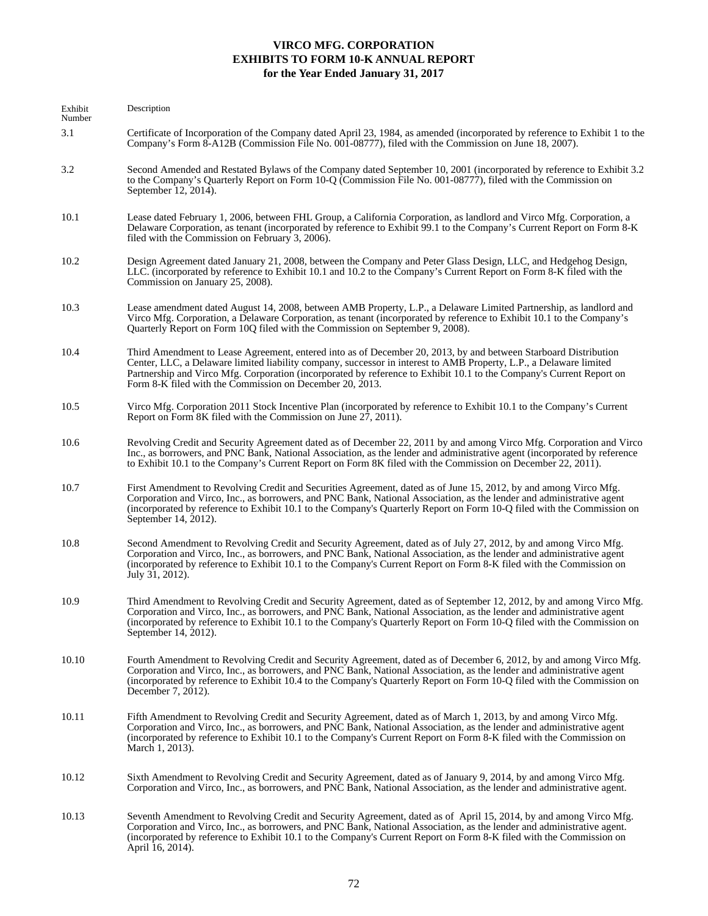## **VIRCO MFG. CORPORATION EXHIBITS TO FORM 10-K ANNUAL REPORT for the Year Ended January 31, 2017**

| Exhibit<br>Number | Description                                                                                                                                                                                                                                                                                                                                                                                                               |  |
|-------------------|---------------------------------------------------------------------------------------------------------------------------------------------------------------------------------------------------------------------------------------------------------------------------------------------------------------------------------------------------------------------------------------------------------------------------|--|
| 3.1               | Certificate of Incorporation of the Company dated April 23, 1984, as amended (incorporated by reference to Exhibit 1 to the<br>Company's Form 8-A12B (Commission File No. 001-08777), filed with the Commission on June 18, 2007).                                                                                                                                                                                        |  |
| 3.2               | Second Amended and Restated Bylaws of the Company dated September 10, 2001 (incorporated by reference to Exhibit 3.2<br>to the Company's Quarterly Report on Form 10-Q (Commission File No. 001-08777), filed with the Commission on<br>September 12, 2014).                                                                                                                                                              |  |
| 10.1              | Lease dated February 1, 2006, between FHL Group, a California Corporation, as landlord and Virco Mfg. Corporation, a<br>Delaware Corporation, as tenant (incorporated by reference to Exhibit 99.1 to the Company's Current Report on Form 8-K<br>filed with the Commission on February 3, 2006).                                                                                                                         |  |
| 10.2              | Design Agreement dated January 21, 2008, between the Company and Peter Glass Design, LLC, and Hedgehog Design,<br>LLC. (incorporated by reference to Exhibit 10.1 and 10.2 to the Company's Current Report on Form 8-K filed with the<br>Commission on January 25, 2008).                                                                                                                                                 |  |
| 10.3              | Lease amendment dated August 14, 2008, between AMB Property, L.P., a Delaware Limited Partnership, as landlord and<br>Virco Mfg. Corporation, a Delaware Corporation, as tenant (incorporated by reference to Exhibit 10.1 to the Company's<br>Quarterly Report on Form 10Q filed with the Commission on September 9, 2008).                                                                                              |  |
| 10.4              | Third Amendment to Lease Agreement, entered into as of December 20, 2013, by and between Starboard Distribution<br>Center, LLC, a Delaware limited liability company, successor in interest to AMB Property, L.P., a Delaware limited<br>Partnership and Virco Mfg. Corporation (incorporated by reference to Exhibit 10.1 to the Company's Current Report on<br>Form 8-K filed with the Commission on December 20, 2013. |  |
| 10.5              | Virco Mfg. Corporation 2011 Stock Incentive Plan (incorporated by reference to Exhibit 10.1 to the Company's Current<br>Report on Form 8K filed with the Commission on June 27, 2011).                                                                                                                                                                                                                                    |  |
| 10.6              | Revolving Credit and Security Agreement dated as of December 22, 2011 by and among Virco Mfg. Corporation and Virco<br>Inc., as borrowers, and PNC Bank, National Association, as the lender and administrative agent (incorporated by reference<br>to Exhibit 10.1 to the Company's Current Report on Form 8K filed with the Commission on December 22, 2011).                                                           |  |
| 10.7              | First Amendment to Revolving Credit and Securities Agreement, dated as of June 15, 2012, by and among Virco Mfg.<br>Corporation and Virco, Inc., as borrowers, and PNC Bank, National Association, as the lender and administrative agent<br>(incorporated by reference to Exhibit 10.1 to the Company's Quarterly Report on Form 10-Q filed with the Commission on<br>September 14, 2012).                               |  |
| 10.8              | Second Amendment to Revolving Credit and Security Agreement, dated as of July 27, 2012, by and among Virco Mfg.<br>Corporation and Virco, Inc., as borrowers, and PNC Bank, National Association, as the lender and administrative agent<br>(incorporated by reference to Exhibit 10.1 to the Company's Current Report on Form 8-K filed with the Commission on<br>July 31, 2012).                                        |  |
| 10.9              | Third Amendment to Revolving Credit and Security Agreement, dated as of September 12, 2012, by and among Virco Mfg.<br>Corporation and Virco, Inc., as borrowers, and PNC Bank, National Association, as the lender and administrative agent<br>(incorporated by reference to Exhibit 10.1 to the Company's Quarterly Report on Form 10-Q filed with the Commission on<br>September 14, 2012).                            |  |
| 10.10             | Fourth Amendment to Revolving Credit and Security Agreement, dated as of December 6, 2012, by and among Virco Mfg.<br>Corporation and Virco, Inc., as borrowers, and PNC Bank, National Association, as the lender and administrative agent<br>(incorporated by reference to Exhibit 10.4 to the Company's Quarterly Report on Form 10-Q filed with the Commission on<br>December 7, 2012).                               |  |
| 10.11             | Fifth Amendment to Revolving Credit and Security Agreement, dated as of March 1, 2013, by and among Virco Mfg.<br>Corporation and Virco, Inc., as borrowers, and PNC Bank, National Association, as the lender and administrative agent<br>(incorporated by reference to Exhibit 10.1 to the Company's Current Report on Form 8-K filed with the Commission on<br>March 1, 2013).                                         |  |
| 10.12             | Sixth Amendment to Revolving Credit and Security Agreement, dated as of January 9, 2014, by and among Virco Mfg.<br>Corporation and Virco, Inc., as borrowers, and PNC Bank, National Association, as the lender and administrative agent.                                                                                                                                                                                |  |
| 10.13             | Seventh Amendment to Revolving Credit and Security Agreement, dated as of April 15, 2014, by and among Virco Mfg.<br>Corporation and Virco. Inc., as borrowers, and PNC Bank, National Association, as the lender and administrative agent                                                                                                                                                                                |  |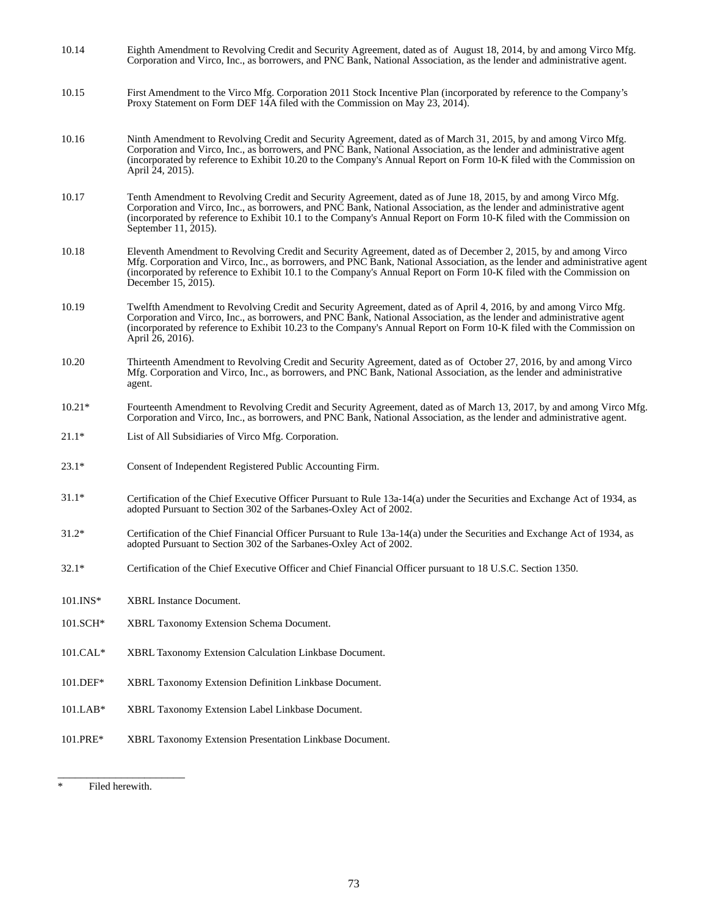| 10.14      | Eighth Amendment to Revolving Credit and Security Agreement, dated as of August 18, 2014, by and among Virco Mfg.<br>Corporation and Virco, Inc., as borrowers, and PNC Bank, National Association, as the lender and administrative agent.                                                                                                                                                 |
|------------|---------------------------------------------------------------------------------------------------------------------------------------------------------------------------------------------------------------------------------------------------------------------------------------------------------------------------------------------------------------------------------------------|
| 10.15      | First Amendment to the Virco Mfg. Corporation 2011 Stock Incentive Plan (incorporated by reference to the Company's<br>Proxy Statement on Form DEF 14A filed with the Commission on May 23, 2014).                                                                                                                                                                                          |
| 10.16      | Ninth Amendment to Revolving Credit and Security Agreement, dated as of March 31, 2015, by and among Virco Mfg.<br>Corporation and Virco, Inc., as borrowers, and PNC Bank, National Association, as the lender and administrative agent<br>(incorporated by reference to Exhibit 10.20 to the Company's Annual Report on Form 10-K filed with the Commission on<br>April 24, 2015).        |
| 10.17      | Tenth Amendment to Revolving Credit and Security Agreement, dated as of June 18, 2015, by and among Virco Mfg.<br>Corporation and Virco, Inc., as borrowers, and PNC Bank, National Association, as the lender and administrative agent<br>(incorporated by reference to Exhibit 10.1 to the Company's Annual Report on Form 10-K filed with the Commission on<br>September 11, 2015).      |
| 10.18      | Eleventh Amendment to Revolving Credit and Security Agreement, dated as of December 2, 2015, by and among Virco<br>Mfg. Corporation and Virco, Inc., as borrowers, and PNC Bank, National Association, as the lender and administrative agent<br>(incorporated by reference to Exhibit 10.1 to the Company's Annual Report on Form 10-K filed with the Commission on<br>December 15, 2015). |
| 10.19      | Twelfth Amendment to Revolving Credit and Security Agreement, dated as of April 4, 2016, by and among Virco Mfg.<br>Corporation and Virco, Inc., as borrowers, and PNC Bank, National Association, as the lender and administrative agent<br>(incorporated by reference to Exhibit 10.23 to the Company's Annual Report on Form 10-K filed with the Commission on<br>April 26, 2016).       |
| 10.20      | Thirteenth Amendment to Revolving Credit and Security Agreement, dated as of October 27, 2016, by and among Virco<br>Mfg. Corporation and Virco, Inc., as borrowers, and PNC Bank, National Association, as the lender and administrative<br>agent.                                                                                                                                         |
| $10.21*$   | Fourteenth Amendment to Revolving Credit and Security Agreement, dated as of March 13, 2017, by and among Virco Mfg.<br>Corporation and Virco, Inc., as borrowers, and PNC Bank, National Association, as the lender and administrative agent.                                                                                                                                              |
| $21.1*$    | List of All Subsidiaries of Virco Mfg. Corporation.                                                                                                                                                                                                                                                                                                                                         |
| $23.1*$    |                                                                                                                                                                                                                                                                                                                                                                                             |
|            | Consent of Independent Registered Public Accounting Firm.                                                                                                                                                                                                                                                                                                                                   |
| $31.1*$    | Certification of the Chief Executive Officer Pursuant to Rule 13a-14(a) under the Securities and Exchange Act of 1934, as<br>adopted Pursuant to Section 302 of the Sarbanes-Oxley Act of 2002.                                                                                                                                                                                             |
| $31.2*$    | Certification of the Chief Financial Officer Pursuant to Rule 13a-14(a) under the Securities and Exchange Act of 1934, as<br>adopted Pursuant to Section 302 of the Sarbanes-Oxley Act of 2002.                                                                                                                                                                                             |
| $32.1*$    | Certification of the Chief Executive Officer and Chief Financial Officer pursuant to 18 U.S.C. Section 1350.                                                                                                                                                                                                                                                                                |
| 101.INS*   | XBRL Instance Document.                                                                                                                                                                                                                                                                                                                                                                     |
| 101.SCH*   | XBRL Taxonomy Extension Schema Document.                                                                                                                                                                                                                                                                                                                                                    |
| $101.CAL*$ | XBRL Taxonomy Extension Calculation Linkbase Document.                                                                                                                                                                                                                                                                                                                                      |
| 101.DEF*   | XBRL Taxonomy Extension Definition Linkbase Document.                                                                                                                                                                                                                                                                                                                                       |
| $101.LAB*$ | XBRL Taxonomy Extension Label Linkbase Document.                                                                                                                                                                                                                                                                                                                                            |

\_\_\_\_\_\_\_\_\_\_\_\_\_\_\_\_\_\_\_\_\_\_

<sup>\*</sup> Filed herewith.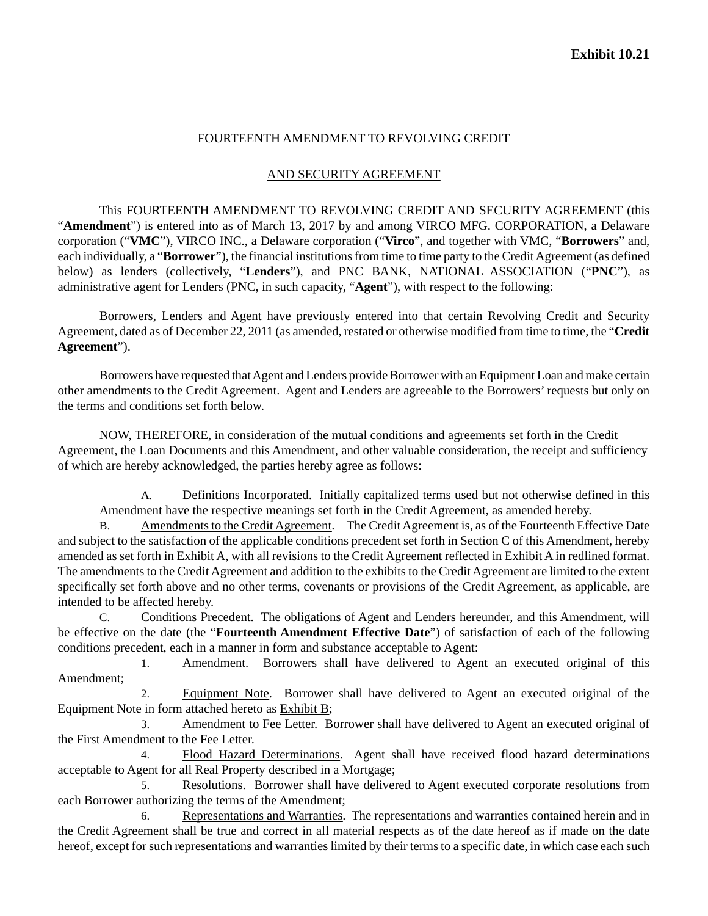# FOURTEENTH AMENDMENT TO REVOLVING CREDIT

# AND SECURITY AGREEMENT

This FOURTEENTH AMENDMENT TO REVOLVING CREDIT AND SECURITY AGREEMENT (this "**Amendment**") is entered into as of March 13, 2017 by and among VIRCO MFG. CORPORATION, a Delaware corporation ("**VMC**"), VIRCO INC., a Delaware corporation ("**Virco**", and together with VMC, "**Borrowers**" and, each individually, a "**Borrower**"), the financial institutions from time to time party to the Credit Agreement (as defined below) as lenders (collectively, "**Lenders**"), and PNC BANK, NATIONAL ASSOCIATION ("**PNC**"), as administrative agent for Lenders (PNC, in such capacity, "**Agent**"), with respect to the following:

Borrowers, Lenders and Agent have previously entered into that certain Revolving Credit and Security Agreement, dated as of December 22, 2011 (as amended, restated or otherwise modified from time to time, the "**Credit Agreement**").

Borrowers have requested that Agent and Lenders provide Borrower with an Equipment Loan and make certain other amendments to the Credit Agreement. Agent and Lenders are agreeable to the Borrowers' requests but only on the terms and conditions set forth below.

NOW, THEREFORE, in consideration of the mutual conditions and agreements set forth in the Credit Agreement, the Loan Documents and this Amendment, and other valuable consideration, the receipt and sufficiency of which are hereby acknowledged, the parties hereby agree as follows:

A. Definitions Incorporated. Initially capitalized terms used but not otherwise defined in this Amendment have the respective meanings set forth in the Credit Agreement, as amended hereby.

B. Amendments to the Credit Agreement. The Credit Agreement is, as of the Fourteenth Effective Date and subject to the satisfaction of the applicable conditions precedent set forth in Section C of this Amendment, hereby amended as set forth in Exhibit A, with all revisions to the Credit Agreement reflected in Exhibit A in redlined format. The amendments to the Credit Agreement and addition to the exhibits to the Credit Agreement are limited to the extent specifically set forth above and no other terms, covenants or provisions of the Credit Agreement, as applicable, are intended to be affected hereby.

C. Conditions Precedent. The obligations of Agent and Lenders hereunder, and this Amendment, will be effective on the date (the "**Fourteenth Amendment Effective Date**") of satisfaction of each of the following conditions precedent, each in a manner in form and substance acceptable to Agent:

1. Amendment. Borrowers shall have delivered to Agent an executed original of this Amendment;

2. Equipment Note. Borrower shall have delivered to Agent an executed original of the Equipment Note in form attached hereto as Exhibit B;

3. Amendment to Fee Letter. Borrower shall have delivered to Agent an executed original of the First Amendment to the Fee Letter.

4. Flood Hazard Determinations. Agent shall have received flood hazard determinations acceptable to Agent for all Real Property described in a Mortgage;

5. Resolutions. Borrower shall have delivered to Agent executed corporate resolutions from each Borrower authorizing the terms of the Amendment;

6. Representations and Warranties. The representations and warranties contained herein and in the Credit Agreement shall be true and correct in all material respects as of the date hereof as if made on the date hereof, except for such representations and warranties limited by their terms to a specific date, in which case each such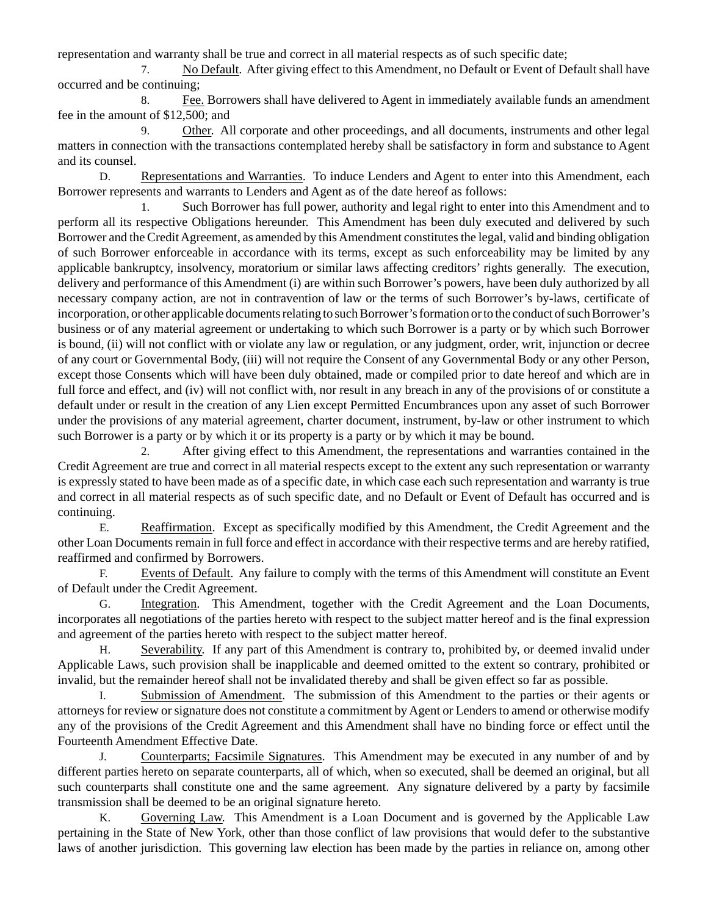representation and warranty shall be true and correct in all material respects as of such specific date;

7. No Default. After giving effect to this Amendment, no Default or Event of Default shall have occurred and be continuing;

8. Fee. Borrowers shall have delivered to Agent in immediately available funds an amendment fee in the amount of \$12,500; and

9. Other. All corporate and other proceedings, and all documents, instruments and other legal matters in connection with the transactions contemplated hereby shall be satisfactory in form and substance to Agent and its counsel.

D. Representations and Warranties. To induce Lenders and Agent to enter into this Amendment, each Borrower represents and warrants to Lenders and Agent as of the date hereof as follows:

1. Such Borrower has full power, authority and legal right to enter into this Amendment and to perform all its respective Obligations hereunder. This Amendment has been duly executed and delivered by such Borrower and the Credit Agreement, as amended by this Amendment constitutes the legal, valid and binding obligation of such Borrower enforceable in accordance with its terms, except as such enforceability may be limited by any applicable bankruptcy, insolvency, moratorium or similar laws affecting creditors' rights generally. The execution, delivery and performance of this Amendment (i) are within such Borrower's powers, have been duly authorized by all necessary company action, are not in contravention of law or the terms of such Borrower's by-laws, certificate of incorporation, or other applicable documents relating to such Borrower's formation or to the conduct of such Borrower's business or of any material agreement or undertaking to which such Borrower is a party or by which such Borrower is bound, (ii) will not conflict with or violate any law or regulation, or any judgment, order, writ, injunction or decree of any court or Governmental Body, (iii) will not require the Consent of any Governmental Body or any other Person, except those Consents which will have been duly obtained, made or compiled prior to date hereof and which are in full force and effect, and (iv) will not conflict with, nor result in any breach in any of the provisions of or constitute a default under or result in the creation of any Lien except Permitted Encumbrances upon any asset of such Borrower under the provisions of any material agreement, charter document, instrument, by-law or other instrument to which such Borrower is a party or by which it or its property is a party or by which it may be bound.

2. After giving effect to this Amendment, the representations and warranties contained in the Credit Agreement are true and correct in all material respects except to the extent any such representation or warranty is expressly stated to have been made as of a specific date, in which case each such representation and warranty is true and correct in all material respects as of such specific date, and no Default or Event of Default has occurred and is continuing.

E. Reaffirmation. Except as specifically modified by this Amendment, the Credit Agreement and the other Loan Documents remain in full force and effect in accordance with their respective terms and are hereby ratified, reaffirmed and confirmed by Borrowers.

F. Events of Default. Any failure to comply with the terms of this Amendment will constitute an Event of Default under the Credit Agreement.

G. Integration. This Amendment, together with the Credit Agreement and the Loan Documents, incorporates all negotiations of the parties hereto with respect to the subject matter hereof and is the final expression and agreement of the parties hereto with respect to the subject matter hereof.

H. Severability. If any part of this Amendment is contrary to, prohibited by, or deemed invalid under Applicable Laws, such provision shall be inapplicable and deemed omitted to the extent so contrary, prohibited or invalid, but the remainder hereof shall not be invalidated thereby and shall be given effect so far as possible.

I. Submission of Amendment. The submission of this Amendment to the parties or their agents or attorneys for review or signature does not constitute a commitment by Agent or Lenders to amend or otherwise modify any of the provisions of the Credit Agreement and this Amendment shall have no binding force or effect until the Fourteenth Amendment Effective Date.

J. Counterparts; Facsimile Signatures. This Amendment may be executed in any number of and by different parties hereto on separate counterparts, all of which, when so executed, shall be deemed an original, but all such counterparts shall constitute one and the same agreement. Any signature delivered by a party by facsimile transmission shall be deemed to be an original signature hereto.

K. Governing Law. This Amendment is a Loan Document and is governed by the Applicable Law pertaining in the State of New York, other than those conflict of law provisions that would defer to the substantive laws of another jurisdiction. This governing law election has been made by the parties in reliance on, among other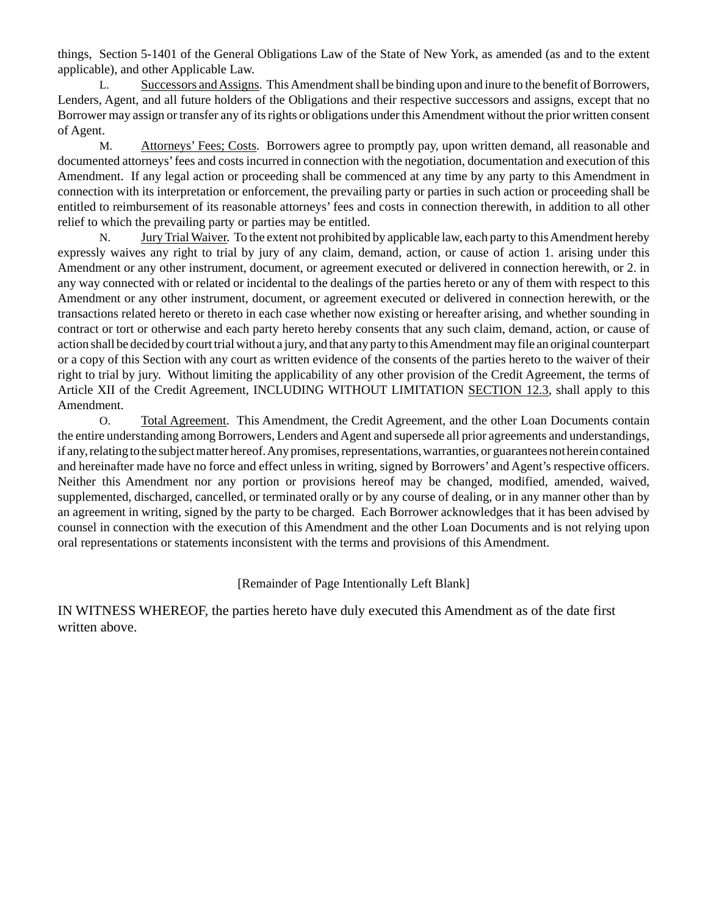things, Section 5-1401 of the General Obligations Law of the State of New York, as amended (as and to the extent applicable), and other Applicable Law.

L. Successors and Assigns. This Amendment shall be binding upon and inure to the benefit of Borrowers, Lenders, Agent, and all future holders of the Obligations and their respective successors and assigns, except that no Borrower may assign or transfer any of its rights or obligations under this Amendment without the prior written consent of Agent.

M. Attorneys' Fees; Costs. Borrowers agree to promptly pay, upon written demand, all reasonable and documented attorneys'fees and costs incurred in connection with the negotiation, documentation and execution of this Amendment. If any legal action or proceeding shall be commenced at any time by any party to this Amendment in connection with its interpretation or enforcement, the prevailing party or parties in such action or proceeding shall be entitled to reimbursement of its reasonable attorneys' fees and costs in connection therewith, in addition to all other relief to which the prevailing party or parties may be entitled.

N. Jury Trial Waiver. To the extent not prohibited by applicable law, each party to this Amendment hereby expressly waives any right to trial by jury of any claim, demand, action, or cause of action 1. arising under this Amendment or any other instrument, document, or agreement executed or delivered in connection herewith, or 2. in any way connected with or related or incidental to the dealings of the parties hereto or any of them with respect to this Amendment or any other instrument, document, or agreement executed or delivered in connection herewith, or the transactions related hereto or thereto in each case whether now existing or hereafter arising, and whether sounding in contract or tort or otherwise and each party hereto hereby consents that any such claim, demand, action, or cause of action shall be decided by court trial without a jury, and that any party to this Amendment may file an original counterpart or a copy of this Section with any court as written evidence of the consents of the parties hereto to the waiver of their right to trial by jury. Without limiting the applicability of any other provision of the Credit Agreement, the terms of Article XII of the Credit Agreement, INCLUDING WITHOUT LIMITATION SECTION 12.3, shall apply to this Amendment.

O. Total Agreement. This Amendment, the Credit Agreement, and the other Loan Documents contain the entire understanding among Borrowers, Lenders and Agent and supersede all prior agreements and understandings, if any, relating to the subject matter hereof. Any promises, representations, warranties, or guarantees not herein contained and hereinafter made have no force and effect unless in writing, signed by Borrowers' and Agent's respective officers. Neither this Amendment nor any portion or provisions hereof may be changed, modified, amended, waived, supplemented, discharged, cancelled, or terminated orally or by any course of dealing, or in any manner other than by an agreement in writing, signed by the party to be charged. Each Borrower acknowledges that it has been advised by counsel in connection with the execution of this Amendment and the other Loan Documents and is not relying upon oral representations or statements inconsistent with the terms and provisions of this Amendment.

[Remainder of Page Intentionally Left Blank]

IN WITNESS WHEREOF, the parties hereto have duly executed this Amendment as of the date first written above.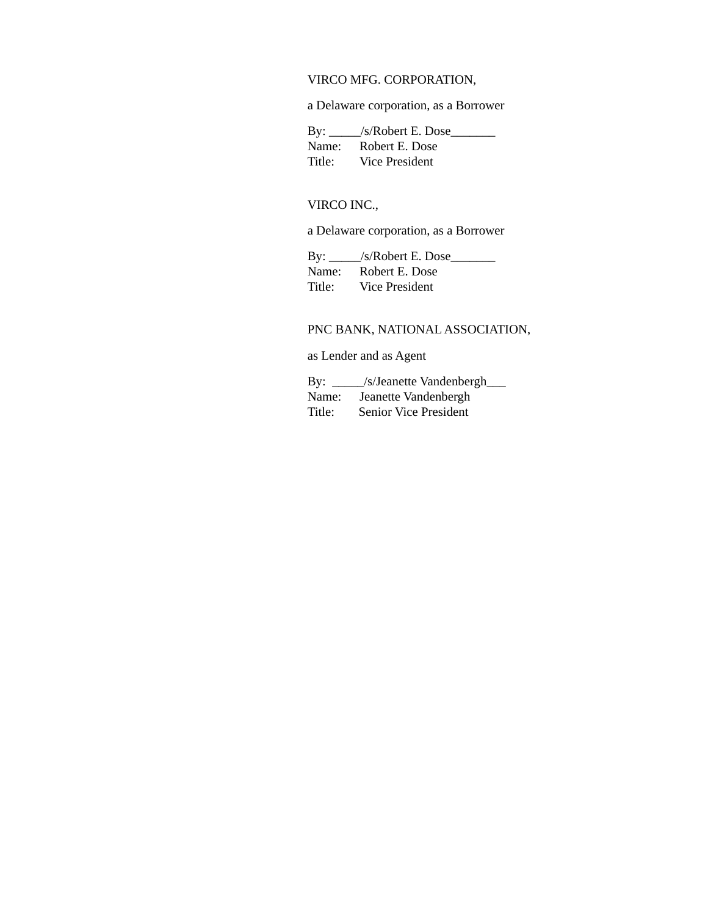#### VIRCO MFG. CORPORATION,

a Delaware corporation, as a Borrower

| By: $\_\_$ | /s/Robert E. Dose    |
|------------|----------------------|
|            | Name: Robert E. Dose |
| Title:     | Vice President       |

## VIRCO INC.,

a Delaware corporation, as a Borrower

By: \_\_\_\_\_/s/Robert E. Dose\_\_\_\_\_\_\_ Name: Robert E. Dose Title: Vice President

#### PNC BANK, NATIONAL ASSOCIATION,

as Lender and as Agent

By: \_\_\_\_\_/s/Jeanette Vandenbergh\_\_\_\_<br>Name: Jeanette Vandenbergh Jeanette Vandenbergh Title: Senior Vice President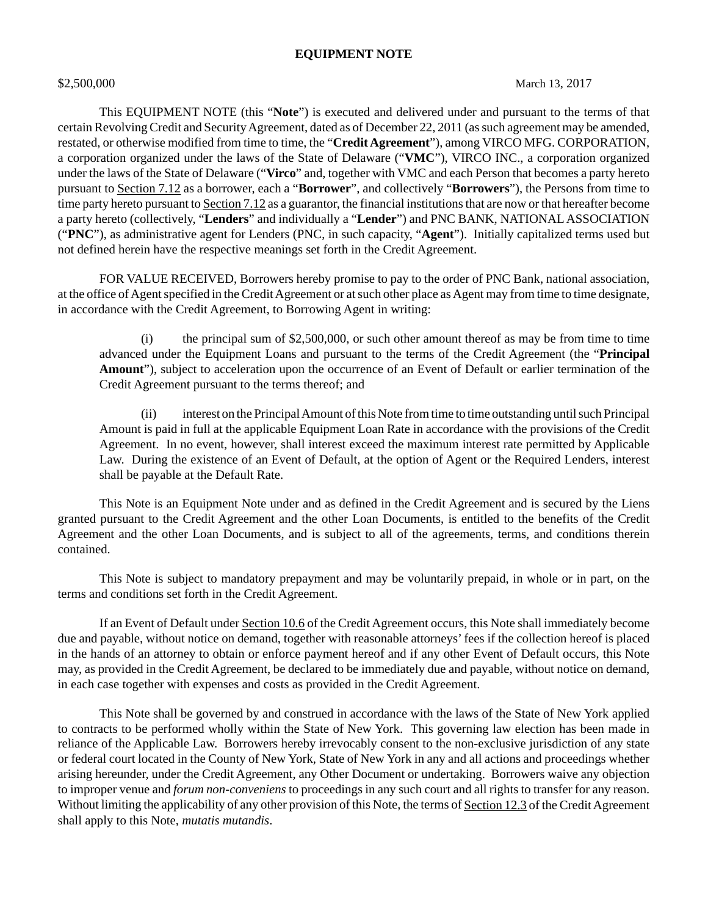#### **EQUIPMENT NOTE**

## \$2,500,000 March 13, 2017

This EQUIPMENT NOTE (this "**Note**") is executed and delivered under and pursuant to the terms of that certain Revolving Credit and Security Agreement, dated as of December 22, 2011 (as such agreement may be amended, restated, or otherwise modified from time to time, the "**Credit Agreement**"), among VIRCO MFG. CORPORATION, a corporation organized under the laws of the State of Delaware ("**VMC**"), VIRCO INC., a corporation organized under the laws of the State of Delaware ("**Virco**" and, together with VMC and each Person that becomes a party hereto pursuant to Section 7.12 as a borrower, each a "**Borrower**", and collectively "**Borrowers**"), the Persons from time to time party hereto pursuant to Section 7.12 as a guarantor, the financial institutions that are now or that hereafter become a party hereto (collectively, "**Lenders**" and individually a "**Lender**") and PNC BANK, NATIONALASSOCIATION ("**PNC**"), as administrative agent for Lenders (PNC, in such capacity, "**Agent**"). Initially capitalized terms used but not defined herein have the respective meanings set forth in the Credit Agreement.

FOR VALUE RECEIVED, Borrowers hereby promise to pay to the order of PNC Bank, national association, at the office of Agent specified in the Credit Agreement or at such other place as Agent may from time to time designate, in accordance with the Credit Agreement, to Borrowing Agent in writing:

(i) the principal sum of \$2,500,000, or such other amount thereof as may be from time to time advanced under the Equipment Loans and pursuant to the terms of the Credit Agreement (the "**Principal Amount**"), subject to acceleration upon the occurrence of an Event of Default or earlier termination of the Credit Agreement pursuant to the terms thereof; and

(ii) interest on the Principal Amount of this Note from time to time outstanding until such Principal Amount is paid in full at the applicable Equipment Loan Rate in accordance with the provisions of the Credit Agreement. In no event, however, shall interest exceed the maximum interest rate permitted by Applicable Law. During the existence of an Event of Default, at the option of Agent or the Required Lenders, interest shall be payable at the Default Rate.

This Note is an Equipment Note under and as defined in the Credit Agreement and is secured by the Liens granted pursuant to the Credit Agreement and the other Loan Documents, is entitled to the benefits of the Credit Agreement and the other Loan Documents, and is subject to all of the agreements, terms, and conditions therein contained.

This Note is subject to mandatory prepayment and may be voluntarily prepaid, in whole or in part, on the terms and conditions set forth in the Credit Agreement.

If an Event of Default under Section 10.6 of the Credit Agreement occurs, this Note shall immediately become due and payable, without notice on demand, together with reasonable attorneys'fees if the collection hereof is placed in the hands of an attorney to obtain or enforce payment hereof and if any other Event of Default occurs, this Note may, as provided in the Credit Agreement, be declared to be immediately due and payable, without notice on demand, in each case together with expenses and costs as provided in the Credit Agreement.

This Note shall be governed by and construed in accordance with the laws of the State of New York applied to contracts to be performed wholly within the State of New York. This governing law election has been made in reliance of the Applicable Law. Borrowers hereby irrevocably consent to the non-exclusive jurisdiction of any state or federal court located in the County of New York, State of New York in any and all actions and proceedings whether arising hereunder, under the Credit Agreement, any Other Document or undertaking. Borrowers waive any objection to improper venue and *forum non-conveniens* to proceedings in any such court and all rights to transfer for any reason. Without limiting the applicability of any other provision of this Note, the terms of Section 12.3 of the Credit Agreement shall apply to this Note, *mutatis mutandis*.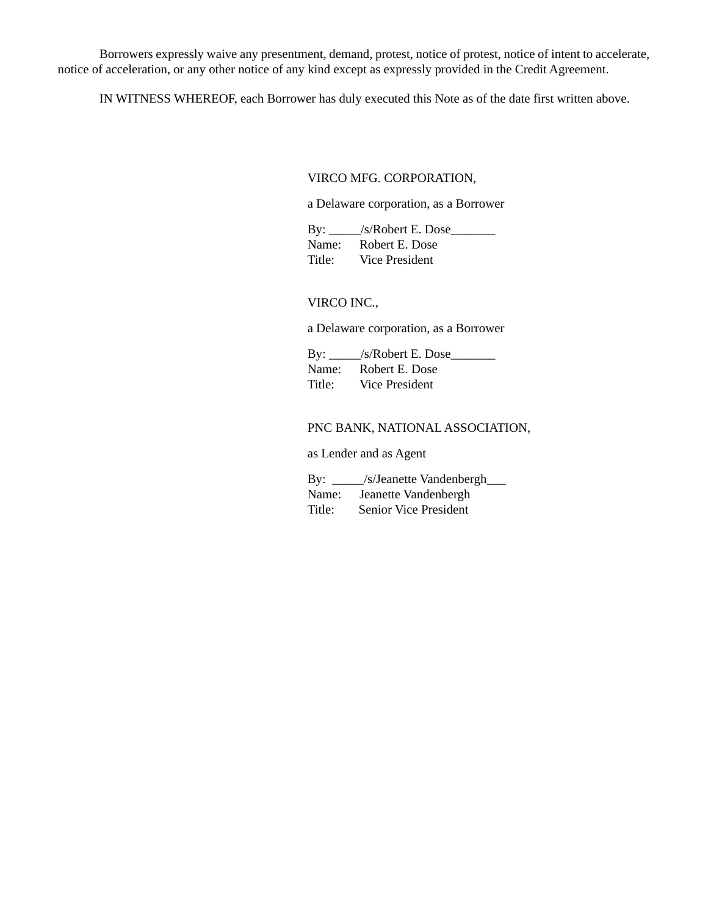Borrowers expressly waive any presentment, demand, protest, notice of protest, notice of intent to accelerate, notice of acceleration, or any other notice of any kind except as expressly provided in the Credit Agreement.

IN WITNESS WHEREOF, each Borrower has duly executed this Note as of the date first written above.

## VIRCO MFG. CORPORATION,

a Delaware corporation, as a Borrower

By: \_\_\_\_\_/s/Robert E. Dose\_\_\_\_\_\_\_ Name: Robert E. Dose Title: Vice President

#### VIRCO INC.,

a Delaware corporation, as a Borrower

By: \_\_\_\_\_/s/Robert E. Dose\_\_\_\_\_\_\_\_ Name: Robert E. Dose Title: Vice President

### PNC BANK, NATIONAL ASSOCIATION,

as Lender and as Agent

By: \_\_\_\_\_/s/Jeanette Vandenbergh\_\_\_ Name: Jeanette Vandenbergh Title: Senior Vice President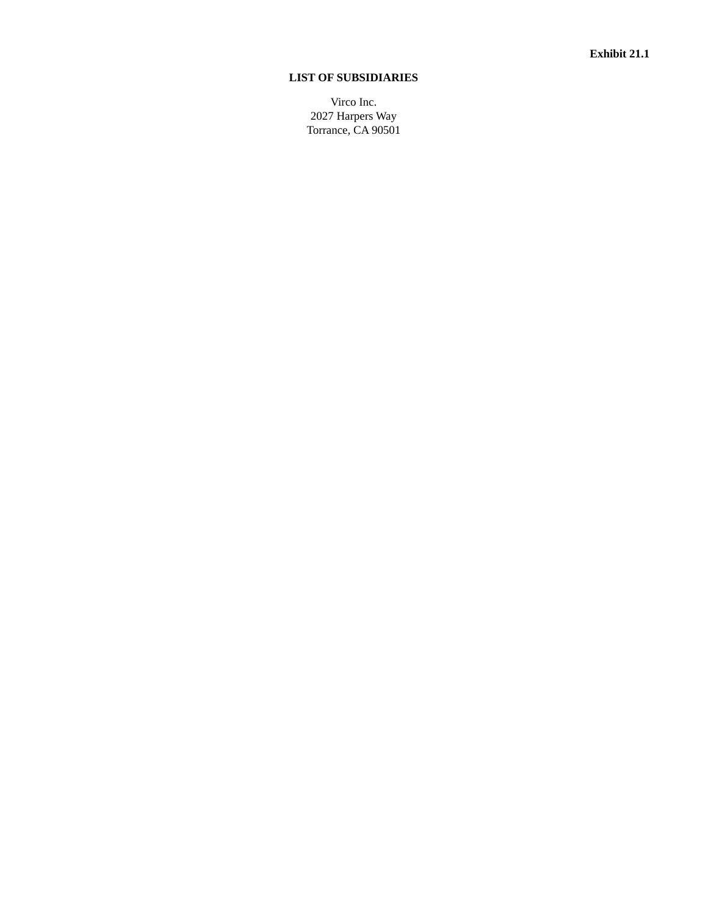#### **LIST OF SUBSIDIARIES**

Virco Inc. 2027 Harpers Way Torrance, CA 90501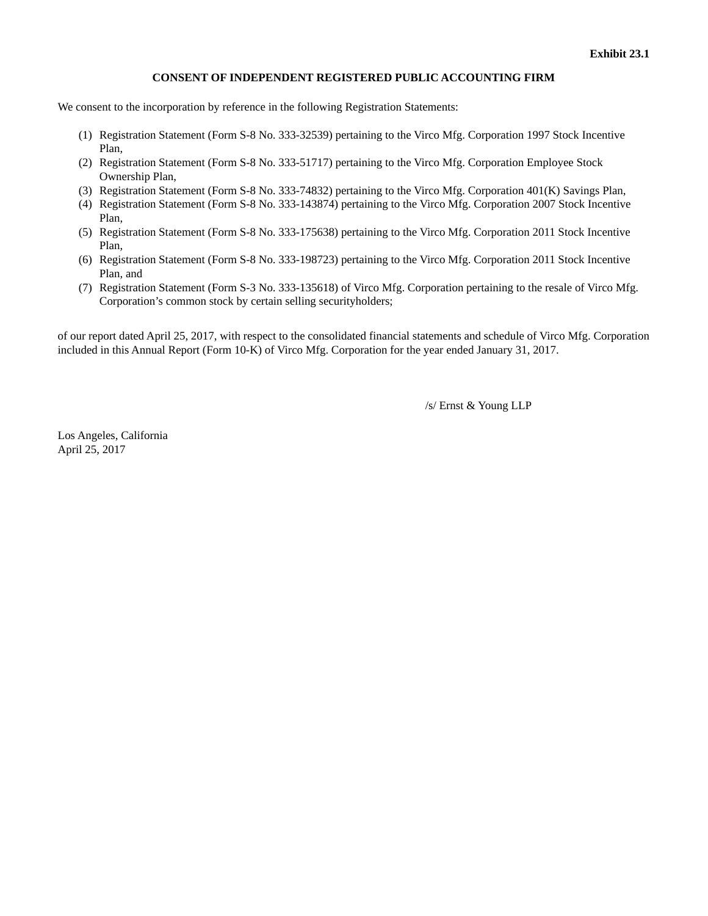#### **CONSENT OF INDEPENDENT REGISTERED PUBLIC ACCOUNTING FIRM**

We consent to the incorporation by reference in the following Registration Statements:

- (1) Registration Statement (Form S-8 No. 333-32539) pertaining to the Virco Mfg. Corporation 1997 Stock Incentive Plan,
- (2) Registration Statement (Form S-8 No. 333-51717) pertaining to the Virco Mfg. Corporation Employee Stock Ownership Plan,
- (3) Registration Statement (Form S-8 No. 333-74832) pertaining to the Virco Mfg. Corporation 401(K) Savings Plan,
- (4) Registration Statement (Form S-8 No. 333-143874) pertaining to the Virco Mfg. Corporation 2007 Stock Incentive Plan,
- (5) Registration Statement (Form S-8 No. 333-175638) pertaining to the Virco Mfg. Corporation 2011 Stock Incentive Plan,
- (6) Registration Statement (Form S-8 No. 333-198723) pertaining to the Virco Mfg. Corporation 2011 Stock Incentive Plan, and
- (7) Registration Statement (Form S-3 No. 333-135618) of Virco Mfg. Corporation pertaining to the resale of Virco Mfg. Corporation's common stock by certain selling securityholders;

of our report dated April 25, 2017, with respect to the consolidated financial statements and schedule of Virco Mfg. Corporation included in this Annual Report (Form 10-K) of Virco Mfg. Corporation for the year ended January 31, 2017.

/s/ Ernst & Young LLP

Los Angeles, California April 25, 2017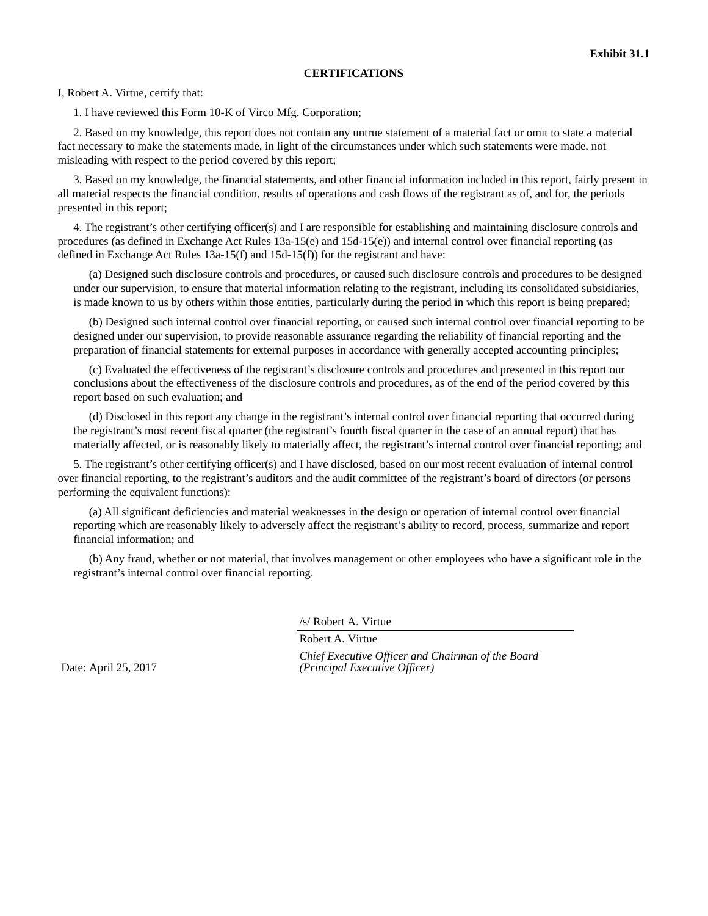#### **CERTIFICATIONS**

I, Robert A. Virtue, certify that:

1. I have reviewed this Form 10-K of Virco Mfg. Corporation;

2. Based on my knowledge, this report does not contain any untrue statement of a material fact or omit to state a material fact necessary to make the statements made, in light of the circumstances under which such statements were made, not misleading with respect to the period covered by this report;

3. Based on my knowledge, the financial statements, and other financial information included in this report, fairly present in all material respects the financial condition, results of operations and cash flows of the registrant as of, and for, the periods presented in this report;

4. The registrant's other certifying officer(s) and I are responsible for establishing and maintaining disclosure controls and procedures (as defined in Exchange Act Rules 13a-15(e) and 15d-15(e)) and internal control over financial reporting (as defined in Exchange Act Rules 13a-15(f) and 15d-15(f)) for the registrant and have:

(a) Designed such disclosure controls and procedures, or caused such disclosure controls and procedures to be designed under our supervision, to ensure that material information relating to the registrant, including its consolidated subsidiaries, is made known to us by others within those entities, particularly during the period in which this report is being prepared;

(b) Designed such internal control over financial reporting, or caused such internal control over financial reporting to be designed under our supervision, to provide reasonable assurance regarding the reliability of financial reporting and the preparation of financial statements for external purposes in accordance with generally accepted accounting principles;

(c) Evaluated the effectiveness of the registrant's disclosure controls and procedures and presented in this report our conclusions about the effectiveness of the disclosure controls and procedures, as of the end of the period covered by this report based on such evaluation; and

(d) Disclosed in this report any change in the registrant's internal control over financial reporting that occurred during the registrant's most recent fiscal quarter (the registrant's fourth fiscal quarter in the case of an annual report) that has materially affected, or is reasonably likely to materially affect, the registrant's internal control over financial reporting; and

5. The registrant's other certifying officer(s) and I have disclosed, based on our most recent evaluation of internal control over financial reporting, to the registrant's auditors and the audit committee of the registrant's board of directors (or persons performing the equivalent functions):

(a) All significant deficiencies and material weaknesses in the design or operation of internal control over financial reporting which are reasonably likely to adversely affect the registrant's ability to record, process, summarize and report financial information; and

(b) Any fraud, whether or not material, that involves management or other employees who have a significant role in the registrant's internal control over financial reporting.

/s/ Robert A. Virtue

Robert A. Virtue

*Chief Executive Officer and Chairman of the Board (Principal Executive Officer)*

Date: April 25, 2017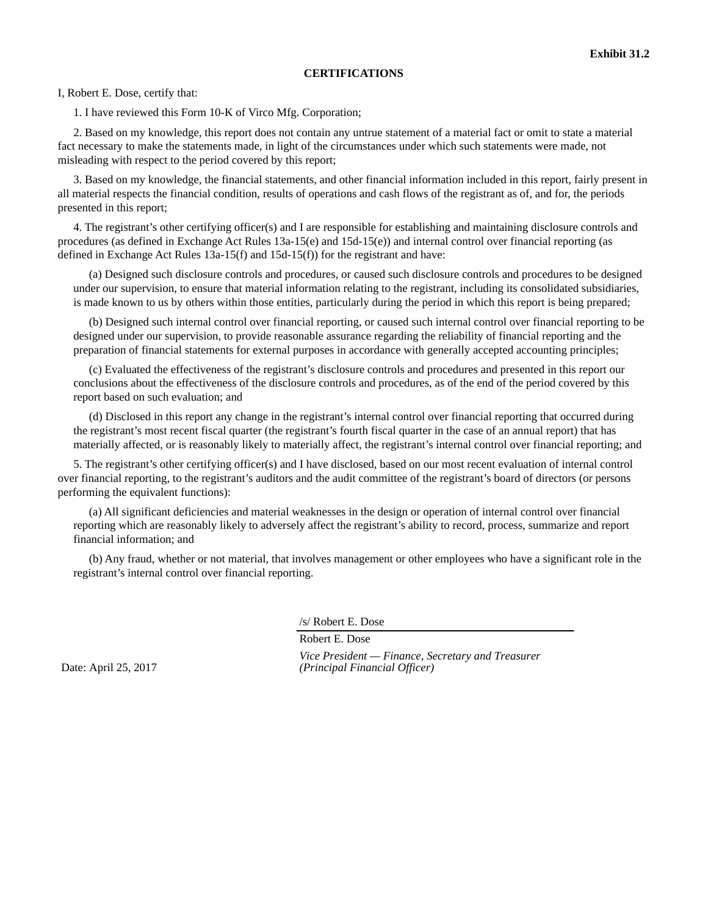#### **CERTIFICATIONS**

I, Robert E. Dose, certify that:

1. I have reviewed this Form 10-K of Virco Mfg. Corporation;

2. Based on my knowledge, this report does not contain any untrue statement of a material fact or omit to state a material fact necessary to make the statements made, in light of the circumstances under which such statements were made, not misleading with respect to the period covered by this report;

3. Based on my knowledge, the financial statements, and other financial information included in this report, fairly present in all material respects the financial condition, results of operations and cash flows of the registrant as of, and for, the periods presented in this report;

4. The registrant's other certifying officer(s) and I are responsible for establishing and maintaining disclosure controls and procedures (as defined in Exchange Act Rules 13a-15(e) and 15d-15(e)) and internal control over financial reporting (as defined in Exchange Act Rules 13a-15(f) and 15d-15(f)) for the registrant and have:

(a) Designed such disclosure controls and procedures, or caused such disclosure controls and procedures to be designed under our supervision, to ensure that material information relating to the registrant, including its consolidated subsidiaries, is made known to us by others within those entities, particularly during the period in which this report is being prepared;

(b) Designed such internal control over financial reporting, or caused such internal control over financial reporting to be designed under our supervision, to provide reasonable assurance regarding the reliability of financial reporting and the preparation of financial statements for external purposes in accordance with generally accepted accounting principles;

(c) Evaluated the effectiveness of the registrant's disclosure controls and procedures and presented in this report our conclusions about the effectiveness of the disclosure controls and procedures, as of the end of the period covered by this report based on such evaluation; and

(d) Disclosed in this report any change in the registrant's internal control over financial reporting that occurred during the registrant's most recent fiscal quarter (the registrant's fourth fiscal quarter in the case of an annual report) that has materially affected, or is reasonably likely to materially affect, the registrant's internal control over financial reporting; and

5. The registrant's other certifying officer(s) and I have disclosed, based on our most recent evaluation of internal control over financial reporting, to the registrant's auditors and the audit committee of the registrant's board of directors (or persons performing the equivalent functions):

(a) All significant deficiencies and material weaknesses in the design or operation of internal control over financial reporting which are reasonably likely to adversely affect the registrant's ability to record, process, summarize and report financial information; and

(b) Any fraud, whether or not material, that involves management or other employees who have a significant role in the registrant's internal control over financial reporting.

/s/ Robert E. Dose

Robert E. Dose

*Vice President — Finance, Secretary and Treasurer (Principal Financial Officer)*

Date: April 25, 2017